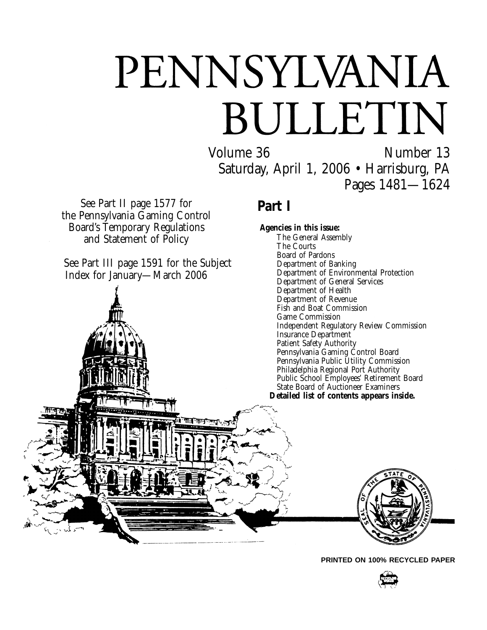# PENNSYLVANIA BULLETIN

Volume 36 Number 13 Saturday, April 1, 2006 • Harrisburg, PA Pages 1481—1624

See Part II page 1577 for the Pennsylvania Gaming Control Board's Temporary Regulations and Statement of Policy

See Part III page 1591 for the Subject Index for January—March 2006



## **Part I**

**Agencies in this issue:** The General Assembly The Courts Board of Pardons Department of Banking Department of Environmental Protection Department of General Services Department of Health Department of Revenue Fish and Boat Commission Game Commission Independent Regulatory Review Commission Insurance Department Patient Safety Authority Pennsylvania Gaming Control Board Pennsylvania Public Utility Commission Philadelphia Regional Port Authority Public School Employees' Retirement Board State Board of Auctioneer Examiners **Detailed list of contents appears inside.**



**PRINTED ON 100% RECYCLED PAPER**

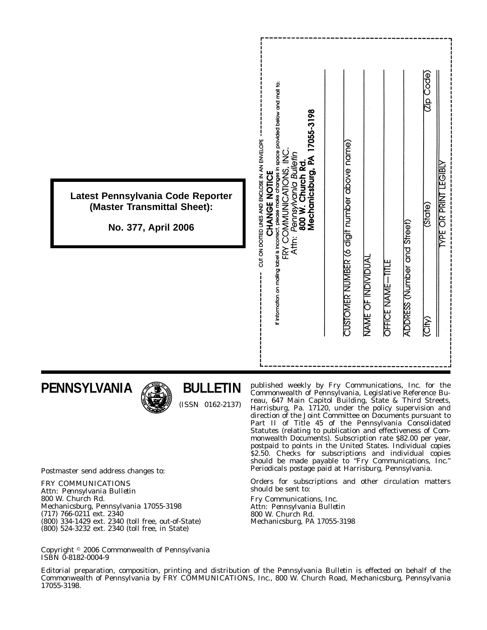|                                                                  | If information on mailing label is incorrect, please make changes in space provided below and mail to:<br>17055-3198<br>CUT ON DOTTED LINES AND ENCLOSE IN AN ENVELOPE<br>$\frac{0}{2}$ | (dp Code)<br>CUSTOMER NUMBER (6 digit number above name)<br><b>TEGIBLY</b> |
|------------------------------------------------------------------|-----------------------------------------------------------------------------------------------------------------------------------------------------------------------------------------|----------------------------------------------------------------------------|
| Latest Pennsylvania Code Reporter<br>(Master Transmittal Sheet): | Pennsylvania Bulletin<br>Mechanicsburg, PA<br>800 W. Church Rd.<br>COMMUNIMENT<br>CHANGE MOTICE                                                                                         | <b>YPE OR PRINT</b><br>(State)                                             |
| No. 377, April 2006                                              | Attn:<br>Fξ                                                                                                                                                                             | ADDRESS (Number and Street)                                                |
|                                                                  |                                                                                                                                                                                         | NAME OF INDIVIDUAI<br>OFFICE NAME-TITLE                                    |
|                                                                  |                                                                                                                                                                                         | <b>(City)</b>                                                              |
|                                                                  |                                                                                                                                                                                         |                                                                            |

## **PENNSYLVANIA**



## **BULLETIN**

(ISSN 0162-2137)

published weekly by Fry Communications, Inc. for the Commonwealth of Pennsylvania, Legislative Reference Bureau, 647 Main Capitol Building, State & Third Streets, Harrisburg, Pa. 17120, under the policy supervision and direction of the Joint Committee on Documents pursuant to Part II of Title 45 of the Pennsylvania Consolidated Statutes (relating to publication and effectiveness of Commonwealth Documents). Subscription rate \$82.00 per year, postpaid to points in the United States. Individual copies \$2.50. Checks for subscriptions and individual copies should be made payable to ''*Fry Communications, Inc.*'' Periodicals postage paid at Harrisburg, Pennsylvania.

Orders for subscriptions and other circulation matters should be sent to:

Fry Communications, Inc. Attn: *Pennsylvania Bulletin* 800 W. Church Rd. Mechanicsburg, PA 17055-3198

Postmaster send address changes to:

FRY COMMUNICATIONS Attn: *Pennsylvania Bulletin* 800 W. Church Rd. Mechanicsburg, Pennsylvania 17055-3198 (717) 766-0211 ext. 2340 (800) 334-1429 ext. 2340 (toll free, out-of-State) (800) 524-3232 ext. 2340 (toll free, in State)

Copyright 2006 Commonwealth of Pennsylvania ISBN 0-8182-0004-9

Editorial preparation, composition, printing and distribution of the *Pennsylvania Bulletin* is effected on behalf of the Commonwealth of Pennsylvania by FRY COMMUNICATIONS, Inc., 800 W. Church Road, Mechanicsburg, Pennsylvania 17055-3198.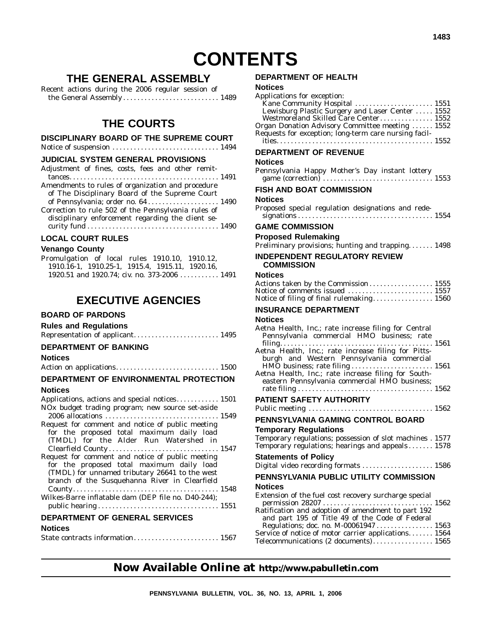## **CONTENTS**

## **THE GENERAL ASSEMBLY**

Recent actions during the 2006 regular session of the General Assembly .................................. 1489

### **THE COURTS**

#### **DISCIPLINARY BOARD OF THE SUPREME COURT**

Notice of suspension .............................. 1494

#### **JUDICIAL SYSTEM GENERAL PROVISIONS**

| Adjustment of fines, costs, fees and other remit-   |  |
|-----------------------------------------------------|--|
|                                                     |  |
| Amendments to rules of organization and procedure   |  |
| of The Disciplinary Board of the Supreme Court      |  |
| of Pennsylvania; order no. 64 1490                  |  |
| Correction to rule 502 of the Pennsylvania rules of |  |
| disciplinary enforcement regarding the client se-   |  |
|                                                     |  |
|                                                     |  |

#### **LOCAL COURT RULES**

#### **Venango County**

| Promulgation of local rules 1910.10, 1910.12,   |  |  |  |
|-------------------------------------------------|--|--|--|
| 1910.16-1, 1910.25-1, 1915.4, 1915.11, 1920.16, |  |  |  |
| 1920.51 and 1920.74: civ. no. 373-2006  1491    |  |  |  |

### **EXECUTIVE AGENCIES**

#### **BOARD OF PARDONS**

| <b>Rules and Regulations</b>     |  |
|----------------------------------|--|
| Representation of applicant 1495 |  |

#### **DEPARTMENT OF BANKING**

#### **Notices**

Action on applications............................. 1500

#### **DEPARTMENT OF ENVIRONMENTAL PROTECTION Notices**

| Applications, actions and special notices 1501      |  |
|-----------------------------------------------------|--|
| NOx budget trading program; new source set-aside    |  |
|                                                     |  |
| Request for comment and notice of public meeting    |  |
| for the proposed total maximum daily load           |  |
| (TMDL) for the Alder Run Watershed in               |  |
|                                                     |  |
| Request for comment and notice of public meeting    |  |
| for the proposed total maximum daily load           |  |
| (TMDL) for unnamed tributary 26641 to the west      |  |
| branch of the Susquehanna River in Clearfield       |  |
|                                                     |  |
| Wilkes-Barre inflatable dam (DEP file no. D40-244); |  |
|                                                     |  |
|                                                     |  |

#### **DEPARTMENT OF GENERAL SERVICES**

#### **Notices**

|--|--|

#### **DEPARTMENT OF HEALTH**

#### **Notices**

| Applications for exception:<br>Kane Community Hospital  1551<br>Lewisburg Plastic Surgery and Laser Center  1552<br>Westmoreland Skilled Care Center 1552<br>Organ Donation Advisory Committee meeting  1552 |
|--------------------------------------------------------------------------------------------------------------------------------------------------------------------------------------------------------------|
| Requests for exception; long-term care nursing facil-                                                                                                                                                        |
| DEPARTMENT OF REVENUE                                                                                                                                                                                        |
| <b>Notices</b><br>Pennsylvania Happy Mother's Day instant lottery                                                                                                                                            |
| FISH AND BOAT COMMISSION                                                                                                                                                                                     |
| <b>Notices</b><br>Proposed special regulation designations and rede-                                                                                                                                         |
| <b>GAME COMMISSION</b>                                                                                                                                                                                       |
| <b>Proposed Rulemaking</b><br>Preliminary provisions; hunting and trapping 1498                                                                                                                              |
| <b>INDEPENDENT REGULATORY REVIEW</b><br><b>COMMISSION</b>                                                                                                                                                    |
| <b>Notices</b>                                                                                                                                                                                               |
| Actions taken by the Commission 1555<br>Notice of comments issued  1557                                                                                                                                      |
| Notice of filing of final rulemaking 1560                                                                                                                                                                    |
| <b>INSURANCE DEPARTMENT</b>                                                                                                                                                                                  |
| <b>Notices</b><br>Aetna Health, Inc.; rate increase filing for Central                                                                                                                                       |
| Pennsylvania commercial HMO business; rate                                                                                                                                                                   |
| Aetna Health, Inc.; rate increase filing for Pitts-<br>burgh and Western Pennsylvania commercial                                                                                                             |
| Aetna Health, Inc.; rate increase filing for South-                                                                                                                                                          |
| eastern Pennsylvania commercial HMO business;                                                                                                                                                                |
|                                                                                                                                                                                                              |
| <b>PATIENT SAFETY AUTHORITY</b>                                                                                                                                                                              |
|                                                                                                                                                                                                              |
| PENNSYLVANIA GAMING CONTROL BOARD                                                                                                                                                                            |
| <b>Temporary Regulations</b><br>Temporary regulations; possession of slot machines . 1577<br>Temporary regulations; hearings and appeals 1578                                                                |
| <b>Statements of Policy</b><br>Digital video recording formats  1586                                                                                                                                         |
| PENNSYLVANIA PUBLIC UTILITY COMMISSION                                                                                                                                                                       |
| <b>Notices</b>                                                                                                                                                                                               |
| Extension of the fuel cost recovery surcharge special                                                                                                                                                        |
| Ratification and adoption of amendment to part 192<br>and part 195 of Title 49 of the Code of Federal                                                                                                        |
| Regulations; doc. no. M-00061947 1563<br>Service of notice of motor carrier applications 1564<br>Telecommunications (2 documents) 1565                                                                       |

### **Now Available Online at http://www.pabulletin.com**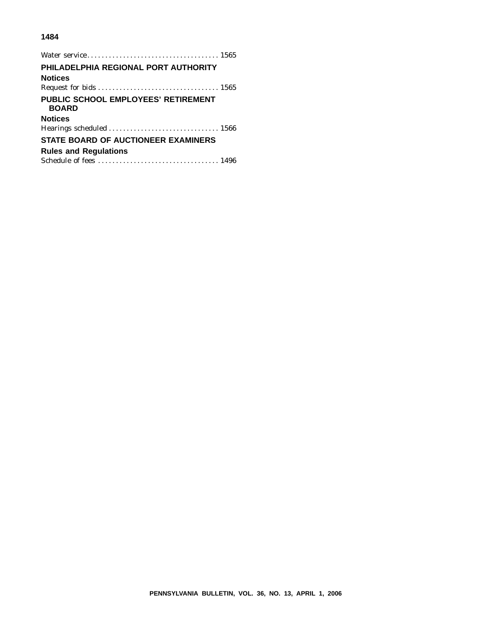#### **1484**

| PHILADELPHIA REGIONAL PORT AUTHORITY                |
|-----------------------------------------------------|
| <b>Notices</b>                                      |
|                                                     |
| PUBLIC SCHOOL EMPLOYEES' RETIREMENT<br><b>BOARD</b> |
| <b>Notices</b>                                      |
|                                                     |
| <b>STATE BOARD OF AUCTIONEER EXAMINERS</b>          |
| <b>Rules and Regulations</b>                        |
|                                                     |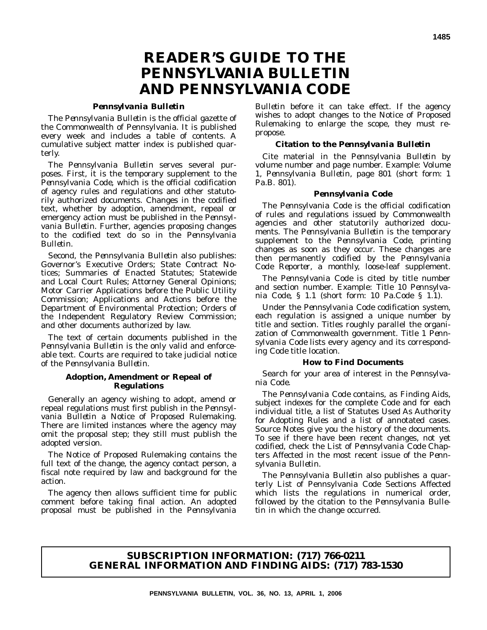## **READER'S GUIDE TO THE** *PENNSYLVANIA BULLETIN* **AND** *PENNSYLVANIA CODE*

#### *Pennsylvania Bulletin*

The *Pennsylvania Bulletin* is the official gazette of the Commonwealth of Pennsylvania. It is published every week and includes a table of contents. A cumulative subject matter index is published quarterly.

The *Pennsylvania Bulletin* serves several purposes. First, it is the temporary supplement to the *Pennsylvania Code*, which is the official codification of agency rules and regulations and other statutorily authorized documents. Changes in the codified text, whether by adoption, amendment, repeal or emergency action must be published in the *Pennsylvania Bulletin*. Further, agencies proposing changes to the codified text do so in the *Pennsylvania Bulletin*.

Second, the *Pennsylvania Bulletin* also publishes: Governor's Executive Orders; State Contract Notices; Summaries of Enacted Statutes; Statewide and Local Court Rules; Attorney General Opinions; Motor Carrier Applications before the Public Utility Commission; Applications and Actions before the Department of Environmental Protection; Orders of the Independent Regulatory Review Commission; and other documents authorized by law.

The text of certain documents published in the *Pennsylvania Bulletin* is the only valid and enforceable text. Courts are required to take judicial notice of the *Pennsylvania Bulletin*.

#### **Adoption, Amendment or Repeal of Regulations**

Generally an agency wishing to adopt, amend or repeal regulations must first publish in the *Pennsylvania Bulletin* a Notice of Proposed Rulemaking. There are limited instances where the agency may omit the proposal step; they still must publish the adopted version.

The Notice of Proposed Rulemaking contains the full text of the change, the agency contact person, a fiscal note required by law and background for the action.

The agency then allows sufficient time for public comment before taking final action. An adopted proposal must be published in the *Pennsylvania*

*Bulletin* before it can take effect. If the agency wishes to adopt changes to the Notice of Proposed Rulemaking to enlarge the scope, they must repropose.

#### **Citation to the** *Pennsylvania Bulletin*

Cite material in the *Pennsylvania Bulletin* by volume number and page number. Example: Volume 1, *Pennsylvania Bulletin*, page 801 (short form: 1 Pa.B. 801).

#### *Pennsylvania Code*

The *Pennsylvania Code* is the official codification of rules and regulations issued by Commonwealth agencies and other statutorily authorized documents. The *Pennsylvania Bulletin* is the temporary supplement to the *Pennsylvania Code*, printing changes as soon as they occur. These changes are then permanently codified by the *Pennsylvania Code Reporter*, a monthly, loose-leaf supplement.

The *Pennsylvania Code* is cited by title number and section number. Example: Title 10 *Pennsylvania Code*, § 1.1 (short form: 10 Pa.Code § 1.1).

Under the *Pennsylvania Code* codification system, each regulation is assigned a unique number by title and section. Titles roughly parallel the organization of Commonwealth government. Title 1 *Pennsylvania Code* lists every agency and its corresponding *Code* title location.

#### **How to Find Documents**

Search for your area of interest in the *Pennsylvania Code*.

The *Pennsylvania Code* contains, as Finding Aids, subject indexes for the complete *Code* and for each individual title, a list of Statutes Used As Authority for Adopting Rules and a list of annotated cases. Source Notes give you the history of the documents. To see if there have been recent changes, not yet codified, check the List of *Pennsylvania Code* Chapters Affected in the most recent issue of the *Pennsylvania Bulletin*.

The *Pennsylvania Bulletin* also publishes a quarterly List of Pennsylvania Code Sections Affected which lists the regulations in numerical order, followed by the citation to the *Pennsylvania Bulletin* in which the change occurred.

#### **SUBSCRIPTION INFORMATION: (717) 766-0211 GENERAL INFORMATION AND FINDING AIDS: (717) 783-1530**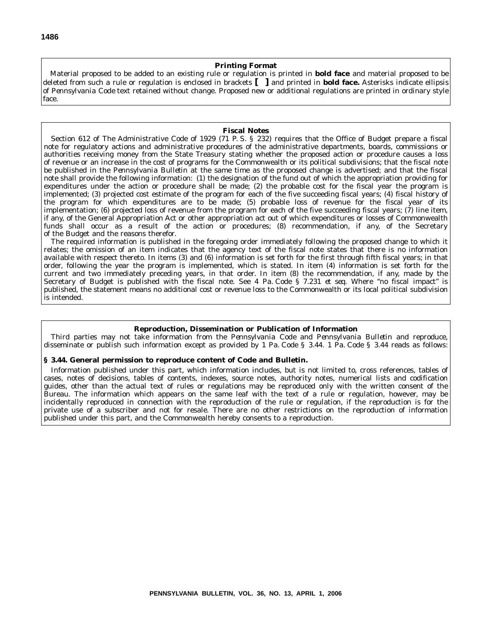#### **Printing Format**

Material proposed to be added to an existing rule or regulation is printed in **bold face** and material proposed to be deleted from such a rule or regulation is enclosed in brackets **[ ]** and printed in **bold face.** Asterisks indicate ellipsis of *Pennsylvania Code* text retained without change. Proposed new or additional regulations are printed in ordinary style face.

#### **Fiscal Notes**

Section 612 of The Administrative Code of 1929 (71 P. S. § 232) requires that the Office of Budget prepare a fiscal note for regulatory actions and administrative procedures of the administrative departments, boards, commissions or authorities receiving money from the State Treasury stating whether the proposed action or procedure causes a loss of revenue or an increase in the cost of programs for the Commonwealth or its political subdivisions; that the fiscal note be published in the *Pennsylvania Bulletin* at the same time as the proposed change is advertised; and that the fiscal note shall provide the following information: (1) the designation of the fund out of which the appropriation providing for expenditures under the action or procedure shall be made; (2) the probable cost for the fiscal year the program is implemented; (3) projected cost estimate of the program for each of the five succeeding fiscal years; (4) fiscal history of the program for which expenditures are to be made; (5) probable loss of revenue for the fiscal year of its implementation; (6) projected loss of revenue from the program for each of the five succeeding fiscal years; (7) line item, if any, of the General Appropriation Act or other appropriation act out of which expenditures or losses of Commonwealth funds shall occur as a result of the action or procedures; (8) recommendation, if any, of the Secretary of the Budget and the reasons therefor.

The required information is published in the foregoing order immediately following the proposed change to which it relates; the omission of an item indicates that the agency text of the fiscal note states that there is no information available with respect thereto. In items (3) and (6) information is set forth for the first through fifth fiscal years; in that order, following the year the program is implemented, which is stated. In item (4) information is set forth for the current and two immediately preceding years, in that order. In item (8) the recommendation, if any, made by the Secretary of Budget is published with the fiscal note. See 4 Pa. Code § 7.231 *et seq.* Where ''no fiscal impact'' is published, the statement means no additional cost or revenue loss to the Commonwealth or its local political subdivision is intended.

#### **Reproduction, Dissemination or Publication of Information**

Third parties may not take information from the *Pennsylvania Code* and *Pennsylvania Bulletin* and reproduce, disseminate or publish such information except as provided by 1 Pa. Code § 3.44. 1 Pa. Code § 3.44 reads as follows:

#### **§ 3.44. General permission to reproduce content of Code and Bulletin.**

Information published under this part, which information includes, but is not limited to, cross references, tables of cases, notes of decisions, tables of contents, indexes, source notes, authority notes, numerical lists and codification guides, other than the actual text of rules or regulations may be reproduced only with the written consent of the Bureau. The information which appears on the same leaf with the text of a rule or regulation, however, may be incidentally reproduced in connection with the reproduction of the rule or regulation, if the reproduction is for the private use of a subscriber and not for resale. There are no other restrictions on the reproduction of information published under this part, and the Commonwealth hereby consents to a reproduction.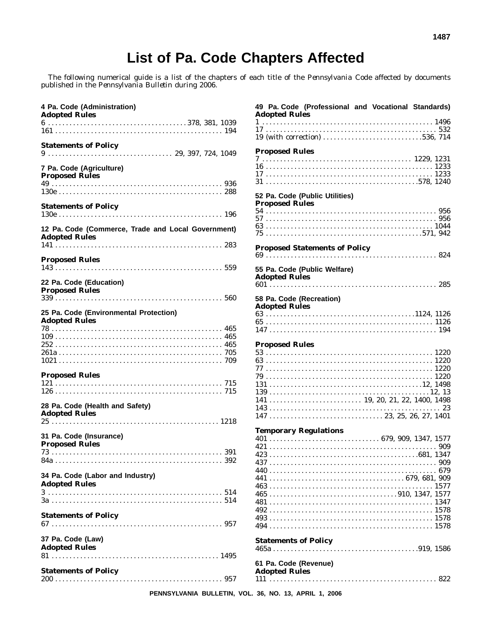The following numerical guide is a list of the chapters of each title of the *Pennsylvania Code* affected by documents published in the *Pennsylvania Bulletin* during 2006.

| 4 Pa. Code (Administration)<br><b>Adopted Rules</b>                        |
|----------------------------------------------------------------------------|
|                                                                            |
| <b>Statements of Policy</b>                                                |
| 7 Pa. Code (Agriculture)<br><b>Proposed Rules</b>                          |
|                                                                            |
| <b>Statements of Policy</b>                                                |
| 12 Pa. Code (Commerce, Trade and Local Government)<br><b>Adopted Rules</b> |
| <b>Proposed Rules</b>                                                      |
| 22 Pa. Code (Education)<br><b>Proposed Rules</b>                           |
| 25 Pa. Code (Environmental Protection)<br><b>Adopted Rules</b>             |
|                                                                            |
| <b>Proposed Rules</b>                                                      |
| 28 Pa. Code (Health and Safety)<br><b>Adopted Rules</b>                    |
| 31 Pa. Code (Insurance)                                                    |
| <b>Proposed Rules</b>                                                      |
| 34 Pa. Code (Labor and Industry)<br><b>Adopted Rules</b>                   |
|                                                                            |
| <b>Statements of Policy</b>                                                |
| 37 Pa. Code (Law)<br><b>Adopted Rules</b>                                  |
| <b>Statements of Policy</b>                                                |

| 49 Pa. Code (Professional and Vocational Standards)<br><b>Adopted Rules</b> |  |
|-----------------------------------------------------------------------------|--|
|                                                                             |  |
| 19 (with correction) 536, 714                                               |  |
|                                                                             |  |
| <b>Proposed Rules</b>                                                       |  |
|                                                                             |  |
|                                                                             |  |
|                                                                             |  |
|                                                                             |  |
| 52 Pa. Code (Public Utilities)<br><b>Proposed Rules</b>                     |  |
|                                                                             |  |
|                                                                             |  |
|                                                                             |  |
| <b>Proposed Statements of Policy</b>                                        |  |
|                                                                             |  |
| 55 Pa. Code (Public Welfare)<br><b>Adopted Rules</b>                        |  |
|                                                                             |  |
| 58 Pa. Code (Recreation)<br><b>Adopted Rules</b>                            |  |
|                                                                             |  |
|                                                                             |  |
|                                                                             |  |
| <b>Proposed Rules</b>                                                       |  |
|                                                                             |  |
|                                                                             |  |
|                                                                             |  |
|                                                                             |  |
|                                                                             |  |
|                                                                             |  |
|                                                                             |  |
|                                                                             |  |
|                                                                             |  |
| <b>Temporary Regulations</b>                                                |  |
|                                                                             |  |
|                                                                             |  |
|                                                                             |  |
|                                                                             |  |
|                                                                             |  |
|                                                                             |  |
|                                                                             |  |
|                                                                             |  |
|                                                                             |  |
|                                                                             |  |
|                                                                             |  |
|                                                                             |  |
| <b>Statements of Policy</b>                                                 |  |
| 61 Pa. Code (Revenue)<br><b>Adopted Rules</b>                               |  |
|                                                                             |  |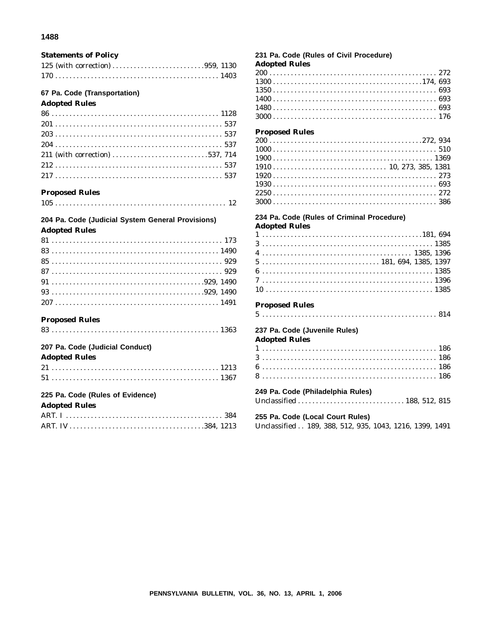#### **Statements of Policy**

| 125 (with correction) 959, 1130 |  |  |  |  |  |  |  |  |  |  |  |  |  |  |
|---------------------------------|--|--|--|--|--|--|--|--|--|--|--|--|--|--|
|                                 |  |  |  |  |  |  |  |  |  |  |  |  |  |  |

#### 67 Pa. Code (Transportation)

#### **Adopted Rules**

| 211 (with correction) 537, 714 |  |  |  |  |  |  |  |  |  |  |  |  |  |  |  |  |  |  |  |  |  |  |  |  |  |  |
|--------------------------------|--|--|--|--|--|--|--|--|--|--|--|--|--|--|--|--|--|--|--|--|--|--|--|--|--|--|
|                                |  |  |  |  |  |  |  |  |  |  |  |  |  |  |  |  |  |  |  |  |  |  |  |  |  |  |
|                                |  |  |  |  |  |  |  |  |  |  |  |  |  |  |  |  |  |  |  |  |  |  |  |  |  |  |

#### **Proposed Rules**

|--|--|

#### 204 Pa. Code (Judicial System General Provisions) **Adopted Rules**

| $207$ 1491 |  |  |  |  |  |  |  |  |  |  |  |  |  |  |  |  |  |  |  |  |  |  |  |  |  |  |
|------------|--|--|--|--|--|--|--|--|--|--|--|--|--|--|--|--|--|--|--|--|--|--|--|--|--|--|

#### **Proposed Rules**

| 207 Pa. Code (Judicial Conduct)                                                                                                                                                                                                                                                                                                          |  |
|------------------------------------------------------------------------------------------------------------------------------------------------------------------------------------------------------------------------------------------------------------------------------------------------------------------------------------------|--|
| <b>Adopted Rules</b>                                                                                                                                                                                                                                                                                                                     |  |
|                                                                                                                                                                                                                                                                                                                                          |  |
|                                                                                                                                                                                                                                                                                                                                          |  |
| 225 Pa. Code (Rules of Evidence)                                                                                                                                                                                                                                                                                                         |  |
| <b>Adopted Rules</b>                                                                                                                                                                                                                                                                                                                     |  |
| $\overline{ART}$ $\overline{I}$ and $\overline{S}$ and $\overline{S}$ and $\overline{S}$ and $\overline{S}$ and $\overline{S}$ and $\overline{S}$ and $\overline{S}$ and $\overline{S}$ and $\overline{S}$ and $\overline{S}$ and $\overline{S}$ and $\overline{S}$ and $\overline{S}$ and $\overline{S}$ and $\overline{S}$ and $\over$ |  |

#### 231 Pa. Code (Rules of Civil Procedure)

#### **Adopted Rules**

#### **Proposed Rules**

#### 234 Pa. Code (Rules of Criminal Procedure) **Adopted Rules**

#### **Proposed Rules**

|--|--|--|--|--|--|--|--|--|--|--|--|--|--|--|--|--|--|--|--|--|--|--|--|--|--|--|--|--|--|--|--|--|--|--|--|--|--|--|--|--|--|--|--|--|--|--|--|--|--|--|--|--|--|--|--|

#### 237 Pa. Code (Juvenile Rules) **Adopted Rules**

| 249 Pa. Code (Philadelphia Rules) |  |  |  |  |  |  |  |  |  |  |  |  |  |  |  |  |  |  |  |  |  |  |  |  |  |  |  |  |  |  |  |  |  |  |  |
|-----------------------------------|--|--|--|--|--|--|--|--|--|--|--|--|--|--|--|--|--|--|--|--|--|--|--|--|--|--|--|--|--|--|--|--|--|--|--|
|                                   |  |  |  |  |  |  |  |  |  |  |  |  |  |  |  |  |  |  |  |  |  |  |  |  |  |  |  |  |  |  |  |  |  |  |  |
|                                   |  |  |  |  |  |  |  |  |  |  |  |  |  |  |  |  |  |  |  |  |  |  |  |  |  |  |  |  |  |  |  |  |  |  |  |
|                                   |  |  |  |  |  |  |  |  |  |  |  |  |  |  |  |  |  |  |  |  |  |  |  |  |  |  |  |  |  |  |  |  |  |  |  |
|                                   |  |  |  |  |  |  |  |  |  |  |  |  |  |  |  |  |  |  |  |  |  |  |  |  |  |  |  |  |  |  |  |  |  |  |  |
|                                   |  |  |  |  |  |  |  |  |  |  |  |  |  |  |  |  |  |  |  |  |  |  |  |  |  |  |  |  |  |  |  |  |  |  |  |

255 Pa. Code (Local Court Rules) Unclassified . . 189, 388, 512, 935, 1043, 1216, 1399, 1491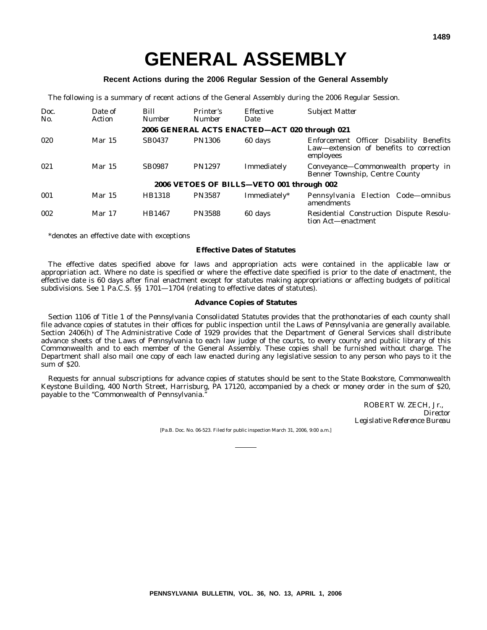#### **Recent Actions during the 2006 Regular Session of the General Assembly**

The following is a summary of recent actions of the General Assembly during the 2006 Regular Session.

| Doc.<br>No. | Date of<br>Action | Bill<br><b>Number</b> | Printer's<br><b>Number</b> | <i>Effective</i><br>Date                      | <b>Subject Matter</b>                                                                           |
|-------------|-------------------|-----------------------|----------------------------|-----------------------------------------------|-------------------------------------------------------------------------------------------------|
|             |                   |                       |                            | 2006 GENERAL ACTS ENACTED-ACT 020 through 021 |                                                                                                 |
| 020         | Mar 15            | <b>SB0437</b>         | <b>PN1306</b>              | 60 days                                       | Enforcement Officer Disability Benefits<br>Law-extension of benefits to correction<br>employees |
| 021         | Mar 15            | <b>SB0987</b>         | <b>PN1297</b>              | Immediately                                   | Conveyance-Commonwealth property in<br>Benner Township, Centre County                           |
|             |                   |                       |                            | 2006 VETOES OF BILLS-VETO 001 through 002     |                                                                                                 |
| 001         | Mar 15            | HB1318                | <b>PN3587</b>              | Immediately*                                  | Pennsylvania Election Code-omnibus<br>amendments                                                |
| 002         | Mar 17            | HB1467                | <b>PN3588</b>              | 60 days                                       | Residential Construction Dispute Resolu-<br>tion Act—enactment                                  |

\*denotes an effective date with exceptions

#### **Effective Dates of Statutes**

The effective dates specified above for laws and appropriation acts were contained in the applicable law or appropriation act. Where no date is specified or where the effective date specified is prior to the date of enactment, the effective date is 60 days after final enactment except for statutes making appropriations or affecting budgets of political subdivisions. See 1 Pa.C.S. §§ 1701—1704 (relating to effective dates of statutes).

#### **Advance Copies of Statutes**

Section 1106 of Title 1 of the *Pennsylvania Consolidated Statutes* provides that the prothonotaries of each county shall file advance copies of statutes in their offices for public inspection until the *Laws of Pennsylvania* are generally available. Section 2406(h) of The Administrative Code of 1929 provides that the Department of General Services shall distribute advance sheets of the *Laws of Pennsylvania* to each law judge of the courts, to every county and public library of this Commonwealth and to each member of the General Assembly. These copies shall be furnished without charge. The Department shall also mail one copy of each law enacted during any legislative session to any person who pays to it the sum of \$20.

Requests for annual subscriptions for advance copies of statutes should be sent to the State Bookstore, Commonwealth Keystone Building, 400 North Street, Harrisburg, PA 17120, accompanied by a check or money order in the sum of \$20, payable to the ''Commonwealth of Pennsylvania.''

> ROBERT W. ZECH, Jr., *Director Legislative Reference Bureau*

[Pa.B. Doc. No. 06-523. Filed for public inspection March 31, 2006, 9:00 a.m.]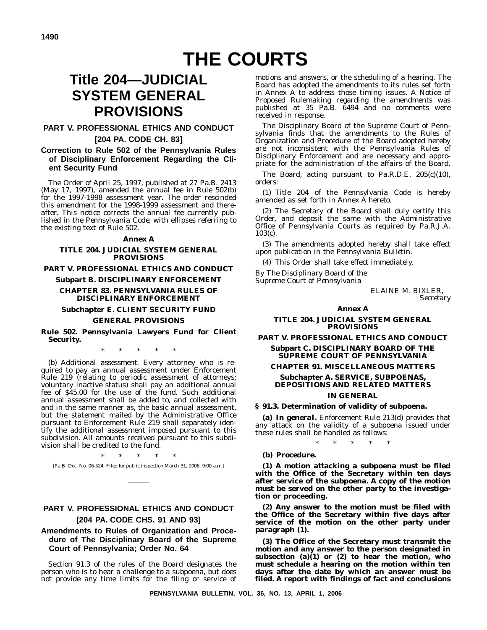## **THE COURTS**

## **Title 204—JUDICIAL SYSTEM GENERAL PROVISIONS**

#### **PART V. PROFESSIONAL ETHICS AND CONDUCT**

#### **[204 PA. CODE CH. 83]**

#### **Correction to Rule 502 of the Pennsylvania Rules of Disciplinary Enforcement Regarding the Client Security Fund**

The Order of April 25, 1997, published at 27 Pa.B. 2413 (May 17, 1997), amended the annual fee in Rule 502(b) for the 1997-1998 assessment year. The order rescinded this amendment for the 1998-1999 assessment and thereafter. This notice corrects the annual fee currently published in the *Pennsylvania Code*, with ellipses referring to the existing text of Rule 502.

#### **Annex A**

#### **TITLE 204. JUDICIAL SYSTEM GENERAL PROVISIONS**

**PART V. PROFESSIONAL ETHICS AND CONDUCT**

#### **Subpart B. DISCIPLINARY ENFORCEMENT**

#### **CHAPTER 83. PENNSYLVANIA RULES OF DISCIPLINARY ENFORCEMENT**

#### **Subchapter E. CLIENT SECURITY FUND**

#### **GENERAL PROVISIONS**

**Rule 502. Pennsylvania Lawyers Fund for Client Security.**

\*\*\*\*\*

(b) *Additional assessment*. Every attorney who is required to pay an annual assessment under Enforcement Rule 219 (relating to periodic assessment of attorneys; voluntary inactive status) shall pay an additional annual fee of \$45.00 for the use of the fund. Such additional annual assessment shall be added to, and collected with and in the same manner as, the basic annual assessment, but the statement mailed by the Administrative Office pursuant to Enforcement Rule 219 shall separately identify the additional assessment imposed pursuant to this subdivision. All amounts received pursuant to this subdivision shall be credited to the fund.

\*\*\*\*\* [Pa.B. Doc. No. 06-524. Filed for public inspection March 31, 2006, 9:00 a.m.]

#### **PART V. PROFESSIONAL ETHICS AND CONDUCT [204 PA. CODE CHS. 91 AND 93]**

#### **Amendments to Rules of Organization and Procedure of The Disciplinary Board of the Supreme Court of Pennsylvania; Order No. 64**

Section 91.3 of the rules of the Board designates the person who is to hear a challenge to a subpoena, but does not provide any time limits for the filing or service of motions and answers, or the scheduling of a hearing. The Board has adopted the amendments to its rules set forth in Annex A to address those timing issues. A Notice of Proposed Rulemaking regarding the amendments was published at 35 Pa.B. 6494 and no comments were received in response.

The Disciplinary Board of the Supreme Court of Pennsylvania finds that the amendments to the Rules of Organization and Procedure of the Board adopted hereby are not inconsistent with the Pennsylvania Rules of Disciplinary Enforcement and are necessary and appropriate for the administration of the affairs of the Board.

The Board, acting pursuant to Pa.R.D.E. 205(c)(10), orders:

(1) Title 204 of the *Pennsylvania Code* is hereby amended as set forth in Annex A hereto.

(2) The Secretary of the Board shall duly certify this Order, and deposit the same with the Administrative Office of Pennsylvania Courts as required by Pa.R.J.A. 103(c).

(3) The amendments adopted hereby shall take effect upon publication in the *Pennsylvania Bulletin*.

(4) This Order shall take effect immediately.

*By The Disciplinary Board of the Supreme Court of Pennsylvania*

ELAINE M. BIXLER, *Secretary*

#### **Annex A**

#### **TITLE 204. JUDICIAL SYSTEM GENERAL PROVISIONS**

**PART V. PROFESSIONAL ETHICS AND CONDUCT Subpart C. DISCIPLINARY BOARD OF THE**

#### **SUPREME COURT OF PENNSYLVANIA**

#### **CHAPTER 91. MISCELLANEOUS MATTERS Subchapter A. SERVICE, SUBPOENAS, DEPOSITIONS AND RELATED MATTERS**

#### **IN GENERAL**

#### **§ 91.3. Determination of validity of subpoena.**

**(a)** *In general***.** Enforcement Rule 213(d) provides that any attack on the validity of a subpoena issued under these rules shall be handled as follows:

\*\*\*\*\*

#### **(b)** *Procedure.*

**(1) A motion attacking a subpoena must be filed with the Office of the Secretary within ten days after service of the subpoena. A copy of the motion must be served on the other party to the investigation or proceeding.**

**(2) Any answer to the motion must be filed with the Office of the Secretary within five days after service of the motion on the other party under paragraph (1).**

**(3) The Office of the Secretary must transmit the motion and any answer to the person designated in subsection (a)(1) or (2) to hear the motion, who must schedule a hearing on the motion within ten days after the date by which an answer must be filed. A report with findings of fact and conclusions**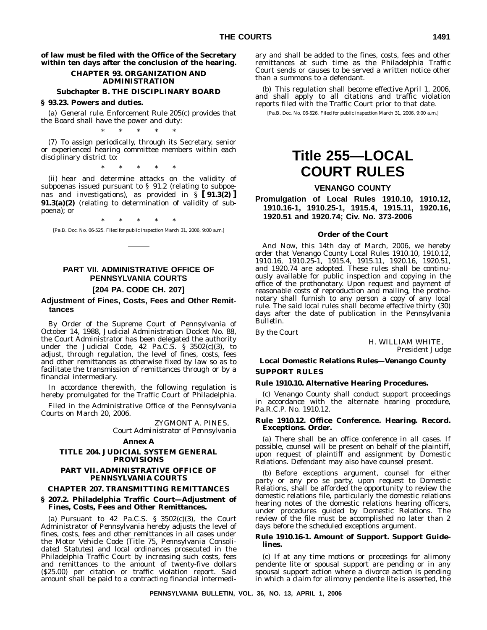**of law must be filed with the Office of the Secretary within ten days after the conclusion of the hearing.**

#### **CHAPTER 93. ORGANIZATION AND ADMINISTRATION**

#### **Subchapter B. THE DISCIPLINARY BOARD**

#### **§ 93.23. Powers and duties.**

(a) *General rule*. Enforcement Rule 205(c) provides that the Board shall have the power and duty: \*\*\*\*\*

(7) To assign periodically, through its Secretary, senior or experienced hearing committee members within each disciplinary district to:

\*\*\*\*\*

(ii) hear and determine attacks on the validity of subpoenas issued pursuant to § 91.2 (relating to subpoenas and investigations), as provided in § **[ 91.3(2) ] 91.3(a)(2)** (relating to determination of validity of subpoena); or

\*\*\*\*\*

[Pa.B. Doc. No. 06-525. Filed for public inspection March 31, 2006, 9:00 a.m.]

### **PART VII. ADMINISTRATIVE OFFICE OF PENNSYLVANIA COURTS**

#### **[204 PA. CODE CH. 207]**

#### **Adjustment of Fines, Costs, Fees and Other Remittances**

By Order of the Supreme Court of Pennsylvania of October 14, 1988, Judicial Administration Docket No. 88, the Court Administrator has been delegated the authority under the Judicial Code,  $42$  Pa.C.S. §  $3502(c)(3)$ , to adjust, through regulation, the level of fines, costs, fees and other remittances as otherwise fixed by law so as to facilitate the transmission of remittances through or by a financial intermediary.

In accordance therewith, the following regulation is hereby promulgated for the Traffic Court of Philadelphia.

Filed in the Administrative Office of the Pennsylvania Courts on March 20, 2006.

> ZYGMONT A. PINES, *Court Administrator of Pennsylvania*

#### **Annex A**

#### **TITLE 204. JUDICIAL SYSTEM GENERAL PROVISIONS**

#### **PART VII. ADMINISTRATIVE OFFICE OF PENNSYLVANIA COURTS**

#### **CHAPTER 207. TRANSMITTING REMITTANCES**

#### **§ 207.2. Philadelphia Traffic Court—Adjustment of Fines, Costs, Fees and Other Remittances.**

(a) Pursuant to  $42$  Pa.C.S. §  $3502(c)(3)$ , the Court Administrator of Pennsylvania hereby adjusts the level of fines, costs, fees and other remittances in all cases under the Motor Vehicle Code (Title 75, *Pennsylvania Consolidated Statutes*) and local ordinances prosecuted in the Philadelphia Traffic Court by increasing such costs, fees and remittances to the amount of twenty-five dollars (\$25.00) per citation or traffic violation report. Said amount shall be paid to a contracting financial intermediary and shall be added to the fines, costs, fees and other remittances at such time as the Philadelphia Traffic Court sends or causes to be served a written notice other than a summons to a defendant.

(b) This regulation shall become effective April 1, 2006, and shall apply to all citations and traffic violation reports filed with the Traffic Court prior to that date.

[Pa.B. Doc. No. 06-526. Filed for public inspection March 31, 2006, 9:00 a.m.]

## **Title 255—LOCAL COURT RULES**

#### **VENANGO COUNTY**

**Promulgation of Local Rules 1910.10, 1910.12, 1910.16-1, 1910.25-1, 1915.4, 1915.11, 1920.16, 1920.51 and 1920.74; Civ. No. 373-2006**

#### **Order of the Court**

*And Now*, this 14th day of March, 2006, we hereby order that Venango County Local Rules 1910.10, 1910.12, 1910.16, 1910.25-1, 1915.4, 1915.11, 1920.16, 1920.51, and 1920.74 are adopted. These rules shall be continuously available for public inspection and copying in the office of the prothonotary. Upon request and payment of reasonable costs of reproduction and mailing, the prothonotary shall furnish to any person a copy of any local rule. The said local rules shall become effective thirty (30) days after the date of publication in the *Pennsylvania Bulletin*.

*By the Court*

H. WILLIAM WHITE, *President Judge*

#### **Local Domestic Relations Rules—Venango County SUPPORT RULES**

#### **Rule 1910.10. Alternative Hearing Procedures.**

(c) Venango County shall conduct support proceedings in accordance with the alternate hearing procedure, Pa.R.C.P. No. 1910.12.

#### **Rule 1910.12. Office Conference. Hearing. Record. Exceptions. Order.**

(a) There shall be an office conference in all cases. If possible, counsel will be present on behalf of the plaintiff, upon request of plaintiff and assignment by Domestic Relations. Defendant may also have counsel present.

(b) Before exceptions argument, counsel for either party or any pro se party, upon request to Domestic Relations, shall be afforded the opportunity to review the domestic relations file, particularly the domestic relations hearing notes of the domestic relations hearing officers, under procedures guided by Domestic Relations. The review of the file must be accomplished no later than 2 days before the scheduled exceptions argument.

#### **Rule 1910.16-1. Amount of Support. Support Guidelines.**

(c) If at any time motions or proceedings for alimony pendente lite or spousal support are pending or in any spousal support action where a divorce action is pending in which a claim for alimony pendente lite is asserted, the

**PENNSYLVANIA BULLETIN, VOL. 36, NO. 13, APRIL 1, 2006**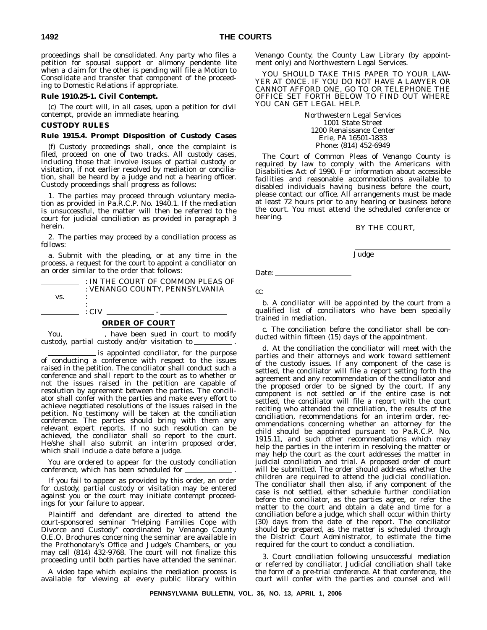proceedings shall be consolidated. Any party who files a petition for spousal support or alimony pendente lite when a claim for the other is pending will file a Motion to Consolidate and transfer that component of the proceeding to Domestic Relations if appropriate.

#### **Rule 1910.25-1. Civil Contempt.**

(c) The court will, in all cases, upon a petition for civil contempt, provide an immediate hearing.

#### **CUSTODY RULES**

#### **Rule 1915.4. Prompt Disposition of Custody Cases**

(f) Custody proceedings shall, once the complaint is filed, proceed on one of two tracks. All custody cases, including those that involve issues of partial custody or visitation, if not earlier resolved by mediation or conciliation, shall be heard by a judge and not a hearing officer. Custody proceedings shall progress as follows:

1. The parties may proceed through voluntary mediation as provided in Pa.R.C.P. No. 1940.1. If the mediation is unsuccessful, the matter will then be referred to the court for judicial conciliation as provided in paragraph 3 herein.

2. The parties may proceed by a conciliation process as follows:

a. Submit with the pleading, or at any time in the process, a request for the court to appoint a conciliator on an order similar to the order that follows:

|     | : IN THE COURT OF COMMON PLEAS OF |
|-----|-----------------------------------|
|     | : VENANGO COUNTY. PENNSYLVANIA    |
| VS. |                                   |
|     |                                   |
|     | $\cdot$ CIV                       |

#### **ORDER OF COURT**

You, \_\_\_\_\_\_\_\_\_\_\_, have been sued in court to modify custody, partial custody and/or visitation to .

is appointed conciliator, for the purpose of conducting a conference with respect to the issues raised in the petition. The conciliator shall conduct such a conference and shall report to the court as to whether or not the issues raised in the petition are capable of resolution by agreement between the parties. The conciliator shall confer with the parties and make every effort to achieve negotiated resolutions of the issues raised in the petition. No testimony will be taken at the conciliation conference. The parties should bring with them any relevant expert reports. If no such resolution can be achieved, the conciliator shall so report to the court. He/she shall also submit an interim proposed order, which shall include a date before a judge.

You are ordered to appear for the custody conciliation conference, which has been scheduled for .

If you fail to appear as provided by this order, an order for custody, partial custody or visitation may be entered against you or the court may initiate contempt proceedings for your failure to appear.

Plaintiff and defendant are directed to attend the court-sponsored seminar ''Helping Families Cope with Divorce and Custody'' coordinated by Venango County O.E.O. Brochures concerning the seminar are available in the Prothonotary's Office and Judge's Chambers, or you may call  $(814)$   $432-9768$ . The court will not finalize this proceeding until both parties have attended the seminar.

A video tape which explains the mediation process is available for viewing at every public library within

Venango County, the County Law Library (by appointment only) and Northwestern Legal Services.

YOU SHOULD TAKE THIS PAPER TO YOUR LAW-YER AT ONCE. IF YOU DO NOT HAVE A LAWYER OR CANNOT AFFORD ONE, GO TO OR TELEPHONE THE OFFICE SET FORTH BELOW TO FIND OUT WHERE YOU CAN GET LEGAL HELP.

> Northwestern Legal Services 1001 State Street 1200 Renaissance Center Erie, PA 16501-1833 Phone: (814) 452-6949

The Court of Common Pleas of Venango County is required by law to comply with the Americans with Disabilities Act of 1990. For information about accessible facilities and reasonable accommodations available to disabled individuals having business before the court, please contact our office. All arrangements must be made at least 72 hours prior to any hearing or business before the court. You must attend the scheduled conference or hearing.

#### BY THE COURT,

Judge

Date:  $\_\_$ 

cc:

b. A conciliator will be appointed by the court from a qualified list of conciliators who have been specially trained in mediation.

c. The conciliation before the conciliator shall be conducted within fifteen (15) days of the appointment.

d. At the conciliation the conciliator will meet with the parties and their attorneys and work toward settlement of the custody issues. If any component of the case is settled, the conciliator will file a report setting forth the agreement and any recommendation of the conciliator and the proposed order to be signed by the court. If any component is not settled or if the entire case is not settled, the conciliator will file a report with the court reciting who attended the conciliation, the results of the conciliation, recommendations for an interim order, recommendations concerning whether an attorney for the child should be appointed pursuant to Pa.R.C.P. No. 1915.11, and such other recommendations which may help the parties in the interim in resolving the matter or may help the court as the court addresses the matter in judicial conciliation and trial. A proposed order of court will be submitted. The order should address whether the children are required to attend the judicial conciliation. The conciliator shall then also, if any component of the case is not settled, either schedule further conciliation before the conciliator, as the parties agree, or refer the matter to the court and obtain a date and time for a conciliation before a judge, which shall occur within thirty (30) days from the date of the report. The conciliator should be prepared, as the matter is scheduled through the District Court Administrator, to estimate the time required for the court to conduct a conciliation.

3. Court conciliation following unsuccessful mediation or referred by conciliator. Judicial conciliation shall take the form of a pre-trial conference. At that conference, the court will confer with the parties and counsel and will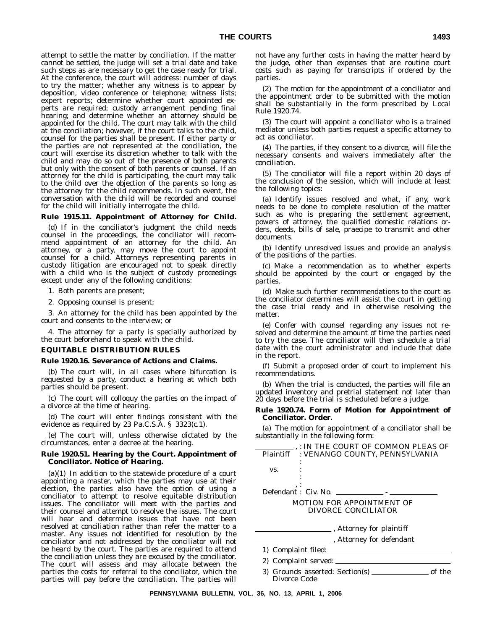attempt to settle the matter by conciliation. If the matter cannot be settled, the judge will set a trial date and take such steps as are necessary to get the case ready for trial. At the conference, the court will address: number of days to try the matter; whether any witness is to appear by deposition, video conference or telephone; witness lists; expert reports; determine whether court appointed experts are required; custody arrangement pending final hearing; and determine whether an attorney should be appointed for the child. The court may talk with the child at the conciliation; however, if the court talks to the child, counsel for the parties shall be present. If either party or the parties are not represented at the conciliation, the court will exercise its discretion whether to talk with the child and may do so out of the presence of both parents but only with the consent of both parents or counsel. If an attorney for the child is participating, the court may talk to the child over the objection of the parents so long as the attorney for the child recommends. In such event, the conversation with the child will be recorded and counsel for the child will initially interrogate the child.

#### **Rule 1915.11. Appointment of Attorney for Child.**

(d) If in the conciliator's judgment the child needs counsel in the proceedings, the conciliator will recommend appointment of an attorney for the child. An attorney, or a party, may move the court to appoint counsel for a child. Attorneys representing parents in custody litigation are encouraged not to speak directly with a child who is the subject of custody proceedings except under any of the following conditions:

1. Both parents are present;

2. Opposing counsel is present;

3. An attorney for the child has been appointed by the court and consents to the interview; or

4. The attorney for a party is specially authorized by the court beforehand to speak with the child.

#### **EQUITABLE DISTRIBUTION RULES**

#### **Rule 1920.16. Severance of Actions and Claims.**

(b) The court will, in all cases where bifurcation is requested by a party, conduct a hearing at which both parties should be present.

(c) The court will colloquy the parties on the impact of a divorce at the time of hearing.

(d) The court will enter findings consistent with the evidence as required by 23 Pa.C.S.A. § 3323(c.1).

(e) The court will, unless otherwise dictated by the circumstances, enter a decree at the hearing.

#### **Rule 1920.51. Hearing by the Court. Appointment of Conciliator. Notice of Hearing.**

(a)(1) In addition to the statewide procedure of a court appointing a master, which the parties may use at their election, the parties also have the option of using a conciliator to attempt to resolve equitable distribution issues. The conciliator will meet with the parties and their counsel and attempt to resolve the issues. The court will hear and determine issues that have not been resolved at conciliation rather than refer the matter to a master. Any issues not identified for resolution by the conciliator and not addressed by the conciliator will not be heard by the court. The parties are required to attend the conciliation unless they are excused by the conciliator. The court will assess and may allocate between the parties the costs for referral to the conciliator, which the parties will pay before the conciliation. The parties will

not have any further costs in having the matter heard by the judge, other than expenses that are routine court costs such as paying for transcripts if ordered by the parties.

(2) The motion for the appointment of a conciliator and the appointment order to be submitted with the motion shall be substantially in the form prescribed by Local Rule 1920.74.

(3) The court will appoint a conciliator who is a trained mediator unless both parties request a specific attorney to act as conciliator.

(4) The parties, if they consent to a divorce, will file the necessary consents and waivers immediately after the conciliation.

(5) The conciliator will file a report within 20 days of the conclusion of the session, which will include at least the following topics:

(a) Identify issues resolved and what, if any, work needs to be done to complete resolution of the matter such as who is preparing the settlement agreement, powers of attorney, the qualified domestic relations orders, deeds, bills of sale, praecipe to transmit and other documents.

(b) Identify unresolved issues and provide an analysis of the positions of the parties.

(c) Make a recommendation as to whether experts should be appointed by the court or engaged by the parties.

(d) Make such further recommendations to the court as the conciliator determines will assist the court in getting the case trial ready and in otherwise resolving the matter.

(e) Confer with counsel regarding any issues not resolved and determine the amount of time the parties need to try the case. The conciliator will then schedule a trial date with the court administrator and include that date in the report.

(f) Submit a proposed order of court to implement his recommendations.

(b) When the trial is conducted, the parties will file an updated inventory and pretrial statement not later than 20 days before the trial is scheduled before a judge.

#### **Rule 1920.74. Form of Motion for Appointment of Conciliator. Order.**

(a) The motion for appointment of a conciliator shall be substantially in the following form:

|     | : IN THE COURT OF COMMON PLEAS OF<br>Plaintiff : VENANGO COUNTY, PENNSYLVANIA |        |
|-----|-------------------------------------------------------------------------------|--------|
| VS. |                                                                               |        |
|     |                                                                               |        |
|     | Defendant : Civ. No.                                                          |        |
|     | MOTION FOR APPOINTMENT OF<br>DIVORCE CONCILIATOR                              |        |
|     | ______, Attorney for plaintiff                                                |        |
|     | ____ , Attorney for defendant                                                 |        |
|     |                                                                               |        |
|     | 2) Complaint served:                                                          |        |
|     |                                                                               | of the |

Divorce Code

**PENNSYLVANIA BULLETIN, VOL. 36, NO. 13, APRIL 1, 2006**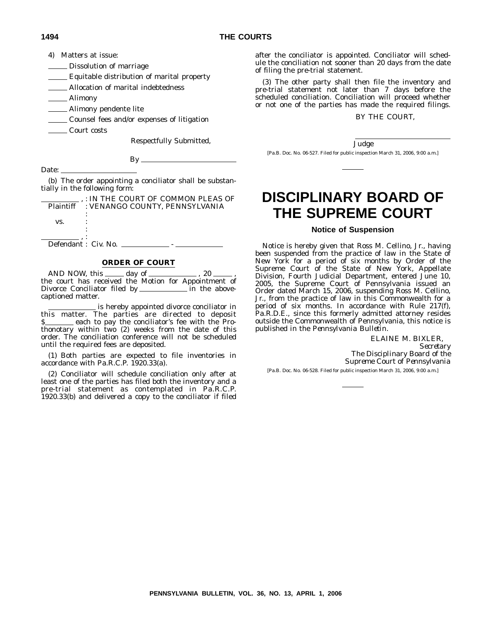4) Matters at issue:

Dissolution of marriage

Equitable distribution of marital property

Allocation of marital indebtedness

Alimony

**Alimony pendente lite** 

**Counsel fees and/or expenses of litigation** 

Court costs

Respectfully Submitted,

By

Date: \_

(b) The order appointing a conciliator shall be substantially in the following form:

|     | : IN THE COURT OF COMMON PLEAS OF        |
|-----|------------------------------------------|
|     | Plaintiff : VENANGO COUNTY. PENNSYLVANIA |
|     |                                          |
| VS. |                                          |
|     |                                          |
|     |                                          |
|     |                                          |

Defendant : Civ. No. \_\_\_\_\_\_\_\_\_\_\_\_\_ -

#### **ORDER OF COURT**

AND NOW, this  $\_\_\_\_\$  day of  $\_\_\_\_\_\$ , 20  $\_\_\_\$ the court has received the Motion for Appointment of Divorce Conciliator filed by in the abovecaptioned matter.

is hereby appointed divorce conciliator in this matter. The parties are directed to deposit \$ thonotary within two (2) weeks from the date of this order. The conciliation conference will not be scheduled until the required fees are deposited.

(1) Both parties are expected to file inventories in accordance with Pa.R.C.P. 1920.33(a).

(2) Conciliator will schedule conciliation only after at least one of the parties has filed both the inventory and a pre-trial statement as contemplated in Pa.R.C.P. 1920.33(b) and delivered a copy to the conciliator if filed

after the conciliator is appointed. Conciliator will schedule the conciliation not sooner than 20 days from the date of filing the pre-trial statement.

(3) The other party shall then file the inventory and pre-trial statement not later than 7 days before the scheduled conciliation. Conciliation will proceed whether or not one of the parties has made the required filings.

#### BY THE COURT,

Judge

[Pa.B. Doc. No. 06-527. Filed for public inspection March 31, 2006, 9:00 a.m.]

## **DISCIPLINARY BOARD OF THE SUPREME COURT**

#### **Notice of Suspension**

Notice is hereby given that Ross M. Cellino, Jr., having been suspended from the practice of law in the State of New York for a period of six months by Order of the Supreme Court of the State of New York, Appellate Division, Fourth Judicial Department, entered June 10, 2005, the Supreme Court of Pennsylvania issued an Order dated March 15, 2006, suspending Ross M. Cellino, Jr., from the practice of law in this Commonwealth for a period of six months. In accordance with Rule 217(f), Pa.R.D.E., since this formerly admitted attorney resides outside the Commonwealth of Pennsylvania, this notice is published in the *Pennsylvania Bulletin*.

ELAINE M. BIXLER,

*Secretary The Disciplinary Board of the Supreme Court of Pennsylvania*

[Pa.B. Doc. No. 06-528. Filed for public inspection March 31, 2006, 9:00 a.m.]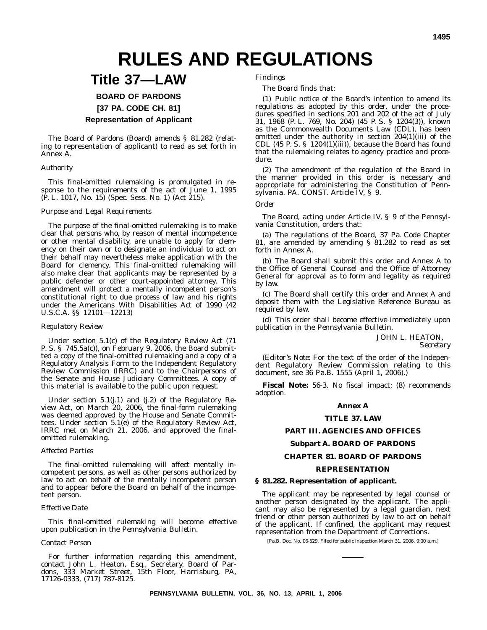## **RULES AND REGULATIONS**

## **Title 37—LAW**

**BOARD OF PARDONS**

**[37 PA. CODE CH. 81]**

#### **Representation of Applicant**

The Board of Pardons (Board) amends § 81.282 (relating to representation of applicant) to read as set forth in Annex A.

#### *Authority*

This final-omitted rulemaking is promulgated in response to the requirements of the act of June 1, 1995 (P. L. 1017, No. 15) (Spec. Sess. No. 1) (Act 215).

#### *Purpose and Legal Requirements*

The purpose of the final-omitted rulemaking is to make clear that persons who, by reason of mental incompetence or other mental disability, are unable to apply for clemency on their own or to designate an individual to act on their behalf may nevertheless make application with the Board for clemency. This final-omitted rulemaking will also make clear that applicants may be represented by a public defender or other court-appointed attorney. This amendment will protect a mentally incompetent person's constitutional right to due process of law and his rights under the Americans With Disabilities Act of 1990 (42 U.S.C.A. §§ 12101—12213)

#### *Regulatory Review*

Under section 5.1(c) of the Regulatory Review Act (71 P. S. § 745.5a(c)), on February 9, 2006, the Board submitted a copy of the final-omitted rulemaking and a copy of a Regulatory Analysis Form to the Independent Regulatory Review Commission (IRRC) and to the Chairpersons of the Senate and House Judiciary Committees. A copy of this material is available to the public upon request.

Under section 5.1(j.1) and (j.2) of the Regulatory Review Act, on March 20, 2006, the final-form rulemaking was deemed approved by the House and Senate Committees. Under section 5.1(e) of the Regulatory Review Act, IRRC met on March 21, 2006, and approved the finalomitted rulemaking.

#### *Affected Parties*

The final-omitted rulemaking will affect mentally incompetent persons, as well as other persons authorized by law to act on behalf of the mentally incompetent person and to appear before the Board on behalf of the incompetent person.

#### *Effective Date*

This final-omitted rulemaking will become effective upon publication in the *Pennsylvania Bulletin*.

#### *Contact Person*

For further information regarding this amendment, contact John L. Heaton, Esq., Secretary, Board of Pardons, 333 Market Street, 15th Floor, Harrisburg, PA, 17126-0333, (717) 787-8125.

*Findings*

The Board finds that:

(1) Public notice of the Board's intention to amend its regulations as adopted by this order, under the procedures specified in sections 201 and 202 of the act of July 31, 1968 (P. L. 769, No. 204) (45 P. S. § 1204(3)), known as the Commonwealth Documents Law (CDL), has been omitted under the authority in section 204(1)(iii) of the CDL  $(45 \text{ P. S. }$ § 1204 $(1)(iii)$ ), because the Board has found that the rulemaking relates to agency practice and procedure.

(2) The amendment of the regulation of the Board in the manner provided in this order is necessary and appropriate for administering the Constitution of Pennsylvania. PA. CONST. Article IV, § 9.

#### *Order*

The Board, acting under Article IV, § 9 of the Pennsylvania Constitution, orders that:

(a) The regulations of the Board, 37 Pa. Code Chapter 81, are amended by amending § 81.282 to read as set forth in Annex A.

(b) The Board shall submit this order and Annex A to the Office of General Counsel and the Office of Attorney General for approval as to form and legality as required by law.

(c) The Board shall certify this order and Annex A and deposit them with the Legislative Reference Bureau as required by law.

(d) This order shall become effective immediately upon publication in the *Pennsylvania Bulletin*.

JOHN L. HEATON,

*Secretary*

(*Editor's Note:* For the text of the order of the Independent Regulatory Review Commission relating to this document, see 36 Pa.B. 1555 (April 1, 2006).)

**Fiscal Note:** 56-3. No fiscal impact; (8) recommends adoption.

#### **Annex A**

#### **TITLE 37. LAW**

#### **PART III. AGENCIES AND OFFICES**

#### **Subpart A. BOARD OF PARDONS**

#### **CHAPTER 81. BOARD OF PARDONS**

#### **REPRESENTATION**

#### **§ 81.282. Representation of applicant.**

The applicant may be represented by legal counsel or another person designated by the applicant. The applicant may also be represented by a legal guardian, next friend or other person authorized by law to act on behalf of the applicant. If confined, the applicant may request representation from the Department of Corrections.

[Pa.B. Doc. No. 06-529. Filed for public inspection March 31, 2006, 9:00 a.m.]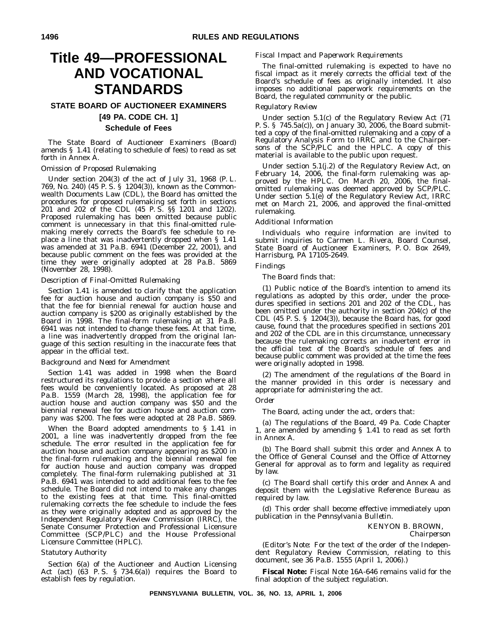## **Title 49—PROFESSIONAL AND VOCATIONAL STANDARDS**

#### **STATE BOARD OF AUCTIONEER EXAMINERS [49 PA. CODE CH. 1] Schedule of Fees**

The State Board of Auctioneer Examiners (Board) amends § 1.41 (relating to schedule of fees) to read as set forth in Annex A.

#### *Omission of Proposed Rulemaking*

Under section 204(3) of the act of July 31, 1968 (P. L. 769, No. 240) (45 P. S. § 1204(3)), known as the Commonwealth Documents Law (CDL), the Board has omitted the procedures for proposed rulemaking set forth in sections 201 and 202 of the CDL (45 P. S. §§ 1201 and 1202). Proposed rulemaking has been omitted because public comment is unnecessary in that this final-omitted rulemaking merely corrects the Board's fee schedule to replace a line that was inadvertently dropped when § 1.41 was amended at 31 Pa.B. 6941 (December 22, 2001), and because public comment on the fees was provided at the time they were originally adopted at 28 Pa.B. 5869 (November 28, 1998).

#### *Description of Final-Omitted Rulemaking*

Section 1.41 is amended to clarify that the application fee for auction house and auction company is \$50 and that the fee for biennial renewal for auction house and auction company is \$200 as originally established by the Board in 1998. The final-form rulemaking at 31 Pa.B. 6941 was not intended to change these fees. At that time, a line was inadvertently dropped from the original language of this section resulting in the inaccurate fees that appear in the official text.

#### *Background and Need for Amendment*

Section 1.41 was added in 1998 when the Board restructured its regulations to provide a section where all fees would be conveniently located. As proposed at 28 Pa.B. 1559 (March 28, 1998), the application fee for auction house and auction company was \$50 and the biennial renewal fee for auction house and auction company was \$200. The fees were adopted at 28 Pa.B. 5869.

When the Board adopted amendments to § 1.41 in 2001, a line was inadvertently dropped from the fee schedule. The error resulted in the application fee for auction house and auction company appearing as \$200 in the final-form rulemaking and the biennial renewal fee for auction house and auction company was dropped completely. The final-form rulemaking published at 31 Pa.B. 6941 was intended to add additional fees to the fee schedule. The Board did not intend to make any changes to the existing fees at that time. This final-omitted rulemaking corrects the fee schedule to include the fees as they were originally adopted and as approved by the Independent Regulatory Review Commission (IRRC), the Senate Consumer Protection and Professional Licensure Committee (SCP/PLC) and the House Professional Licensure Committee (HPLC).

#### *Statutory Authority*

Section 6(a) of the Auctioneer and Auction Licensing Act (act) (63 P. S. § 734.6(a)) requires the Board to establish fees by regulation.

#### *Fiscal Impact and Paperwork Requirements*

The final-omitted rulemaking is expected to have no fiscal impact as it merely corrects the official text of the Board's schedule of fees as originally intended. It also imposes no additional paperwork requirements on the Board, the regulated community or the public.

#### *Regulatory Review*

Under section 5.1(c) of the Regulatory Review Act (71 P. S. § 745.5a(c)), on January 30, 2006, the Board submitted a copy of the final-omitted rulemaking and a copy of a Regulatory Analysis Form to IRRC and to the Chairpersons of the SCP/PLC and the HPLC. A copy of this material is available to the public upon request.

Under section 5.1(j.2) of the Regulatory Review Act, on February 14, 2006, the final-form rulemaking was approved by the HPLC. On March 20, 2006, the finalomitted rulemaking was deemed approved by SCP/PLC. Under section 5.1(e) of the Regulatory Review Act, IRRC met on March 21, 2006, and approved the final-omitted rulemaking.

#### *Additional Information*

Individuals who require information are invited to submit inquiries to Carmen L. Rivera, Board Counsel, State Board of Auctioneer Examiners, P. O. Box 2649, Harrisburg, PA 17105-2649.

#### *Findings*

The Board finds that:

(1) Public notice of the Board's intention to amend its regulations as adopted by this order, under the procedures specified in sections 201 and 202 of the CDL, has been omitted under the authority in section 204(c) of the CDL (45 P. S. § 1204(3)), because the Board has, for good cause, found that the procedures specified in sections 201 and 202 of the CDL are in this circumstance, unnecessary because the rulemaking corrects an inadvertent error in the official text of the Board's schedule of fees and because public comment was provided at the time the fees were originally adopted in 1998.

(2) The amendment of the regulations of the Board in the manner provided in this order is necessary and appropriate for administering the act.

#### *Order*

The Board, acting under the act, orders that:

(a) The regulations of the Board, 49 Pa. Code Chapter 1, are amended by amending § 1.41 to read as set forth in Annex A.

(b) The Board shall submit this order and Annex A to the Office of General Counsel and the Office of Attorney General for approval as to form and legality as required by law.

(c) The Board shall certify this order and Annex A and deposit them with the Legislative Reference Bureau as required by law.

(d) This order shall become effective immediately upon publication in the *Pennsylvania Bulletin.*

> KENYON B. BROWN, *Chairperson*

(*Editor's Note*: For the text of the order of the Independent Regulatory Review Commission, relating to this document, see 36 Pa.B. 1555 (April 1, 2006).)

**Fiscal Note:** Fiscal Note 16A-646 remains valid for the final adoption of the subject regulation.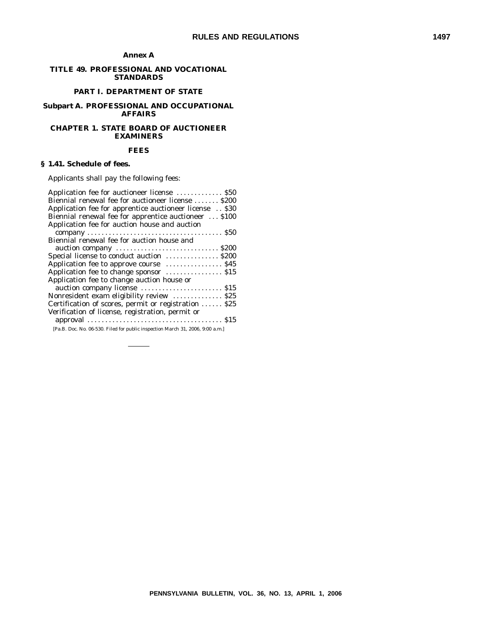#### **Annex A**

#### **TITLE 49. PROFESSIONAL AND VOCATIONAL STANDARDS**

#### **PART I. DEPARTMENT OF STATE**

#### **Subpart A. PROFESSIONAL AND OCCUPATIONAL AFFAIRS**

#### **CHAPTER 1. STATE BOARD OF AUCTIONEER EXAMINERS**

#### **FEES**

#### **§ 1.41. Schedule of fees.**

Applicants shall pay the following fees:

| Application fee for auctioneer license  \$50                                   |
|--------------------------------------------------------------------------------|
| Biennial renewal fee for auctioneer license  \$200                             |
| Application fee for apprentice auctioneer license  \$30                        |
| Biennial renewal fee for apprentice auctioneer  \$100                          |
| Application fee for auction house and auction                                  |
|                                                                                |
| Biennial renewal fee for auction house and                                     |
|                                                                                |
| Special license to conduct auction \$200                                       |
|                                                                                |
| Application fee to change sponsor  \$15                                        |
| Application fee to change auction house or                                     |
|                                                                                |
| Nonresident exam eligibility review  \$25                                      |
| Certification of scores, permit or registration  \$25                          |
| Verification of license, registration, permit or                               |
|                                                                                |
| [Pa.B. Doc. No. 06-530. Filed for public inspection March 31, 2006, 9:00 a.m.] |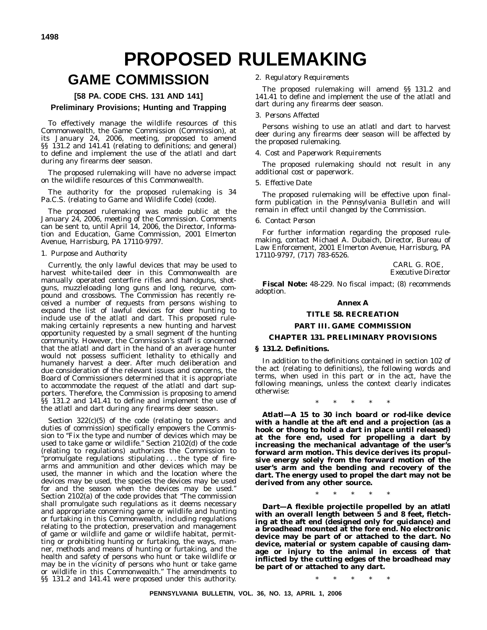## **PROPOSED RULEMAKING**

## **GAME COMMISSION**

#### **[58 PA. CODE CHS. 131 AND 141]**

#### **Preliminary Provisions; Hunting and Trapping**

To effectively manage the wildlife resources of this Commonwealth, the Game Commission (Commission), at its January 24, 2006, meeting, proposed to amend §§ 131.2 and 141.41 (relating to definitions; and general) to define and implement the use of the atlatl and dart during any firearms deer season.

The proposed rulemaking will have no adverse impact on the wildlife resources of this Commonwealth.

The authority for the proposed rulemaking is 34 Pa.C.S. (relating to Game and Wildlife Code) (code).

The proposed rulemaking was made public at the January 24, 2006, meeting of the Commission. Comments can be sent to, until April 14, 2006, the Director, Information and Education, Game Commission, 2001 Elmerton Avenue, Harrisburg, PA 17110-9797.

#### 1. *Purpose and Authority*

Currently, the only lawful devices that may be used to harvest white-tailed deer in this Commonwealth are manually operated centerfire rifles and handguns, shotguns, muzzleloading long guns and long, recurve, compound and crossbows. The Commission has recently received a number of requests from persons wishing to expand the list of lawful devices for deer hunting to include use of the atlatl and dart. This proposed rulemaking certainly represents a new hunting and harvest opportunity requested by a small segment of the hunting community. However, the Commission's staff is concerned that the atlatl and dart in the hand of an average hunter would not possess sufficient lethality to ethically and humanely harvest a deer. After much deliberation and due consideration of the relevant issues and concerns, the Board of Commissioners determined that it is appropriate to accommodate the request of the atlatl and dart supporters. Therefore, the Commission is proposing to amend §§ 131.2 and 141.41 to define and implement the use of the atlatl and dart during any firearms deer season.

Section 322(c)(5) of the code (relating to powers and duties of commission) specifically empowers the Commission to "Fix the type and number of devices which may be used to take game or wildlife.'' Section 2102(d) of the code (relating to regulations) authorizes the Commission to ''promulgate regulations stipulating . . . the type of firearms and ammunition and other devices which may be used, the manner in which and the location where the devices may be used, the species the devices may be used for and the season when the devices may be used.'' Section 2102(a) of the code provides that ''The commission shall promulgate such regulations as it deems necessary and appropriate concerning game or wildlife and hunting or furtaking in this Commonwealth, including regulations relating to the protection, preservation and management of game or wildlife and game or wildlife habitat, permitting or prohibiting hunting or furtaking, the ways, manner, methods and means of hunting or furtaking, and the health and safety of persons who hunt or take wildlife or may be in the vicinity of persons who hunt or take game or wildlife in this Commonwealth.'' The amendments to §§ 131.2 and 141.41 were proposed under this authority.

#### 2. *Regulatory Requirements*

The proposed rulemaking will amend §§ 131.2 and 141.41 to define and implement the use of the atlatl and dart during any firearms deer season.

#### 3. *Persons Affected*

Persons wishing to use an atlatl and dart to harvest deer during any firearms deer season will be affected by the proposed rulemaking.

#### 4. *Cost and Paperwork Requirements*

The proposed rulemaking should not result in any additional cost or paperwork.

#### 5. *Effective Date*

The proposed rulemaking will be effective upon finalform publication in the *Pennsylvania Bulletin* and will remain in effect until changed by the Commission.

#### 6. *Contact Person*

For further information regarding the proposed rulemaking, contact Michael A. Dubaich, Director, Bureau of Law Enforcement, 2001 Elmerton Avenue, Harrisburg, PA 17110-9797, (717) 783-6526.

> CARL G. ROE, *Executive Director*

**Fiscal Note:** 48-229. No fiscal impact; (8) recommends adoption.

#### **Annex A**

#### **TITLE 58. RECREATION**

#### **PART III. GAME COMMISSION**

#### **CHAPTER 131. PRELIMINARY PROVISIONS**

#### **§ 131.2. Definitions.**

In addition to the definitions contained in section 102 of the act (relating to definitions), the following words and terms, when used in this part or in the act, have the following meanings, unless the context clearly indicates otherwise:

\*\*\*\*\*

*Atlatl—***A 15 to 30 inch board or rod-like device with a handle at the aft end and a projection (as a hook or thong to hold a dart in place until released) at the fore end, used for propelling a dart by increasing the mechanical advantage of the user's forward arm motion. This device derives its propulsive energy solely from the forward motion of the user's arm and the bending and recovery of the dart. The energy used to propel the dart may not be derived from any other source.**

\*\*\*\*\*

*Dart—***A flexible projectile propelled by an atlatl with an overall length between 5 and 8 feet, fletching at the aft end (designed only for guidance) and a broadhead mounted at the fore end. No electronic device may be part of or attached to the dart. No device, material or system capable of causing damage or injury to the animal in excess of that inflicted by the cutting edges of the broadhead may be part of or attached to any dart.**

\*\*\*\*\*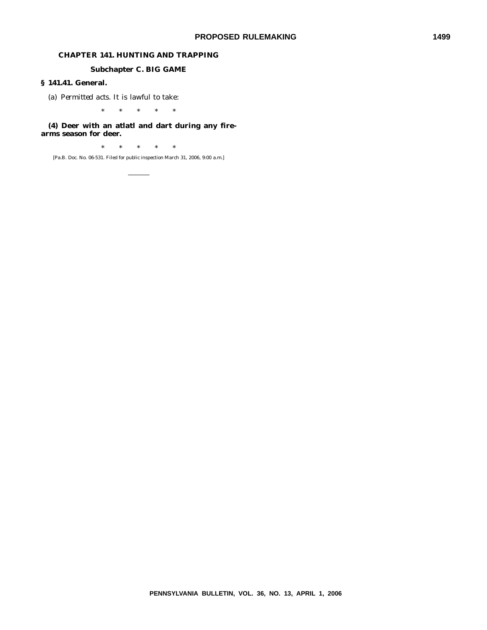#### **CHAPTER 141. HUNTING AND TRAPPING**

#### **Subchapter C. BIG GAME**

#### **§ 141.41. General.**

(a) *Permitted acts*. It is lawful to take:

\*\*\*\*\*

#### **(4) Deer with an atlatl and dart during any firearms season for deer.**

\*\*\*\*\*

[Pa.B. Doc. No. 06-531. Filed for public inspection March 31, 2006, 9:00 a.m.]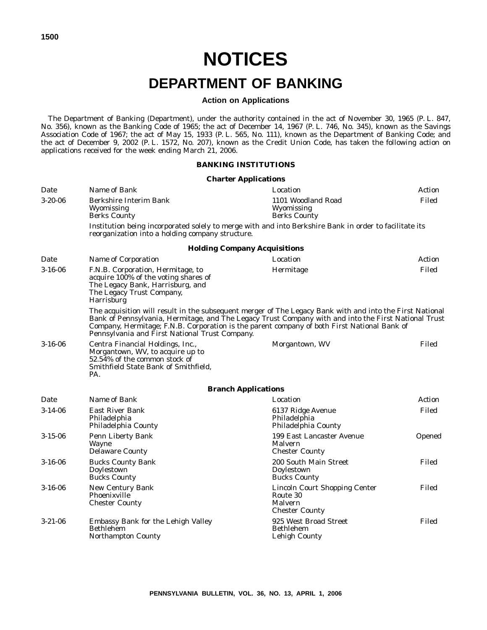## **NOTICES DEPARTMENT OF BANKING**

#### **Action on Applications**

The Department of Banking (Department), under the authority contained in the act of November 30, 1965 (P. L. 847, No. 356), known as the Banking Code of 1965; the act of December 14, 1967 (P. L. 746, No. 345), known as the Savings Association Code of 1967; the act of May 15, 1933 (P. L. 565, No. 111), known as the Department of Banking Code; and the act of December 9, 2002 (P. L. 1572, No. 207), known as the Credit Union Code, has taken the following action on applications received for the week ending March 21, 2006.

#### **BANKING INSTITUTIONS**

#### **Charter Applications**

| Date          | Name of Bank                                                                                                                                                    | Location                                                                                                                                                                                                                                                                                                        | Action |
|---------------|-----------------------------------------------------------------------------------------------------------------------------------------------------------------|-----------------------------------------------------------------------------------------------------------------------------------------------------------------------------------------------------------------------------------------------------------------------------------------------------------------|--------|
| $3-20-06$     | Berkshire Interim Bank<br>Wyomissing<br><b>Berks County</b>                                                                                                     | 1101 Woodland Road<br>Wyomissing<br><b>Berks County</b>                                                                                                                                                                                                                                                         | Filed  |
|               | reorganization into a holding company structure.                                                                                                                | Institution being incorporated solely to merge with and into Berkshire Bank in order to facilitate its                                                                                                                                                                                                          |        |
|               |                                                                                                                                                                 | <b>Holding Company Acquisitions</b>                                                                                                                                                                                                                                                                             |        |
| Date          | Name of Corporation                                                                                                                                             | Location                                                                                                                                                                                                                                                                                                        | Action |
| $3 - 16 - 06$ | F.N.B. Corporation, Hermitage, to<br>acquire 100% of the voting shares of<br>The Legacy Bank, Harrisburg, and<br>The Legacy Trust Company,<br><b>Harrisburg</b> | Hermitage                                                                                                                                                                                                                                                                                                       | Filed  |
|               | Pennsylvania and First National Trust Company.                                                                                                                  | The acquisition will result in the subsequent merger of The Legacy Bank with and into the First National<br>Bank of Pennsylvania, Hermitage, and The Legacy Trust Company with and into the First National Trust<br>Company, Hermitage; F.N.B. Corporation is the parent company of both First National Bank of |        |
| $3 - 16 - 06$ | Centra Financial Holdings, Inc.,<br>Morgantown, WV, to acquire up to<br>52.54% of the common stock of<br>Smithfield State Bank of Smithfield,<br>PA.            | Morgantown, WV                                                                                                                                                                                                                                                                                                  | Filed  |
|               |                                                                                                                                                                 | <b>Branch Applications</b>                                                                                                                                                                                                                                                                                      |        |
| Date          | Name of Bank                                                                                                                                                    | Location                                                                                                                                                                                                                                                                                                        | Action |
| $3-14-06$     | <b>East River Bank</b><br>Philadelphia<br>Philadelphia County                                                                                                   | 6137 Ridge Avenue<br>Philadelphia<br>Philadelphia County                                                                                                                                                                                                                                                        | Filed  |
| $3 - 15 - 06$ | Penn Liberty Bank<br><b>Wayne</b><br><b>Delaware County</b>                                                                                                     | 199 East Lancaster Avenue<br>Opened<br>Malvern<br><b>Chester County</b>                                                                                                                                                                                                                                         |        |
| $3 - 16 - 06$ | <b>Bucks County Bank</b><br>Doylestown<br><b>Bucks County</b>                                                                                                   | Filed<br>200 South Main Street<br>Doylestown<br><b>Bucks County</b>                                                                                                                                                                                                                                             |        |
| $3 - 16 - 06$ | New Century Bank<br>Phoenixville<br><b>Chester County</b>                                                                                                       | Lincoln Court Shopping Center<br>Route 30<br>Malvern<br><b>Chester County</b>                                                                                                                                                                                                                                   | Filed  |
| $3 - 21 - 06$ | Embassy Bank for the Lehigh Valley<br>Bethlehem<br><b>Northampton County</b>                                                                                    | 925 West Broad Street<br><b>Bethlehem</b><br>Lehigh County                                                                                                                                                                                                                                                      | Filed  |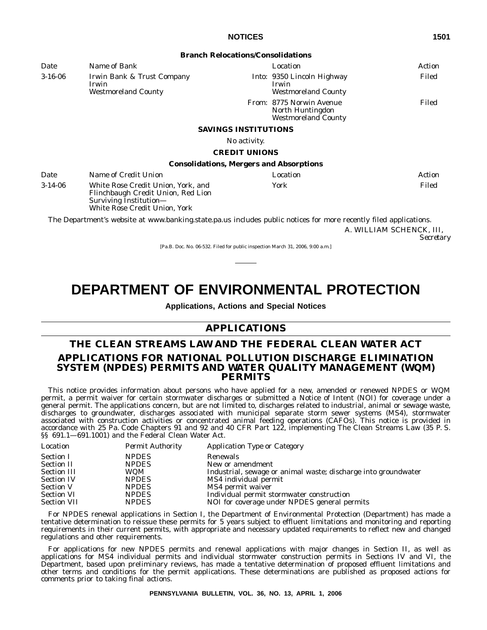|               |                                                                                                                                     | <b>Branch Relocations/Consolidations</b>                                          |        |
|---------------|-------------------------------------------------------------------------------------------------------------------------------------|-----------------------------------------------------------------------------------|--------|
| Date          | Name of Bank                                                                                                                        | Location                                                                          | Action |
| $3 - 16 - 06$ | Irwin Bank & Trust Company<br>Irwin<br><b>Westmoreland County</b>                                                                   | <i>Into:</i> 9350 Lincoln Highway<br>Irwin<br><b>Westmoreland County</b>          | Filed  |
|               |                                                                                                                                     | <i>From:</i> 8775 Norwin Avenue<br>North Huntingdon<br><b>Westmoreland County</b> | Filed  |
|               |                                                                                                                                     | <b>SAVINGS INSTITUTIONS</b>                                                       |        |
|               |                                                                                                                                     | No activity.                                                                      |        |
|               |                                                                                                                                     | <b>CREDIT UNIONS</b>                                                              |        |
|               |                                                                                                                                     | <b>Consolidations, Mergers and Absorptions</b>                                    |        |
| Date          | Name of Credit Union                                                                                                                | Location                                                                          | Action |
| $3-14-06$     | White Rose Credit Union, York, and<br>Flinchbaugh Credit Union, Red Lion<br>Surviving Institution-<br>White Rose Credit Union. York | York                                                                              | Filed  |

The Department's website at www.banking.state.pa.us includes public notices for more recently filed applications.

A. WILLIAM SCHENCK, III, *Secretary*

[Pa.B. Doc. No. 06-532. Filed for public inspection March 31, 2006, 9:00 a.m.]

## **DEPARTMENT OF ENVIRONMENTAL PROTECTION**

**Applications, Actions and Special Notices**

#### **APPLICATIONS**

#### **THE CLEAN STREAMS LAW AND THE FEDERAL CLEAN WATER ACT APPLICATIONS FOR NATIONAL POLLUTION DISCHARGE ELIMINATION SYSTEM (NPDES) PERMITS AND WATER QUALITY MANAGEMENT (WQM) PERMITS**

This notice provides information about persons who have applied for a new, amended or renewed NPDES or WQM permit, a permit waiver for certain stormwater discharges or submitted a Notice of Intent (NOI) for coverage under a general permit. The applications concern, but are not limited to, discharges related to industrial, animal or sewage waste, discharges to groundwater, discharges associated with municipal separate storm sewer systems (MS4), stormwater associated with construction activities or concentrated animal feeding operations (CAFOs). This notice is provided in accordance with 25 Pa. Code Chapters 91 and 92 and 40 CFR Part 122, implementing The Clean Streams Law (35 P. S. §§ 691.1—691.1001) and the Federal Clean Water Act.

| Location           | <b>Permit Authority</b> | <b>Application Type or Category</b>                            |
|--------------------|-------------------------|----------------------------------------------------------------|
| <b>Section I</b>   | <b>NPDES</b>            | Renewals                                                       |
| Section II         | <b>NPDES</b>            | New or amendment                                               |
| <b>Section III</b> | <b>WOM</b>              | Industrial, sewage or animal waste; discharge into groundwater |
| <b>Section IV</b>  | <b>NPDES</b>            | MS4 individual permit                                          |
| <b>Section V</b>   | <b>NPDES</b>            | MS4 permit waiver                                              |
| <b>Section VI</b>  | <b>NPDES</b>            | Individual permit stormwater construction                      |
| <b>Section VII</b> | <b>NPDES</b>            | NOI for coverage under NPDES general permits                   |

For NPDES renewal applications in Section I, the Department of Environmental Protection (Department) has made a tentative determination to reissue these permits for 5 years subject to effluent limitations and monitoring and reporting requirements in their current permits, with appropriate and necessary updated requirements to reflect new and changed regulations and other requirements.

For applications for new NPDES permits and renewal applications with major changes in Section II, as well as applications for MS4 individual permits and individual stormwater construction permits in Sections IV and VI, the Department, based upon preliminary reviews, has made a tentative determination of proposed effluent limitations and other terms and conditions for the permit applications. These determinations are published as proposed actions for comments prior to taking final actions.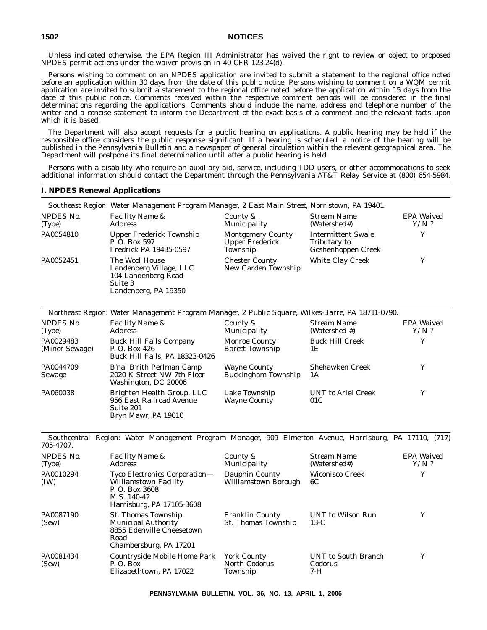Unless indicated otherwise, the EPA Region III Administrator has waived the right to review or object to proposed NPDES permit actions under the waiver provision in 40 CFR 123.24(d).

Persons wishing to comment on an NPDES application are invited to submit a statement to the regional office noted before an application within 30 days from the date of this public notice. Persons wishing to comment on a WQM permit application are invited to submit a statement to the regional office noted before the application within 15 days from the date of this public notice. Comments received within the respective comment periods will be considered in the final determinations regarding the applications. Comments should include the name, address and telephone number of the writer and a concise statement to inform the Department of the exact basis of a comment and the relevant facts upon which it is based.

The Department will also accept requests for a public hearing on applications. A public hearing may be held if the responsible office considers the public response significant. If a hearing is scheduled, a notice of the hearing will be published in the *Pennsylvania Bulletin* and a newspaper of general circulation within the relevant geographical area. The Department will postpone its final determination until after a public hearing is held.

Persons with a disability who require an auxiliary aid, service, including TDD users, or other accommodations to seek additional information should contact the Department through the Pennsylvania AT&T Relay Service at (800) 654-5984.

#### **I. NPDES Renewal Applications**

|                     | Southeast Region: Water Management Program Manager, 2 East Main Street, Norristown, PA 19401.       |                                                                |                                                                 |                       |
|---------------------|-----------------------------------------------------------------------------------------------------|----------------------------------------------------------------|-----------------------------------------------------------------|-----------------------|
| NPDES No.<br>(Type) | <b>Facility Name &amp;</b><br><i>Address</i>                                                        | County &<br><i>Municipality</i>                                | Stream Name<br>(Watershed#)                                     | EPA Waived<br>$Y/N$ ? |
| PA0054810           | Upper Frederick Township<br>P.O. Box 597<br>Fredrick PA 19435-0597                                  | <b>Montgomery County</b><br><b>Upper Frederick</b><br>Township | <b>Intermittent Swale</b><br>Tributary to<br>Goshenhoppen Creek | Y                     |
| PA0052451           | The Wool House<br>Landenberg Village, LLC<br>104 Landenberg Road<br>Suite 3<br>Landenberg, PA 19350 | <b>Chester County</b><br>New Garden Township                   | <b>White Clay Creek</b>                                         | Y                     |

*Northeast Region: Water Management Program Manager, 2 Public Square, Wilkes-Barre, PA 18711-0790.*

| NPDES No.<br>(Type)         | <i>Facility Name &amp;</i><br><i>Address</i>                                               | County &<br>Municipality                          | Stream Name<br>(Watershed #)     | EPA Waived<br>$Y/N$ ? |
|-----------------------------|--------------------------------------------------------------------------------------------|---------------------------------------------------|----------------------------------|-----------------------|
| PA0029483<br>(Minor Sewage) | <b>Buck Hill Falls Company</b><br>P. O. Box 426<br>Buck Hill Falls, PA 18323-0426          | <b>Monroe County</b><br><b>Barett Township</b>    | <b>Buck Hill Creek</b><br>1Ε     | Y                     |
| PA0044709<br>Sewage         | B'nai B'rith Perlman Camp<br>2020 K Street NW 7th Floor<br>Washington, DC 20006            | <b>Wayne County</b><br><b>Buckingham Township</b> | Shehawken Creek<br>1A            |                       |
| PA060038                    | Brighten Health Group, LLC<br>956 East Railroad Avenue<br>Suite 201<br>Bryn Mawr, PA 19010 | Lake Township<br><b>Wayne County</b>              | <b>UNT</b> to Ariel Creek<br>01C | Y                     |

*Southcentral Region: Water Management Program Manager, 909 Elmerton Avenue, Harrisburg, PA 17110, (717) 705-4707.*

| NPDES No.<br>(Type) | <i>Facility Name &amp;</i><br><i>Address</i>                                                                                | County &<br>Municipality                      | Stream Name<br>(Watershed#)           | EPA Waived<br>$Y/N$ ? |
|---------------------|-----------------------------------------------------------------------------------------------------------------------------|-----------------------------------------------|---------------------------------------|-----------------------|
| PA0010294<br>(IW)   | <b>Tyco Electronics Corporation—</b><br>Williamstown Facility<br>P. O. Box 3608<br>M.S. 140-42<br>Harrisburg, PA 17105-3608 | Dauphin County<br>Williamstown Borough        | <b>Wiconisco Creek</b><br>6C          |                       |
| PA0087190<br>(Sew)  | <b>St. Thomas Township</b><br><b>Municipal Authority</b><br>8855 Edenville Cheesetown<br>Road<br>Chambersburg, PA 17201     | <b>Franklin County</b><br>St. Thomas Township | <b>UNT</b> to Wilson Run<br>$13-C$    | v                     |
| PA0081434<br>(Sew)  | Countryside Mobile Home Park<br>P. O. Box<br>Elizabethtown, PA 17022                                                        | York County<br>North Codorus<br>Township      | UNT to South Branch<br>Codorus<br>7-H |                       |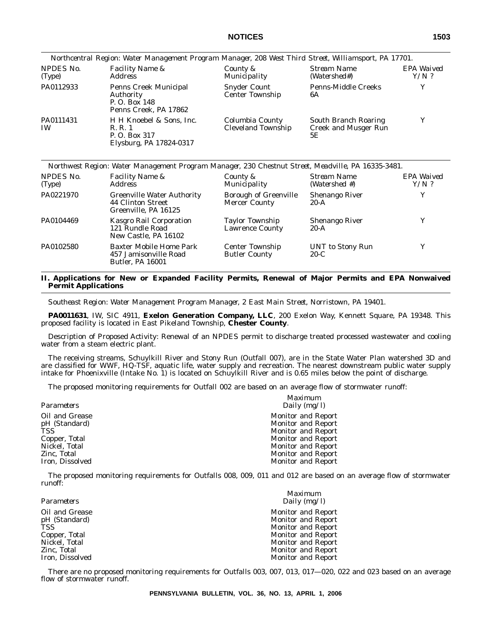|                        | Northcentral Region: Water Management Program Manager, 208 West Third Street, Williamsport, PA 17701. |                                               |                                                           |                       |
|------------------------|-------------------------------------------------------------------------------------------------------|-----------------------------------------------|-----------------------------------------------------------|-----------------------|
| NPDES No.<br>(Type)    | <b>Facility Name &amp;</b><br><i>Address</i>                                                          | County &<br>Municipality                      | Stream Name<br>(Watershed#)                               | EPA Waived<br>$Y/N$ ? |
| PA0112933              | <b>Penns Creek Municipal</b><br>Authority<br>P. O. Box 148<br>Penns Creek, PA 17862                   | <b>Snyder Count</b><br><b>Center Township</b> | <b>Penns-Middle Creeks</b><br>6A                          |                       |
| PA0111431<br><b>IW</b> | H H Knoebel & Sons, Inc.<br>R. R. 1<br>P. O. Box 317<br>Elysburg, PA 17824-0317                       | Columbia County<br><b>Cleveland Township</b>  | South Branch Roaring<br><b>Creek and Musger Run</b><br>5E | v                     |

|                     | Northwest Region: Water Management Program Manager, 230 Chestnut Street, Meadville, PA 16335-3481. |                                                      |                                 |                       |
|---------------------|----------------------------------------------------------------------------------------------------|------------------------------------------------------|---------------------------------|-----------------------|
| NPDES No.<br>(Type) | <i>Facility Name &amp;</i><br><i>Address</i>                                                       | County &<br>Municipality                             | Stream Name<br>(Watershed #)    | EPA Waived<br>$Y/N$ ? |
| PA0221970           | <b>Greenville Water Authority</b><br>44 Clinton Street<br>Greenville, PA 16125                     | <b>Borough of Greenville</b><br><b>Mercer County</b> | <b>Shenango River</b><br>$20-A$ | Y                     |
| PA0104469           | <b>Kasgro Rail Corporation</b><br>121 Rundle Road<br>New Castle, PA 16102                          | Taylor Township<br><b>Lawrence County</b>            | <b>Shenango River</b><br>$20-A$ | Y                     |
| PA0102580           | Baxter Mobile Home Park<br>457 Jamisonville Road<br><b>Butler, PA 16001</b>                        | <b>Center Township</b><br><b>Butler County</b>       | UNT to Stony Run<br>$20-C$      | Y                     |

#### **II. Applications for New or Expanded Facility Permits, Renewal of Major Permits and EPA Nonwaived Permit Applications**

*Southeast Region: Water Management Program Manager, 2 East Main Street, Norristown, PA 19401.*

**PA0011631**, IW, SIC 4911, **Exelon Generation Company, LLC**, 200 Exelon Way, Kennett Square, PA 19348. This proposed facility is located in East Pikeland Township, **Chester County**.

Description of Proposed Activity: Renewal of an NPDES permit to discharge treated processed wastewater and cooling water from a steam electric plant.

The receiving streams, Schuylkill River and Stony Run (Outfall 007), are in the State Water Plan watershed 3D and are classified for WWF, HQ-TSF, aquatic life, water supply and recreation. The nearest downstream public water supply intake for Phoenixville (Intake No. 1) is located on Schuylkill River and is 0.65 miles below the point of discharge.

The proposed monitoring requirements for Outfall 002 are based on an average flow of stormwater runoff:

| Maximum<br>Daily $(mg/l)$ |
|---------------------------|
| <b>Monitor and Report</b> |
| <b>Monitor and Report</b> |
| <b>Monitor and Report</b> |
| <b>Monitor and Report</b> |
| <b>Monitor and Report</b> |
| <b>Monitor and Report</b> |
| <b>Monitor and Report</b> |
|                           |

The proposed monitoring requirements for Outfalls 008, 009, 011 and 012 are based on an average flow of stormwater runoff:

|                 | Maximum                   |
|-----------------|---------------------------|
| Parameters      | Daily $(mg/l)$            |
| Oil and Grease  | <b>Monitor and Report</b> |
| pH (Standard)   | <b>Monitor and Report</b> |
| TSS             | <b>Monitor and Report</b> |
| Copper, Total   | <b>Monitor and Report</b> |
| Nickel, Total   | <b>Monitor and Report</b> |
| Zinc, Total     | <b>Monitor and Report</b> |
| Iron, Dissolved | <b>Monitor and Report</b> |

There are no proposed monitoring requirements for Outfalls 003, 007, 013, 017—020, 022 and 023 based on an average flow of stormwater runoff.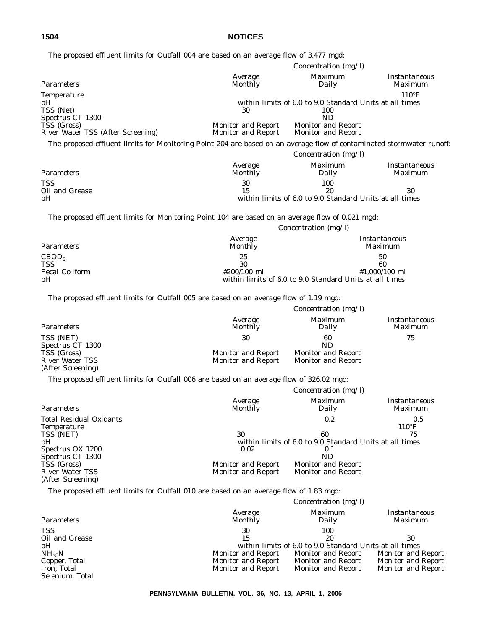|  | The proposed effluent limits for Outfall 004 are based on an average flow of 3.477 mgd: |  |  |  |  |  |  |  |  |  |  |  |  |  |
|--|-----------------------------------------------------------------------------------------|--|--|--|--|--|--|--|--|--|--|--|--|--|
|--|-----------------------------------------------------------------------------------------|--|--|--|--|--|--|--|--|--|--|--|--|--|

| emaent mints for Gatian over are based on an average                                                                  |                                          |                                                                |                                          |
|-----------------------------------------------------------------------------------------------------------------------|------------------------------------------|----------------------------------------------------------------|------------------------------------------|
|                                                                                                                       |                                          | Concentration $(mg/l)$                                         |                                          |
| Parameters                                                                                                            | Average<br><b>Monthly</b>                | Maximum<br>Daily                                               | Instantaneous<br><i>Maximum</i>          |
| <b>Temperature</b>                                                                                                    |                                          |                                                                | $110^{\circ}F$                           |
| pН<br>TSS (Net)                                                                                                       | 30                                       | within limits of 6.0 to 9.0 Standard Units at all times<br>100 |                                          |
| Spectrus CT 1300                                                                                                      |                                          | <b>ND</b>                                                      |                                          |
| TSS (Gross)<br>River Water TSS (After Screening)                                                                      | Monitor and Report<br>Monitor and Report | <b>Monitor and Report</b><br>Monitor and Report                |                                          |
| The proposed effluent limits for Monitoring Point 204 are based on an average flow of contaminated stormwater runoff: |                                          |                                                                |                                          |
|                                                                                                                       |                                          | Concentration (mg/l)                                           |                                          |
| Parameters                                                                                                            | Average<br><b>Monthly</b>                | <b>Maximum</b><br>Daily                                        | <b>Instantaneous</b><br><b>Maximum</b>   |
| <b>TSS</b>                                                                                                            | 30                                       | 100                                                            |                                          |
| Oil and Grease                                                                                                        | 15                                       | 20                                                             | 30                                       |
| pH                                                                                                                    |                                          | within limits of 6.0 to 9.0 Standard Units at all times        |                                          |
|                                                                                                                       |                                          |                                                                |                                          |
| The proposed effluent limits for Monitoring Point 104 are based on an average flow of 0.021 mgd:                      |                                          |                                                                |                                          |
|                                                                                                                       |                                          | Concentration (mg/l)                                           |                                          |
|                                                                                                                       | Average                                  |                                                                | <i>Instantaneous</i>                     |
| Parameters                                                                                                            | <b>Monthly</b>                           |                                                                | <b>Maximum</b>                           |
| CBOD <sub>5</sub>                                                                                                     | 25                                       |                                                                | 50                                       |
| <b>TSS</b><br><b>Fecal Coliform</b>                                                                                   | 30<br>#200/100 ml                        |                                                                | 60<br>#1,000/100 ml                      |
| рH                                                                                                                    |                                          | within limits of 6.0 to 9.0 Standard Units at all times        |                                          |
| The proposed effluent limits for Outfall 005 are based on an average flow of 1.19 mgd:                                |                                          |                                                                |                                          |
|                                                                                                                       |                                          | Concentration (mg/l)                                           |                                          |
|                                                                                                                       |                                          |                                                                |                                          |
| Parameters                                                                                                            | Average<br><b>Monthly</b>                | Maximum<br>Daily                                               | Instantaneous<br>Maximum                 |
| TSS (NET)                                                                                                             | 30                                       | 60                                                             | 75                                       |
| Spectrus CT 1300                                                                                                      |                                          | ND                                                             |                                          |
| TSS (Gross)<br><b>River Water TSS</b>                                                                                 | Monitor and Report<br>Monitor and Report | Monitor and Report<br>Monitor and Report                       |                                          |
| (After Screening)                                                                                                     |                                          |                                                                |                                          |
| The proposed effluent limits for Outfall 006 are based on an average flow of 326.02 mgd:                              |                                          |                                                                |                                          |
|                                                                                                                       |                                          | Concentration (mg/l)                                           |                                          |
|                                                                                                                       |                                          |                                                                |                                          |
| Parameters                                                                                                            | Average<br><b>Monthly</b>                | Maximum<br>Daily                                               | Instantaneous<br><i>Maximum</i>          |
| <b>Total Residual Oxidants</b>                                                                                        |                                          | 0.2                                                            | 0.5                                      |
| <b>Temperature</b>                                                                                                    |                                          |                                                                | $110^{\circ}F$                           |
| TSS (NET)                                                                                                             | 30                                       | 60                                                             | 75                                       |
| pН                                                                                                                    |                                          | within limits of 6.0 to 9.0 Standard Units at all times        |                                          |
| Spectrus OX 1200<br>Spectrus CT 1300                                                                                  | 0.02                                     | 0.1<br><b>ND</b>                                               |                                          |
| TSS (Gross)                                                                                                           | Monitor and Report                       | <b>Monitor and Report</b>                                      |                                          |
| <b>River Water TSS</b>                                                                                                | <b>Monitor and Report</b>                | <b>Monitor and Report</b>                                      |                                          |
| (After Screening)                                                                                                     |                                          |                                                                |                                          |
| The proposed effluent limits for Outfall 010 are based on an average flow of 1.83 mgd:                                |                                          |                                                                |                                          |
|                                                                                                                       |                                          | Concentration $(mg/l)$                                         |                                          |
| Parameters                                                                                                            | Average<br>Monthly                       | Maximum<br>Daily                                               | Instantaneous<br>Maximum                 |
| <b>TSS</b>                                                                                                            | 30                                       | 100                                                            |                                          |
| Oil and Grease                                                                                                        | 15                                       | 20                                                             | 30                                       |
| pH                                                                                                                    |                                          | within limits of 6.0 to 9.0 Standard Units at all times        |                                          |
| $NH3-N$                                                                                                               | Monitor and Report                       | Monitor and Report                                             | <b>Monitor and Report</b>                |
| Copper, Total<br>Iron, Total                                                                                          | Monitor and Report<br>Monitor and Report | Monitor and Report<br>Monitor and Report                       | Monitor and Report<br>Monitor and Report |
| Selenium, Total                                                                                                       |                                          |                                                                |                                          |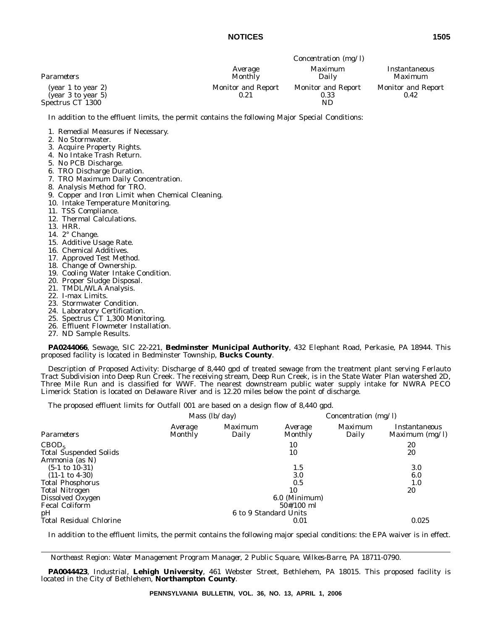|                                                              | Concentration $(mg/l)$            |                                         |                                   |  |  |  |
|--------------------------------------------------------------|-----------------------------------|-----------------------------------------|-----------------------------------|--|--|--|
| Parameters                                                   | Average<br>Monthly                | Maximum<br>Dailv                        | Instantaneous<br>Maximum          |  |  |  |
| (year 1 to year 2)<br>(year 3 to year 5)<br>Spectrus CT 1300 | <b>Monitor and Report</b><br>0.21 | <b>Monitor and Report</b><br>0.33<br>ND | <b>Monitor and Report</b><br>0.42 |  |  |  |

In addition to the effluent limits, the permit contains the following Major Special Conditions:

1. Remedial Measures if Necessary.

- 2. No Stormwater.
- 3. Acquire Property Rights.
- 4. No Intake Trash Return.
- 5. No PCB Discharge.
- 6. TRO Discharge Duration.
- 7. TRO Maximum Daily Concentration.
- 8. Analysis Method for TRO.
- 9. Copper and Iron Limit when Chemical Cleaning.
- 10. Intake Temperature Monitoring.
- 11. TSS Compliance.
- 12. Thermal Calculations.
- 13. HRR.
- 14. 2° Change.
- 15. Additive Usage Rate.
- 16. Chemical Additives.
- 17. Approved Test Method.
- 18. Change of Ownership.
- 19. Cooling Water Intake Condition.
- 20. Proper Sludge Disposal.
- 21. TMDL/WLA Analysis.
- 22. I-max Limits.
- 23. Stormwater Condition.
- 24. Laboratory Certification.
- 25. Spectrus CT 1,300 Monitoring.
- 26. Effluent Flowmeter Installation.
- 27. ND Sample Results.

**PA0244066**, Sewage, SIC 22-221, **Bedminster Municipal Authority**, 432 Elephant Road, Perkasie, PA 18944. This proposed facility is located in Bedminster Township, **Bucks County**.

Description of Proposed Activity: Discharge of 8,440 gpd of treated sewage from the treatment plant serving Ferlauto Tract Subdivision into Deep Run Creek. The receiving stream, Deep Run Creek, is in the State Water Plan watershed 2D, Three Mile Run and is classified for WWF. The nearest downstream public water supply intake for NWRA PECO Limerick Station is located on Delaware River and is 12.20 miles below the point of discharge.

The proposed effluent limits for Outfall 001 are based on a design flow of 8,440 gpd.

*Mass (lb/day) Concentration (mg/l) Average Maximum Average Maximum Instantaneous Parameters Monthly Daily Monthly Daily Maximum (mg/l)*  $\text{CBOD}_5$  10 20 Total Suspended Solids 10 20 Ammonia (as N)  $(5-1 \text{ to } 10-31)$   $1.5$   $3.0$  $(11-1 \text{ to } 4-30)$   $(3.0$   $6.0$   $1.0$ <br>tal Phosphorus  $1.0$ Total Phosphorus 0.5 1.0 Total Nitrogen 10 20 Dissolved Oxygen Fecal Coliform 50#/100 ml pH 6 to 9 Standard Units Total Residual Chlorine  $0.025$ 

In addition to the effluent limits, the permit contains the following major special conditions: the EPA waiver is in effect.

*Northeast Region: Water Management Program Manager, 2 Public Square, Wilkes-Barre, PA 18711-0790.*

**PA0044423**, Industrial, **Lehigh University**, 461 Webster Street, Bethlehem, PA 18015. This proposed facility is located in the City of Bethlehem, **Northampton County**.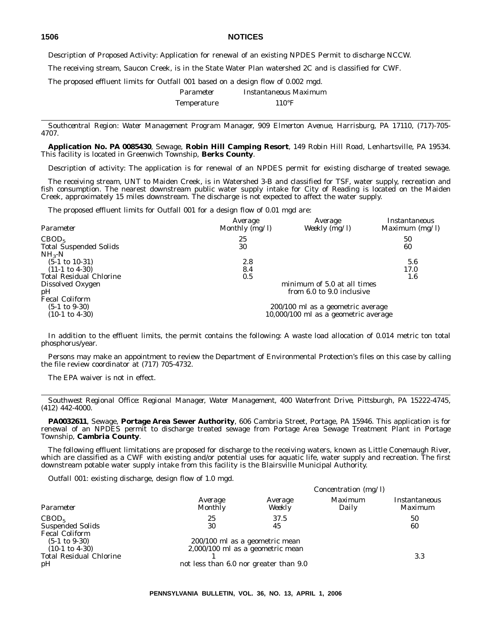Description of Proposed Activity: Application for renewal of an existing NPDES Permit to discharge NCCW.

The receiving stream, Saucon Creek, is in the State Water Plan watershed 2C and is classified for CWF.

The proposed effluent limits for Outfall 001 based on a design flow of 0.002 mgd.

| Parameter          | Instantaneous Maximum |
|--------------------|-----------------------|
| <b>Temperature</b> | $110^{\circ}$ F       |

*Southcentral Region: Water Management Program Manager, 909 Elmerton Avenue, Harrisburg, PA 17110, (717)-705- 4707.*

**Application No. PA 0085430**, Sewage, **Robin Hill Camping Resort**, 149 Robin Hill Road, Lenhartsville, PA 19534. This facility is located in Greenwich Township, **Berks County**.

Description of activity: The application is for renewal of an NPDES permit for existing discharge of treated sewage.

The receiving stream, UNT to Maiden Creek, is in Watershed 3-B and classified for TSF, water supply, recreation and fish consumption. The nearest downstream public water supply intake for City of Reading is located on the Maiden Creek, approximately 15 miles downstream. The discharge is not expected to affect the water supply.

The proposed effluent limits for Outfall 001 for a design flow of 0.01 mgd are:

| Parameter                      | Average<br>Monthly $(mg/l)$ | Average<br>Weekly $(mg/l)$           | Instantaneous<br>Maximum $(mg/l)$ |
|--------------------------------|-----------------------------|--------------------------------------|-----------------------------------|
| CBOD <sub>5</sub>              | 25                          |                                      | 50                                |
| <b>Total Suspended Solids</b>  | 30                          |                                      | 60                                |
| $NH_{3}-N$                     |                             |                                      |                                   |
| $(5-1 \text{ to } 10-31)$      | 2.8                         |                                      | 5.6                               |
| $(11-1 \text{ to } 4-30)$      | 8.4                         |                                      | 17.0                              |
| <b>Total Residual Chlorine</b> | $0.5\,$                     |                                      | 1.6                               |
| Dissolved Oxygen               |                             | minimum of 5.0 at all times          |                                   |
| pH                             |                             | from 6.0 to 9.0 inclusive            |                                   |
| <b>Fecal Coliform</b>          |                             |                                      |                                   |
| $(5-1 \text{ to } 9-30)$       |                             | 200/100 ml as a geometric average    |                                   |
| $(10-1 \text{ to } 4-30)$      |                             | 10,000/100 ml as a geometric average |                                   |

In addition to the effluent limits, the permit contains the following: A waste load allocation of 0.014 metric ton total phosphorus/year.

Persons may make an appointment to review the Department of Environmental Protection's files on this case by calling the file review coordinator at (717) 705-4732.

The EPA waiver is not in effect.

*Southwest Regional Office: Regional Manager, Water Management, 400 Waterfront Drive, Pittsburgh, PA 15222-4745, (412) 442-4000.*

**PA0032611**, Sewage, **Portage Area Sewer Authority**, 606 Cambria Street, Portage, PA 15946. This application is for renewal of an NPDES permit to discharge treated sewage from Portage Area Sewage Treatment Plant in Portage Township, **Cambria County**.

The following effluent limitations are proposed for discharge to the receiving waters, known as Little Conemaugh River, which are classified as a CWF with existing and/or potential uses for aquatic life, water supply and recreation. The first downstream potable water supply intake from this facility is the Blairsville Municipal Authority.

*Outfall 001:* existing discharge, design flow of 1.0 mgd.

|                                                                                                                  | Concentration $(mg/l)$                                             |                   |                         |                          |  |
|------------------------------------------------------------------------------------------------------------------|--------------------------------------------------------------------|-------------------|-------------------------|--------------------------|--|
| Parameter                                                                                                        | Average<br>Monthly                                                 | Average<br>Weekly | <i>Maximum</i><br>Daily | Instantaneous<br>Maximum |  |
| CBOD <sub>5</sub>                                                                                                | 25                                                                 | 37.5              |                         | 50                       |  |
| <b>Suspended Solids</b>                                                                                          | 30                                                                 | 45                |                         | 60                       |  |
| <b>Fecal Coliform</b><br>$(5-1 \text{ to } 9-30)$<br>$(10-1 \text{ to } 4-30)$<br><b>Total Residual Chlorine</b> | 200/100 ml as a geometric mean<br>2,000/100 ml as a geometric mean |                   |                         | 3.3                      |  |
| pH                                                                                                               | not less than 6.0 nor greater than 9.0                             |                   |                         |                          |  |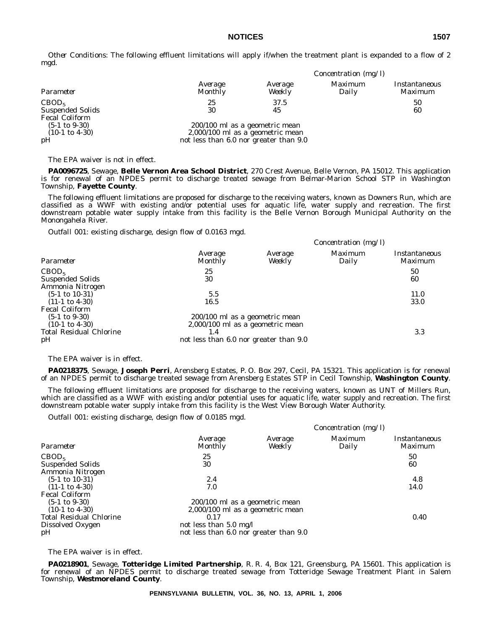*Other Conditions:* The following effluent limitations will apply if/when the treatment plant is expanded to a flow of 2 mgd.

|                           | Concentration $(mg/l)$                 |                   |                  |                          |  |  |
|---------------------------|----------------------------------------|-------------------|------------------|--------------------------|--|--|
| Parameter                 | Average<br>Monthly                     | Average<br>Weekly | Maximum<br>Daily | Instantaneous<br>Maximum |  |  |
| CBOD <sub>5</sub>         | 25                                     | 37.5              |                  | 50                       |  |  |
| <b>Suspended Solids</b>   | 30                                     | 45                |                  | 60                       |  |  |
| <b>Fecal Coliform</b>     |                                        |                   |                  |                          |  |  |
| $(5-1 \text{ to } 9-30)$  | 200/100 ml as a geometric mean         |                   |                  |                          |  |  |
| $(10-1 \text{ to } 4-30)$ | 2,000/100 ml as a geometric mean       |                   |                  |                          |  |  |
| pH                        | not less than 6.0 nor greater than 9.0 |                   |                  |                          |  |  |

The EPA waiver is not in effect.

**PA0096725**, Sewage, **Belle Vernon Area School District**, 270 Crest Avenue, Belle Vernon, PA 15012. This application is for renewal of an NPDES permit to discharge treated sewage from Belmar-Marion School STP in Washington Township, **Fayette County**.

The following effluent limitations are proposed for discharge to the receiving waters, known as Downers Run, which are classified as a WWF with existing and/or potential uses for aquatic life, water supply and recreation. The first downstream potable water supply intake from this facility is the Belle Vernon Borough Municipal Authority on the Monongahela River.

*Outfall 001:* existing discharge, design flow of 0.0163 mgd.

|                                |                                        | Concentration $(mg/l)$             |                         |                                 |  |
|--------------------------------|----------------------------------------|------------------------------------|-------------------------|---------------------------------|--|
| Parameter                      | Average<br>Monthly                     | Average<br>Weekly                  | <i>Maximum</i><br>Daily | Instantaneous<br><i>Maximum</i> |  |
| CBOD <sub>5</sub>              | 25                                     |                                    |                         | 50                              |  |
| <b>Suspended Solids</b>        | 30                                     |                                    |                         | 60                              |  |
| Ammonia Nitrogen               |                                        |                                    |                         |                                 |  |
| $(5-1 \text{ to } 10-31)$      | 5.5                                    |                                    |                         | 11.0                            |  |
| $(11-1 \text{ to } 4-30)$      | 16.5                                   |                                    |                         | 33.0                            |  |
| <b>Fecal Coliform</b>          |                                        |                                    |                         |                                 |  |
| $(5-1 \text{ to } 9-30)$       | 200/100 ml as a geometric mean         |                                    |                         |                                 |  |
| $(10-1 \text{ to } 4-30)$      |                                        | $2,000/100$ ml as a geometric mean |                         |                                 |  |
| <b>Total Residual Chlorine</b> | 1.4                                    |                                    |                         | 3.3                             |  |
| pH                             | not less than 6.0 nor greater than 9.0 |                                    |                         |                                 |  |

The EPA waiver is in effect.

**PA0218375**, Sewage, **Joseph Perri**, Arensberg Estates, P. O. Box 297, Cecil, PA 15321. This application is for renewal of an NPDES permit to discharge treated sewage from Arensberg Estates STP in Cecil Township, **Washington County**.

The following effluent limitations are proposed for discharge to the receiving waters, known as UNT of Millers Run, which are classified as a WWF with existing and/or potential uses for aquatic life, water supply and recreation. The first downstream potable water supply intake from this facility is the West View Borough Water Authority.

*Outfall 001:* existing discharge, design flow of 0.0185 mgd.

|                                             |                                        | Concentration (mg/l) |                  |                                 |  |
|---------------------------------------------|----------------------------------------|----------------------|------------------|---------------------------------|--|
| Parameter                                   | Average<br><b>Monthly</b>              | Average<br>Weekly    | Maximum<br>Daily | <i>Instantaneous</i><br>Maximum |  |
| CBOD <sub>5</sub>                           | 25                                     |                      |                  | 50                              |  |
| <b>Suspended Solids</b><br>Ammonia Nitrogen | 30                                     |                      |                  | 60                              |  |
| $(5-1 \text{ to } 10-31)$                   | 2.4                                    |                      |                  | 4.8                             |  |
| $(11-1 \text{ to } 4-30)$                   | 7.0                                    |                      |                  | 14.0                            |  |
| <b>Fecal Coliform</b>                       |                                        |                      |                  |                                 |  |
| $(5-1 \text{ to } 9-30)$                    | 200/100 ml as a geometric mean         |                      |                  |                                 |  |
| $(10-1 \text{ to } 4-30)$                   | $2,000/100$ ml as a geometric mean     |                      |                  |                                 |  |
| <b>Total Residual Chlorine</b>              | 0.17                                   |                      |                  | 0.40                            |  |
| Dissolved Oxygen                            | not less than 5.0 mg/l                 |                      |                  |                                 |  |
| pH                                          | not less than 6.0 nor greater than 9.0 |                      |                  |                                 |  |

The EPA waiver is in effect.

**PA0218901**, Sewage, **Totteridge Limited Partnership**, R. R. 4, Box 121, Greensburg, PA 15601. This application is for renewal of an NPDES permit to discharge treated sewage from Totteridge Sewage Treatment Plant in Salem Township, **Westmoreland County**.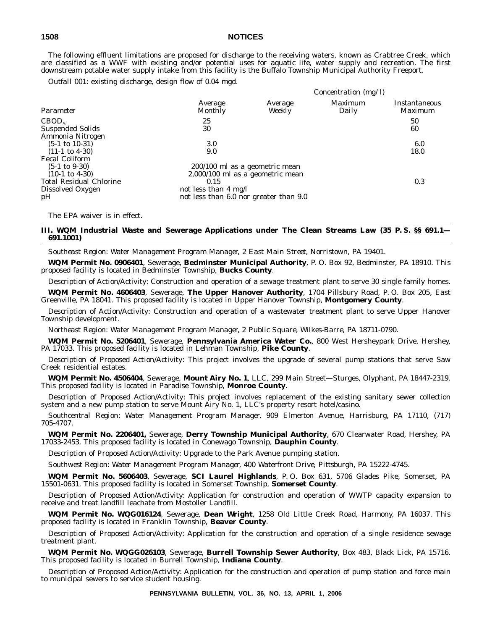The following effluent limitations are proposed for discharge to the receiving waters, known as Crabtree Creek, which are classified as a WWF with existing and/or potential uses for aquatic life, water supply and recreation. The first downstream potable water supply intake from this facility is the Buffalo Township Municipal Authority Freeport.

*Outfall 001:* existing discharge, design flow of 0.04 mgd.

|                                                                                                                                            |                                                                                                                                              |                   | Concentration (mg/l)    |                          |
|--------------------------------------------------------------------------------------------------------------------------------------------|----------------------------------------------------------------------------------------------------------------------------------------------|-------------------|-------------------------|--------------------------|
| Parameter                                                                                                                                  | Average<br><b>Monthly</b>                                                                                                                    | Average<br>Weekly | <i>Maximum</i><br>Daily | Instantaneous<br>Maximum |
| CBOD <sub>5</sub><br><b>Suspended Solids</b><br>Ammonia Nitrogen                                                                           | 25<br>30                                                                                                                                     |                   |                         | 50<br>60                 |
| $(5-1 \text{ to } 10-31)$<br>$(11-1 \text{ to } 4-30)$                                                                                     | 3.0<br>9.0                                                                                                                                   |                   |                         | 6.0<br>18.0              |
| <b>Fecal Coliform</b><br>$(5-1 \text{ to } 9-30)$<br>$(10-1 \text{ to } 4-30)$<br><b>Total Residual Chlorine</b><br>Dissolved Oxygen<br>pH | 200/100 ml as a geometric mean<br>2,000/100 ml as a geometric mean<br>0.15<br>not less than 4 mg/l<br>not less than 6.0 nor greater than 9.0 |                   |                         | 0.3                      |

The EPA waiver is in effect.

#### **III. WQM Industrial Waste and Sewerage Applications under The Clean Streams Law (35 P. S. §§ 691.1— 691.1001)**

*Southeast Region: Water Management Program Manager, 2 East Main Street, Norristown, PA 19401.*

**WQM Permit No. 0906401**, Sewerage, **Bedminster Municipal Authority**, P. O. Box 92, Bedminster, PA 18910. This proposed facility is located in Bedminster Township, **Bucks County**.

Description of Action/Activity: Construction and operation of a sewage treatment plant to serve 30 single family homes.

**WQM Permit No. 4606403**, Sewerage, **The Upper Hanover Authority**, 1704 Pillsbury Road, P. O. Box 205, East Greenville, PA 18041. This proposed facility is located in Upper Hanover Township, **Montgomery County**.

Description of Action/Activity: Construction and operation of a wastewater treatment plant to serve Upper Hanover Township development.

*Northeast Region: Water Management Program Manager, 2 Public Square, Wilkes-Barre, PA 18711-0790.*

**WQM Permit No. 5206401**, Sewerage, **Pennsylvania America Water Co.**, 800 West Hersheypark Drive, Hershey, PA 17033. This proposed facility is located in Lehman Township, **Pike County**.

Description of Proposed Action/Activity: This project involves the upgrade of several pump stations that serve Saw Creek residential estates.

**WQM Permit No. 4506404**, Sewerage, **Mount Airy No. 1**, LLC, 299 Main Street—Sturges, Olyphant, PA 18447-2319. This proposed facility is located in Paradise Township, **Monroe County**.

Description of Proposed Action/Activity: This project involves replacement of the existing sanitary sewer collection system and a new pump station to serve Mount Airy No. 1, LLC's property resort hotel/casino.

*Southcentral Region: Water Management Program Manager, 909 Elmerton Avenue, Harrisburg, PA 17110, (717) 705-4707.*

**WQM Permit No. 2206401,** Sewerage, **Derry Township Municipal Authority**, 670 Clearwater Road, Hershey, PA 17033-2453. This proposed facility is located in Conewago Township, **Dauphin County**.

Description of Proposed Action/Activity: Upgrade to the Park Avenue pumping station.

*Southwest Region: Water Management Program Manager, 400 Waterfront Drive, Pittsburgh, PA 15222-4745.*

**WQM Permit No. 5606403**, Sewerage, **SCI Laurel Highlands**, P. O. Box 631, 5706 Glades Pike, Somerset, PA 15501-0631. This proposed facility is located in Somerset Township, **Somerset County**.

Description of Proposed Action/Activity: Application for construction and operation of WWTP capacity expansion to receive and treat landfill leachate from Mostoller Landfill.

**WQM Permit No. WQG016124**, Sewerage, **Dean Wright**, 1258 Old Little Creek Road, Harmony, PA 16037. This proposed facility is located in Franklin Township, **Beaver County**.

Description of Proposed Action/Activity: Application for the construction and operation of a single residence sewage treatment plant.

**WQM Permit No. WQGG026103**, Sewerage, **Burrell Township Sewer Authority**, Box 483, Black Lick, PA 15716. This proposed facility is located in Burrell Township, **Indiana County**.

Description of Proposed Action/Activity: Application for the construction and operation of pump station and force main to municipal sewers to service student housing.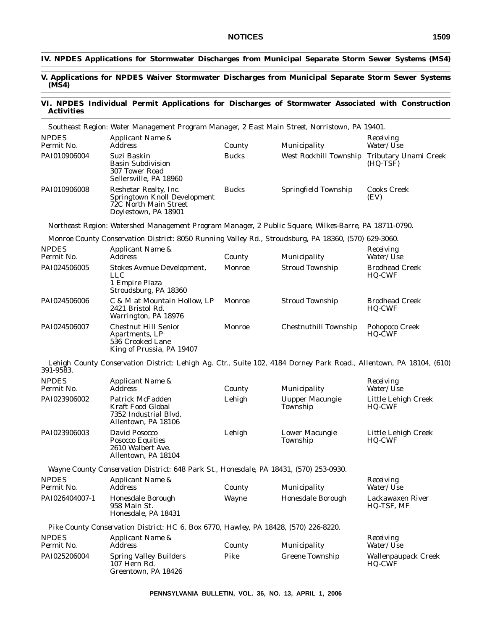#### **IV. NPDES Applications for Stormwater Discharges from Municipal Separate Storm Sewer Systems (MS4)**

#### **V. Applications for NPDES Waiver Stormwater Discharges from Municipal Separate Storm Sewer Systems (MS4)**

#### **VI. NPDES Individual Permit Applications for Discharges of Stormwater Associated with Construction Activities**

|                            | Southeast Region: Water Management Program Manager, 2 East Main Street, Norristown, PA 19401.                       |               |                        |                                        |
|----------------------------|---------------------------------------------------------------------------------------------------------------------|---------------|------------------------|----------------------------------------|
| <b>NPDES</b><br>Permit No. | Applicant Name &<br><b>Address</b>                                                                                  | County        | Municipality           | Receiving<br>Water/Use                 |
| PAI010906004               | Suzi Baskin<br><b>Basin Subdivision</b><br>307 Tower Road<br>Sellersville, PA 18960                                 | <b>Bucks</b>  | West Rockhill Township | Tributary Unami Creek<br>(HQ-TSF)      |
| PAI010906008               | Reshetar Realty, Inc.<br>Springtown Knoll Development<br>72C North Main Street<br>Doylestown, PA 18901              | <b>Bucks</b>  | Springfield Township   | <b>Cooks Creek</b><br>(EV)             |
|                            | Northeast Region: Watershed Management Program Manager, 2 Public Square, Wilkes-Barre, PA 18711-0790.               |               |                        |                                        |
|                            | Monroe County Conservation District: 8050 Running Valley Rd., Stroudsburg, PA 18360, (570) 629-3060.                |               |                        |                                        |
| <b>NPDES</b><br>Permit No. | Applicant Name &<br><b>Address</b>                                                                                  | County        | Municipality           | Receiving<br>Water/Use                 |
| PAI024506005               | <b>Stokes Avenue Development,</b><br><b>LLC</b><br>1 Empire Plaza<br>Stroudsburg, PA 18360                          | <b>Monroe</b> | <b>Stroud Township</b> | <b>Brodhead Creek</b><br>HQ-CWF        |
| PAI024506006               | C & M at Mountain Hollow, LP<br>2421 Bristol Rd.<br>Warrington, PA 18976                                            | Monroe        | <b>Stroud Township</b> | <b>Brodhead Creek</b><br><b>HQ-CWF</b> |
| PAI024506007               | <b>Chestnut Hill Senior</b><br>Apartments, LP<br>536 Crooked Lane<br>King of Prussia, PA 19407                      | Monroe        | Chestnuthill Township  | Pohopoco Creek<br>HQ-CWF               |
|                            | Lehigh County Conservation District: Lehigh Ag. Ctr., Suite 102, 4184 Dorney Park Road., Allentown, PA 18104, (610) |               |                        |                                        |

*391-9583.*

| <b>NPDES</b><br>Permit No. | Applicant Name &<br>Address                                                           | County | Municipality                       | Receiving<br>Water/Use               |
|----------------------------|---------------------------------------------------------------------------------------|--------|------------------------------------|--------------------------------------|
| PAI023906002               | Patrick McFadden<br>Kraft Food Global<br>7352 Industrial Blvd.<br>Allentown, PA 18106 | Lehigh | <b>Uupper Macungie</b><br>Township | Little Lehigh Creek<br><b>HQ-CWF</b> |
| PAI023906003               | David Posocco<br><b>Posocco Equities</b><br>2610 Walbert Ave.<br>Allentown, PA 18104  | Lehigh | Lower Macungie<br>Township         | Little Lehigh Creek<br><b>HQ-CWF</b> |

*Wayne County Conservation District: 648 Park St., Honesdale, PA 18431, (570) 253-0930.*

| <b>NPDES</b><br>Permit No. | Applicant Name &<br>Address                              | County       | Municipality      | Receiving<br><i>Water/Use</i>  |
|----------------------------|----------------------------------------------------------|--------------|-------------------|--------------------------------|
| PAI026404007-1             | Honesdale Borough<br>958 Main St.<br>Honesdale, PA 18431 | <b>Wayne</b> | Honesdale Borough | Lackawaxen River<br>HQ-TSF, MF |

*Pike County Conservation District: HC 6, Box 6770, Hawley, PA 18428, (570) 226-8220.*

| <b>NPDES</b><br>Permit No. | Applicant Name &<br>Address                                          | County | Municipality    | Receiving<br><i>Water/Use</i>        |
|----------------------------|----------------------------------------------------------------------|--------|-----------------|--------------------------------------|
| PAI025206004               | <b>Spring Valley Builders</b><br>107 Hern Rd.<br>Greentown, PA 18426 | Pike   | Greene Township | Wallenpaupack Creek<br><b>HO-CWF</b> |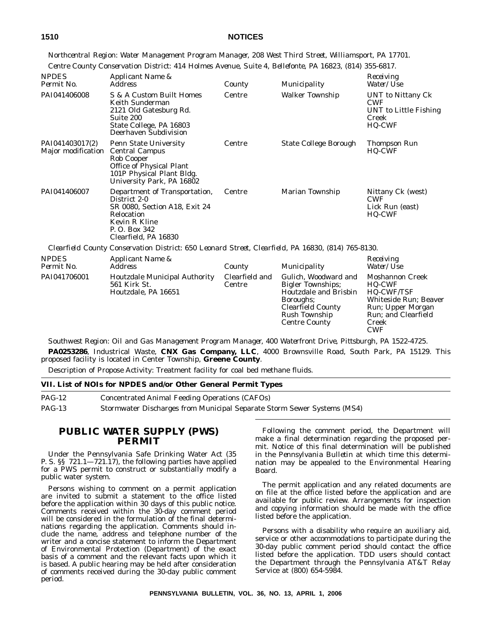*Northcentral Region: Water Management Program Manager, 208 West Third Street, Williamsport, PA 17701. Centre County Conservation District: 414 Holmes Avenue, Suite 4, Bellefonte, PA 16823, (814) 355-6817.*

| <b>NPDES</b><br>Permit No.            | Applicant Name &<br><b>Address</b>                                                                                                                        | County                   | Municipality                                                                                                                                                       | Receiving<br>Water/Use                                                                                                                                   |
|---------------------------------------|-----------------------------------------------------------------------------------------------------------------------------------------------------------|--------------------------|--------------------------------------------------------------------------------------------------------------------------------------------------------------------|----------------------------------------------------------------------------------------------------------------------------------------------------------|
| PAI041406008                          | S & A Custom Built Homes<br>Keith Sunderman<br>2121 Old Gatesburg Rd.<br>Suite 200<br>State College, PA 16803<br>Deerhaven Subdivision                    | Centre                   | <b>Walker Township</b>                                                                                                                                             | <b>UNT</b> to Nittany Ck<br><b>CWF</b><br>UNT to Little Fishing<br>Creek<br><b>HQ-CWF</b>                                                                |
| PAI041403017(2)<br>Major modification | <b>Penn State University</b><br><b>Central Campus</b><br>Rob Cooper<br>Office of Physical Plant<br>101P Physical Plant Bldg.<br>University Park, PA 16802 | Centre                   | <b>State College Borough</b>                                                                                                                                       | Thompson Run<br><b>HQ-CWF</b>                                                                                                                            |
| PAI041406007                          | Department of Transportation,<br>District 2-0<br>SR 0080, Section A18, Exit 24<br>Relocation<br>Kevin R Kline<br>P. O. Box 342<br>Clearfield, PA 16830    | Centre                   | Marian Township                                                                                                                                                    | Nittany Ck (west)<br><b>CWF</b><br>Lick Run (east)<br><b>HQ-CWF</b>                                                                                      |
|                                       | Clearfield County Conservation District: 650 Leonard Street, Clearfield, PA 16830, (814) 765-8130.                                                        |                          |                                                                                                                                                                    |                                                                                                                                                          |
| <b>NPDES</b><br>Permit No.            | Applicant Name &<br><b>Address</b>                                                                                                                        | County                   | Municipality                                                                                                                                                       | Receiving<br>Water/Use                                                                                                                                   |
| PAI041706001                          | <b>Houtzdale Municipal Authority</b><br>561 Kirk St.<br>Houtzdale, PA 16651                                                                               | Clearfield and<br>Centre | Gulich, Woodward and<br><b>Bigler Townships;</b><br>Houtzdale and Brisbin<br>Boroughs;<br><b>Clearfield County</b><br><b>Rush Township</b><br><b>Centre County</b> | <b>Moshannon Creek</b><br><b>HQ-CWF</b><br><b>HQ-CWF/TSF</b><br>Whiteside Run; Beaver<br>Run; Upper Morgan<br>Run; and Clearfield<br>Creek<br><b>CWF</b> |

*Southwest Region: Oil and Gas Management Program Manager, 400 Waterfront Drive, Pittsburgh, PA 1522-4725.*

**PA0253286**, Industrical Waste, **CNX Gas Company, LLC**, 4000 Brownsville Road, South Park, PA 15129. This proposed facility is located in Center Township, **Greene County**.

Description of Propose Activity: Treatment facility for coal bed methane fluids.

| VII. List of NOIs for NPDES and/or Other General Permit Types |                                                                         |  |
|---------------------------------------------------------------|-------------------------------------------------------------------------|--|
| $PAG-12$                                                      | <b>Concentrated Animal Feeding Operations (CAFOs)</b>                   |  |
| $PAG-13$                                                      | Stormwater Discharges from Municipal Separate Storm Sewer Systems (MS4) |  |

#### **PUBLIC WATER SUPPLY (PWS) PERMIT**

Under the Pennsylvania Safe Drinking Water Act (35 P. S. §§ 721.1—721.17), the following parties have applied for a PWS permit to construct or substantially modify a public water system.

Persons wishing to comment on a permit application are invited to submit a statement to the office listed before the application within 30 days of this public notice. Comments received within the 30-day comment period will be considered in the formulation of the final determinations regarding the application. Comments should include the name, address and telephone number of the writer and a concise statement to inform the Department of Environmental Protection (Department) of the exact basis of a comment and the relevant facts upon which it is based. A public hearing may be held after consideration of comments received during the 30-day public comment period.

Following the comment period, the Department will make a final determination regarding the proposed permit. Notice of this final determination will be published in the *Pennsylvania Bulletin* at which time this determination may be appealed to the Environmental Hearing Board.

The permit application and any related documents are on file at the office listed before the application and are available for public review. Arrangements for inspection and copying information should be made with the office listed before the application.

Persons with a disability who require an auxiliary aid, service or other accommodations to participate during the 30-day public comment period should contact the office listed before the application. TDD users should contact the Department through the Pennsylvania AT&T Relay Service at (800) 654-5984.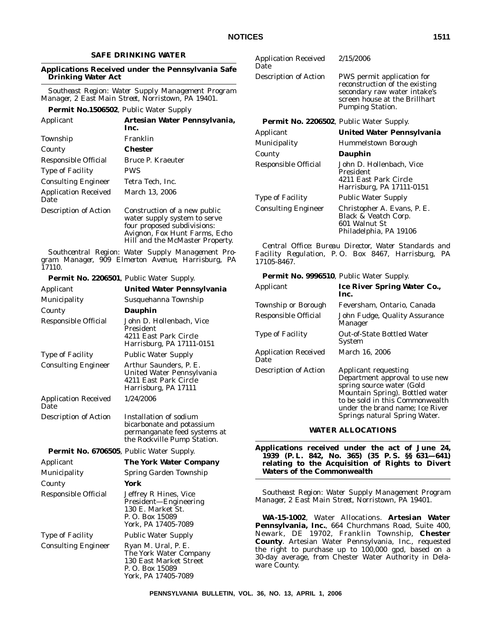#### **SAFE DRINKING WATER**

#### **Applications Received under the Pennsylvania Safe Drinking Water Act**

*Southeast Region: Water Supply Management Program Manager, 2 East Main Street, Norristown, PA 19401.*

#### **Permit No.1506502**, Public Water Supply

| Applicant                           | Artesian Water Pennsylvania,<br>Inc.                                                                                                                            |
|-------------------------------------|-----------------------------------------------------------------------------------------------------------------------------------------------------------------|
| Township                            | Franklin                                                                                                                                                        |
| County                              | Chester                                                                                                                                                         |
| Responsible Official                | Bruce P. Kraeuter                                                                                                                                               |
| <b>Type of Facility</b>             | <b>PWS</b>                                                                                                                                                      |
| <b>Consulting Engineer</b>          | Tetra Tech, Inc.                                                                                                                                                |
| <b>Application Received</b><br>Date | March 13, 2006                                                                                                                                                  |
| <b>Description of Action</b>        | Construction of a new public<br>water supply system to serve<br>four proposed subdivisions:<br>Avignon, Fox Hunt Farms, Echo<br>Hill and the McMaster Property. |

*Southcentral Region: Water Supply Management Program Manager, 909 Elmerton Avenue, Harrisburg, PA 17110.*

| <b>Permit No. 2206501</b> , Public Water Supply. |                                                                                                                    |
|--------------------------------------------------|--------------------------------------------------------------------------------------------------------------------|
| Applicant                                        | United Water Pennsylvania                                                                                          |
| Municipality                                     | Susquehanna Township                                                                                               |
| County                                           | Dauphin                                                                                                            |
| Responsible Official                             | John D. Hollenbach, Vice<br>President<br>4211 East Park Circle<br>Harrisburg, PA 17111-0151                        |
| <b>Type of Facility</b>                          | <b>Public Water Supply</b>                                                                                         |
| <b>Consulting Engineer</b>                       | Arthur Saunders, P. E.<br>United Water Pennsylvania<br>4211 East Park Circle<br>Harrisburg, PA 17111               |
| <b>Application Received</b><br>Date              | 1/24/2006                                                                                                          |
| Description of Action                            | Installation of sodium<br>bicarbonate and potassium<br>permanganate feed systems at<br>the Rockville Pump Station. |
| Permit No. 6706505, Public Water Supply.         |                                                                                                                    |
| Applicant                                        | The York Water Company                                                                                             |
| Municipality                                     | Spring Garden Township                                                                                             |
| County                                           | York                                                                                                               |
| Responsible Official                             | Jeffrey R Hines, Vice<br>President-Engineering<br>130 E. Market St.<br>P. O. Box 15089<br>York, PA 17405-7089      |
| <b>Type of Facility</b>                          | <b>Public Water Supply</b>                                                                                         |
| <b>Consulting Engineer</b>                       | Ryan M. Ural, P. E.<br>The York Water Company<br>130 East Market Street<br>P. O. Box 15089<br>York, PA 17405-7089  |

| <b>Application Received</b><br>Date             | 2/15/2006                                                                                                                                                |
|-------------------------------------------------|----------------------------------------------------------------------------------------------------------------------------------------------------------|
| Description of Action                           | PWS permit application for<br>reconstruction of the existing<br>secondary raw water intake's<br>screen house at the Brillhart<br><b>Pumping Station.</b> |
| <b>Permit No. 2206502, Public Water Supply.</b> |                                                                                                                                                          |
| Applicant                                       | United Water Pennsylvania                                                                                                                                |
| <b>Municipality</b>                             | Hummelstown Borough                                                                                                                                      |
| County                                          | Dauphin                                                                                                                                                  |
| Responsible Official                            | John D. Hollenbach, Vice<br>President<br>4211 East Park Circle<br>Harrisburg, PA 17111-0151                                                              |
| <b>Type of Facility</b>                         | Public Water Supply                                                                                                                                      |
| <b>Consulting Engineer</b>                      | Christopher A. Evans, P. E.<br>Black & Veatch Corp.<br>601 Walnut St<br>Philadelphia, PA 19106                                                           |

*Central Office: Bureau Director, Water Standards and Facility Regulation, P. O. Box 8467, Harrisburg, PA 17105-8467.*

**Permit No. 9996510**, Public Water Supply.

| Applicant                           | <b>Ice River Spring Water Co.,</b><br>Inc.                                                                                                                                                                                           |
|-------------------------------------|--------------------------------------------------------------------------------------------------------------------------------------------------------------------------------------------------------------------------------------|
| Township or Borough                 | Feversham, Ontario, Canada                                                                                                                                                                                                           |
| Responsible Official                | John Fudge, Quality Assurance<br>Manager                                                                                                                                                                                             |
| <b>Type of Facility</b>             | <b>Out-of-State Bottled Water</b><br><b>System</b>                                                                                                                                                                                   |
| <b>Application Received</b><br>Date | March 16, 2006                                                                                                                                                                                                                       |
| <b>Description of Action</b>        | <b>Applicant requesting</b><br>Department approval to use new<br>spring source water (Gold<br>Mountain Spring). Bottled water<br>to be sold in this Commonwealth<br>under the brand name; Ice River<br>Springs natural Spring Water. |

#### **WATER ALLOCATIONS**

**Applications received under the act of June 24, 1939 (P. L. 842, No. 365) (35 P. S. §§ 631—641) relating to the Acquisition of Rights to Divert Waters of the Commonwealth**

*Southeast Region: Water Supply Management Program Manager, 2 East Main Street, Norristown, PA 19401.*

**WA-15-1002**, Water Allocations. **Artesian Water Pennsylvania, Inc.**, 664 Churchmans Road, Suite 400, Newark, DE 19702, Franklin Township, **Chester County**. Artesian Water Pennsylvania, Inc., requested the right to purchase up to 100,000 gpd, based on a 30-day average, from Chester Water Authority in Delaware County.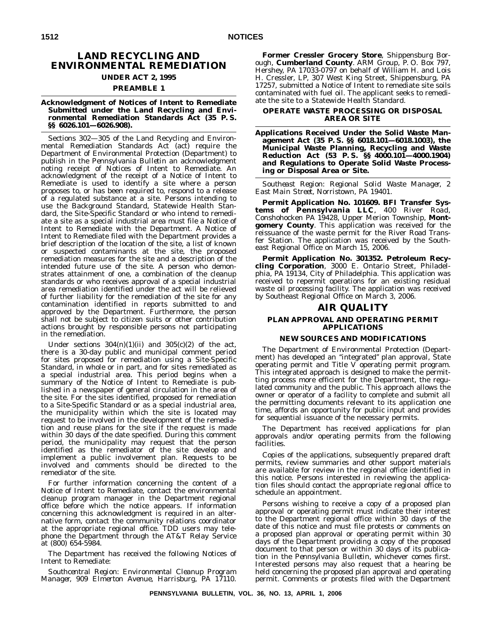### **LAND RECYCLING AND ENVIRONMENTAL REMEDIATION**

#### **UNDER ACT 2, 1995 PREAMBLE 1**

#### **Acknowledgment of Notices of Intent to Remediate Submitted under the Land Recycling and Environmental Remediation Standards Act (35 P. S.**

**§§ 6026.101—6026.908).**

Sections 302—305 of the Land Recycling and Environmental Remediation Standards Act (act) require the Department of Environmental Protection (Department) to publish in the *Pennsylvania Bulletin* an acknowledgment noting receipt of Notices of Intent to Remediate. An acknowledgment of the receipt of a Notice of Intent to Remediate is used to identify a site where a person proposes to, or has been required to, respond to a release of a regulated substance at a site. Persons intending to use the Background Standard, Statewide Health Standard, the Site-Specific Standard or who intend to remediate a site as a special industrial area must file a Notice of Intent to Remediate with the Department. A Notice of Intent to Remediate filed with the Department provides a brief description of the location of the site, a list of known or suspected contaminants at the site, the proposed remediation measures for the site and a description of the intended future use of the site. A person who demonstrates attainment of one, a combination of the cleanup standards or who receives approval of a special industrial area remediation identified under the act will be relieved of further liability for the remediation of the site for any contamination identified in reports submitted to and approved by the Department. Furthermore, the person shall not be subject to citizen suits or other contribution actions brought by responsible persons not participating in the remediation.

Under sections  $304(n)(1)(ii)$  and  $305(c)(2)$  of the act, there is a 30-day public and municipal comment period for sites proposed for remediation using a Site-Specific Standard, in whole or in part, and for sites remediated as a special industrial area. This period begins when a summary of the Notice of Intent to Remediate is published in a newspaper of general circulation in the area of the site. For the sites identified, proposed for remediation to a Site-Specific Standard or as a special industrial area, the municipality within which the site is located may request to be involved in the development of the remediation and reuse plans for the site if the request is made within 30 days of the date specified. During this comment period, the municipality may request that the person identified as the remediator of the site develop and implement a public involvement plan. Requests to be involved and comments should be directed to the remediator of the site.

For further information concerning the content of a Notice of Intent to Remediate, contact the environmental cleanup program manager in the Department regional office before which the notice appears. If information concerning this acknowledgment is required in an alternative form, contact the community relations coordinator at the appropriate regional office. TDD users may telephone the Department through the AT&T Relay Service at (800) 654-5984.

The Department has received the following Notices of Intent to Remediate:

*Southcentral Region: Environmental Cleanup Program Manager, 909 Elmerton Avenue, Harrisburg, PA 17110.*

**Former Cressler Grocery Store**, Shippensburg Borough, **Cumberland County**. ARM Group, P. O. Box 797, Hershey, PA 17033-0797 on behalf of William H. and Lois H. Cressler, LP, 307 West King Street, Shippensburg, PA 17257, submitted a Notice of Intent to remediate site soils contaminated with fuel oil. The applicant seeks to remediate the site to a Statewide Health Standard.

#### **OPERATE WASTE PROCESSING OR DISPOSAL AREA OR SITE**

**Applications Received Under the Solid Waste Management Act (35 P. S. §§ 6018.101—6018.1003), the Municipal Waste Planning, Recycling and Waste Reduction Act (53 P. S. §§ 4000.101—4000.1904) and Regulations to Operate Solid Waste Processing or Disposal Area or Site.**

*Southeast Region: Regional Solid Waste Manager, 2 East Main Street, Norristown, PA 19401.*

**Permit Application No. 101609. BFI Transfer Systems of Pennsylvania LLC**, 400 River Road, Conshohocken PA 19428, Upper Merion Township, **Montgomery County**. This application was received for the reissuance of the waste permit for the River Road Transfer Station. The application was received by the Southeast Regional Office on March 15, 2006.

**Permit Application No. 301352. Petroleum Recycling Corporation**, 3000 E. Ontario Street, Philadelphia, PA 19134, City of Philadelphia. This application was received to repermit operations for an existing residual waste oil processing facility. The application was received by Southeast Regional Office on March 3, 2006.

#### **AIR QUALITY**

#### **PLAN APPROVAL AND OPERATING PERMIT APPLICATIONS**

#### **NEW SOURCES AND MODIFICATIONS**

The Department of Environmental Protection (Department) has developed an ''integrated'' plan approval, State operating permit and Title V operating permit program. This integrated approach is designed to make the permitting process more efficient for the Department, the regulated community and the public. This approach allows the owner or operator of a facility to complete and submit all the permitting documents relevant to its application one time, affords an opportunity for public input and provides for sequential issuance of the necessary permits.

The Department has received applications for plan approvals and/or operating permits from the following facilities.

Copies of the applications, subsequently prepared draft permits, review summaries and other support materials are available for review in the regional office identified in this notice. Persons interested in reviewing the application files should contact the appropriate regional office to schedule an appointment.

Persons wishing to receive a copy of a proposed plan approval or operating permit must indicate their interest to the Department regional office within 30 days of the date of this notice and must file protests or comments on a proposed plan approval or operating permit within 30 days of the Department providing a copy of the proposed document to that person or within 30 days of its publication in the *Pennsylvania Bulletin*, whichever comes first. Interested persons may also request that a hearing be held concerning the proposed plan approval and operating permit. Comments or protests filed with the Department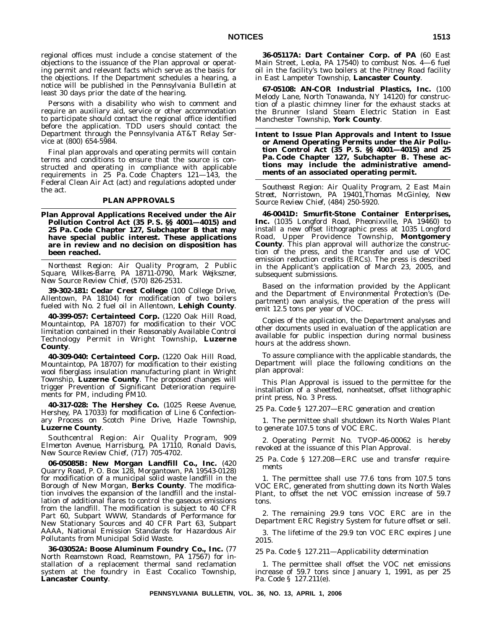regional offices must include a concise statement of the objections to the issuance of the Plan approval or operating permit and relevant facts which serve as the basis for the objections. If the Department schedules a hearing, a notice will be published in the *Pennsylvania Bulletin* at least 30 days prior the date of the hearing.

Persons with a disability who wish to comment and require an auxiliary aid, service or other accommodation to participate should contact the regional office identified before the application. TDD users should contact the Department through the Pennsylvania AT&T Relay Service at (800) 654-5984.

Final plan approvals and operating permits will contain terms and conditions to ensure that the source is constructed and operating in compliance with applicable requirements in 25 Pa. Code Chapters 121—143, the Federal Clean Air Act (act) and regulations adopted under the act.

#### **PLAN APPROVALS**

**Plan Approval Applications Received under the Air Pollution Control Act (35 P. S. §§ 4001—4015) and 25 Pa. Code Chapter 127, Subchapter B that may have special public interest. These applications are in review and no decision on disposition has been reached.**

*Northeast Region: Air Quality Program, 2 Public Square, Wilkes-Barre, PA 18711-0790, Mark Wejkszner, New Source Review Chief, (570) 826-2531.*

**39-302-181: Cedar Crest College** (100 College Drive, Allentown, PA 18104) for modification of two boilers fueled with No. 2 fuel oil in Allentown, **Lehigh County**.

**40-399-057: Certainteed Corp.** (1220 Oak Hill Road, Mountaintop, PA 18707) for modification to their VOC limitation contained in their Reasonably Available Control Technology Permit in Wright Township, **Luzerne County**.

**40-309-040: Certainteed Corp.** (1220 Oak Hill Road, Mountaintop, PA 18707) for modification to their existing wool fiberglass insulation manufacturing plant in Wright Township, **Luzerne County**. The proposed changes will trigger Prevention of Significant Deterioration requirements for PM, including PM10.

**40-317-028: The Hershey Co.** (1025 Reese Avenue, Hershey, PA 17033) for modification of Line 6 Confectionary Process on Scotch Pine Drive, Hazle Township, **Luzerne County**.

*Southcentral Region: Air Quality Program, 909 Elmerton Avenue, Harrisburg, PA 17110, Ronald Davis, New Source Review Chief, (717) 705-4702.*

**06-05085B: New Morgan Landfill Co., Inc.** (420 Quarry Road, P. O. Box 128, Morgantown, PA 19543-0128) for modification of a municipal solid waste landfill in the Borough of New Morgan, **Berks County**. The modification involves the expansion of the landfill and the installation of additional flares to control the gaseous emissions from the landfill. The modification is subject to 40 CFR Part 60, Subpart WWW, Standards of Performance for New Stationary Sources and 40 CFR Part 63, Subpart AAAA, National Emission Standards for Hazardous Air Pollutants from Municipal Solid Waste.

**36-03052A: Boose Aluminum Foundry Co., Inc.** (77 North Reamstown Road, Reamstown, PA 17567) for installation of a replacement thermal sand reclamation system at the foundry in East Cocalico Township, **Lancaster County**.

**36-05117A: Dart Container Corp. of PA** (60 East Main Street, Leola, PA 17540) to combust Nos. 4—6 fuel oil in the facility's two boilers at the Pitney Road facility in East Lampeter Township, **Lancaster County**.

**67-05108: AN-COR Industrial Plastics, Inc.** (100 Melody Lane, North Tonawanda, NY 14120) for construction of a plastic chimney liner for the exhaust stacks at the Brunner Island Steam Electric Station in East Manchester Township, **York County**.

**Intent to Issue Plan Approvals and Intent to Issue or Amend Operating Permits under the Air Pollution Control Act (35 P. S. §§ 4001—4015) and 25 Pa. Code Chapter 127, Subchapter B. These actions may include the administrative amendments of an associated operating permit.**

*Southeast Region: Air Quality Program, 2 East Main Street, Norristown, PA 19401,Thomas McGinley, New Source Review Chief, (484) 250-5920.*

**46-0041D: Smurfit-Stone Container Enterprises,** Inc. (1035 Longford Road, Pheonixville, PA 19460) to install a new offset lithographic press at 1035 Longford Road, Upper Providence Township, **Montgomery County**. This plan approval will authorize the construction of the press, and the transfer and use of VOC emission reduction credits (ERCs). The press is described in the Applicant's application of March 23, 2005, and subsequent submissions.

Based on the information provided by the Applicant and the Department of Environmental Protection's (Department) own analysis, the operation of the press will emit 12.5 tons per year of VOC.

Copies of the application, the Department analyses and other documents used in evaluation of the application are available for public inspection during normal business hours at the address shown.

To assure compliance with the applicable standards, the Department will place the following conditions on the plan approval:

This Plan Approval is issued to the permittee for the installation of a sheetfed, nonheatset, offset lithographic print press, No. 3 Press.

*25 Pa. Code § 127.207—ERC generation and creation*

1. The permittee shall shutdown its North Wales Plant to generate 107.5 tons of VOC ERC.

2. Operating Permit No. TVOP-46-00062 is hereby revoked at the issuance of this Plan Approval.

*25 Pa. Code § 127.208—ERC use and transfer requirements*

1. The permittee shall use 77.6 tons from 107.5 tons VOC ERC, generated from shutting down its North Wales Plant, to offset the net VOC emission increase of 59.7 tons.

2. The remaining 29.9 tons VOC ERC are in the Department ERC Registry System for future offset or sell.

3. The lifetime of the 29.9 ton VOC ERC expires June 2015.

*25 Pa. Code § 127.211—Applicability determination*

1. The permittee shall offset the VOC net emissions increase of 59.7 tons since January 1, 1991, as per 25 Pa. Code § 127.211(e).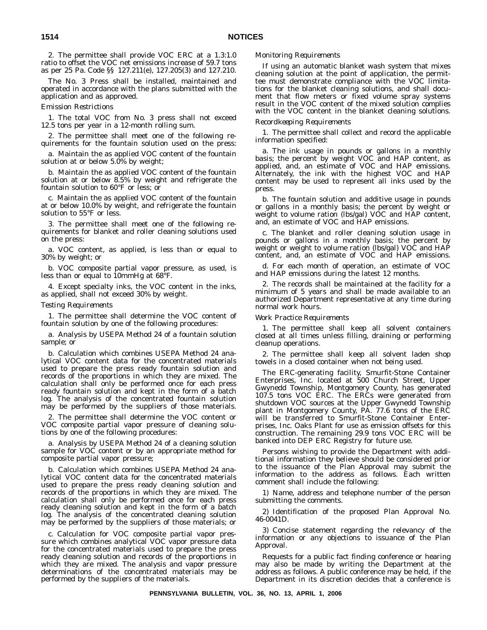2. The permittee shall provide VOC ERC at a 1.3:1.0 ratio to offset the VOC net emissions increase of 59.7 tons as per 25 Pa. Code §§ 127.211(e), 127.205(3) and 127.210.

The No. 3 Press shall be installed, maintained and operated in accordance with the plans submitted with the application and as approved.

*Emission Restrictions*

1. The total VOC from No. 3 press shall not exceed 12.5 tons per year in a 12-month rolling sum.

2. The permittee shall meet one of the following requirements for the fountain solution used on the press:

a. Maintain the as applied VOC content of the fountain solution at or below 5.0% by weight;

b. Maintain the as applied VOC content of the fountain solution at or below 8.5% by weight and refrigerate the fountain solution to 60°F or less; or

c. Maintain the as applied VOC content of the fountain at or below 10.0% by weight, and refrigerate the fountain solution to 55°F or less.

3. The permittee shall meet one of the following requirements for blanket and roller cleaning solutions used on the press:

a. VOC content, as applied, is less than or equal to 30% by weight; or

b. VOC composite partial vapor pressure, as used, is less than or equal to 10mmHg at 68°F.

4. Except specialty inks, the VOC content in the inks, as applied, shall not exceed 30% by weight.

#### *Testing Requirements*

1. The permittee shall determine the VOC content of fountain solution by one of the following procedures:

a. Analysis by USEPA Method 24 of a fountain solution sample; or

b. Calculation which combines USEPA Method 24 analytical VOC content data for the concentrated materials used to prepare the press ready fountain solution and records of the proportions in which they are mixed. The calculation shall only be performed once for each press ready fountain solution and kept in the form of a batch log. The analysis of the concentrated fountain solution may be performed by the suppliers of those materials.

2. The permittee shall determine the VOC content or VOC composite partial vapor pressure of cleaning solutions by one of the following procedures:

a. Analysis by USEPA Method 24 of a cleaning solution sample for VOC content or by an appropriate method for composite partial vapor pressure;

b. Calculation which combines USEPA Method 24 analytical VOC content data for the concentrated materials used to prepare the press ready cleaning solution and records of the proportions in which they are mixed. The calculation shall only be performed once for each press ready cleaning solution and kept in the form of a batch log. The analysis of the concentrated cleaning solution may be performed by the suppliers of those materials; or

c. Calculation for VOC composite partial vapor pressure which combines analytical VOC vapor pressure data for the concentrated materials used to prepare the press ready cleaning solution and records of the proportions in which they are mixed. The analysis and vapor pressure determinations of the concentrated materials may be performed by the suppliers of the materials.

#### *Monitoring Requirements*

If using an automatic blanket wash system that mixes cleaning solution at the point of application, the permittee must demonstrate compliance with the VOC limitations for the blanket cleaning solutions, and shall document that flow meters or fixed volume spray systems result in the VOC content of the mixed solution complies with the VOC content in the blanket cleaning solutions.

#### *Recordkeeping Requirements*

1. The permittee shall collect and record the applicable information specified:

a. The ink usage in pounds or gallons in a monthly basis; the percent by weight VOC and HAP content, as applied, and, an estimate of VOC and HAP emissions. Alternately, the ink with the highest VOC and HAP content may be used to represent all inks used by the press.

b. The fountain solution and additive usage in pounds or gallons in a monthly basis; the percent by weight or weight to volume ration (lbs/gal) VOC and HAP content, and, an estimate of VOC and HAP emissions.

c. The blanket and roller cleaning solution usage in pounds or gallons in a monthly basis; the percent by weight or weight to volume ration (lbs/gal) VOC and HAP content, and, an estimate of VOC and HAP emissions.

d. For each month of operation, an estimate of VOC and HAP emissions during the latest 12 months.

2. The records shall be maintained at the facility for a minimum of 5 years and shall be made available to an authorized Department representative at any time during normal work hours.

#### *Work Practice Requirements*

1. The permittee shall keep all solvent containers closed at all times unless filling, draining or performing cleanup operations.

2. The permittee shall keep all solvent laden shop towels in a closed container when not being used.

The ERC-generating facility, Smurfit-Stone Container Enterprises, Inc. located at 500 Church Street, Upper Gwynedd Township, Montgomery County, has generated 107.5 tons VOC ERC. The ERCs were generated from shutdown VOC sources at the Upper Gwynedd Township plant in Montgomery County, PA. 77.6 tons of the ERC will be transferred to Smurfit-Stone Container Enterprises, Inc. Oaks Plant for use as emission offsets for this construction. The remaining 29.9 tons VOC ERC will be banked into DEP ERC Registry for future use.

Persons wishing to provide the Department with additional information they believe should be considered prior to the issuance of the Plan Approval may submit the information to the address as follows. Each written comment shall include the following:

1) Name, address and telephone number of the person submitting the comments.

2) Identification of the proposed Plan Approval No. 46-0041D.

3) Concise statement regarding the relevancy of the information or any objections to issuance of the Plan Approval.

Requests for a public fact finding conference or hearing may also be made by writing the Department at the address as follows. A public conference may be held, if the Department in its discretion decides that a conference is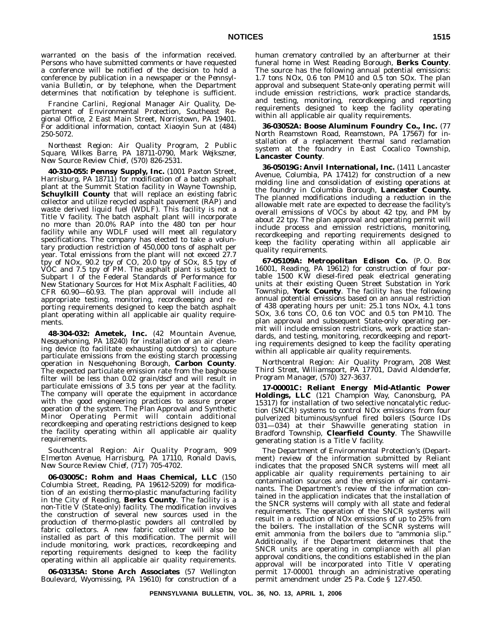warranted on the basis of the information received. Persons who have submitted comments or have requested a conference will be notified of the decision to hold a conference by publication in a newspaper or the *Pennsylvania Bulletin*, or by telephone, when the Department determines that notification by telephone is sufficient.

Francine Carlini, Regional Manager Air Quality, Department of Environmental Protection, Southeast Regional Office, 2 East Main Street, Norristown, PA 19401. For additional information, contact Xiaoyin Sun at (484) 250-5072.

*Northeast Region: Air Quality Program, 2 Public Square, Wilkes Barre, PA 18711-0790, Mark Wejkszner, New Source Review Chief, (570) 826-2531.*

**40-310-055: Pennsy Supply, Inc.** (1001 Paxton Street, Harrisburg, PA 18711) for modification of a batch asphalt plant at the Summit Station facility in Wayne Township, **Schuylkill County** that will replace an existing fabric collector and utilize recycled asphalt pavement (RAP) and waste derived liquid fuel (WDLF). This facility is not a Title V facility. The batch asphalt plant will incorporate no more than 20.0% RAP into the 480 ton per hour facility while any WDLF used will meet all regulatory specifications. The company has elected to take a voluntary production restriction of 450,000 tons of asphalt per year. Total emissions from the plant will not exceed 27.7 tpy of NOx, 90.2 tpy of CO, 20.0 tpy of SOx, 8.5 tpy of VOC and 7.5 tpy of PM. The asphalt plant is subject to Subpart I of the Federal Standards of Performance for New Stationary Sources for Hot Mix Asphalt Facilities, 40 CFR 60.90-60.93. The plan approval will include all appropriate testing, monitoring, recordkeeping and reporting requirements designed to keep the batch asphalt plant operating within all applicable air quality requirements.

**48-304-032: Ametek, Inc.** (42 Mountain Avenue, Nesquehoning, PA 18240) for installation of an air cleaning device (to facilitate exhausting outdoors) to capture particulate emissions from the existing starch processing operation in Nesquehoning Borough, **Carbon County**. The expected particulate emission rate from the baghouse filter will be less than 0.02 grain/dscf and will result in particulate emissions of 3.5 tons per year at the facility. The company will operate the equipment in accordance with the good engineering practices to assure proper operation of the system. The Plan Approval and Synthetic Minor Operating Permit will contain additional recordkeeping and operating restrictions designed to keep the facility operating within all applicable air quality requirements.

*Southcentral Region: Air Quality Program, 909 Elmerton Avenue, Harrisburg, PA 17110, Ronald Davis, New Source Review Chief, (717) 705-4702.*

**06-03005C: Rohm and Haas Chemical, LLC** (150 Columbia Street, Reading, PA 19612-5209) for modification of an existing thermo-plastic manufacturing facility in the City of Reading, **Berks County**. The facility is a non-Title V (State-only) facility. The modification involves the construction of several new sources used in the production of thermo-plastic powders all controlled by fabric collectors. A new fabric collector will also be installed as part of this modification. The permit will include monitoring, work practices, recordkeeping and reporting requirements designed to keep the facility operating within all applicable air quality requirements.

**06-03135A: Stone Arch Associates** (57 Wellington Boulevard, Wyomissing, PA 19610) for construction of a

human crematory controlled by an afterburner at their funeral home in West Reading Borough, **Berks County**. The source has the following annual potential emissions: 1.7 tons NOx, 0.6 ton  $PM10$  and 0.5 ton SOx. The plan approval and subsequent State-only operating permit will include emission restrictions, work practice standards, and testing, monitoring, recordkeeping and reporting requirements designed to keep the facility operating within all applicable air quality requirements.

**36-03052A: Boose Aluminum Foundry Co., Inc.** (77 North Reamstown Road, Reamstown, PA 17567) for installation of a replacement thermal sand reclamation system at the foundry in East Cocalico Township, **Lancaster County**.

**36-05019G: Anvil International, Inc.** (1411 Lancaster Avenue, Columbia, PA 17412) for construction of a new molding line and consolidation of existing operations at the foundry in Columbia Borough, **Lancaster County.** The planned modifications including a reduction in the allowable melt rate are expected to decrease the facility's overall emissions of VOCs by about 42 tpy, and PM by about 22 tpy. The plan approval and operating permit will include process and emission restrictions, monitoring, recordkeeping and reporting requirements designed to keep the facility operating within all applicable air quality requirements.

**67-05109A: Metropolitan Edison Co.** (P. O. Box 16001, Reading, PA 19612) for construction of four portable 1500 KW diesel-fired peak electrical generating units at their existing Queen Street Substation in York Township, **York County**. The facility has the following annual potential emissions based on an annual restriction of 438 operating hours per unit: 25.1 tons NOx, 4.1 tons SOx, 3.6 tons CO, 0.6 ton VOC and 0.5 ton PM10. The plan approval and subsequent State-only operating permit will include emission restrictions, work practice standards, and testing, monitoring, recordkeeping and reporting requirements designed to keep the facility operating within all applicable air quality requirements.

*Northcentral Region: Air Quality Program, 208 West Third Street, Williamsport, PA 17701, David Aldenderfer, Program Manager, (570) 327-3637.*

**17-00001C: Reliant Energy Mid-Atlantic Power Holdings, LLC** (121 Champion Way, Canonsburg, PA 15317) for installation of two selective noncatalytic reduction (SNCR) systems to control NOx emissions from four pulverized bituminous/synfuel fired boilers (Source IDs 031—034) at their Shawville generating station in Bradford Township, **Clearfield County**. The Shawville generating station is a Title V facility.

The Department of Environmental Protection's (Department) review of the information submitted by Reliant indicates that the proposed SNCR systems will meet all applicable air quality requirements pertaining to air contamination sources and the emission of air contaminants. The Department's review of the information contained in the application indicates that the installation of the SNCR systems will comply with all state and federal requirements. The operation of the SNCR systems will result in a reduction of NOx emissions of up to 25% from the boilers. The installation of the SCNR systems will emit ammonia from the boilers due to ''ammonia slip.'' Additionally, if the Department determines that the SNCR units are operating in compliance with all plan approval conditions, the conditions established in the plan approval will be incorporated into Title V operating permit 17-00001 through an administrative operating permit amendment under 25 Pa. Code § 127.450.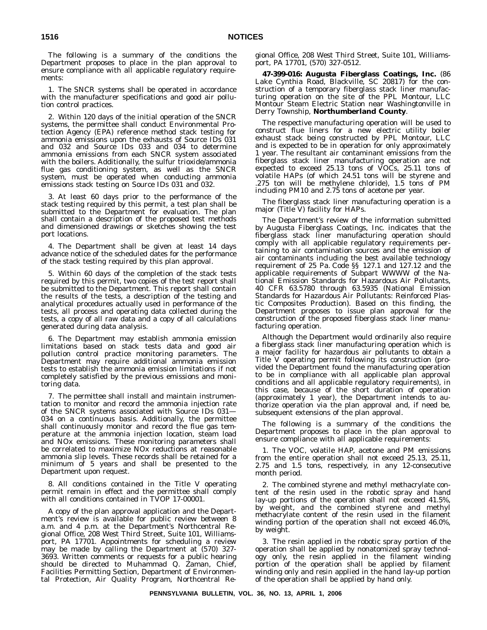The following is a summary of the conditions the Department proposes to place in the plan approval to ensure compliance with all applicable regulatory requirements:

1. The SNCR systems shall be operated in accordance with the manufacturer specifications and good air pollution control practices.

2. Within 120 days of the initial operation of the SNCR systems, the permittee shall conduct Environmental Protection Agency (EPA) reference method stack testing for ammonia emissions upon the exhausts of Source IDs 031 and 032 and Source IDs 033 and 034 to determine ammonia emissions from each SNCR system associated with the boilers. Additionally, the sulfur trioxide/ammonia flue gas conditioning system, as well as the SNCR system, must be operated when conducting ammonia emissions stack testing on Source IDs 031 and 032.

3. At least 60 days prior to the performance of the stack testing required by this permit, a test plan shall be submitted to the Department for evaluation. The plan shall contain a description of the proposed test methods and dimensioned drawings or sketches showing the test port locations.

4. The Department shall be given at least 14 days advance notice of the scheduled dates for the performance of the stack testing required by this plan approval.

5. Within 60 days of the completion of the stack tests required by this permit, two copies of the test report shall be submitted to the Department. This report shall contain the results of the tests, a description of the testing and analytical procedures actually used in performance of the tests, all process and operating data collected during the tests, a copy of all raw data and a copy of all calculations generated during data analysis.

6. The Department may establish ammonia emission limitations based on stack tests data and good air pollution control practice monitoring parameters. The Department may require additional ammonia emission tests to establish the ammonia emission limitations if not completely satisfied by the previous emissions and monitoring data.

7. The permittee shall install and maintain instrumentation to monitor and record the ammonia injection rate of the SNCR systems associated with Source IDs 031— 034 on a continuous basis. Additionally, the permittee shall continuously monitor and record the flue gas temperature at the ammonia injection location, steam load and NOx emissions. These monitoring parameters shall be correlated to maximize NOx reductions at reasonable ammonia slip levels. These records shall be retained for a minimum of 5 years and shall be presented to the Department upon request.

8. All conditions contained in the Title V operating permit remain in effect and the permittee shall comply with all conditions contained in TVOP 17-00001.

A copy of the plan approval application and the Department's review is available for public review between 8 a.m. and 4 p.m. at the Department's Northcentral Regional Office, 208 West Third Street, Suite 101, Williamsport, PA 17701. Appointments for scheduling a review may be made by calling the Department at (570) 327- 3693. Written comments or requests for a public hearing should be directed to Muhammad Q. Zaman, Chief, Facilities Permitting Section, Department of Environmental Protection, Air Quality Program, Northcentral Regional Office, 208 West Third Street, Suite 101, Williamsport, PA 17701, (570) 327-0512.

**47-399-016: Augusta Fiberglass Coatings, Inc.** (86 Lake Cynthia Road, Blackville, SC 20817) for the construction of a temporary fiberglass stack liner manufacturing operation on the site of the PPL Montour, LLC Montour Steam Electric Station near Washingtonville in Derry Township, **Northumberland County**.

The respective manufacturing operation will be used to construct flue liners for a new electric utility boiler exhaust stack being constructed by PPL Montour, LLC and is expected to be in operation for only approximately 1 year. The resultant air contaminant emissions from the fiberglass stack liner manufacturing operation are not expected to exceed 25.13 tons of VOCs, 25.11 tons of volatile HAPs (of which 24.51 tons will be styrene and .275 ton will be methylene chloride), 1.5 tons of PM including PM10 and 2.75 tons of acetone per year.

The fiberglass stack liner manufacturing operation is a major (Title V) facility for HAPs.

The Department's review of the information submitted by Augusta Fiberglass Coatings, Inc. indicates that the fiberglass stack liner manufacturing operation should comply with all applicable regulatory requirements pertaining to air contamination sources and the emission of air contaminants including the best available technology requirement of 25 Pa. Code §§ 127.1 and 127.12 and the applicable requirements of Subpart WWWW of the National Emission Standards for Hazardous Air Pollutants, 40 CFR 63.5780 through 63.5935 (National Emission Standards for Hazardous Air Pollutants: Reinforced Plastic Composites Production). Based on this finding, the Department proposes to issue plan approval for the construction of the proposed fiberglass stack liner manufacturing operation.

Although the Department would ordinarily also require a fiberglass stack liner manufacturing operation which is a major facility for hazardous air pollutants to obtain a Title V operating permit following its construction (provided the Department found the manufacturing operation to be in compliance with all applicable plan approval conditions and all applicable regulatory requirements), in this case, because of the short duration of operation (approximately 1 year), the Department intends to authorize operation via the plan approval and, if need be, subsequent extensions of the plan approval.

The following is a summary of the conditions the Department proposes to place in the plan approval to ensure compliance with all applicable requirements:

1. The VOC, volatile HAP, acetone and PM emissions from the entire operation shall not exceed 25.13, 25.11, 2.75 and 1.5 tons, respectively, in any 12-consecutive month period.

2. The combined styrene and methyl methacrylate content of the resin used in the robotic spray and hand lay-up portions of the operation shall not exceed 41.5%, by weight, and the combined styrene and methyl methacrylate content of the resin used in the filament winding portion of the operation shall not exceed 46.0%, by weight.

3. The resin applied in the robotic spray portion of the operation shall be applied by nonatomized spray technology only, the resin applied in the filament winding portion of the operation shall be applied by filament winding only and resin applied in the hand lay-up portion of the operation shall be applied by hand only.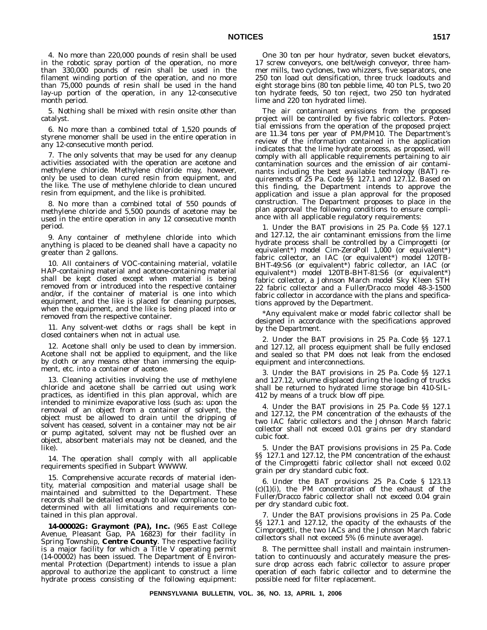4. No more than 220,000 pounds of resin shall be used in the robotic spray portion of the operation, no more than 330,000 pounds of resin shall be used in the filament winding portion of the operation, and no more than 75,000 pounds of resin shall be used in the hand lay-up portion of the operation, in any 12-consecutive month period.

5. Nothing shall be mixed with resin onsite other than catalyst.

6. No more than a combined total of 1,520 pounds of styrene monomer shall be used in the entire operation in any 12-consecutive month period.

7. The only solvents that may be used for any cleanup activities associated with the operation are acetone and methylene chloride. Methylene chloride may, however, only be used to clean cured resin from equipment, and the like. The use of methylene chloride to clean uncured resin from equipment, and the like is prohibited.

8. No more than a combined total of 550 pounds of methylene chloride and 5,500 pounds of acetone may be used in the entire operation in any 12 consecutive month period.

9. Any container of methylene chloride into which anything is placed to be cleaned shall have a capacity no greater than 2 gallons.

10. All containers of VOC-containing material, volatile HAP-containing material and acetone-containing material shall be kept closed except when material is being removed from or introduced into the respective container and/or, if the container of material is one into which equipment, and the like is placed for cleaning purposes, when the equipment, and the like is being placed into or removed from the respective container.

11. Any solvent-wet cloths or rags shall be kept in closed containers when not in actual use.

12. Acetone shall only be used to clean by immersion. Acetone shall not be applied to equipment, and the like by cloth or any means other than immersing the equipment, etc. into a container of acetone.

13. Cleaning activities involving the use of methylene chloride and acetone shall be carried out using work practices, as identified in this plan approval, which are intended to minimize evaporative loss (such as: upon the removal of an object from a container of solvent, the object must be allowed to drain until the dripping of solvent has ceased, solvent in a container may not be air or pump agitated, solvent may not be flushed over an object, absorbent materials may not be cleaned, and the like).

14. The operation shall comply with all applicable requirements specified in Subpart WWWW.

15. Comprehensive accurate records of material identity, material composition and material usage shall be maintained and submitted to the Department. These records shall be detailed enough to allow compliance to be determined with all limitations and requirements contained in this plan approval.

**14-00002G: Graymont (PA), Inc.** (965 East College Avenue, Pleasant Gap, PA 16823) for their facility in Spring Township, **Centre County**. The respective facility is a major facility for which a Title V operating permit (14-00002) has been issued. The Department of Environmental Protection (Department) intends to issue a plan approval to authorize the applicant to construct a lime hydrate process consisting of the following equipment:

One 30 ton per hour hydrator, seven bucket elevators, 17 screw conveyors, one belt/weigh conveyor, three hammer mills, two cyclones, two whizzers, five separators, one 250 ton load out densification, three truck loadouts and eight storage bins (80 ton pebble lime, 40 ton PLS, two 20 ton hydrate feeds, 50 ton reject, two 250 ton hydrated lime and 220 ton hydrated lime).

The air contaminant emissions from the proposed project will be controlled by five fabric collectors. Potential emissions from the operation of the proposed project are 11.34 tons per year of PM/PM10. The Department's review of the information contained in the application indicates that the lime hydrate process, as proposed, will comply with all applicable requirements pertaining to air contamination sources and the emission of air contaminants including the best available technology (BAT) requirements of 25 Pa. Code §§ 127.1 and 127.12. Based on this finding, the Department intends to approve the application and issue a plan approval for the proposed construction. The Department proposes to place in the plan approval the following conditions to ensure compliance with all applicable regulatory requirements:

1. Under the BAT provisions in 25 Pa. Code §§ 127.1 and 127.12, the air contaminant emissions from the lime hydrate process shall be controlled by a Cimprogetti (or equivalent\*) model Cim-ZeroPoll 1,000 (or equivalent\*) fabric collector, an IAC (or equivalent\*) model 120TB-BHT-49:S6 (or equivalent\*) fabric collector, an IAC (or equivalent\*) model 120TB-BHT-81:S6 (or equivalent\*) fabric collector, a Johnson March model Sky Kleen STH 22 fabric collector and a Fuller/Dracco model 48-3-1500 fabric collector in accordance with the plans and specifications approved by the Department.

\*Any equivalent make or model fabric collector shall be designed in accordance with the specifications approved by the Department.

2. Under the BAT provisions in 25 Pa. Code §§ 127.1 and 127.12, all process equipment shall be fully enclosed and sealed so that PM does not leak from the enclosed equipment and interconnections.

3. Under the BAT provisions in 25 Pa. Code §§ 127.1 and 127.12, volume displaced during the loading of trucks shall be returned to hydrated lime storage bin 410-SIL-412 by means of a truck blow off pipe.

4. Under the BAT provisions in 25 Pa. Code §§ 127.1 and 127.12, the PM concentration of the exhausts of the two IAC fabric collectors and the Johnson March fabric collector shall not exceed 0.01 grains per dry standard cubic foot.

5. Under the BAT provisions provisions in 25 Pa. Code §§ 127.1 and 127.12, the PM concentration of the exhaust of the Cimprogetti fabric collector shall not exceed 0.02 grain per dry standard cubic foot.

6. Under the BAT provisions 25 Pa. Code § 123.13  $(c)(1)(i)$ , the PM concentration of the exhaust of the Fuller/Dracco fabric collector shall not exceed 0.04 grain per dry standard cubic foot.

7. Under the BAT provisions provisions in 25 Pa. Code §§ 127.1 and 127.12, the opacity of the exhausts of the Cimprogetti, the two IACs and the Johnson March fabric collectors shall not exceed 5% (6 minute average).

8. The permittee shall install and maintain instrumentation to continuously and accurately measure the pressure drop across each fabric collector to assure proper operation of each fabric collector and to determine the possible need for filter replacement.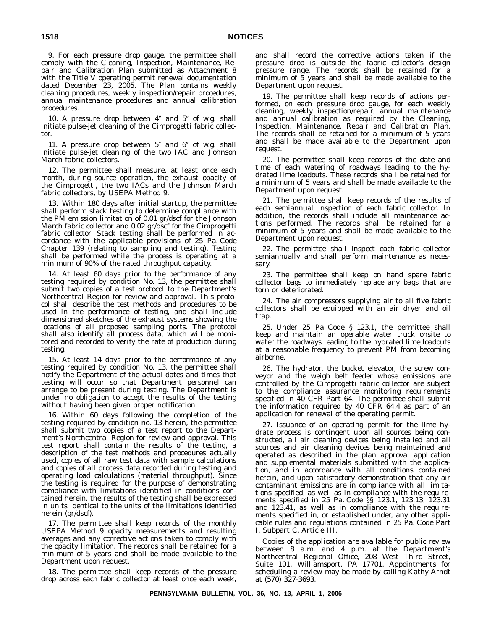9. For each pressure drop gauge, the permittee shall comply with the Cleaning, Inspection, Maintenance, Repair and Calibration Plan submitted as Attachment 8 with the Title V operating permit renewal documentation dated December 23, 2005. The Plan contains weekly cleaning procedures, weekly inspection/repair procedures, annual maintenance procedures and annual calibration procedures.

10. A pressure drop between  $4''$  and  $5''$  of w.g. shall initiate pulse-jet cleaning of the Cimprogetti fabric collector.

11. A pressure drop between  $5''$  and  $6''$  of w.g. shall initiate pulse-jet cleaning of the two IAC and Johnson March fabric collectors.

12. The permittee shall measure, at least once each month, during source operation, the exhaust opacity of the Cimprogetti, the two IACs and the Johnson March fabric collectors, by USEPA Method 9.

13. Within 180 days after initial startup, the permittee shall perform stack testing to determine compliance with the PM emission limitation of 0.01 gr/dscf for the Johnson March fabric collector and 0.02 gr/dscf for the Cimprogetti fabric collector. Stack testing shall be performed in accordance with the applicable provisions of 25 Pa. Code Chapter 139 (relating to sampling and testing). Testing shall be performed while the process is operating at a minimum of 90% of the rated throughput capacity.

14. At least 60 days prior to the performance of any testing required by condition No. 13, the permittee shall submit two copies of a test protocol to the Department's Northcentral Region for review and approval. This protocol shall describe the test methods and procedures to be used in the performance of testing, and shall include dimensioned sketches of the exhaust systems showing the locations of all proposed sampling ports. The protocol shall also identify all process data, which will be monitored and recorded to verify the rate of production during testing.

15. At least 14 days prior to the performance of any testing required by condition No. 13, the permittee shall notify the Department of the actual dates and times that testing will occur so that Department personnel can arrange to be present during testing. The Department is under no obligation to accept the results of the testing without having been given proper notification.

16. Within 60 days following the completion of the testing required by condition no. 13 herein, the permittee shall submit two copies of a test report to the Department's Northcentral Region for review and approval. This test report shall contain the results of the testing, a description of the test methods and procedures actually used, copies of all raw test data with sample calculations and copies of all process data recorded during testing and operating load calculations (material throughput). Since the testing is required for the purpose of demonstrating compliance with limitations identified in conditions contained herein, the results of the testing shall be expressed in units identical to the units of the limitations identified herein (gr/dscf).

17. The permittee shall keep records of the monthly USEPA Method 9 opacity measurements and resulting averages and any corrective actions taken to comply with the opacity limitation. The records shall be retained for a minimum of 5 years and shall be made available to the Department upon request.

18. The permittee shall keep records of the pressure drop across each fabric collector at least once each week, and shall record the corrective actions taken if the pressure drop is outside the fabric collector's design pressure range. The records shall be retained for a minimum of 5 years and shall be made available to the Department upon request.

19. The permittee shall keep records of actions performed, on each pressure drop gauge, for each weekly cleaning, weekly inspection/repair, annual maintenance and annual calibration as required by the Cleaning, Inspection, Maintenance, Repair and Calibration Plan. The records shall be retained for a minimum of 5 years and shall be made available to the Department upon request.

20. The permittee shall keep records of the date and time of each watering of roadways leading to the hydrated lime loadouts. These records shall be retained for a minimum of 5 years and shall be made available to the Department upon request.

21. The permittee shall keep records of the results of each semiannual inspection of each fabric collector. In addition, the records shall include all maintenance actions performed. The records shall be retained for a minimum of 5 years and shall be made available to the Department upon request.

22. The permittee shall inspect each fabric collector semiannually and shall perform maintenance as necessary.

23. The permittee shall keep on hand spare fabric collector bags to immediately replace any bags that are torn or deteriorated.

24. The air compressors supplying air to all five fabric collectors shall be equipped with an air dryer and oil trap.

25. Under 25 Pa. Code § 123.1, the permittee shall keep and maintain an operable water truck onsite to water the roadways leading to the hydrated lime loadouts at a reasonable frequency to prevent PM from becoming airborne.

26. The hydrator, the bucket elevator, the screw conveyor and the weigh belt feeder whose emissions are controlled by the Cimprogetti fabric collector are subject to the compliance assurance monitoring requirements specified in 40 CFR Part 64. The permittee shall submit the information required by 40 CFR 64.4 as part of an application for renewal of the operating permit.

27. Issuance of an operating permit for the lime hydrate process is contingent upon all sources being constructed, all air cleaning devices being installed and all sources and air cleaning devices being maintained and operated as described in the plan approval application and supplemental materials submitted with the application, and in accordance with all conditions contained herein, and upon satisfactory demonstration that any air contaminant emissions are in compliance with all limitations specified, as well as in compliance with the requirements specified in 25 Pa. Code §§ 123.1, 123.13, 123.31 and 123.41, as well as in compliance with the requirements specified in, or established under, any other applicable rules and regulations contained in 25 Pa. Code Part I, Subpart C, Article III.

Copies of the application are available for public review between 8 a.m. and 4 p.m. at the Department's Northcentral Regional Office, 208 West Third Street, Suite 101, Williamsport, PA 17701. Appointments for scheduling a review may be made by calling Kathy Arndt at (570) 327-3693.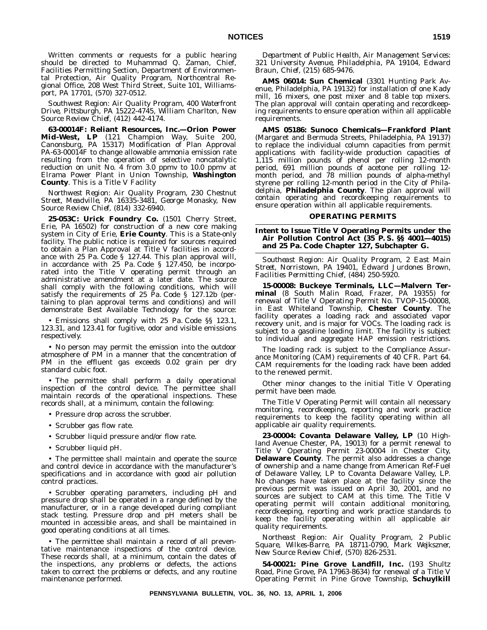Written comments or requests for a public hearing should be directed to Muhammad Q. Zaman, Chief, Facilities Permitting Section, Department of Environmental Protection, Air Quality Program, Northcentral Regional Office, 208 West Third Street, Suite 101, Williamsport, PA 17701, (570) 327-0512.

*Southwest Region: Air Quality Program, 400 Waterfront Drive, Pittsburgh, PA 15222-4745, William Charlton, New Source Review Chief, (412) 442-4174.*

**63-00014F: Reliant Resources, Inc.—Orion Power Mid-West, LP** (121 Champion Way, Suite 200, Canonsburg, PA 15317) Modification of Plan Approval PA-63-00014F to change allowable ammonia emission rate resulting from the operation of selective noncatalytic reduction on unit No. 4 from 3.0 ppmv to 10.0 ppmv at Elrama Power Plant in Union Township, **Washington County**. This is a Title V Facility

*Northwest Region: Air Quality Program, 230 Chestnut Street, Meadville, PA 16335-3481, George Monasky, New Source Review Chief, (814) 332-6940.*

**25-053C: Urick Foundry Co.** (1501 Cherry Street, Erie, PA 16502) for construction of a new core making system in City of Erie, **Erie County**. This is a State-only facility. The public notice is required for sources required to obtain a Plan Approval at Title V facilities in accordance with 25 Pa. Code § 127.44. This plan approval will, in accordance with 25 Pa. Code § 127.450, be incorporated into the Title V operating permit through an administrative amendment at a later date. The source shall comply with the following conditions, which will satisfy the requirements of 25 Pa. Code § 127.12b (pertaining to plan approval terms and conditions) and will demonstrate Best Available Technology for the source:

• Emissions shall comply with 25 Pa. Code §§ 123.1, 123.31, and 123.41 for fugitive, odor and visible emissions respectively.

• No person may permit the emission into the outdoor atmosphere of PM in a manner that the concentration of PM in the effluent gas exceeds 0.02 grain per dry standard cubic foot.

• The permittee shall perform a daily operational inspection of the control device. The permittee shall maintain records of the operational inspections. These records shall, at a minimum, contain the following:

- Pressure drop across the scrubber.
- Scrubber gas flow rate.
- Scrubber liquid pressure and/or flow rate.
- Scrubber liquid pH.

• The permittee shall maintain and operate the source and control device in accordance with the manufacturer's specifications and in accordance with good air pollution control practices.

• Scrubber operating parameters, including pH and pressure drop shall be operated in a range defined by the manufacturer, or in a range developed during compliant stack testing. Pressure drop and pH meters shall be mounted in accessible areas, and shall be maintained in good operating conditions at all times.

• The permittee shall maintain a record of all preventative maintenance inspections of the control device. These records shall, at a minimum, contain the dates of the inspections, any problems or defects, the actions taken to correct the problems or defects, and any routine maintenance performed.

*Department of Public Health, Air Management Services: 321 University Avenue, Philadelphia, PA 19104, Edward Braun, Chief, (215) 685-9476.*

**AMS 06014: Sun Chemical** (3301 Hunting Park Avenue, Philadelphia, PA 19132) for installation of one Kady mill, 16 mixers, one post mixer and 8 table top mixers. The plan approval will contain operating and recordkeeping requirements to ensure operation within all applicable requirements.

**AMS 05186: Sunoco Chemicals—Frankford Plant** (Margaret and Bermuda Streets, Philadelphia, PA 19137) to replace the individual column capacities from permit applications with facility-wide production capacities of 1,115 million pounds of phenol per rolling 12-month period, 691 million pounds of acetone per rolling 12 month period, and 78 million pounds of alpha-methyl styrene per rolling 12-month period in the City of Philadelphia, **Philadelphia County**. The plan approval will contain operating and recordkeeping requirements to ensure operation within all applicable requirements.

#### **OPERATING PERMITS**

**Intent to Issue Title V Operating Permits under the Air Pollution Control Act (35 P. S. §§ 4001—4015) and 25 Pa. Code Chapter 127, Subchapter G.**

*Southeast Region: Air Quality Program, 2 East Main Street, Norristown, PA 19401, Edward Jurdones Brown, Facilities Permitting Chief, (484) 250-5920.*

**15-00008: Buckeye Terminals, LLC—Malvern Terminal** (8 South Malin Road, Frazer, PA 19355) for renewal of Title V Operating Permit No. TVOP-15-00008, in East Whiteland Township, **Chester County**. The facility operates a loading rack and associated vapor recovery unit, and is major for VOCs. The loading rack is subject to a gasoline loading limit. The facility is subject to individual and aggregate HAP emission restrictions.

The loading rack is subject to the Compliance Assurance Monitoring (CAM) requirements of 40 CFR. Part 64. CAM requirements for the loading rack have been added to the renewed permit.

Other minor changes to the initial Title V Operating permit have been made.

The Title V Operating Permit will contain all necessary monitoring, recordkeeping, reporting and work practice requirements to keep the facility operating within all applicable air quality requirements.

**23-00004: Covanta Delaware Valley, LP** (10 Highland Avenue Chester, PA, 19013) for a permit renewal to Title V Operating Permit 23-00004 in Chester City, **Delaware County**. The permit also addresses a change of ownership and a name change from American Ref-Fuel of Delaware Valley, LP to Covanta Delaware Valley, LP. No changes have taken place at the facility since the previous permit was issued on April 30, 2001, and no sources are subject to CAM at this time. The Title V operating permit will contain additional monitoring, recordkeeping, reporting and work practice standards to keep the facility operating within all applicable air quality requirements.

*Northeast Region: Air Quality Program, 2 Public Square, Wilkes-Barre, PA 18711-0790, Mark Wejkszner, New Source Review Chief, (570) 826-2531.*

**54-00021: Pine Grove Landfill, Inc.** (193 Shultz Road, Pine Grove, PA 17963-8634) for renewal of a Title V Operating Permit in Pine Grove Township, **Schuylkill**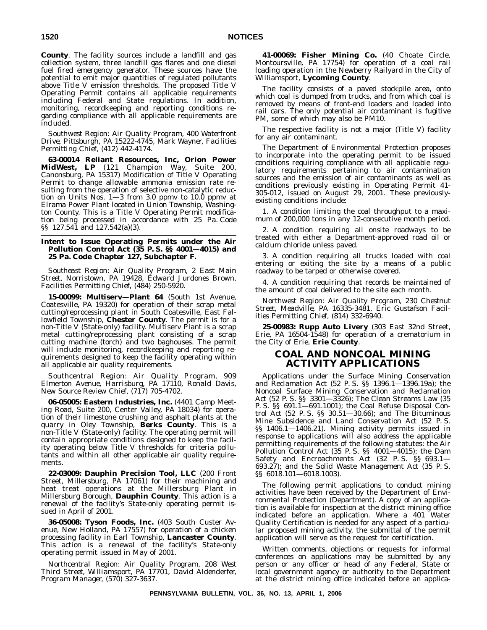**County**. The facility sources include a landfill and gas collection system, three landfill gas flares and one diesel fuel fired emergency generator. These sources have the potential to emit major quantities of regulated pollutants above Title V emission thresholds. The proposed Title V Operating Permit contains all applicable requirements including Federal and State regulations. In addition, monitoring, recordkeeping and reporting conditions regarding compliance with all applicable requirements are included.

*Southwest Region: Air Quality Program, 400 Waterfront Drive, Pittsburgh, PA 15222-4745, Mark Wayner, Facilities Permitting Chief, (412) 442-4174.*

**63-00014 Reliant Resources, Inc, Orion Power MidWest, LP** (121 Champion Way, Suite 200, Canonsburg, PA 15317) Modification of Title V Operating Permit to change allowable ammonia emission rate resulting from the operation of selective non-catalytic reduction on Units Nos. 1—3 from 3.0 ppmv to 10.0 ppmv at Elrama Power Plant located in Union Township, Washington County. This is a Title V Operating Permit modification being processed in accordance with 25 Pa. Code §§ 127.541 and 127.542(a)(3).

#### **Intent to Issue Operating Permits under the Air Pollution Control Act (35 P. S. §§ 4001—4015) and 25 Pa. Code Chapter 127, Subchapter F.**

*Southeast Region: Air Quality Program, 2 East Main Street, Norristown, PA 19428, Edward Jurdones Brown, Facilities Permitting Chief, (484) 250-5920.*

**15-00099: Multiserv—Plant 64** (South 1st Avenue, Coatesville, PA 19320) for operation of their scrap metal cutting/reprocessing plant in South Coatesville, East Fallowfield Township, **Chester County**. The permit is for a non-Title V (State-only) facility. Multiserv Plant is a scrap metal cutting/reprocessing plant consisting of a scrap cutting machine (torch) and two baghouses. The permit will include monitoring, recordkeeping and reporting requirements designed to keep the facility operating within all applicable air quality requirements.

*Southcentral Region: Air Quality Program, 909 Elmerton Avenue, Harrisburg, PA 17110, Ronald Davis, New Source Review Chief, (717) 705-4702.*

**06-05005: Eastern Industries, Inc.** (4401 Camp Meeting Road, Suite 200, Center Valley, PA 18034) for operation of their limestone crushing and asphalt plants at the quarry in Oley Township, **Berks County**. This is a non-Title V (State-only) facility. The operating permit will contain appropriate conditions designed to keep the facility operating below Title V thresholds for criteria pollutants and within all other applicable air quality requirements.

**22-03009: Dauphin Precision Tool, LLC** (200 Front Street, Millersburg, PA 17061) for their machining and heat treat operations at the Millersburg Plant in Millersburg Borough, **Dauphin County**. This action is a renewal of the facility's State-only operating permit issued in April of 2001.

**36-05008: Tyson Foods, Inc.** (403 South Custer Avenue, New Holland, PA 17557) for operation of a chicken processing facility in Earl Township, **Lancaster County**. This action is a renewal of the facility's State-only operating permit issued in May of 2001.

*Northcentral Region: Air Quality Program, 208 West Third Street, Williamsport, PA 17701, David Aldenderfer, Program Manager, (570) 327-3637.*

**41-00069: Fisher Mining Co.** (40 Choate Circle, Montoursville, PA 17754) for operation of a coal rail loading operation in the Newberry Railyard in the City of Williamsport, **Lycoming County**.

The facility consists of a paved stockpile area, onto which coal is dumped from trucks, and from which coal is removed by means of front-end loaders and loaded into rail cars. The only potential air contaminant is fugitive PM, some of which may also be PM10.

The respective facility is not a major (Title V) facility for any air contaminant.

The Department of Environmental Protection proposes to incorporate into the operating permit to be issued conditions requiring compliance with all applicable regulatory requirements pertaining to air contamination sources and the emission of air contaminants as well as conditions previously existing in Operating Permit 41- 305-012, issued on August 29, 2001. These previouslyexisting conditions include:

1. A condition limiting the coal throughput to a maximum of 200,000 tons in any 12-consecutive month period.

2. A condition requiring all onsite roadways to be treated with either a Department-approved road oil or calcium chloride unless paved.

3. A condition requiring all trucks loaded with coal entering or exiting the site by a means of a public roadway to be tarped or otherwise covered.

4. A condition requiring that records be maintained of the amount of coal delivered to the site each month.

*Northwest Region: Air Quality Program, 230 Chestnut Street, Meadville, PA 16335-3481, Eric Gustafson Facilities Permitting Chief, (814) 332-6940.*

**25-00983: Rupp Auto Livery** (303 East 32nd Street, Erie, PA 16504-1548) for operation of a crematorium in the City of Erie, **Erie County**.

# **COAL AND NONCOAL MINING ACTIVITY APPLICATIONS**

Applications under the Surface Mining Conservation and Reclamation Act (52 P. S. §§ 1396.1—1396.19a); the Noncoal Surface Mining Conservation and Reclamation Act (52 P. S. §§ 3301—3326); The Clean Streams Law (35 P. S. §§ 691.1—691.1001); the Coal Refuse Disposal Control Act (52 P. S. §§ 30.51—30.66); and The Bituminous Mine Subsidence and Land Conservation Act (52 P. S. §§ 1406.1—1406.21). Mining activity permits issued in response to applications will also address the applicable permitting requirements of the following statutes: the Air Pollution Control Act (35 P. S. §§ 4001—4015); the Dam Safety and Encroachments Act (32 P. S. §§ 693.1— 693.27); and the Solid Waste Management Act (35 P. S. §§ 6018.101—6018.1003).

The following permit applications to conduct mining activities have been received by the Department of Environmental Protection (Department). A copy of an application is available for inspection at the district mining office indicated before an application. Where a 401 Water Quality Certification is needed for any aspect of a particular proposed mining activity, the submittal of the permit application will serve as the request for certification.

Written comments, objections or requests for informal conferences on applications may be submitted by any person or any officer or head of any Federal, State or local government agency or authority to the Department at the district mining office indicated before an applica-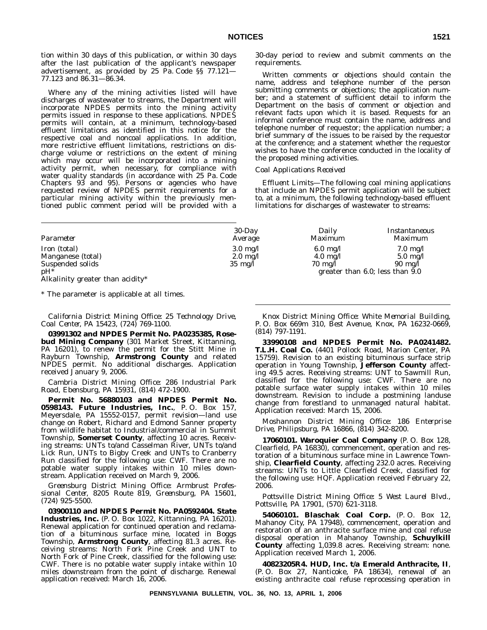tion within 30 days of this publication, or within 30 days after the last publication of the applicant's newspaper advertisement, as provided by 25 Pa. Code §§ 77.121— 77.123 and 86.31—86.34.

Where any of the mining activities listed will have discharges of wastewater to streams, the Department will incorporate NPDES permits into the mining activity permits issued in response to these applications. NPDES permits will contain, at a minimum, technology-based effluent limitations as identified in this notice for the respective coal and noncoal applications. In addition, more restrictive effluent limitations, restrictions on discharge volume or restrictions on the extent of mining which may occur will be incorporated into a mining activity permit, when necessary, for compliance with water quality standards (in accordance with 25 Pa. Code Chapters 93 and 95). Persons or agencies who have requested review of NPDES permit requirements for a particular mining activity within the previously mentioned public comment period will be provided with a 30-day period to review and submit comments on the requirements.

Written comments or objections should contain the name, address and telephone number of the person submitting comments or objections; the application number; and a statement of sufficient detail to inform the Department on the basis of comment or objection and relevant facts upon which it is based. Requests for an informal conference must contain the name, address and telephone number of requestor; the application number; a brief summary of the issues to be raised by the requestor at the conference; and a statement whether the requestor wishes to have the conference conducted in the locality of the proposed mining activities.

#### *Coal Applications Received*

*Effluent Limits—*The following coal mining applications that include an NPDES permit application will be subject to, at a minimum, the following technology-based effluent limitations for discharges of wastewater to streams:

| Parameter                                  | $30$ -Day          | Daily              | Instantaneous                        |
|--------------------------------------------|--------------------|--------------------|--------------------------------------|
|                                            | Average            | Maximum            | <i>Maximum</i>                       |
| Iron (total)                               | $3.0 \text{ mg}/l$ | $6.0 \text{ mg}/l$ | $7.0 \text{ mg}/l$                   |
| Manganese (total)                          | $2.0 \text{ mg}/l$ | $4.0 \text{ mg}/l$ | $5.0 \text{ mg}/l$                   |
| Suspended solids                           | $35 \text{ mg/l}$  | $70 \text{ mg/l}$  | $90 \text{ mg}/l$                    |
| $pH^*$<br>Alkalinity greater than acidity* |                    |                    | greater than $6.0$ ; less than $9.0$ |

\* The parameter is applicable at all times.

*California District Mining Office: 25 Technology Drive, Coal Center, PA 15423, (724) 769-1100.*

**03991302 and NPDES Permit No. PA0235385, Rosebud Mining Company** (301 Market Street, Kittanning, PA 16201), to renew the permit for the Stitt Mine in Rayburn Township, **Armstrong County** and related NPDES permit. No additional discharges. Application received January 9, 2006.

*Cambria District Mining Office: 286 Industrial Park Road, Ebensburg, PA 15931, (814) 472-1900.*

**Permit No. 56880103 and NPDES Permit No. 0598143. Future Industries, Inc.**, P. O. Box 157, Meyersdale, PA 15552-0157, permit revision—land use change on Robert, Richard and Edmond Sanner property from wildlife habitat to Industrial/commercial in Summit Township, **Somerset County**, affecting 10 acres. Receiving streams: UNTs to/and Casselman River, UNTs to/and Lick Run, UNTs to Bigby Creek and UNTs to Cranberry Run classified for the following use: CWF. There are no potable water supply intakes within 10 miles downstream. Application received on March 9, 2006.

*Greensburg District Mining Office: Armbrust Professional Center, 8205 Route 819, Greensburg, PA 15601, (724) 925-5500.*

**03900110 and NPDES Permit No. PA0592404. State Industries, Inc.** (P. O. Box 1022, Kittanning, PA 16201). Renewal application for continued operation and reclamation of a bituminous surface mine, located in Boggs Township, **Armstrong County**, affecting 81.3 acres. Receiving streams: North Fork Pine Creek and UNT to North Fork of Pine Creek, classified for the following use: CWF. There is no potable water supply intake within 10 miles downstream from the point of discharge. Renewal application received: March 16, 2006.

*Knox District Mining Office: White Memorial Building, P. O. Box 669m 310, Best Avenue, Knox, PA 16232-0669, (814) 797-1191.*

**33990108 and NPDES Permit No. PA0241482. T.L.H. Coal Co.** (4401 Pollock Road, Marion Center, PA 15759). Revision to an existing bituminous surface strip operation in Young Township, **Jefferson County** affecting 49.5 acres. Receiving streams: UNT to Sawmill Run, classified for the following use: CWF. There are no potable surface water supply intakes within 10 miles downstream. Revision to include a postmining landuse change from forestland to unmanaged natural habitat. Application received: March 15, 2006.

*Moshannon District Mining Office: 186 Enterprise Drive, Philipsburg, PA 16866, (814) 342-8200.*

**17060101. Waroquier Coal Company** (P. O. Box 128, Clearfield, PA 16830), commencement, operation and restoration of a bituminous surface mine in Lawrence Township, **Clearfield County**, affecting 232.0 acres. Receiving streams: UNTs to Little Clearfield Creek, classified for the following use: HQF. Application received February 22, 2006.

*Pottsville District Mining Office: 5 West Laurel Blvd., Pottsville, PA 17901, (570) 621-3118.*

**54060101. Blaschak Coal Corp.** (P. O. Box 12, Mahanoy City, PA 17948), commencement, operation and restoration of an anthracite surface mine and coal refuse disposal operation in Mahanoy Township, **Schuylkill County** affecting 1,039.8 acres. Receiving stream: none. Application received March 1, 2006.

**40823205R4. HUD, Inc. t/a Emerald Anthracite, II**, (P. O. Box 27, Nanticoke, PA 18634), renewal of an existing anthracite coal refuse reprocessing operation in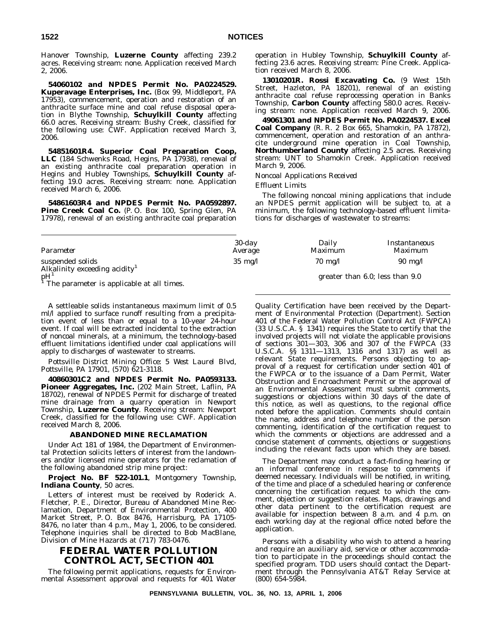Hanover Township, **Luzerne County** affecting 239.2 acres. Receiving stream: none. Application received March 2, 2006.

**54060102 and NPDES Permit No. PA0224529. Kuperavage Enterprises, Inc.** (Box 99, Middleport, PA 17953), commencement, operation and restoration of an anthracite surface mine and coal refuse disposal operation in Blythe Township, **Schuylkill County** affecting 66.0 acres. Receiving stream: Bushy Creek, classified for the following use: CWF. Application received March 3, 2006.

**54851601R4. Superior Coal Preparation Coop, LLC** (184 Schwenks Road, Hegins, PA 17938), renewal of an existing anthracite coal preparation operation in Hegins and Hubley Townships, **Schuylkill County** affecting 19.0 acres. Receiving stream: none. Application received March 6, 2006.

**54861603R4 and NPDES Permit No. PA0592897.** Pine Creek Coal Co. (P. O. Box 100, Spring Glen, PA 17978), renewal of an existing anthracite coal preparation operation in Hubley Township, **Schuylkill County** affecting 23.6 acres. Receiving stream: Pine Creek. Application received March 8, 2006.

**13010201R. Rossi Excavating Co.** (9 West 15th Street, Hazleton, PA 18201), renewal of an existing anthracite coal refuse reprocessing operation in Banks Township, **Carbon County** affecting 580.0 acres. Receiving stream: none. Application received March 9, 2006.

**49061301 and NPDES Permit No. PA0224537. Excel Coal Company** (R. R. 2 Box 665, Shamokin, PA 17872), commencement, operation and restoration of an anthracite underground mine operation in Coal Township, **Northumberland County** affecting 2.5 acres. Receiving stream: UNT to Shamokin Creek. Application received March 9, 2006.

#### *Noncoal Applications Received*

#### *Effluent Limits*

The following noncoal mining applications that include an NPDES permit application will be subject to, at a minimum, the following technology-based effluent limitations for discharges of wastewater to streams:

| Parameter                                                                             | $30$ -day<br>Average | Daily<br><b>Maximum</b> | Instantaneous<br><i>Maximum</i>      |
|---------------------------------------------------------------------------------------|----------------------|-------------------------|--------------------------------------|
| suspended solids<br>Alkalinity exceeding acidity <sup>1</sup>                         | $35 \text{ mg}/l$    | $70 \text{ mg}/l$       | $90 \text{ mg/l}$                    |
| $\mathbf{p}$ H <sup>1</sup><br><sup>1</sup> The parameter is applicable at all times. |                      |                         | greater than $6.0$ ; less than $9.0$ |

A settleable solids instantaneous maximum limit of 0.5 ml/l applied to surface runoff resulting from a precipitation event of less than or equal to a 10-year 24-hour event. If coal will be extracted incidental to the extraction of noncoal minerals, at a minimum, the technology-based effluent limitations identified under coal applications will apply to discharges of wastewater to streams.

*Pottsville District Mining Office: 5 West Laurel Blvd, Pottsville, PA 17901, (570) 621-3118.*

**40860301C2 and NPDES Permit No. PA0593133. Pioneer Aggregates, Inc.** (202 Main Street, Laflin, PA 18702), renewal of NPDES Permit for discharge of treated mine drainage from a quarry operation in Newport Township, **Luzerne County**. Receiving stream: Newport Creek, classified for the following use: CWF. Application received March 8, 2006.

#### **ABANDONED MINE RECLAMATION**

Under Act 181 of 1984, the Department of Environmental Protection solicits letters of interest from the landowners and/or licensed mine operators for the reclamation of the following abandoned strip mine project:

**Project No. BF 522-101.1**, Montgomery Township, **Indiana County**, 50 acres.

Letters of interest must be received by Roderick A. Fletcher, P. E., Director, Bureau of Abandoned Mine Reclamation, Department of Environmental Protection, 400 Market Street, P. O. Box 8476, Harrisburg, PA 17105- 8476, no later than 4 p.m., May 1, 2006, to be considered. Telephone inquiries shall be directed to Bob MacBlane, Division of Mine Hazards at (717) 783-0476.

# **FEDERAL WATER POLLUTION CONTROL ACT, SECTION 401**

The following permit applications, requests for Environmental Assessment approval and requests for 401 Water

Quality Certification have been received by the Department of Environmental Protection (Department). Section 401 of the Federal Water Pollution Control Act (FWPCA) (33 U.S.C.A. § 1341) requires the State to certify that the involved projects will not violate the applicable provisions of sections 301—303, 306 and 307 of the FWPCA (33 U.S.C.A. §§ 1311—1313, 1316 and 1317) as well as relevant State requirements. Persons objecting to approval of a request for certification under section 401 of the FWPCA or to the issuance of a Dam Permit, Water Obstruction and Encroachment Permit or the approval of an Environmental Assessment must submit comments, suggestions or objections within 30 days of the date of this notice, as well as questions, to the regional office noted before the application. Comments should contain the name, address and telephone number of the person commenting, identification of the certification request to which the comments or objections are addressed and a concise statement of comments, objections or suggestions including the relevant facts upon which they are based.

The Department may conduct a fact-finding hearing or an informal conference in response to comments if deemed necessary. Individuals will be notified, in writing, of the time and place of a scheduled hearing or conference concerning the certification request to which the comment, objection or suggestion relates. Maps, drawings and other data pertinent to the certification request are available for inspection between  $8$  a.m. and  $\overline{4}$  p.m. on each working day at the regional office noted before the application.

Persons with a disability who wish to attend a hearing and require an auxiliary aid, service or other accommodation to participate in the proceedings should contact the specified program. TDD users should contact the Department through the Pennsylvania AT&T Relay Service at (800) 654-5984.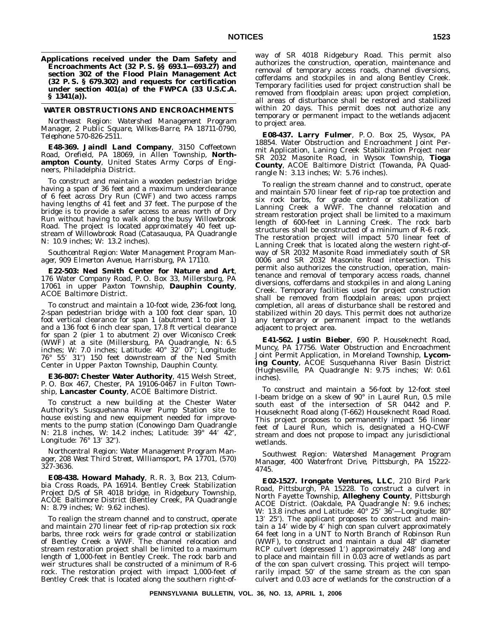#### **WATER OBSTRUCTIONS AND ENCROACHMENTS**

*Northeast Region: Watershed Management Program Manager, 2 Public Square, Wilkes-Barre, PA 18711-0790, Telephone 570-826-2511.*

**E48-369. Jaindl Land Company**, 3150 Coffeetown Road, Orefield, PA 18069, in Allen Township, **Northampton County**, United States Army Corps of Engineers, Philadelphia District.

To construct and maintain a wooden pedestrian bridge having a span of 36 feet and a maximum underclearance of 6 feet across Dry Run (CWF) and two access ramps having lengths of 41 feet and 37 feet. The purpose of the bridge is to provide a safer access to areas north of Dry Run without having to walk along the busy Willowbrook Road. The project is located approximately 40 feet upstream of Willowbrook Road (Catasauqua, PA Quadrangle N: 10.9 inches; W: 13.2 inches).

*Southcentral Region: Water Management Program Manager, 909 Elmerton Avenue, Harrisburg, PA 17110.*

**E22-503: Ned Smith Center for Nature and Art**, 176 Water Company Road, P. O. Box 33, Millersburg, PA 17061 in upper Paxton Township, **Dauphin County**, ACOE Baltimore District.

To construct and maintain a 10-foot wide, 236-foot long, 2-span pedestrian bridge with a 100 foot clear span, 10 foot vertical clearance for span 1 (abutment 1 to pier 1) and a 136 foot 6 inch clear span, 17.8 ft vertical clearance for span 2 (pier 1 to abutment 2) over Wiconisco Creek (WWF) at a site (Millersburg, PA Quadrangle, N: 6.5 inches; W: 7.0 inches; Latitude: 40° 32′ 07″; Longitude: 76° 55' 31") 150 feet downstream of the Ned Smith Center in Upper Paxton Township, Dauphin County.

**E36-807: Chester Water Authority**, 415 Welsh Street, P. O. Box 467, Chester, PA 19106-0467 in Fulton Township, **Lancaster County**, ACOE Baltimore District.

To construct a new building at the Chester Water Authority's Susquehanna River Pump Station site to house existing and new equipment needed for improvements to the pump station (Conowingo Dam Quadrangle N: 21.8 inches, W: 14.2 inches; Latitude: 39° 44′ 42″, Longitude: 76° 13′ 32″).

*Northcentral Region: Water Management Program Manager, 208 West Third Street, Williamsport, PA 17701, (570) 327-3636.*

**E08-438. Howard Mahady**, R. R. 3, Box 213, Columbia Cross Roads, PA 16914. Bentley Creek Stabilization Project D/S of SR 4018 bridge, in Ridgebury Township, ACOE Baltimore District (Bentley Creek, PA Quadrangle N: 8.79 inches; W: 9.62 inches).

To realign the stream channel and to construct, operate and maintain 270 linear feet of rip-rap protection six rock barbs, three rock weirs for grade control or stabilization of Bentley Creek a WWF. The channel relocation and stream restoration project shall be limited to a maximum length of 1,000-feet in Bentley Creek. The rock barb and weir structures shall be constructed of a minimum of R-6 rock. The restoration project with impact 1,000-feet of Bentley Creek that is located along the southern right-ofway of SR 4018 Ridgebury Road. This permit also authorizes the construction, operation, maintenance and removal of temporary access roads, channel diversions, cofferdams and stockpiles in and along Bentley Creek. Temporary facilities used for project construction shall be removed from floodplain areas; upon project completion, all areas of disturbance shall be restored and stabilized within 20 days. This permit does not authorize any temporary or permanent impact to the wetlands adjacent to project area.

**E08-437. Larry Fulmer**, P. O. Box 25, Wysox, PA 18854. Water Obstruction and Encroachment Joint Permit Application, Laning Creek Stabilization Project near SR 2032 Masonite Road, in Wysox Township, **Tioga County**, ACOE Baltimore District (Towanda, PA Quadrangle N: 3.13 inches; W: 5.76 inches).

To realign the stream channel and to construct, operate and maintain 570 linear feet of rip-rap toe protection and six rock barbs, for grade control or stabilization of Lanning Creek a WWF. The channel relocation and stream restoration project shall be limited to a maximum length of 600-feet in Lanning Creek. The rock barb structures shall be constructed of a minimum of R-6 rock. The restoration project will impact 570 linear feet of Lanning Creek that is located along the western right-ofway of SR 2032 Masonite Road immediately south of SR 0006 and SR 2032 Masonite Road intersection. This permit also authorizes the construction, operation, maintenance and removal of temporary access roads, channel diversions, cofferdams and stockpiles in and along Laning Creek. Temporary facilities used for project construction shall be removed from floodplain areas; upon project completion, all areas of disturbance shall be restored and stabilized within 20 days. This permit does not authorize any temporary or permanent impact to the wetlands adjacent to project area.

**E41-562. Justin Bieber**, 690 P. Houseknecht Road, Muncy, PA 17756. Water Obstruction and Encroachment Joint Permit Application, in Moreland Township, **Lycoming County**, ACOE Susquehanna River Basin District (Hughesville, PA Quadrangle N: 9.75 inches; W: 0.61 inches).

To construct and maintain a 56-foot by 12-foot steel I-beam bridge on a skew of 90° in Laurel Run, 0.5 mile south east of the intersection of SR 0442 and P. Houseknecht Road along (T-662) Houseknecht Road Road. This project proposes to permanently impact 56 linear feet of Laurel Run, which is, designated a HQ-CWF stream and does not propose to impact any jurisdictional wetlands.

*Southwest Region: Watershed Management Program Manager, 400 Waterfront Drive, Pittsburgh, PA 15222- 4745.*

**E02-1527. Irongate Ventures, LLC**, 210 Bird Park Road, Pittsburgh, PA 15228. To construct a culvert in North Fayette Township, **Allegheny County**, Pittsburgh ACOE District. (Oakdale, PA Quadrangle N: 9.6 inches; W: 13.8 inches and Latitude:  $40^{\circ}$  25' 36"—Longitude:  $80^{\circ}$ 13' 25"). The applicant proposes to construct and maintain a 14' wide by 4' high con span culvert approximately 64 feet long in a UNT to North Branch of Robinson Run (WWF), to construct and maintain a dual 48" diameter RCP culvert (depressed 1') approximately 248' long and to place and maintain fill in 0.03 acre of wetlands as part of the con span culvert crossing. This project will temporarily impact 50' of the same stream as the con span culvert and 0.03 acre of wetlands for the construction of a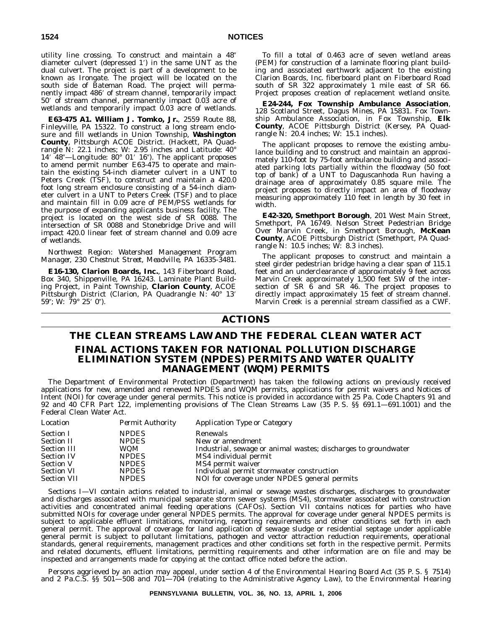utility line crossing. To construct and maintain a 48 diameter culvert (depressed 1') in the same UNT as the dual culvert. The project is part of a development to be known as Irongate. The project will be located on the south side of Bateman Road. The project will permanently impact 486' of stream channel, temporarily impact 50' of stream channel, permanently impact 0.03 acre of wetlands and temporarily impact 0.03 acre of wetlands.

**E63-475 A1. William J. Tomko, Jr.**, 2559 Route 88, Finleyville, PA 15322. To construct a long stream enclosure and fill wetlands in Union Township, Washington **County**, Pittsburgh ACOE District. (Hackett, PA Quadrangle N: 22.1 inches; W: 2.95 inches and Latitude: 40° 14' 48"—Longitude: 80° 01' 16"). The applicant proposes to amend permit number E63-475 to operate and maintain the existing 54-inch diameter culvert in a UNT to Peters Creek (TSF), to construct and maintain a 420.0 foot long stream enclosure consisting of a 54-inch diameter culvert in a UNT to Peters Creek (TSF) and to place and maintain fill in 0.09 acre of PEM/PSS wetlands for the purpose of expanding applicants business facility. The project is located on the west side of SR 0088. The intersection of SR 0088 and Stonebridge Drive and will impact 420.0 linear feet of stream channel and 0.09 acre of wetlands.

*Northwest Region: Watershed Management Program Manager, 230 Chestnut Street, Meadville, PA 16335-3481.*

**E16-130, Clarion Boards, Inc.**, 143 Fiberboard Road, Box 340, Shippenville, PA 16243. Laminate Plant Building Project, in Paint Township, **Clarion County**, ACOE Pittsburgh District (Clarion, PA Quadrangle N: 40° 13' 59"; W: 79° 25′ 0″).

To fill a total of 0.463 acre of seven wetland areas (PEM) for construction of a laminate flooring plant building and associated earthwork adjacent to the existing Clarion Boards, Inc. fiberboard plant on Fiberboard Road south of SR 322 approximately 1 mile east of SR 66. Project proposes creation of replacement wetland onsite.

**E24-244, Fox Township Ambulance Association**, 128 Scotland Street, Dagus Mines, PA 15831. Fox Township Ambulance Association, in Fox Township, **Elk County**, ACOE Pittsburgh District (Kersey, PA Quadrangle N: 20.4 inches; W: 15.1 inches).

The applicant proposes to remove the existing ambulance building and to construct and maintain an approximately 110-foot by 75-foot ambulance building and associated parking lots partially within the floodway (50 foot top of bank) of a UNT to Daguscanhoda Run having a drainage area of approximately 0.85 square mile. The project proposes to directly impact an area of floodway measuring approximately 110 feet in length by 30 feet in width.

**E42-320, Smethport Borough**, 201 West Main Street, Smethport, PA 16749. Nelson Street Pedestrian Bridge Over Marvin Creek, in Smethport Borough, **McKean County**, ACOE Pittsburgh District (Smethport, PA Quadrangle N: 10.5 inches; W: 8.3 inches).

The applicant proposes to construct and maintain a steel girder pedestrian bridge having a clear span of 115.1 feet and an underclearance of approximately 9 feet across Marvin Creek approximately 1,500 feet SW of the intersection of SR  $\hat{6}$  and SR 46. The project proposes to directly impact approximately 15 feet of stream channel. Marvin Creek is a perennial stream classified as a CWF.

# **ACTIONS**

# **THE CLEAN STREAMS LAW AND THE FEDERAL CLEAN WATER ACT FINAL ACTIONS TAKEN FOR NATIONAL POLLUTION DISCHARGE ELIMINATION SYSTEM (NPDES) PERMITS AND WATER QUALITY MANAGEMENT (WQM) PERMITS**

The Department of Environmental Protection (Department) has taken the following actions on previously received applications for new, amended and renewed NPDES and WQM permits, applications for permit waivers and Notices of Intent (NOI) for coverage under general permits. This notice is provided in accordance with 25 Pa. Code Chapters 91 and 92 and 40 CFR Part 122, implementing provisions of The Clean Streams Law (35 P. S. §§ 691.1—691.1001) and the Federal Clean Water Act.

| Location           | <b>Permit Authority</b> | <b>Application Type or Category</b>                            |
|--------------------|-------------------------|----------------------------------------------------------------|
| <b>Section I</b>   | <b>NPDES</b>            | Renewals                                                       |
| <b>Section II</b>  | <b>NPDES</b>            | New or amendment                                               |
| <b>Section III</b> | WQM                     | Industrial, sewage or animal wastes; discharges to groundwater |
| <b>Section IV</b>  | <b>NPDES</b>            | MS4 individual permit                                          |
| <b>Section V</b>   | <b>NPDES</b>            | MS4 permit waiver                                              |
| <b>Section VI</b>  | <b>NPDES</b>            | Individual permit stormwater construction                      |
| <b>Section VII</b> | <b>NPDES</b>            | NOI for coverage under NPDES general permits                   |

Sections I—VI contain actions related to industrial, animal or sewage wastes discharges, discharges to groundwater and discharges associated with municipal separate storm sewer systems (MS4), stormwater associated with construction activities and concentrated animal feeding operations (CAFOs). Section VII contains notices for parties who have submitted NOIs for coverage under general NPDES permits. The approval for coverage under general NPDES permits is subject to applicable effluent limitations, monitoring, reporting requirements and other conditions set forth in each general permit. The approval of coverage for land application of sewage sludge or residential septage under applicable general permit is subject to pollutant limitations, pathogen and vector attraction reduction requirements, operational standards, general requirements, management practices and other conditions set forth in the respective permit. Permits and related documents, effluent limitations, permitting requirements and other information are on file and may be inspected and arrangements made for copying at the contact office noted before the action.

Persons aggrieved by an action may appeal, under section 4 of the Environmental Hearing Board Act (35 P. S. § 7514) and 2 Pa.C.S. §§ 501—508 and 701—704 (relating to the Administrative Agency Law), to the Environmental Hearing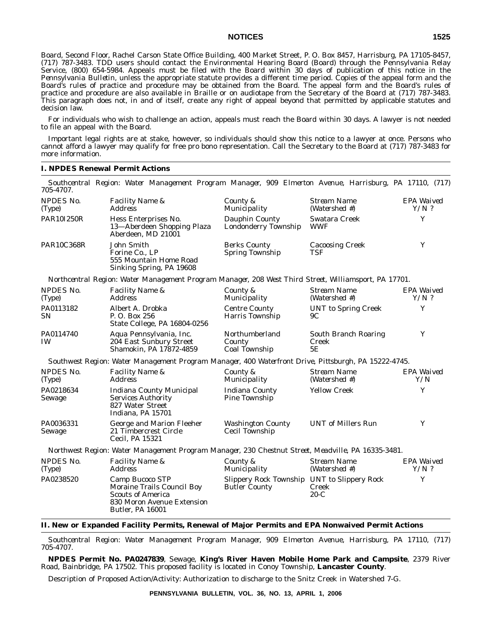Board, Second Floor, Rachel Carson State Office Building, 400 Market Street, P. O. Box 8457, Harrisburg, PA 17105-8457, (717) 787-3483. TDD users should contact the Environmental Hearing Board (Board) through the Pennsylvania Relay Service, (800) 654-5984. Appeals must be filed with the Board within 30 days of publication of this notice in the *Pennsylvania Bulletin*, unless the appropriate statute provides a different time period. Copies of the appeal form and the Board's rules of practice and procedure may be obtained from the Board. The appeal form and the Board's rules of practice and procedure are also available in Braille or on audiotape from the Secretary of the Board at (717) 787-3483. This paragraph does not, in and of itself, create any right of appeal beyond that permitted by applicable statutes and decision law.

For individuals who wish to challenge an action, appeals must reach the Board within 30 days. A lawyer is not needed to file an appeal with the Board.

Important legal rights are at stake, however, so individuals should show this notice to a lawyer at once. Persons who cannot afford a lawyer may qualify for free pro bono representation. Call the Secretary to the Board at (717) 787-3483 for more information.

#### **I. NPDES Renewal Permit Actions**

*Southcentral Region: Water Management Program Manager, 909 Elmerton Avenue, Harrisburg, PA 17110, (717) 705-4707. EPA Waived*

| <b>NPDES</b> No.<br>(Type) | <b>Facility Name &amp;</b><br><b>Address</b>                                                                                       | County &<br>Municipality                                            | Stream Name<br>(Watershed #)        | EPA Waived<br>$Y/N$ ? |
|----------------------------|------------------------------------------------------------------------------------------------------------------------------------|---------------------------------------------------------------------|-------------------------------------|-----------------------|
| PAR10I250R                 | Hess Enterprises No.<br>13-Aberdeen Shopping Plaza<br>Aberdeen. MD 21001                                                           | Dauphin County<br><b>Londonderry Township</b>                       | Swatara Creek<br><b>WWF</b>         | Y                     |
| <b>PAR10C368R</b>          | John Smith<br>Forine Co., LP<br>555 Mountain Home Road<br>Sinking Spring, PA 19608                                                 | <b>Berks County</b><br><b>Spring Township</b>                       | <b>Cacoosing Creek</b><br>TSF       | Y                     |
|                            | Northcentral Region: Water Management Program Manager, 208 West Third Street, Williamsport, PA 17701.                              |                                                                     |                                     |                       |
| NPDES No.<br>(Type)        | <i>Facility Name &amp;</i><br><i>Address</i>                                                                                       | County &<br>Municipality                                            | Stream Name<br>(Watershed #)        | EPA Waived<br>$Y/N$ ? |
| PA0113182<br><b>SN</b>     | Albert A. Drobka<br>P.O. Box 256<br>State College, PA 16804-0256                                                                   | <b>Centre County</b><br>Harris Township                             | <b>UNT</b> to Spring Creek<br>9C    | Y                     |
| PA0114740<br><b>IW</b>     | Aqua Pennsylvania, Inc.<br>204 East Sunbury Street<br>Shamokin, PA 17872-4859                                                      | Northumberland<br>County<br>Coal Township                           | South Branch Roaring<br>Creek<br>5E | Y                     |
|                            | Southwest Region: Water Management Program Manager, 400 Waterfront Drive, Pittsburgh, PA 15222-4745.                               |                                                                     |                                     |                       |
| <b>NPDES No.</b><br>(Type) | Facility Name &<br><i>Address</i>                                                                                                  | County &<br>Municipality                                            | Stream Name<br>(Watershed #)        | EPA Waived<br>Y/N     |
| PA0218634<br>Sewage        | Indiana County Municipal<br><b>Services Authority</b><br>827 Water Street<br>Indiana, PA 15701                                     | <b>Indiana County</b><br>Pine Township                              | <b>Yellow Creek</b>                 | Y                     |
| PA0036331<br>Sewage        | George and Marion Fleeher<br>21 Timbercrest Circle<br>Cecil, PA 15321                                                              | <b>Washington County</b><br>Cecil Township                          | <b>UNT</b> of Millers Run           | Y                     |
|                            | Northwest Region: Water Management Program Manager, 230 Chestnut Street, Meadville, PA 16335-3481.                                 |                                                                     |                                     |                       |
| NPDES No.<br>(Type)        | Facility Name &<br><b>Address</b>                                                                                                  | County &<br>Municipality                                            | <b>Stream Name</b><br>(Watershed #) | EPA Waived<br>$Y/N$ ? |
| PA0238520                  | Camp Bucoco STP<br>Moraine Trails Council Boy<br><b>Scouts of America</b><br>830 Moron Avenue Extension<br><b>Butler. PA 16001</b> | Slippery Rock Township UNT to Slippery Rock<br><b>Butler County</b> | Creek<br>$20-C$                     | Y                     |

**II. New or Expanded Facility Permits, Renewal of Major Permits and EPA Nonwaived Permit Actions**

*Southcentral Region: Water Management Program Manager, 909 Elmerton Avenue, Harrisburg, PA 17110, (717) 705-4707.*

**NPDES Permit No. PA0247839**, Sewage, **King's River Haven Mobile Home Park and Campsite**, 2379 River Road, Bainbridge, PA 17502. This proposed facility is located in Conoy Township, **Lancaster County**.

Description of Proposed Action/Activity: Authorization to discharge to the Snitz Creek in Watershed 7-G.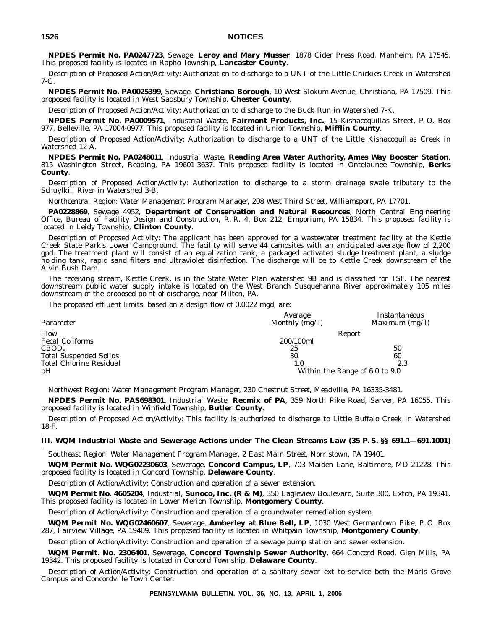**NPDES Permit No. PA0247723**, Sewage, **Leroy and Mary Musser**, 1878 Cider Press Road, Manheim, PA 17545. This proposed facility is located in Rapho Township, **Lancaster County**.

Description of Proposed Action/Activity: Authorization to discharge to a UNT of the Little Chickies Creek in Watershed 7-G.

**NPDES Permit No. PA0025399**, Sewage, **Christiana Borough**, 10 West Slokum Avenue, Christiana, PA 17509. This proposed facility is located in West Sadsbury Township, **Chester County**.

Description of Proposed Action/Activity: Authorization to discharge to the Buck Run in Watershed 7-K.

**NPDES Permit No. PA0009571**, Industrial Waste, **Fairmont Products, Inc.**, 15 Kishacoquillas Street, P. O. Box 977, Belleville, PA 17004-0977. This proposed facility is located in Union Township, **Mifflin County**.

Description of Proposed Action/Activity: Authorization to discharge to a UNT of the Little Kishacoquillas Creek in Watershed 12-A.

**NPDES Permit No. PA0248011**, Industrial Waste, **Reading Area Water Authority, Ames Way Booster Station**, 815 Washington Street, Reading, PA 19601-3637. This proposed facility is located in Ontelaunee Township, **Berks County**.

Description of Proposed Action/Activity: Authorization to discharge to a storm drainage swale tributary to the Schuylkill River in Watershed 3-B.

*Northcentral Region: Water Management Program Manager, 208 West Third Street, Williamsport, PA 17701.*

**PA0228869**, Sewage 4952, **Department of Conservation and Natural Resources**, North Central Engineering Office, Bureau of Facility Design and Construction, R. R. 4, Box 212, Emporium, PA 15834. This proposed facility is located in Leidy Township, **Clinton County**.

Description of Proposed Activity: The applicant has been approved for a wastewater treatment facility at the Kettle Creek State Park's Lower Campground. The facility will serve 44 campsites with an anticipated average flow of 2,200 gpd. The treatment plant will consist of an equalization tank, a packaged activated sludge treatment plant, a sludge holding tank, rapid sand filters and ultraviolet disinfection. The discharge will be to Kettle Creek downstream of the Alvin Bush Dam.

The receiving stream, Kettle Creek, is in the State Water Plan watershed 9B and is classified for TSF. The nearest downstream public water supply intake is located on the West Branch Susquehanna River approximately 105 miles downstream of the proposed point of discharge, near Milton, PA.

The proposed effluent limits, based on a design flow of 0.0022 mgd, are:

| Parameter                      | Average<br>Monthly (mg/l)      | Instantaneous<br>Maximum $(mg/l)$ |
|--------------------------------|--------------------------------|-----------------------------------|
| Flow                           | Report                         |                                   |
| <b>Fecal Coliforms</b>         | 200/100ml                      |                                   |
| CBOD <sub>5</sub>              | 25                             | 50                                |
| <b>Total Suspended Solids</b>  | 30                             | 60                                |
| <b>Total Chlorine Residual</b> | 1.0                            | 2.3                               |
| pH                             | Within the Range of 6.0 to 9.0 |                                   |

*Northwest Region: Water Management Program Manager, 230 Chestnut Street, Meadville, PA 16335-3481.*

**NPDES Permit No. PAS698301**, Industrial Waste, **Recmix of PA**, 359 North Pike Road, Sarver, PA 16055. This proposed facility is located in Winfield Township, **Butler County**.

Description of Proposed Action/Activity: This facility is authorized to discharge to Little Buffalo Creek in Watershed 18-F.

### **III. WQM Industrial Waste and Sewerage Actions under The Clean Streams Law (35 P. S. §§ 691.1—691.1001)**

*Southeast Region: Water Management Program Manager, 2 East Main Street, Norristown, PA 19401.*

**WQM Permit No. WQG02230603**, Sewerage, **Concord Campus, LP**, 703 Maiden Lane, Baltimore, MD 21228. This proposed facility is located in Concord Township, **Delaware County**.

Description of Action/Activity: Construction and operation of a sewer extension.

**WQM Permit No. 4605204**, Industrial, **Sunoco, Inc. (R & M)**, 350 Eagleview Boulevard, Suite 300, Exton, PA 19341. This proposed facility is located in Lower Merion Township, **Montgomery County**.

Description of Action/Activity: Construction and operation of a groundwater remediation system.

**WQM Permit No. WQG02460607**, Sewerage, **Amberley at Blue Bell, LP**, 1030 West Germantown Pike, P. O. Box 287, Fairview Village, PA 19409. This proposed facility is located in Whitpain Township, **Montgomery County**.

Description of Action/Activity: Construction and operation of a sewage pump station and sewer extension.

**WQM Permit. No. 2306401**, Sewerage, **Concord Township Sewer Authority**, 664 Concord Road, Glen Mills, PA 19342. This proposed facility is located in Concord Township, **Delaware County**.

Description of Action/Activity: Construction and operation of a sanitary sewer ext to service both the Maris Grove Campus and Concordville Town Center.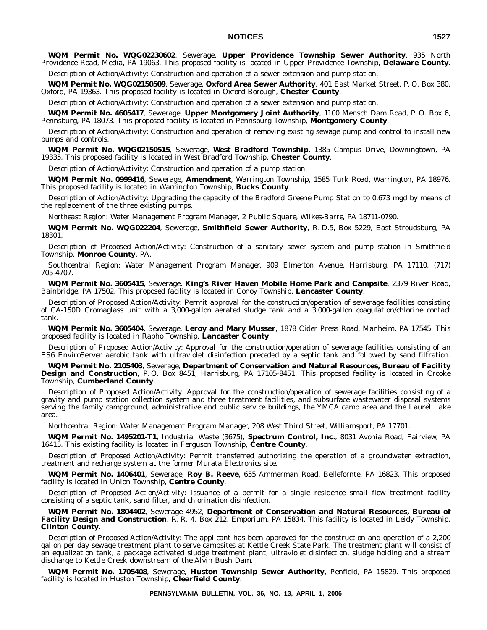**WQM Permit No. WQG02230602**, Sewerage, **Upper Providence Township Sewer Authority**, 935 North Providence Road, Media, PA 19063. This proposed facility is located in Upper Providence Township, **Delaware County**.

Description of Action/Activity: Construction and operation of a sewer extension and pump station.

**WQM Permit No. WQG02150509**, Sewerage, **Oxford Area Sewer Authority**, 401 East Market Street, P. O. Box 380, Oxford, PA 19363. This proposed facility is located in Oxford Borough, **Chester County**.

Description of Action/Activity: Construction and operation of a sewer extension and pump station.

**WQM Permit No. 4605417**, Sewerage, **Upper Montgomery Joint Authority**, 1100 Mensch Dam Road, P. O. Box 6, Pennsburg, PA 18073. This proposed facility is located in Pennsburg Township, **Montgomery County**.

Description of Action/Activity: Construction and operation of removing existing sewage pump and control to install new pumps and controls.

**WQM Permit No. WQG02150515**, Sewerage, **West Bradford Township**, 1385 Campus Drive, Downingtown, PA 19335. This proposed facility is located in West Bradford Township, **Chester County**.

Description of Action/Activity: Construction and operation of a pump station.

**WQM Permit No. 0999416**, Sewerage, **Amendment**, Warrington Township, 1585 Turk Road, Warrington, PA 18976. This proposed facility is located in Warrington Township, **Bucks County**.

Description of Action/Activity: Upgrading the capacity of the Bradford Greene Pump Station to 0.673 mgd by means of the replacement of the three existing pumps.

*Northeast Region: Water Management Program Manager, 2 Public Square, Wilkes-Barre, PA 18711-0790.*

**WQM Permit No. WQG022204**, Sewerage, **Smithfield Sewer Authority**, R. D.5, Box 5229, East Stroudsburg, PA 18301.

Description of Proposed Action/Activity: Construction of a sanitary sewer system and pump station in Smithfield Township, **Monroe County**, PA.

*Southcentral Region: Water Management Program Manager, 909 Elmerton Avenue, Harrisburg, PA 17110, (717) 705-4707.*

**WQM Permit No. 3605415**, Sewerage, **King's River Haven Mobile Home Park and Campsite**, 2379 River Road, Bainbridge, PA 17502. This proposed facility is located in Conoy Township, **Lancaster County**.

Description of Proposed Action/Activity: Permit approval for the construction/operation of sewerage facilities consisting of CA-150D Cromaglass unit with a 3,000-gallon aerated sludge tank and a 3,000-gallon coagulation/chlorine contact tank.

**WQM Permit No. 3605404**, Sewerage, **Leroy and Mary Musser**, 1878 Cider Press Road, Manheim, PA 17545. This proposed facility is located in Rapho Township, **Lancaster County**.

Description of Proposed Action/Activity: Approval for the construction/operation of sewerage facilities consisting of an ES6 EnviroServer aerobic tank with ultraviolet disinfection preceded by a septic tank and followed by sand filtration.

**WQM Permit No. 2105403**, Sewerage, **Department of Conservation and Natural Resources, Bureau of Facility Design and Construction**, P.O. Box 8451, Harrisburg, PA 17105-8451. This proposed facility is located in Crooke Township, **Cumberland County**.

Description of Proposed Action/Activity: Approval for the construction/operation of sewerage facilities consisting of a gravity and pump station collection system and three treatment facilities, and subsurface wastewater disposal systems serving the family campground, administrative and public service buildings, the YMCA camp area and the Laurel Lake area.

*Northcentral Region: Water Management Program Manager, 208 West Third Street, Williamsport, PA 17701.*

**WQM Permit No. 1495201-T1**, Industrial Waste (3675), **Spectrum Control, Inc.**, 8031 Avonia Road, Fairview, PA 16415. This existing facility is located in Ferguson Township, **Centre County**.

Description of Proposed Action/Activity: Permit transferred authorizing the operation of a groundwater extraction, treatment and recharge system at the former Murata Electronics site.

**WQM Permit No. 1406401**, Sewerage, **Roy B. Reeve**, 655 Ammerman Road, Bellefornte, PA 16823. This proposed facility is located in Union Township, **Centre County**.

Description of Proposed Action/Activity: Issuance of a permit for a single residence small flow treatment facility consisting of a septic tank, sand filter, and chlorination disinfection.

**WQM Permit No. 1804402**, Sewerage 4952, **Department of Conservation and Natural Resources, Bureau of Facility Design and Construction**, R. R. 4, Box 212, Emporium, PA 15834. This facility is located in Leidy Township, **Clinton County**.

Description of Proposed Action/Activity: The applicant has been approved for the construction and operation of a 2,200 gallon per day sewage treatment plant to serve campsites at Kettle Creek State Park. The treatment plant will consist of an equalization tank, a package activated sludge treatment plant, ultraviolet disinfection, sludge holding and a stream discharge to Kettle Creek downstream of the Alvin Bush Dam.

**WQM Permit No. 1705408**, Sewerage, **Huston Township Sewer Authority**, Penfield, PA 15829. This proposed facility is located in Huston Township, **Clearfield County**.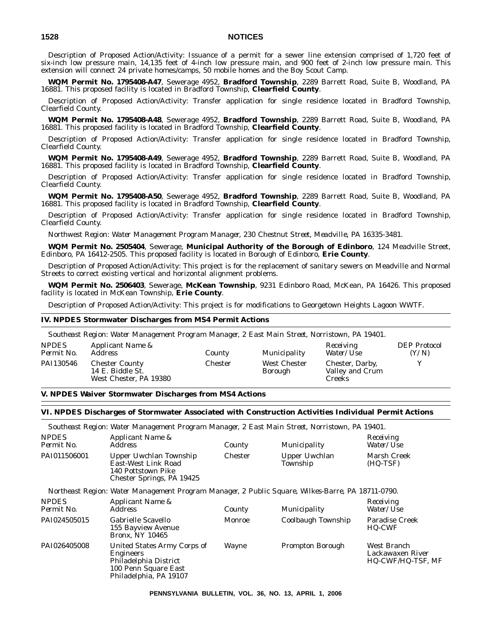Description of Proposed Action/Activity: Issuance of a permit for a sewer line extension comprised of 1,720 feet of six-inch low pressure main, 14,135 feet of 4-inch low pressure main, and 900 feet of 2-inch low pressure main. This extension will connect 24 private homes/camps, 50 mobile homes and the Boy Scout Camp.

**WQM Permit No. 1795408-A47**, Sewerage 4952, **Bradford Township**, 2289 Barrett Road, Suite B, Woodland, PA 16881. This proposed facility is located in Bradford Township, **Clearfield County**.

Description of Proposed Action/Activity: Transfer application for single residence located in Bradford Township, Clearfield County.

**WQM Permit No. 1795408-A48**, Sewerage 4952, **Bradford Township**, 2289 Barrett Road, Suite B, Woodland, PA 16881. This proposed facility is located in Bradford Township, **Clearfield County**.

Description of Proposed Action/Activity: Transfer application for single residence located in Bradford Township, Clearfield County.

**WQM Permit No. 1795408-A49**, Sewerage 4952, **Bradford Township**, 2289 Barrett Road, Suite B, Woodland, PA 16881. This proposed facility is located in Bradford Township, **Clearfield County**.

Description of Proposed Action/Activity: Transfer application for single residence located in Bradford Township, Clearfield County.

**WQM Permit No. 1795408-A50**, Sewerage 4952, **Bradford Township**, 2289 Barrett Road, Suite B, Woodland, PA 16881. This proposed facility is located in Bradford Township, **Clearfield County**.

Description of Proposed Action/Activity: Transfer application for single residence located in Bradford Township, Clearfield County.

*Northwest Region: Water Management Program Manager, 230 Chestnut Street, Meadville, PA 16335-3481.*

**WQM Permit No. 2505404**, Sewerage, **Municipal Authority of the Borough of Edinboro**, 124 Meadville Street, Edinboro, PA 16412-2505. This proposed facility is located in Borough of Edinboro, **Erie County**.

Description of Proposed Action/Activity: This project is for the replacement of sanitary sewers on Meadville and Normal Streets to correct existing vertical and horizontal alignment problems.

**WQM Permit No. 2506403**, Sewerage, **McKean Township**, 9231 Edinboro Road, McKean, PA 16426. This proposed facility is located in McKean Township, **Erie County**.

Description of Proposed Action/Activity: This project is for modifications to Georgetown Heights Lagoon WWTF.

### **IV. NPDES Stormwater Discharges from MS4 Permit Actions**

|                            | Southeast Region: Water Management Program Manager, 2 East Main Street, Norristown, PA 19401. |         |                                |                                              |                              |
|----------------------------|-----------------------------------------------------------------------------------------------|---------|--------------------------------|----------------------------------------------|------------------------------|
| <b>NPDES</b><br>Permit No. | <i>Applicant Name &amp;</i><br><i>Address</i>                                                 | County  | Municipality                   | Receiving<br><i>Water/Use</i>                | <b>DEP</b> Protocol<br>(Y/N) |
| PAI130546                  | <b>Chester County</b><br>14 E. Biddle St.<br>West Chester, PA 19380                           | Chester | <b>West Chester</b><br>Borough | Chester, Darby,<br>Valley and Crum<br>Creeks | v                            |

### **V. NPDES Waiver Stormwater Discharges from MS4 Actions**

#### **VI. NPDES Discharges of Stormwater Associated with Construction Activities Individual Permit Actions**

*Southeast Region: Water Management Program Manager, 2 East Main Street, Norristown, PA 19401.*

| <i>NPDES</i><br>Permit No. | <i>Applicant Name &amp;</i><br>Address                                                           | County  | Municipality              | Receiving<br>Water/Use  |
|----------------------------|--------------------------------------------------------------------------------------------------|---------|---------------------------|-------------------------|
| PAI011506001               | Upper Uwchlan Township<br>East-West Link Road<br>140 Pottstown Pike<br>Chester Springs, PA 19425 | Chester | Upper Uwchlan<br>Township | Marsh Creek<br>(HQ-TSF) |

*Northeast Region: Water Management Program Manager, 2 Public Square, Wilkes-Barre, PA 18711-0790.*

| <b>NPDES</b><br>Permit No. | Applicant Name &<br><i>Address</i>                                                                                         | County       | Municipality            | Receiving<br><i>Water/Use</i>                        |
|----------------------------|----------------------------------------------------------------------------------------------------------------------------|--------------|-------------------------|------------------------------------------------------|
| PAI024505015               | Gabrielle Scavello<br>155 Bayview Avenue<br><b>Bronx, NY 10465</b>                                                         | Monroe       | Coolbaugh Township      | <b>Paradise Creek</b><br>HQ-CWF                      |
| PAI026405008               | United States Army Corps of<br><b>Engineers</b><br>Philadelphia District<br>100 Penn Square East<br>Philadelphia, PA 19107 | <b>Wayne</b> | <b>Prompton Borough</b> | West Branch<br>Lackawaxen River<br>HQ-CWF/HQ-TSF, MF |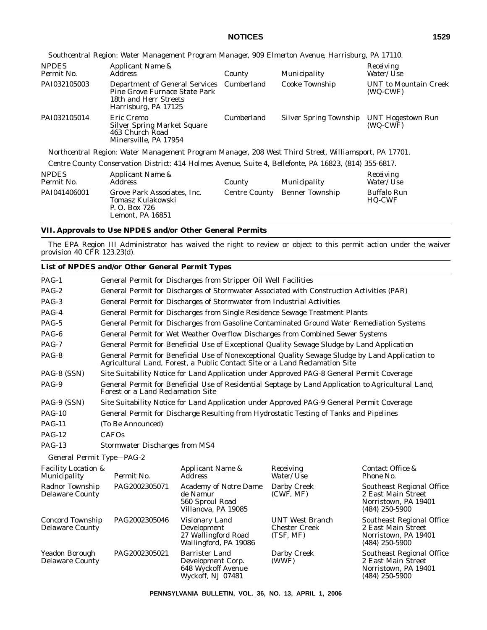*Southcentral Region: Water Management Program Manager, 909 Elmerton Avenue, Harrisburg, PA 17110.*

| <b>NPDES</b><br>Permit No. | Applicant Name &<br>Address                                                                                                        | County     | Municipality                  | Receiving<br>Water/Use                   |
|----------------------------|------------------------------------------------------------------------------------------------------------------------------------|------------|-------------------------------|------------------------------------------|
| PAI032105003               | Department of General Services Cumberland<br><b>Pine Grove Furnace State Park</b><br>18th and Herr Streets<br>Harrisburg, PA 17125 |            | Cooke Township                | <b>UNT</b> to Mountain Creek<br>(WQ-CWF) |
| PAI032105014               | Eric Cremo<br><b>Silver Spring Market Square</b><br>463 Church Road<br>Minersville, PA 17954                                       | Cumberland | <b>Silver Spring Township</b> | <b>UNT Hogestown Run</b><br>(WQ-CWF)     |

*Northcentral Region: Water Management Program Manager, 208 West Third Street, Williamsport, PA 17701.*

*Centre County Conservation District: 414 Holmes Avenue, Suite 4, Bellefonte, PA 16823, (814) 355-6817.*

| <b>NPDES</b><br>Permit No. | Applicant Name &<br>Address                                                           | County               | Municipality    | Receiving<br>Water/Use              |
|----------------------------|---------------------------------------------------------------------------------------|----------------------|-----------------|-------------------------------------|
| PAI041406001               | Grove Park Associates, Inc.<br>Tomasz Kulakowski<br>P. O. Box 726<br>Lemont. PA 16851 | <b>Centre County</b> | Benner Township | <b>Buffalo Run</b><br><b>HQ-CWF</b> |

#### **VII. Approvals to Use NPDES and/or Other General Permits**

The EPA Region III Administrator has waived the right to review or object to this permit action under the waiver provision 40 CFR 123.23(d).

#### **List of NPDES and/or Other General Permit Types** PAG-1 General Permit for Discharges from Stripper Oil Well Facilities PAG-2 General Permit for Discharges of Stormwater Associated with Construction Activities (PAR) PAG-3 General Permit for Discharges of Stormwater from Industrial Activities PAG-4 General Permit for Discharges from Single Residence Sewage Treatment Plants PAG-5 General Permit for Discharges from Gasoline Contaminated Ground Water Remediation Systems PAG-6 General Permit for Wet Weather Overflow Discharges from Combined Sewer Systems PAG-7 General Permit for Beneficial Use of Exceptional Quality Sewage Sludge by Land Application PAG-8 General Permit for Beneficial Use of Nonexceptional Quality Sewage Sludge by Land Application to Agricultural Land, Forest, a Public Contact Site or a Land Reclamation Site PAG-8 (SSN) Site Suitability Notice for Land Application under Approved PAG-8 General Permit Coverage PAG-9 General Permit for Beneficial Use of Residential Septage by Land Application to Agricultural Land, Forest or a Land Reclamation Site PAG-9 (SSN) Site Suitability Notice for Land Application under Approved PAG-9 General Permit Coverage PAG-10 General Permit for Discharge Resulting from Hydrostatic Testing of Tanks and Pipelines PAG-11 (To Be Announced) PAG-12 CAFOs PAG-13 Stormwater Discharges from MS4 *General Permit Type—PAG-2 Facility Location & Municipality Permit No. Applicant Name & Address Receiving Water/Use Contact Office & Phone No.* Radnor Township Delaware County PAG2002305071 Academy of Notre Dame de Namur 560 Sproul Road Villanova, PA 19085 Darby Creek (CWF, MF) Southeast Regional Office 2 East Main Street Norristown, PA 19401 (484) 250-5900 Concord Township Delaware County PAG2002305046 Visionary Land Development 27 Wallingford Road Wallingford, PA 19086 UNT West Branch Chester Creek (TSF, MF) Southeast Regional Office 2 East Main Street Norristown, PA 19401 (484) 250-5900 Yeadon Borough Delaware County PAG2002305021 Barrister Land Development Corp. 648 Wyckoff Avenue Wyckoff, NJ 07481 Darby Creek (WWF) Southeast Regional Office 2 East Main Street Norristown, PA 19401 (484) 250-5900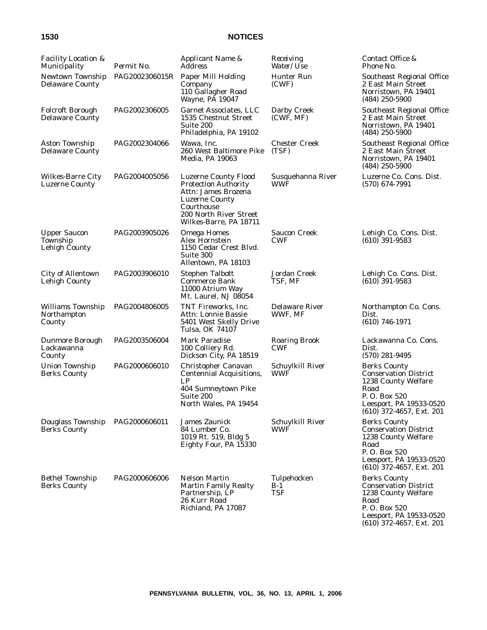| <b>Facility Location &amp;</b><br>Municipality    | Permit No.     | Applicant Name &<br><i>Address</i>                                                                                                                                           | Receiving<br>Water/Use             | Contact Office &<br>Phone No.                                                                                                                               |
|---------------------------------------------------|----------------|------------------------------------------------------------------------------------------------------------------------------------------------------------------------------|------------------------------------|-------------------------------------------------------------------------------------------------------------------------------------------------------------|
| Newtown Township<br><b>Delaware County</b>        | PAG2002306015R | Paper Mill Holding<br>Company<br>110 Gallagher Road<br>Wayne, PA 19047                                                                                                       | Hunter Run<br>(CWF)                | Southeast Regional Office<br>2 East Main Street<br>Norristown, PA 19401<br>$(484)$ 250-5900                                                                 |
| <b>Folcroft Borough</b><br><b>Delaware County</b> | PAG2002306005  | <b>Garnet Associates, LLC</b><br>1535 Chestnut Street<br>Suite 200<br>Philadelphia, PA 19102                                                                                 | Darby Creek<br>(CWF, MF)           | <b>Southeast Regional Office</b><br>2 East Main Street<br>Norristown, PA 19401<br>$(484)$ 250-5900                                                          |
| Aston Township<br><b>Delaware County</b>          | PAG2002304066  | Wawa, Inc.<br>260 West Baltimore Pike<br>Media, PA 19063                                                                                                                     | <b>Chester Creek</b><br>(TSF)      | Southeast Regional Office<br>2 East Main Street<br>Norristown, PA 19401<br>$(484)$ 250-5900                                                                 |
| <b>Wilkes-Barre City</b><br><b>Luzerne County</b> | PAG2004005056  | <b>Luzerne County Flood</b><br><b>Protection Authority</b><br>Attn: James Brozena<br><b>Luzerne County</b><br>Courthouse<br>200 North River Street<br>Wilkes-Barre, PA 18711 | Susquehanna River<br>WWF           | Luzerne Co. Cons. Dist.<br>$(570)$ 674-7991                                                                                                                 |
| <b>Upper Saucon</b><br>Township<br>Lehigh County  | PAG2003905026  | <b>Omega Homes</b><br>Alex Hornstein<br>1150 Cedar Crest Blvd.<br>Suite 300<br>Allentown, PA 18103                                                                           | <b>Saucon Creek</b><br><b>CWF</b>  | Lehigh Co. Cons. Dist.<br>$(610)$ 391-9583                                                                                                                  |
| <b>City of Allentown</b><br>Lehigh County         | PAG2003906010  | <b>Stephen Talbott</b><br><b>Commerce Bank</b><br>11000 Atrium Way<br>Mt. Laurel, NJ 08054                                                                                   | Jordan Creek<br>TSF, MF            | Lehigh Co. Cons. Dist.<br>$(610)$ 391-9583                                                                                                                  |
| <b>Williams Township</b><br>Northampton<br>County | PAG2004806005  | TNT Fireworks, Inc.<br>Attn: Lonnie Bassie<br>5401 West Skelly Drive<br>Tulsa, OK 74107                                                                                      | <b>Delaware River</b><br>WWF, MF   | Northampton Co. Cons.<br>Dist.<br>$(610)$ 746-1971                                                                                                          |
| Dunmore Borough<br>Lackawanna<br>County           | PAG2003506004  | <b>Mark Paradise</b><br>100 Colliery Rd.<br>Dickson City, PA 18519                                                                                                           | <b>Roaring Brook</b><br><b>CWF</b> | Lackawanna Co. Cons.<br>Dist.<br>$(570)$ 281-9495                                                                                                           |
| <b>Union Township</b><br><b>Berks County</b>      | PAG2000606010  | Christopher Canavan<br><b>Centennial Acquisitions,</b><br>LP<br>404 Sumneytown Pike<br>Suite 200<br>North Wales, PA 19454                                                    | Schuylkill River<br><b>WWF</b>     | <b>Berks County</b><br><b>Conservation District</b><br>1238 County Welfare<br>Road<br>P.O. Box 520<br>Leesport, PA 19533-0520<br>$(610)$ 372-4657, Ext. 201 |
| Douglass Township<br><b>Berks County</b>          | PAG2000606011  | <b>James Zaunick</b><br>84 Lumber Co.<br>1019 Rt. 519, Bldg 5<br>Eighty Four, PA 15330                                                                                       | Schuylkill River<br>WWF            | <b>Berks County</b><br><b>Conservation District</b><br>1238 County Welfare<br>Road<br>P.O. Box 520<br>Leesport, PA 19533-0520<br>$(610)$ 372-4657, Ext. 201 |
| <b>Bethel Township</b><br><b>Berks County</b>     | PAG2000606006  | <b>Nelson Martin</b><br><b>Martin Family Realty</b><br>Partnership, LP<br>26 Kurr Road<br>Richland, PA 17087                                                                 | Tulpehocken<br>B-1<br>TSF          | <b>Berks County</b><br><b>Conservation District</b><br>1238 County Welfare<br>Road<br>P.O. Box 520<br>Leesport, PA 19533-0520<br>(610) 372-4657, Ext. 201   |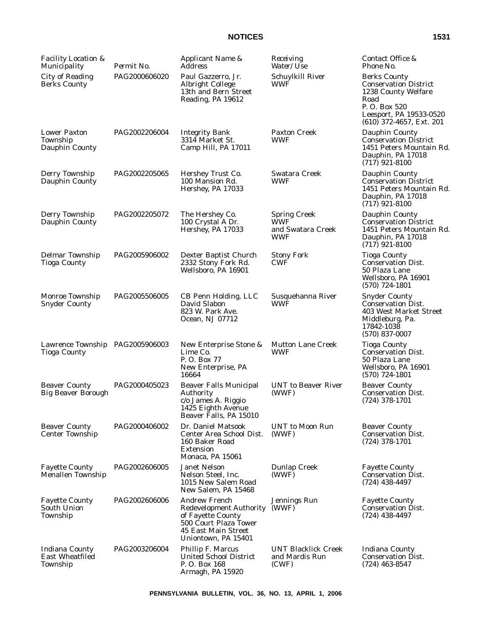| <b>Facility Location &amp;</b><br>Municipality              | Permit No.    | Applicant Name &<br><b>Address</b>                                                                                                                 | Receiving<br>Water/ <i>Use</i>                                | Contact Office &<br>Phone No.                                                                                                                               |
|-------------------------------------------------------------|---------------|----------------------------------------------------------------------------------------------------------------------------------------------------|---------------------------------------------------------------|-------------------------------------------------------------------------------------------------------------------------------------------------------------|
| <b>City of Reading</b><br><b>Berks County</b>               | PAG2000606020 | Paul Gazzerro, Jr.<br>Albright College<br>13th and Bern Street<br>Reading, PA 19612                                                                | Schuylkill River<br><b>WWF</b>                                | <b>Berks County</b><br><b>Conservation District</b><br>1238 County Welfare<br>Road<br>P.O. Box 520<br>Leesport, PA 19533-0520<br>$(610)$ 372-4657, Ext. 201 |
| <b>Lower Paxton</b><br>Township<br>Dauphin County           | PAG2002206004 | <b>Integrity Bank</b><br>3314 Market St.<br>Camp Hill, PA 17011                                                                                    | <b>Paxton Creek</b><br><b>WWF</b>                             | Dauphin County<br><b>Conservation District</b><br>1451 Peters Mountain Rd.<br>Dauphin, PA 17018<br>$(717)$ 921-8100                                         |
| Derry Township<br>Dauphin County                            | PAG2002205065 | Hershey Trust Co.<br>100 Mansion Rd.<br>Hershey, PA 17033                                                                                          | Swatara Creek<br><b>WWF</b>                                   | Dauphin County<br><b>Conservation District</b><br>1451 Peters Mountain Rd.<br>Dauphin, PA 17018<br>$(717)$ 921-8100                                         |
| Derry Township<br>Dauphin County                            | PAG2002205072 | The Hershey Co.<br>100 Crystal A Dr.<br>Hershey, PA 17033                                                                                          | <b>Spring Creek</b><br><b>WWF</b><br>and Swatara Creek<br>WWF | Dauphin County<br><b>Conservation District</b><br>1451 Peters Mountain Rd.<br>Dauphin, PA 17018<br>$(717)$ 921-8100                                         |
| <b>Delmar Township</b><br><b>Tioga County</b>               | PAG2005906002 | Dexter Baptist Church<br>2332 Stony Fork Rd.<br>Wellsboro, PA 16901                                                                                | <b>Stony Fork</b><br><b>CWF</b>                               | <b>Tioga County</b><br><b>Conservation Dist.</b><br>50 Plaza Lane<br>Wellsboro, PA 16901<br>$(570)$ 724-1801                                                |
| Monroe Township<br><b>Snyder County</b>                     | PAG2005506005 | CB Penn Holding, LLC<br>David Slabon<br>823 W. Park Ave.<br>Ocean, NJ 07712                                                                        | Susquehanna River<br>WWF                                      | <b>Snyder County</b><br><b>Conservation Dist.</b><br>403 West Market Street<br>Middleburg, Pa.<br>17842-1038<br>$(570)$ 837-0007                            |
| Lawrence Township PAG2005906003<br><b>Tioga County</b>      |               | New Enterprise Stone &<br>Lime Co.<br>P.O. Box 77<br>New Enterprise, PA<br>16664                                                                   | <b>Mutton Lane Creek</b><br><b>WWF</b>                        | <b>Tioga County</b><br><b>Conservation Dist.</b><br>50 Plaza Lane<br>Wellsboro, PA 16901<br>$(570)$ 724-1801                                                |
| <b>Beaver County</b><br><b>Big Beaver Borough</b>           | PAG2000405023 | <b>Beaver Falls Municipal</b><br>Authority<br>c/o James A. Riggio<br>1425 Eighth Avenue<br>Beaver Falls, PA 15010                                  | <b>UNT</b> to Beaver River<br>(WWF)                           | <b>Beaver County</b><br><b>Conservation Dist.</b><br>$(724)$ 378-1701                                                                                       |
| <b>Beaver County</b><br><b>Center Township</b>              | PAG2000406002 | Dr. Daniel Matsook<br>Center Area School Dist.<br>160 Baker Road<br><b>Extension</b><br>Monaca, PA 15061                                           | <b>UNT</b> to Moon Run<br>(WWF)                               | <b>Beaver County</b><br><b>Conservation Dist.</b><br>$(724)$ 378-1701                                                                                       |
| <b>Fayette County</b><br><b>Menallen Township</b>           | PAG2002606005 | <b>Janet Nelson</b><br>Nelson Steel, Inc.<br>1015 New Salem Road<br>New Salem. PA 15468                                                            | <b>Dunlap Creek</b><br>(WWF)                                  | <b>Fayette County</b><br><b>Conservation Dist.</b><br>$(724)$ 438-4497                                                                                      |
| <b>Fayette County</b><br>South Union<br>Township            | PAG2002606006 | <b>Andrew French</b><br><b>Redevelopment Authority</b><br>of Fayette County<br>500 Court Plaza Tower<br>45 East Main Street<br>Uniontown, PA 15401 | Jennings Run<br>(WWF)                                         | <b>Fayette County</b><br><b>Conservation Dist.</b><br>$(724)$ 438-4497                                                                                      |
| <b>Indiana County</b><br><b>East Wheatfiled</b><br>Township | PAG2003206004 | Phillip F. Marcus<br><b>United School District</b><br>P.O. Box 168<br>Armagh, PA 15920                                                             | <b>UNT Blacklick Creek</b><br>and Mardis Run<br>(CWF)         | <b>Indiana County</b><br><b>Conservation Dist.</b><br>$(724)$ 463-8547                                                                                      |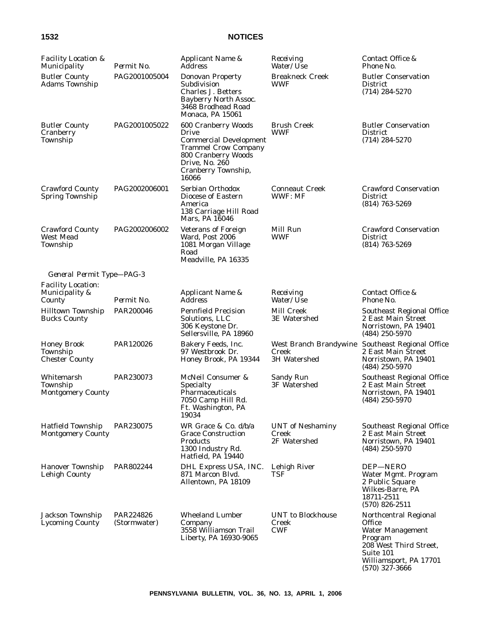| <b>Facility Location &amp;</b><br>Municipality          | Permit No.                | Applicant Name &<br><i>Address</i>                                                                                                                                    | Receiving<br>Water/Use                                 | Contact Office &<br>Phone No.                                                                                                                              |
|---------------------------------------------------------|---------------------------|-----------------------------------------------------------------------------------------------------------------------------------------------------------------------|--------------------------------------------------------|------------------------------------------------------------------------------------------------------------------------------------------------------------|
| <b>Butler County</b><br><b>Adams Township</b>           | PAG2001005004             | Donovan Property<br>Subdivision<br>Charles J. Betters<br>Bayberry North Assoc.<br>3468 Brodhead Road<br>Monaca, PA 15061                                              | <b>Breakneck Creek</b><br>WWF                          | <b>Butler Conservation</b><br><b>District</b><br>$(714) 284 - 5270$                                                                                        |
| <b>Butler County</b><br>Cranberry<br>Township           | PAG2001005022             | 600 Cranberry Woods<br>Drive<br><b>Commercial Development</b><br><b>Trammel Crow Company</b><br>800 Cranberry Woods<br>Drive, No. 260<br>Cranberry Township,<br>16066 | <b>Brush Creek</b><br>WWF                              | <b>Butler Conservation</b><br><b>District</b><br>$(714)$ 284-5270                                                                                          |
| <b>Crawford County</b><br><b>Spring Township</b>        | PAG2002006001             | Serbian Orthodox<br>Diocese of Eastern<br>America<br>138 Carriage Hill Road<br>Mars, PA 16046                                                                         | <b>Conneaut Creek</b><br>WWF: MF                       | <b>Crawford Conservation</b><br><b>District</b><br>$(814)$ 763-5269                                                                                        |
| <b>Crawford County</b><br><b>West Mead</b><br>Township  | PAG2002006002             | <b>Veterans of Foreign</b><br>Ward, Post 2006<br>1081 Morgan Village<br>Road<br>Meadville, PA 16335                                                                   | Mill Run<br>WWF                                        | <b>Crawford Conservation</b><br><b>District</b><br>$(814)$ 763-5269                                                                                        |
| General Permit Type-PAG-3                               |                           |                                                                                                                                                                       |                                                        |                                                                                                                                                            |
| <b>Facility Location:</b><br>Municipality &<br>County   | Permit No.                | Applicant Name &<br><b>Address</b>                                                                                                                                    | Receiving<br>Water/Use                                 | Contact Office &<br>Phone No.                                                                                                                              |
| <b>Hilltown Township</b><br><b>Bucks County</b>         | PAR200046                 | <b>Pennfield Precision</b><br>Solutions, LLC<br>306 Keystone Dr.<br>Sellersville, PA 18960                                                                            | Mill Creek<br><b>3E</b> Watershed                      | Southeast Regional Office<br>2 East Main Street<br>Norristown, PA 19401<br>$(484)$ 250-5970                                                                |
| <b>Honey Brook</b><br>Township<br><b>Chester County</b> | PAR120026                 | Bakery Feeds, Inc.<br>97 Westbrook Dr.<br>Honey Brook, PA 19344                                                                                                       | West Branch Brandywine<br>Creek<br><b>3H Watershed</b> | Southeast Regional Office<br>2 East Main Street<br>Norristown, PA 19401<br>$(484)$ 250-5970                                                                |
| Whitemarsh<br>Township<br><b>Montgomery County</b>      | PAR230073                 | McNeil Consumer &<br>Specialty<br>Pharmaceuticals<br>7050 Camp Hill Rd.<br>Ft. Washington, PA<br>19034                                                                | <b>Sandy Run</b><br>3F Watershed                       | Southeast Regional Office<br>2 East Main Street<br>Norristown, PA 19401<br>$(484)$ 250-5970                                                                |
| <b>Hatfield Township</b><br><b>Montgomery County</b>    | PAR230075                 | WR Grace & Co. d/b/a<br><b>Grace Construction</b><br><b>Products</b><br>1300 Industry Rd.<br>Hatfield, PA 19440                                                       | <b>UNT</b> of Neshaminy<br>Creek<br>2F Watershed       | Southeast Regional Office<br>2 East Main Street<br>Norristown, PA 19401<br>$(484)$ 250-5970                                                                |
| <b>Hanover Township</b><br>Lehigh County                | PAR802244                 | DHL Express USA, INC.<br>871 Marcon Blvd.<br>Allentown, PA 18109                                                                                                      | Lehigh River<br>TSF                                    | DEP-NERO<br>Water Mgmt. Program<br>2 Public Square<br>Wilkes-Barre, PA<br>18711-2511<br>$(570)$ 826-2511                                                   |
| Jackson Township<br><b>Lycoming County</b>              | PAR224826<br>(Stormwater) | <b>Wheeland Lumber</b><br>Company<br>3558 Williamson Trail<br>Liberty, PA 16930-9065                                                                                  | <b>UNT</b> to Blockhouse<br>Creek<br><b>CWF</b>        | Northcentral Regional<br><b>Office</b><br>Water Management<br>Program<br>208 West Third Street,<br>Suite 101<br>Williamsport, PA 17701<br>$(570)$ 327-3666 |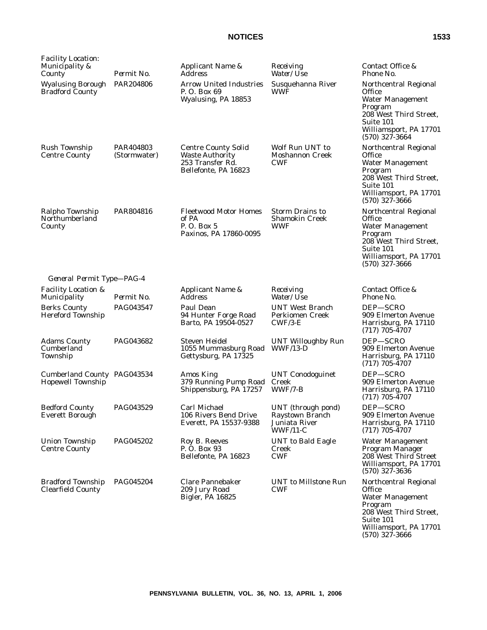| <b>Facility Location:</b><br>Municipality &<br>County | Permit No.                | Applicant Name &<br><i>Address</i>                                                               | Receiving<br>Water/Use                                               | Contact Office &<br>Phone No.                                                                                                                                     |
|-------------------------------------------------------|---------------------------|--------------------------------------------------------------------------------------------------|----------------------------------------------------------------------|-------------------------------------------------------------------------------------------------------------------------------------------------------------------|
| <b>Wyalusing Borough</b><br><b>Bradford County</b>    | PAR204806                 | <b>Arrow United Industries</b><br>P. O. Box 69<br>Wyalusing, PA 18853                            | Susquehanna River<br>WWF                                             | Northcentral Regional<br><b>Office</b><br><b>Water Management</b><br>Program<br>208 West Third Street,<br>Suite 101<br>Williamsport, PA 17701<br>$(570)$ 327-3664 |
| Rush Township<br><b>Centre County</b>                 | PAR404803<br>(Stormwater) | <b>Centre County Solid</b><br><b>Waste Authority</b><br>253 Transfer Rd.<br>Bellefonte, PA 16823 | Wolf Run UNT to<br>Moshannon Creek<br><b>CWF</b>                     | Northcentral Regional<br>Office<br><b>Water Management</b><br>Program<br>208 West Third Street,<br>Suite 101<br>Williamsport, PA 17701<br>$(570)$ 327-3666        |
| Ralpho Township<br>Northumberland<br>County           | PAR804816                 | <b>Fleetwood Motor Homes</b><br>of PA<br>P. O. Box 5<br>Paxinos, PA 17860-0095                   | <b>Storm Drains to</b><br><b>Shamokin Creek</b><br>WWF               | Northcentral Regional<br>Office<br><b>Water Management</b><br>Program<br>208 West Third Street,<br>Suite 101<br>Williamsport, PA 17701<br>$(570)$ 327-3666        |
| General Permit Type-PAG-4                             |                           |                                                                                                  |                                                                      |                                                                                                                                                                   |
| <b>Facility Location &amp;</b><br>Municipality        | Permit No.                | Applicant Name &<br><b>Address</b>                                                               | Receiving<br>Water/Use                                               | Contact Office &<br>Phone No.                                                                                                                                     |
| <b>Berks County</b><br><b>Hereford Township</b>       | PAG043547                 | Paul Dean<br>94 Hunter Forge Road<br>Barto, PA 19504-0527                                        | <b>UNT West Branch</b><br>Perkiomen Creek<br>$CWF/3-E$               | DEP-SCRO<br>909 Elmerton Avenue<br>Harrisburg, PA 17110<br>$(717)$ 705-4707                                                                                       |
| <b>Adams County</b><br>Cumberland<br>Township         | PAG043682                 | Steven Heidel<br>1055 Mummasburg Road<br>Gettysburg, PA 17325                                    | UNT Willoughby Run<br>$WWF/13-D$                                     | DEP-SCRO<br>909 Elmerton Avenue<br>Harrisburg, PA 17110<br>$(717)$ 705-4707                                                                                       |
| Cumberland County PAG043534<br>Hopewell Township      |                           | <b>Amos King</b><br>379 Running Pump Road<br>Shippensburg, PA 17257                              | <b>UNT Conodoguinet</b><br>Creek<br>WWF/7-B                          | DEP-SCRO<br>909 Elmerton Avenue<br>Harrisburg, PA 17110<br>$(717)$ 705-4707                                                                                       |
| <b>Bedford County</b><br><b>Everett Borough</b>       | <b>PAG043529</b>          | Carl Michael<br>106 Rivers Bend Drive<br>Everett, PA 15537-9388                                  | UNT (through pond)<br>Raystown Branch<br>Juniata River<br>$WWF/11-C$ | DEP-SCRO<br>909 Elmerton Avenue<br>Harrisburg, PA 17110<br>$(717)$ 705-4707                                                                                       |
| Union Township<br><b>Centre County</b>                | PAG045202                 | Roy B. Reeves<br>P. O. Box 93<br>Bellefonte, PA 16823                                            | <b>UNT</b> to Bald Eagle<br><b>Creek</b><br><b>CWF</b>               | Water Management<br>Program Manager<br>208 West Third Street<br>Williamsport, PA 17701<br>$(570)$ 327-3636                                                        |
| <b>Bradford Township</b><br>Clearfield County         | PAG045204                 | <b>Clare Pannebaker</b><br>209 Jury Road<br><b>Bigler, PA 16825</b>                              | <b>UNT</b> to Millstone Run<br><b>CWF</b>                            | Northcentral Regional<br><b>Office</b><br>Water Management<br>Program<br>208 West Third Street,<br>Suite 101<br>Williamsport, PA 17701                            |

(570) 327-3666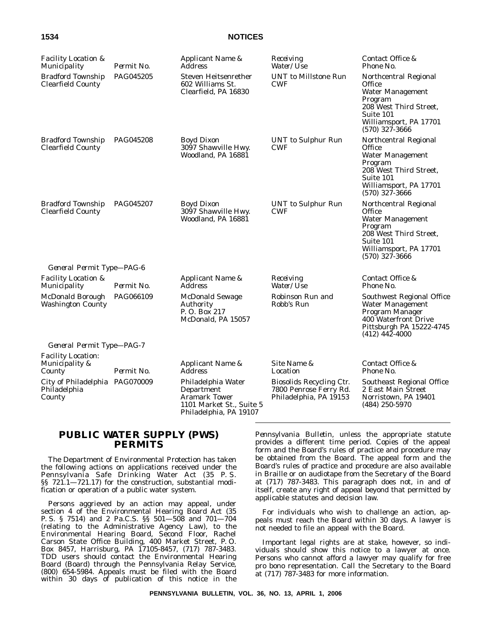| <b>Facility Location &amp;</b><br>Municipality              | Permit No. | Applicant Name &<br><i>Address</i>                                                                             | Receiving<br>Water/Use                                                       | Contact Office &<br>Phone No.                                                                                                                                 |
|-------------------------------------------------------------|------------|----------------------------------------------------------------------------------------------------------------|------------------------------------------------------------------------------|---------------------------------------------------------------------------------------------------------------------------------------------------------------|
| <b>Bradford Township</b><br><b>Clearfield County</b>        | PAG045205  | Steven Heitsenrether<br>602 Williams St.<br>Clearfield, PA 16830                                               | <b>UNT</b> to Millstone Run<br><b>CWF</b>                                    | Northcentral Regional<br>Office<br><b>Water Management</b><br>Program<br>208 West Third Street,<br>Suite 101<br>Williamsport, PA 17701<br>$(570)$ 327-3666    |
| <b>Bradford Township</b><br><b>Clearfield County</b>        | PAG045208  | <b>Boyd Dixon</b><br>3097 Shawville Hwy.<br>Woodland, PA 16881                                                 | <b>UNT</b> to Sulphur Run<br><b>CWF</b>                                      | Northcentral Regional<br>Office<br><b>Water Management</b><br>Program<br>208 West Third Street,<br>Suite 101<br>Williamsport, PA 17701<br>$(570)$ 327-3666    |
| <b>Bradford Township</b><br><b>Clearfield County</b>        | PAG045207  | <b>Boyd Dixon</b><br>3097 Shawville Hwy.<br>Woodland, PA 16881                                                 | UNT to Sulphur Run<br><b>CWF</b>                                             | Northcentral Regional<br>Office<br><b>Water Management</b><br>Program<br>208 West Third Street,<br>Suite 101<br>Williamsport, PA 17701<br>$(570)$ 327-3666    |
| General Permit Type-PAG-6<br><b>Facility Location &amp;</b> |            | Applicant Name &                                                                                               | Receiving                                                                    | Contact Office &                                                                                                                                              |
| Municipality                                                | Permit No. | <b>Address</b>                                                                                                 | Water/ <i>Use</i>                                                            | Phone No.                                                                                                                                                     |
| McDonald Borough<br><b>Washington County</b>                | PAG066109  | <b>McDonald Sewage</b><br>Authority<br>P.O. Box 217<br>McDonald, PA 15057                                      | Robinson Run and<br>Robb's Run                                               | <b>Southwest Regional Office</b><br><b>Water Management</b><br>Program Manager<br><b>400 Waterfront Drive</b><br>Pittsburgh PA 15222-4745<br>$(412)$ 442-4000 |
| General Permit Type-PAG-7                                   |            |                                                                                                                |                                                                              |                                                                                                                                                               |
| <b>Facility Location:</b><br>Municipality &<br>County       | Permit No. | Applicant Name &<br><i>Address</i>                                                                             | Site Name &<br>Location                                                      | Contact Office &<br>Phone No.                                                                                                                                 |
| City of Philadelphia PAG070009<br>Philadelphia<br>County    |            | Philadelphia Water<br>Department<br><b>Aramark Tower</b><br>1101 Market St., Suite 5<br>Philadelphia, PA 19107 | Biosolids Recycling Ctr.<br>7800 Penrose Ferry Rd.<br>Philadelphia, PA 19153 | Southeast Regional Office<br>2 East Main Street<br>Norristown, PA 19401<br>$(484)$ 250-5970                                                                   |

### **PUBLIC WATER SUPPLY (PWS) PERMITS**

The Department of Environmental Protection has taken the following actions on applications received under the Pennsylvania Safe Drinking Water Act (35 P. S. §§ 721.1—721.17) for the construction, substantial modification or operation of a public water system.

Persons aggrieved by an action may appeal, under section 4 of the Environmental Hearing Board Act (35 P. S. § 7514) and 2 Pa.C.S. §§ 501—508 and 701—704 (relating to the Administrative Agency Law), to the Environmental Hearing Board, Second Floor, Rachel Carson State Office Building, 400 Market Street, P. O. Box 8457, Harrisburg, PA 17105-8457, (717) 787-3483. TDD users should contact the Environmental Hearing Board (Board) through the Pennsylvania Relay Service, (800) 654-5984. Appeals must be filed with the Board within 30 days of publication of this notice in the *Pennsylvania Bulletin*, unless the appropriate statute provides a different time period. Copies of the appeal form and the Board's rules of practice and procedure may be obtained from the Board. The appeal form and the Board's rules of practice and procedure are also available in Braille or on audiotape from the Secretary of the Board at (717) 787-3483. This paragraph does not, in and of itself, create any right of appeal beyond that permitted by applicable statutes and decision law.

For individuals who wish to challenge an action, appeals must reach the Board within 30 days. A lawyer is not needed to file an appeal with the Board.

Important legal rights are at stake, however, so individuals should show this notice to a lawyer at once. Persons who cannot afford a lawyer may qualify for free pro bono representation. Call the Secretary to the Board at (717) 787-3483 for more information.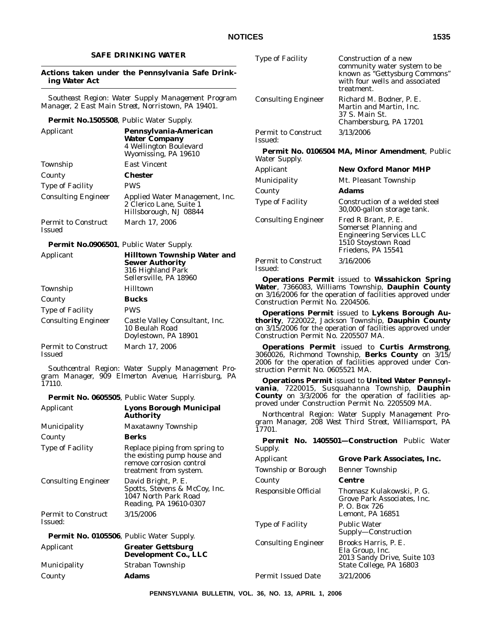Type of Facility Construction of a new

Consulting Engineer Richard M. Bodner, P. E.

Permit to Construct

Permit to Construct

Issued:

County **Adams**

Construction Permit No. 2204506.

Construction Permit No. 2205507 MA.

struction Permit No. 0605521 MA.

Water Supply.

Issued:

treatment.

3/13/2006

**Permit No. 0106504 MA, Minor Amendment**, Public

Applicant **New Oxford Manor MHP** Municipality Mt. Pleasant Township

Type of Facility Construction of a welded steel

3/16/2006

**Operations Permit** issued to **Wissahickon Spring Water**, 7366083, Williams Township, **Dauphin County** on 3/16/2006 for the operation of facilities approved under

**Operations Permit** issued to **Lykens Borough Authority**, 7220022, Jackson Township, **Dauphin County** on 3/15/2006 for the operation of facilities approved under

**Operations Permit** issued to **Curtis Armstrong**, 3060026, Richmond Township, **Berks County** on 3/15/ 2006 for the operation of facilities approved under Con-

**Operations Permit** issued to **United Water Pennsylvania**, 7220015, Susquahanna Township, **Dauphin County** on 3/3/2006 for the operation of facilities ap-

Consulting Engineer Fred R Brant, P. E.

37 S. Main St.

community water system to be known as ''Gettysburg Commons'' with four wells and associated

Martin and Martin, Inc.

Chambersburg, PA 17201

30,000-gallon storage tank.

Somerset Planning and Engineering Services LLC 1510 Stoystown Road Friedens, PA 15541

### **SAFE DRINKING WATER**

### **Actions taken under the Pennsylvania Safe Drinking Water Act**

*Southeast Region: Water Supply Management Program Manager, 2 East Main Street, Norristown, PA 19401.*

### **Permit No.1505508**, Public Water Supply.

| Applicant                                   | Pennsylvania-American<br><b>Water Company</b><br>4 Wellington Boulevard<br>Wyomissing, PA 19610 |
|---------------------------------------------|-------------------------------------------------------------------------------------------------|
| Township                                    | East Vincent                                                                                    |
| County                                      | Chester                                                                                         |
| <b>Type of Facility</b>                     | <b>PWS</b>                                                                                      |
| <b>Consulting Engineer</b>                  | Applied Water Management, Inc.<br>2 Clerico Lane, Suite 1<br>Hillsborough, NJ 08844             |
| <b>Permit to Construct</b><br><b>Issued</b> | March 17, 2006                                                                                  |

### **Permit No.0906501**, Public Water Supply.

| Applicant                                   | <b>Hilltown Township Water and</b><br><b>Sewer Authority</b><br>316 Highland Park<br>Sellersville, PA 18960 |  |  |
|---------------------------------------------|-------------------------------------------------------------------------------------------------------------|--|--|
| Township                                    | Hilltown                                                                                                    |  |  |
| County                                      | Bucks                                                                                                       |  |  |
| <b>Type of Facility</b>                     | PWS                                                                                                         |  |  |
| <b>Consulting Engineer</b>                  | Castle Valley Consultant, Inc.<br>10 Beulah Road<br>Doylestown, PA 18901                                    |  |  |
| <b>Permit to Construct</b><br><b>Issued</b> | March 17, 2006                                                                                              |  |  |

*Southcentral Region: Water Supply Management Program Manager, 909 Elmerton Avenue, Harrisburg, PA 17110.*

**Permit No. 0605505**, Public Water Supply.

| Applicant                  | <b>Lyons Borough Municipal</b>                                                  |                                                   | proved under Construction Permit No. 2205509 MA.                          |  |  |
|----------------------------|---------------------------------------------------------------------------------|---------------------------------------------------|---------------------------------------------------------------------------|--|--|
|                            | <b>Authority</b>                                                                | Northcentral Region: Water Supply Management Pro- |                                                                           |  |  |
| Municipality               | Maxatawny Township                                                              | 17701.                                            | gram Manager, 208 West Third Street, Williamsport, PA                     |  |  |
| County                     | <b>Berks</b>                                                                    |                                                   | <b>Permit No. 1405501-Construction Public Water</b>                       |  |  |
| Type of Facility           | Replace piping from spring to                                                   | Supply.                                           |                                                                           |  |  |
|                            | the existing pump house and<br>remove corrosion control                         | Applicant                                         | <b>Grove Park Associates, Inc.</b>                                        |  |  |
|                            | treatment from system.                                                          | Township or Borough                               | <b>Benner Township</b>                                                    |  |  |
| <b>Consulting Engineer</b> | David Bright, P. E.                                                             | County                                            | Centre                                                                    |  |  |
|                            | Spotts, Stevens & McCoy, Inc.<br>1047 North Park Road<br>Reading, PA 19610-0307 | Responsible Official                              | Thomasz Kulakowski, P. G.<br>Grove Park Associates, Inc.<br>P. O. Box 726 |  |  |
| <b>Permit to Construct</b> | 3/15/2006                                                                       |                                                   | Lemont, PA 16851                                                          |  |  |
| <b>Issued:</b>             |                                                                                 | <b>Type of Facility</b>                           | <b>Public Water</b>                                                       |  |  |
|                            | Permit No. 0105506, Public Water Supply.                                        |                                                   | Supply-Construction                                                       |  |  |
| Applicant                  | <b>Greater Gettsburg</b><br>Development Co., LLC                                | <b>Consulting Engineer</b>                        | Brooks Harris, P. E.<br>Ela Group, Inc.<br>2013 Sandy Drive, Suite 103    |  |  |
| Municipality               | Straban Township                                                                |                                                   | State College, PA 16803                                                   |  |  |
| County                     | Adams                                                                           | <b>Permit Issued Date</b>                         | 3/21/2006                                                                 |  |  |
|                            |                                                                                 |                                                   |                                                                           |  |  |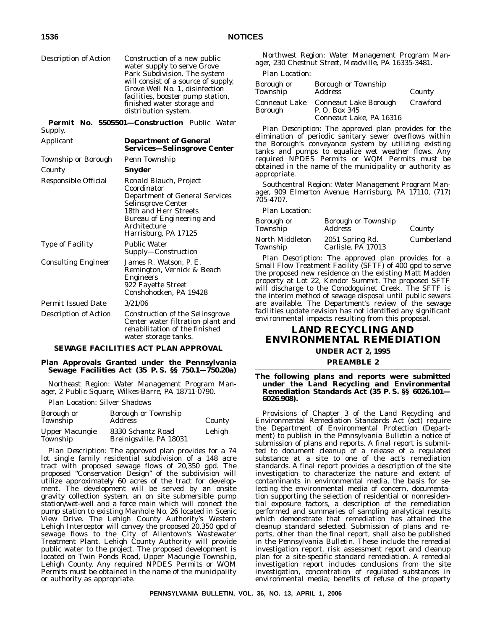Description of Action Construction of a new public water supply to serve Grove Park Subdivision. The system will consist of a source of supply, Grove Well No. 1, disinfection facilities, booster pump station, finished water storage and distribution system.

**Permit No. 5505501—Construction** Public Water Supply.

| Applicant                  | <b>Department of General</b><br><b>Services—Selinsgrove Center</b>                                                                                                                                        |
|----------------------------|-----------------------------------------------------------------------------------------------------------------------------------------------------------------------------------------------------------|
| Township or Borough        | Penn Township                                                                                                                                                                                             |
| County                     | Snyder                                                                                                                                                                                                    |
| Responsible Official       | Ronald Blauch, Project<br>Coordinator<br><b>Department of General Services</b><br>Selinsgrove Center<br>18th and Herr Streets<br><b>Bureau of Engineering and</b><br>Architecture<br>Harrisburg, PA 17125 |
| <b>Type of Facility</b>    | <b>Public Water</b><br>Supply—Construction                                                                                                                                                                |
| <b>Consulting Engineer</b> | James R. Watson, P. E.<br>Remington, Vernick & Beach<br>Engineers<br>922 Fayette Street<br>Conshohocken, PA 19428                                                                                         |
| <b>Permit Issued Date</b>  | 3/21/06                                                                                                                                                                                                   |
| Description of Action      | <b>Construction of the Selinsgrove</b><br>Center water filtration plant and<br>rehabilitation of the finished<br>water storage tanks.                                                                     |

#### **SEWAGE FACILITIES ACT PLAN APPROVAL**

**Plan Approvals Granted under the Pennsylvania Sewage Facilities Act (35 P. S. §§ 750.1—750.20a)**

*Northeast Region: Water Management Program Manager, 2 Public Square, Wilkes-Barre, PA 18711-0790.*

*Plan Location:* Silver Shadows

| Borough or<br>Township            | <b>Borough or Township</b><br><b>Address</b> | County |
|-----------------------------------|----------------------------------------------|--------|
| <b>Upper Macungie</b><br>Township | 8330 Schantz Road<br>Breinigsville, PA 18031 | Lehigh |

*Plan Description:* The approved plan provides for a 74 lot single family residential subdivision of a 148 acre tract with proposed sewage flows of 20,350 gpd. The proposed ''Conservation Design'' of the subdivision will utilize approximately 60 acres of the tract for development. The development will be served by an onsite gravity collection system, an on site submersible pump station/wet-well and a force main which will connect the pump station to existing Manhole No. 26 located in Scenic View Drive. The Lehigh County Authority's Western Lehigh Interceptor will convey the proposed 20,350 gpd of sewage flows to the City of Allentown's Wastewater Treatment Plant. Lehigh County Authority will provide public water to the project. The proposed development is located on Twin Ponds Road, Upper Macungie Township, Lehigh County. Any required NPDES Permits or WQM Permits must be obtained in the name of the municipality or authority as appropriate.

*Northwest Region: Water Management Program Manager, 230 Chestnut Street, Meadville, PA 16335-3481.*

### *Plan Location:*

| Borough or<br>Township          | Borough or Township<br><b>Address</b>                             | County   |
|---------------------------------|-------------------------------------------------------------------|----------|
| <b>Conneaut Lake</b><br>Borough | Conneaut Lake Borough<br>P. O. Box 345<br>Conneaut Lake, PA 16316 | Crawford |

*Plan Description:* The approved plan provides for the elimination of periodic sanitary sewer overflows within the Borough's conveyance system by utilizing existing tanks and pumps to equalize wet weather flows. Any required NPDES Permits or WQM Permits must be obtained in the name of the municipality or authority as appropriate.

*Southcentral Region: Water Management Program Manager, 909 Elmerton Avenue, Harrisburg, PA 17110, (717) 705-4707.*

*Plan Location:*

| Borough or<br>Township      | <b>Borough or Township</b><br><b>Address</b> | County     |
|-----------------------------|----------------------------------------------|------------|
| North Middleton<br>Township | 2051 Spring Rd.<br>Carlisle, PA 17013        | Cumberland |

*Plan Description:* The approved plan provides for a Small Flow Treatment Facility (SFTF) of 400 gpd to serve the proposed new residence on the existing Matt Madden property at Lot 22, Kendor Summit. The proposed SFTF will discharge to the Conodoguinet Creek. The SFTF is the interim method of sewage disposal until public sewers are available. The Department's review of the sewage facilities update revision has not identified any significant environmental impacts resulting from this proposal.

# **LAND RECYCLING AND ENVIRONMENTAL REMEDIATION**

**UNDER ACT 2, 1995**

#### **PREAMBLE 2**

**The following plans and reports were submitted under the Land Recycling and Environmental Remediation Standards Act (35 P. S. §§ 6026.101— 6026.908).**

Provisions of Chapter 3 of the Land Recycling and Environmental Remediation Standards Act (act) require the Department of Environmental Protection (Department) to publish in the *Pennsylvania Bulletin* a notice of submission of plans and reports. A final report is submitted to document cleanup of a release of a regulated substance at a site to one of the act's remediation standards. A final report provides a description of the site investigation to characterize the nature and extent of contaminants in environmental media, the basis for selecting the environmental media of concern, documentation supporting the selection of residential or nonresidential exposure factors, a description of the remediation performed and summaries of sampling analytical results which demonstrate that remediation has attained the cleanup standard selected. Submission of plans and reports, other than the final report, shall also be published in the *Pennsylvania Bulletin*. These include the remedial investigation report, risk assessment report and cleanup plan for a site-specific standard remediation. A remedial investigation report includes conclusions from the site investigation, concentration of regulated substances in environmental media; benefits of refuse of the property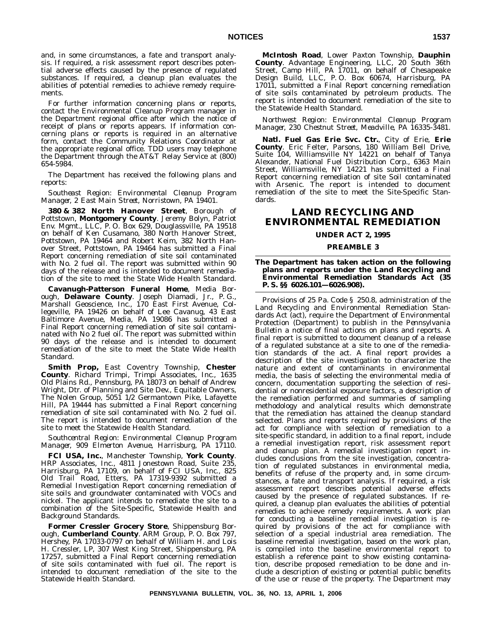and, in some circumstances, a fate and transport analysis. If required, a risk assessment report describes potential adverse effects caused by the presence of regulated substances. If required, a cleanup plan evaluates the abilities of potential remedies to achieve remedy requirements.

For further information concerning plans or reports, contact the Environmental Cleanup Program manager in the Department regional office after which the notice of receipt of plans or reports appears. If information concerning plans or reports is required in an alternative form, contact the Community Relations Coordinator at the appropriate regional office. TDD users may telephone the Department through the AT&T Relay Service at (800) 654-5984.

The Department has received the following plans and reports:

*Southeast Region: Environmental Cleanup Program Manager, 2 East Main Street, Norristown, PA 19401.*

**380 & 382 North Hanover Street**, Borough of Pottstown, **Montgomery County**. Jeremy Bolyn, Patriot Env. Mgmt., LLC, P. O. Box 629, Douglassville, PA 19518 on behalf of Ken Cusamano, 380 North Hanover Street, Pottstown, PA 19464 and Robert Keim, 382 North Hanover Street, Pottstown, PA 19464 has submitted a Final Report concerning remediation of site soil contaminated with No. 2 fuel oil. The report was submitted within 90 days of the release and is intended to document remediation of the site to meet the State Wide Health Standard.

**Cavanugh-Patterson Funeral Home**, Media Borough, **Delaware County**. Joseph Diamadi, Jr., P. G., Marshall Geoscience, Inc., 170 East First Avenue, Collegeville, PA 19426 on behalf of Lee Cavanug, 43 East Baltimore Avenue, Media, PA 19086 has submitted a Final Report concerning remediation of site soil contaminated with No 2 fuel oil. The report was submitted within 90 days of the release and is intended to document remediation of the site to meet the State Wide Health Standard.

**Smith Prop,** East Coventry Township, **Chester County**. Richard Trimpi, Trimpi Associates, Inc., 1635 Old Plains Rd., Pennsburg, PA 18073 on behalf of Andrew Wright, Dtr. of Planning and Site Dev., Equitable Owners, The Nolen Group, 5051 1/2 Germantown Pike, Lafayette Hill, PA 19444 has submitted a Final Report concerning remediation of site soil contaminated with No. 2 fuel oil. The report is intended to document remediation of the site to meet the Statewide Health Standard.

*Southcentral Region: Environmental Cleanup Program Manager, 909 Elmerton Avenue, Harrisburg, PA 17110.*

**FCI USA, Inc.**, Manchester Township, **York County**. HRP Associates, Inc., 4811 Jonestown Road, Suite 235, Harrisburg, PA 17109, on behalf of FCI USA, Inc., 825 Old Trail Road, Etters, PA 17319-9392 submitted a Remedial Investigation Report concerning remediation of site soils and groundwater contaminated with VOCs and nickel. The applicant intends to remediate the site to a combination of the Site-Specific, Statewide Health and Background Standards.

**Former Cressler Grocery Store**, Shippensburg Borough, **Cumberland County**. ARM Group, P. O. Box 797, Hershey, PA 17033-0797 on behalf of William H. and Lois H. Cressler, LP, 307 West King Street, Shippensburg, PA 17257, submitted a Final Report concerning remediation of site soils contaminated with fuel oil. The report is intended to document remediation of the site to the Statewide Health Standard.

**McIntosh Road**, Lower Paxton Township, **Dauphin County**. Advantage Engineering, LLC, 20 South 36th Street, Camp Hill, PA 17011, on behalf of Chesapeake Design Build, LLC, P. O. Box 60674, Harrisburg, PA 17011, submitted a Final Report concerning remediation of site soils contaminated by petroleum products. The report is intended to document remediation of the site to the Statewide Health Standard.

### *Northwest Region: Environmental Cleanup Program Manager, 230 Chestnut Street, Meadville, PA 16335-3481.*

**Natl. Fuel Gas Erie Svc. Ctr.**, City of Erie, **Erie County**. Eric Felter, Parsons, 180 William Bell Drive, Suite 104, Williamsville NY 14221 on behalf of Tanya Alexander, National Fuel Distribution Corp., 6363 Main Street, Williamsville, NY 14221 has submitted a Final Report concerning remediation of site Soil contaminated with Arsenic. The report is intended to document remediation of the site to meet the Site-Specific Standards.

# **LAND RECYCLING AND ENVIRONMENTAL REMEDIATION**

# **UNDER ACT 2, 1995**

### **PREAMBLE 3**

#### **The Department has taken action on the following plans and reports under the Land Recycling and Environmental Remediation Standards Act (35 P. S. §§ 6026.101—6026.908).**

Provisions of 25 Pa. Code § 250.8, administration of the Land Recycling and Environmental Remediation Standards Act (act), require the Department of Environmental Protection (Department) to publish in the *Pennsylvania Bulletin* a notice of final actions on plans and reports. A final report is submitted to document cleanup of a release of a regulated substance at a site to one of the remediation standards of the act. A final report provides a description of the site investigation to characterize the nature and extent of contaminants in environmental media, the basis of selecting the environmental media of concern, documentation supporting the selection of residential or nonresidential exposure factors, a description of the remediation performed and summaries of sampling methodology and analytical results which demonstrate that the remediation has attained the cleanup standard selected. Plans and reports required by provisions of the act for compliance with selection of remediation to a site-specific standard, in addition to a final report, include a remedial investigation report, risk assessment report and cleanup plan. A remedial investigation report includes conclusions from the site investigation, concentration of regulated substances in environmental media, benefits of refuse of the property and, in some circumstances, a fate and transport analysis. If required, a risk assessment report describes potential adverse effects caused by the presence of regulated substances. If required, a cleanup plan evaluates the abilities of potential remedies to achieve remedy requirements. A work plan for conducting a baseline remedial investigation is required by provisions of the act for compliance with selection of a special industrial area remediation. The baseline remedial investigation, based on the work plan, is compiled into the baseline environmental report to establish a reference point to show existing contamination, describe proposed remediation to be done and include a description of existing or potential public benefits of the use or reuse of the property. The Department may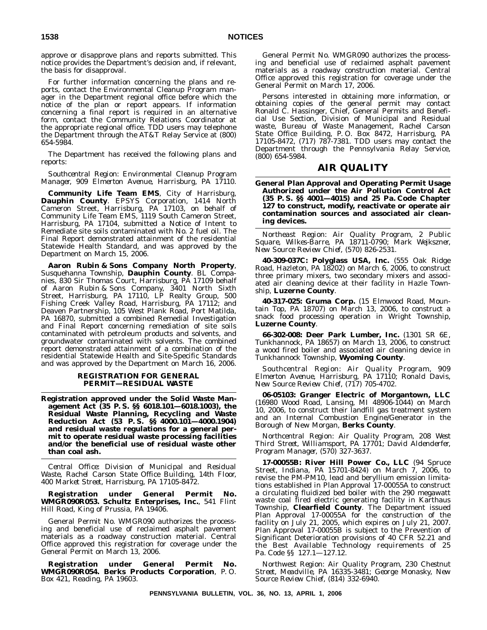approve or disapprove plans and reports submitted. This notice provides the Department's decision and, if relevant, the basis for disapproval.

For further information concerning the plans and reports, contact the Environmental Cleanup Program manager in the Department regional office before which the notice of the plan or report appears. If information concerning a final report is required in an alternative form, contact the Community Relations Coordinator at the appropriate regional office. TDD users may telephone the Department through the AT&T Relay Service at (800) 654-5984.

The Department has received the following plans and reports:

*Southcentral Region: Environmental Cleanup Program Manager, 909 Elmerton Avenue, Harrisburg, PA 17110.*

**Community Life Team EMS**, City of Harrisburg, **Dauphin County**. EPSYS Corporation, 1414 North Cameron Street, Harrisburg, PA 17103, on behalf of Community Life Team EMS, 1119 South Cameron Street, Harrisburg, PA 17104, submitted a Notice of Intent to Remediate site soils contaminated with No. 2 fuel oil. The Final Report demonstrated attainment of the residential Statewide Health Standard, and was approved by the Department on March 15, 2006.

**Aaron Rubin & Sons Company North Property**, Susquehanna Township, **Dauphin County**. BL Companies, 830 Sir Thomas Court, Harrisburg, PA 17109 behalf of Aaron Rubin & Sons Company, 3401 North Sixth Street, Harrisburg, PA 17110, LP Realty Group, 500 Fishing Creek Valley Road, Harrisburg, PA 17112; and Deaven Partnership, 105 West Plank Road, Port Matilda, PA 16870, submitted a combined Remedial Investigation and Final Report concerning remediation of site soils contaminated with petroleum products and solvents, and groundwater contaminated with solvents. The combined report demonstrated attainment of a combination of the residential Statewide Health and Site-Specific Standards and was approved by the Department on March 16, 2006.

### **REGISTRATION FOR GENERAL PERMIT—RESIDUAL WASTE**

**Registration approved under the Solid Waste Management Act (35 P. S. §§ 6018.101—6018.1003), the Residual Waste Planning, Recycling and Waste Reduction Act (53 P. S. §§ 4000.101—4000.1904) and residual waste regulations for a general permit to operate residual waste processing facilities and/or the beneficial use of residual waste other than coal ash.**

*Central Office: Division of Municipal and Residual Waste, Rachel Carson State Office Building, 14th Floor, 400 Market Street, Harrisburg, PA 17105-8472.*

**Registration under General Permit No. WMGR090R053. Schultz Enterprises, Inc.**, 541 Flint Hill Road, King of Prussia, PA 19406.

General Permit No. WMGR090 authorizes the processing and beneficial use of reclaimed asphalt pavement materials as a roadway construction material. Central Office approved this registration for coverage under the General Permit on March 13, 2006.

**Registration under General Permit No. WMGR090R054. Berks Products Corporation**, P. O. Box 421, Reading, PA 19603.

General Permit No. WMGR090 authorizes the processing and beneficial use of reclaimed asphalt pavement materials as a roadway construction material. Central Office approved this registration for coverage under the General Permit on March 17, 2006.

Persons interested in obtaining more information, or obtaining copies of the general permit may contact Ronald C. Hassinger, Chief, General Permits and Beneficial Use Section, Division of Municipal and Residual waste, Bureau of Waste Management, Rachel Carson State Office Building, P. O. Box 8472, Harrisburg, PA 17105-8472, (717) 787-7381. TDD users may contact the Department through the Pennsylvania Relay Service, (800) 654-5984.

# **AIR QUALITY**

**General Plan Approval and Operating Permit Usage Authorized under the Air Pollution Control Act (35 P. S. §§ 4001—4015) and 25 Pa. Code Chapter 127 to construct, modify, reactivate or operate air contamination sources and associated air cleaning devices.**

*Northeast Region: Air Quality Program, 2 Public Square, Wilkes-Barre, PA 18711-0790; Mark Wejkszner, New Source Review Chief, (570) 826-2531.*

**40-309-037C: Polyglass USA, Inc.** (555 Oak Ridge Road, Hazleton, PA 18202) on March 6, 2006, to construct three primary mixers, two secondary mixers and associated air cleaning device at their facility in Hazle Township, **Luzerne County**.

**40-317-025: Gruma Corp.** (15 Elmwood Road, Mountain Top, PA 18707) on March 13, 2006, to construct a snack food processing operation in Wright Township, **Luzerne County**.

**66-302-008: Deer Park Lumber, Inc.** (1301 SR 6E, Tunkhannock, PA 18657) on March 13, 2006, to construct a wood fired boiler and associated air cleaning device in Tunkhannock Township, **Wyoming County**.

*Southcentral Region: Air Quality Program, 909 Elmerton Avenue, Harrisburg, PA 17110; Ronald Davis, New Source Review Chief, (717) 705-4702.*

**06-05103: Granger Electric of Morgantown, LLC** (16980 Wood Road, Lansing, MI 48906-1044) on March 10, 2006, to construct their landfill gas treatment system and an Internal Combustion Engine/Generator in the Borough of New Morgan, **Berks County**.

*Northcentral Region: Air Quality Program, 208 West Third Street, Williamsport, PA 17701; David Aldenderfer, Program Manager, (570) 327-3637.*

**17-00055B: River Hill Power Co., LLC** (94 Spruce Street, Indiana, PA 15701-8424) on March 7, 2006, to revise the PM-PM10, lead and beryllium emission limitations established in Plan Approval 17-00055A to construct a circulating fluidized bed boiler with the 290 megawatt waste coal fired electric generating facility in Karthaus Township, **Clearfield County**. The Department issued Plan Approval 17-00055A for the construction of the facility on July 21, 2005, which expires on July 21, 2007. Plan Approval 17-00055B is subject to the Prevention of Significant Deterioration provisions of 40 CFR 52.21 and the Best Available Technology requirements of 25 Pa. Code §§ 127.1—127.12.

*Northwest Region: Air Quality Program, 230 Chestnut Street, Meadville, PA 16335-3481; George Monasky, New Source Review Chief, (814) 332-6940.*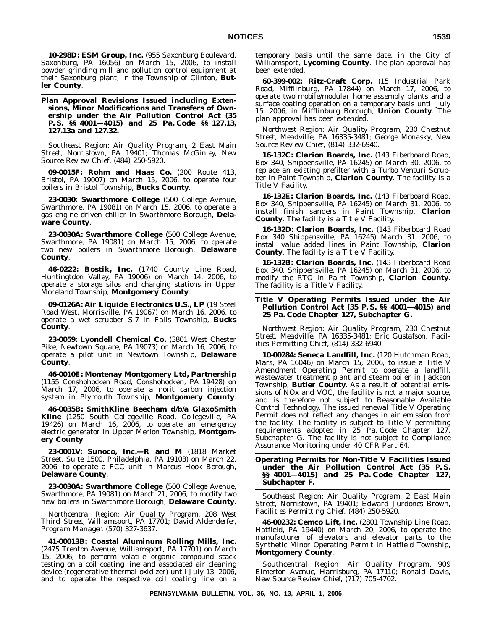**10-298D: ESM Group, Inc.** (955 Saxonburg Boulevard, Saxonburg, PA 16056) on March 15, 2006, to install powder grinding mill and pollution control equipment at their Saxonburg plant, in the Township of Clinton, **Butler County**.

**Plan Approval Revisions Issued including Extensions, Minor Modifications and Transfers of Ownership under the Air Pollution Control Act (35 P. S. §§ 4001—4015) and 25 Pa. Code §§ 127.13, 127.13a and 127.32.**

*Southeast Region: Air Quality Program, 2 East Main Street, Norristown, PA 19401; Thomas McGinley, New Source Review Chief, (484) 250-5920.*

**09-0015F: Rohm and Haas Co.** (200 Route 413, Bristol, PA 19007) on March 15, 2006, to operate four boilers in Bristol Township, **Bucks County**.

**23-0030: Swarthmore College** (500 College Avenue, Swarthmore, PA 19081) on March 15, 2006, to operate a gas engine driven chiller in Swarthmore Borough, **Delaware County**.

**23-0030A: Swarthmore College** (500 College Avenue, Swarthmore, PA 19081) on March 15, 2006, to operate two new boilers in Swarthmore Borough, **Delaware County**.

**46-0222: Bostik, Inc.** (1740 County Line Road, Huntingtdon Valley, PA 19006) on March 14, 2006, to operate a storage silos and charging stations in Upper Moreland Township, **Montgomery County**.

**09-0126A: Air Liquide Electronics U.S., LP** (19 Steel Road West, Morrisville, PA 19067) on March 16, 2006, to operate a wet scrubber S-7 in Falls Township, **Bucks County**.

**23-0059: Lyondell Chemical Co.** (3801 West Chester Pike, Newtown Square, PA 19073) on March 16, 2006, to operate a pilot unit in Newtown Township, **Delaware County**.

**46-0010E: Montenay Montgomery Ltd, Partnership** (1155 Conshohocken Road, Conshohocken, PA 19428) on March 17, 2006, to operate a norit carbon injection system in Plymouth Township, **Montgomery County**.

**46-0035B: SmithKline Beecham d/b/a GlaxoSmith Kline** (1250 South Collegeville Road, Collegeville, PA 19426) on March 16, 2006, to operate an emergency electric generator in Upper Merion Township, **Montgomery County**.

**23-0001V: Sunoco, Inc.—R and M** (1818 Market Street, Suite 1500, Philadelphia, PA 19103) on March 22, 2006, to operate a FCC unit in Marcus Hook Borough, **Delaware County**.

**23-0030A: Swarthmore College** (500 College Avenue, Swarthmore, PA 19081) on March 21, 2006, to modify two new boilers in Swarthmore Borough, **Delaware County**.

*Northcentral Region: Air Quality Program, 208 West Third Street, Williamsport, PA 17701; David Aldenderfer, Program Manager, (570) 327-3637.*

**41-00013B: Coastal Aluminum Rolling Mills, Inc.** (2475 Trenton Avenue, Williamsport, PA 17701) on March 15, 2006, to perform volatile organic compound stack testing on a coil coating line and associated air cleaning device (regenerative thermal oxidizer) until July 13, 2006, and to operate the respective coil coating line on a temporary basis until the same date, in the City of Williamsport, **Lycoming County**. The plan approval has been extended.

**60-399-002: Ritz-Craft Corp.** (15 Industrial Park Road, Mifflinburg, PA 17844) on March 17, 2006, to operate two mobile/modular home assembly plants and a surface coating operation on a temporary basis until July 15, 2006, in Mifflinburg Borough, **Union County**. The plan approval has been extended.

*Northwest Region: Air Quality Program, 230 Chestnut Street, Meadville, PA 16335-3481; George Monasky, New Source Review Chief, (814) 332-6940.*

**16-132C: Clarion Boards, Inc.** (143 Fiberboard Road, Box 340, Shippensville, PA 16245) on March 30, 2006, to replace an existing prefilter with a Turbo Venturi Scrubber in Paint Township, **Clarion County**. The facility is a Title V Facility.

**16-132E: Clarion Boards, Inc.** (143 Fiberboard Road, Box 340, Shippensville, PA 16245) on March 31, 2006, to install finish sanders in Paint Township, **Clarion County**. The facility is a Title V Facility.

**16-132D: Clarion Boards, Inc.** (143 Fiberboard Road Box 340 Shippensville, PA 16245) March 31, 2006, to install value added lines in Paint Township, **Clarion County**. The facility is a Title V Facility.

**16-132B: Clarion Boards, Inc.** (143 Fiberboard Road Box 340, Shippensville, PA 16245) on March 31, 2006, to modify the RTO in Paint Township, **Clarion County**. The facility is a Title V Facility.

#### **Title V Operating Permits Issued under the Air Pollution Control Act (35 P. S. §§ 4001—4015) and 25 Pa. Code Chapter 127, Subchapter G.**

*Northwest Region: Air Quality Program, 230 Chestnut Street, Meadville, PA 16335-3481; Eric Gustafson, Facilities Permitting Chief, (814) 332-6940.*

**10-00284: Seneca Landfill, Inc.** (120 Hutchman Road, Mars, PA 16046) on March 15, 2006, to issue a Title V Amendment Operating Permit to operate a landfill, wastewater treatment plant and steam boiler in Jackson Township, **Butler County**. As a result of potential emissions of NOx and VOC, the facility is not a major source, and is therefore not subject to Reasonable Available Control Technology. The issued renewal Title V Operating Permit does not reflect any changes in air emission from the facility. The facility is subject to Title V permitting requirements adopted in 25 Pa. Code Chapter 127, Subchapter G. The facility is not subject to Compliance Assurance Monitoring under 40 CFR Part 64.

**Operating Permits for Non-Title V Facilities Issued under the Air Pollution Control Act (35 P. S. §§ 4001—4015) and 25 Pa. Code Chapter 127, Subchapter F.**

*Southeast Region: Air Quality Program, 2 East Main Street, Norristown, PA 19401; Edward Jurdones Brown, Facilities Permitting Chief, (484) 250-5920.*

**46-00232: Cemco Lift, Inc.** (2801 Township Line Road, Hatfield, PA 19440) on March 20, 2006, to operate the manufacturer of elevators and elevator parts to the Synthetic Minor Operating Permit in Hatfield Township, **Montgomery County**.

*Southcentral Region: Air Quality Program, 909 Elmerton Avenue, Harrisburg, PA 17110; Ronald Davis, New Source Review Chief, (717) 705-4702.*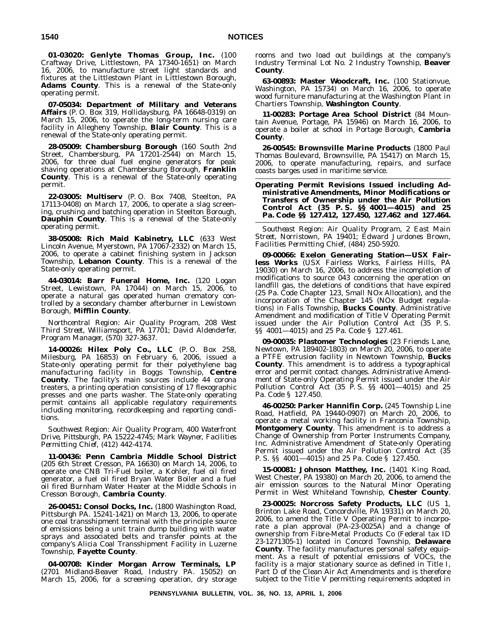**01-03020: Genlyte Thomas Group, Inc.** (100 Craftway Drive, Littlestown, PA 17340-1651) on March 16, 2006, to manufacture street light standards and fixtures at the Littlestown Plant in Littlestown Borough, **Adams County**. This is a renewal of the State-only operating permit.

**07-05034: Department of Military and Veterans Affairs** (P. O. Box 319, Hollidaysburg, PA 16648-0319) on March 15, 2006, to operate the long-term nursing care facility in Allegheny Township, **Blair County**. This is a renewal of the State-only operating permit.

**28-05009: Chambersburg Borough** (160 South 2nd Street, Chambersburg, PA 17201-2544) on March 15, 2006, for three dual fuel engine generators for peak shaving operations at Chambersburg Borough, **Franklin County**. This is a renewal of the State-only operating permit.

**22-03005: Multiserv** (P. O. Box 7408, Steelton, PA 17113-0408) on March 17, 2006, to operate a slag screening, crushing and batching operation in Steelton Borough, **Dauphin County**. This is a renewal of the State-only operating permit.

**38-05008: Rich Maid Kabinetry, LLC** (633 West Lincoln Avenue, Myerstown, PA 17067-2332) on March 15, 2006, to operate a cabinet finishing system in Jackson Township, **Lebanon County**. This is a renewal of the State-only operating permit.

**44-03014: Barr Funeral Home, Inc.** (120 Logan Street, Lewistown, PA 17044) on March 15, 2006, to operate a natural gas operated human crematory controlled by a secondary chamber afterburner in Lewistown Borough, **Mifflin County**.

*Northcentral Region: Air Quality Program, 208 West Third Street, Williamsport, PA 17701; David Aldenderfer, Program Manager, (570) 327-3637.*

**14-00026: Hilex Poly Co., LLC** (P. O. Box 258, Milesburg, PA 16853) on February 6, 2006, issued a State-only operating permit for their polyethylene bag manufacturing facility in Boggs Township, **Centre County**. The facility's main sources include 44 corona treaters, a printing operation consisting of 17 flexographic presses and one parts washer. The State-only operating permit contains all applicable regulatory requirements including monitoring, recordkeeping and reporting conditions.

*Southwest Region: Air Quality Program, 400 Waterfront Drive, Pittsburgh, PA 15222-4745; Mark Wayner, Facilities Permitting Chief, (412) 442-4174.*

**11-00436: Penn Cambria Middle School District** (205 6th Street Cresson, PA 16630) on March 14, 2006, to operate one CNB Tri-Fuel boiler, a Kohler, fuel oil fired generator, a fuel oil fired Bryan Water Boiler and a fuel oil fired Burnham Water Heater at the Middle Schools in Cresson Borough, **Cambria County**.

**26-00451: Consol Docks, Inc.** (1800 Washington Road, Pittsburgh PA. 15241-1421) on March 13, 2006, to operate one coal transshipment terminal with the principle source of emissions being a unit train dump building with water sprays and associated belts and transfer points at the company's Alicia Coal Transshipment Facility in Luzerne Township, **Fayette County**.

**04-00708: Kinder Morgan Arrow Terminals, LP** (2701 Midland-Beaver Road, Industry PA. 15052) on March 15, 2006, for a screening operation, dry storage rooms and two load out buildings at the company's Industry Terminal Lot No. 2 Industry Township, **Beaver County**.

**63-00893: Master Woodcraft, Inc.** (100 Stationvue, Washington, PA 15734) on March 16, 2006, to operate wood furniture manufacturing at the Washington Plant in Chartiers Township, **Washington County**.

**11-00283: Portage Area School District** (84 Mountain Avenue, Portage, PA 15946) on March 16, 2006, to operate a boiler at school in Portage Borough, **Cambria County**.

**26-00545: Brownsville Marine Products** (1800 Paul Thomas Boulevard, Brownsville, PA 15417) on March 15, 2006, to operate manufacturing, repairs, and surface coasts barges used in maritime service.

#### **Operating Permit Revisions Issued including Administrative Amendments, Minor Modifications or Transfers of Ownership under the Air Pollution Control Act (35 P. S. §§ 4001—4015) and 25 Pa. Code §§ 127.412, 127.450, 127.462 and 127.464.**

*Southeast Region: Air Quality Program, 2 East Main Street, Norristown, PA 19401; Edward Jurdones Brown, Facilities Permitting Chief, (484) 250-5920.*

**09-00066: Exelon Generating Station—USX Fairless Works** (USX Fairless Works, Fairless Hills, PA 19030) on March 16, 2006, to address the incompletion of modifications to source 043 concerning the operation on landfill gas, the deletions of conditions that have expired (25 Pa. Code Chapter 123, Small NOx Allocation), and the incorporation of the Chapter 145 (NOx Budget regulations) in Falls Township, **Bucks County**. Administrative Amendment and modification of Title V Operating Permit issued under the Air Pollution Control Act (35 P. S. §§ 4001—4015) and 25 Pa. Code § 127.461.

**09-00035: Plastomer Technologies** (23 Friends Lane, Newtown, PA 189402-1803) on March 20, 2006, to operate a PTFE extrusion facility in Newtown Township, **Bucks County**. This amendment is to address a typographical error and permit contact changes. Administrative Amendment of State-only Operating Permit issued under the Air Pollution Control Act (35 P. S. §§ 4001—4015) and 25 Pa. Code § 127.450.

**46-00250: Parker Hannifin Corp.** (245 Township Line Road, Hatfield, PA 19440-0907) on March 20, 2006, to operate a metal working facility in Franconia Township, **Montgomery County**. This amendment is to address a Change of Ownership from Porter Instruments Company, Inc. Administrative Amendment of State-only Operating Permit issued under the Air Pollution Control Act (35 P. S. §§ 4001—4015) and 25 Pa. Code § 127.450.

**15-00081: Johnson Matthey, Inc.** (1401 King Road, West Chester, PA 19380) on March 20, 2006, to amend the air emission sources to the Natural Minor Operating Permit in West Whiteland Township, **Chester County**.

**23-00025: Norcross Safety Products, LLC** (US 1, Brinton Lake Road, Concordville, PA 19331) on March 20, 2006, to amend the Title V Operating Permit to incorporate a plan approval (PA-23-0025A) and a change of ownership from Fibre-Metal Products Co (Federal tax ID 23-1271305-1) located in Concord Township, **Delaware County**. The facility manufactures personal safety equipment. As a result of potential emissions of VOCs, the facility is a major stationary source as defined in Title I, Part D of the Clean Air Act Amendments and is therefore subject to the Title V permitting requirements adopted in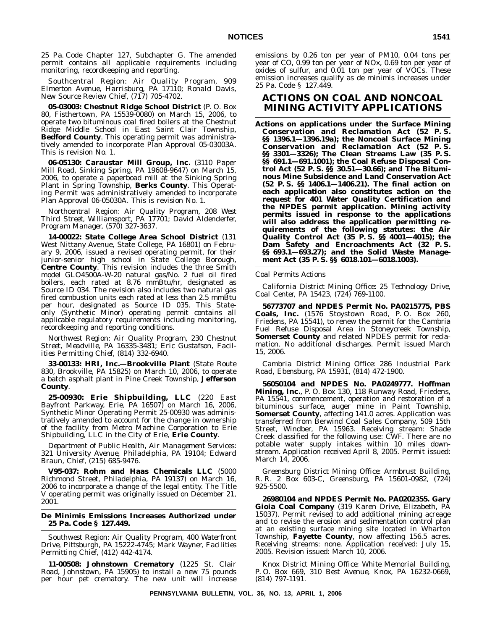25 Pa. Code Chapter 127, Subchapter G. The amended permit contains all applicable requirements including monitoring, recordkeeping and reporting.

*Southcentral Region: Air Quality Program, 909 Elmerton Avenue, Harrisburg, PA 17110; Ronald Davis, New Source Review Chief, (717) 705-4702.*

**05-03003: Chestnut Ridge School District** (P. O. Box 80, Fisthertown, PA 15539-0080) on March 15, 2006, to operate two bituminous coal fired boilers at the Chestnut Ridge Middle School in East Saint Clair Township, **Bedford County**. This operating permit was administratively amended to incorporate Plan Approval 05-03003A. This is revision No. 1.

**06-05130: Caraustar Mill Group, Inc.** (3110 Paper Mill Road, Sinking Spring, PA 19608-9647) on March 15, 2006, to operate a paperboad mill at the Sinking Spring Plant in Spring Township, **Berks County**. This Operating Permit was administratively amended to incorporate Plan Approval 06-05030A. This is revision No. 1.

*Northcentral Region: Air Quality Program, 208 West Third Street, Williamsport, PA 17701; David Aldenderfer, Program Manager, (570) 327-3637.*

**14-00022: State College Area School District** (131 West Nittany Avenue, State College, PA 16801) on February 9, 2006, issued a revised operating permit, for their junior-senior high school in State College Borough, **Centre County**. This revision includes the three Smith model GLO4500A-W-20 natural gas/No. 2 fuel oil fired boilers, each rated at 8.76 mmBtu/hr, designated as Source ID 034. The revision also includes two natural gas fired combustion units each rated at less than 2.5 mmBtu per hour, designated as Source ID 035. This Stateonly (Synthetic Minor) operating permit contains all applicable regulatory requirements including monitoring, recordkeeping and reporting conditions.

*Northwest Region: Air Quality Program, 230 Chestnut Street, Meadville, PA 16335-3481; Eric Gustafson, Facilities Permitting Chief, (814) 332-6940.*

**33-00133: HRI, Inc.—Brookville Plant** (State Route 830, Brookville, PA 15825) on March 10, 2006, to operate a batch asphalt plant in Pine Creek Township, **Jefferson County**.

**25-00930: Erie Shipbuilding, LLC** (220 East Bayfront Parkway, Erie, PA 16507) on March 16, 2006, Synthetic Minor Operating Permit 25-00930 was administratively amended to account for the change in ownership of the facility from Metro Machine Corporation to Erie Shipbuilding, LLC in the City of Erie, **Erie County**.

*Department of Public Health, Air Management Services: 321 University Avenue, Philadelphia, PA 19104; Edward Braun, Chief, (215) 685-9476.*

**V95-037: Rohm and Haas Chemicals LLC** (5000 Richmond Street, Philadelphia, PA 19137) on March 16, 2006 to incorporate a change of the legal entity. The Title V operating permit was originally issued on December 21, 2001.

#### **De Minimis Emissions Increases Authorized under 25 Pa. Code § 127.449.**

*Southwest Region: Air Quality Program, 400 Waterfront Drive, Pittsburgh, PA 15222-4745; Mark Wayner, Facilities Permitting Chief, (412) 442-4174.*

**11-00508: Johnstown Crematory** (1225 St. Clair Road, Johnstown, PA 15905) to install a new 75 pounds per hour pet crematory. The new unit will increase emissions by 0.26 ton per year of PM10, 0.04 tons per year of CO, 0.99 ton per year of NOx, 0.69 ton per year of oxides of sulfur, and 0.01 ton per year of VOCs. These emission increases qualify as de minimis increases under 25 Pa. Code § 127.449.

# **ACTIONS ON COAL AND NONCOAL MINING ACTIVITY APPLICATIONS**

**Actions on applications under the Surface Mining Conservation and Reclamation Act (52 P. S. §§ 1396.1—1396.19a); the Noncoal Surface Mining Conservation and Reclamation Act (52 P. S. §§ 3301—3326); The Clean Streams Law (35 P. S. §§ 691.1—691.1001); the Coal Refuse Disposal Control Act (52 P. S. §§ 30.51—30.66); and The Bituminous Mine Subsidence and Land Conservation Act (52 P. S. §§ 1406.1—1406.21). The final action on each application also constitutes action on the request for 401 Water Quality Certification and the NPDES permit application. Mining activity permits issued in response to the applications will also address the application permitting requirements of the following statutes: the Air Quality Control Act (35 P. S. §§ 4001—4015); the Dam Safety and Encroachments Act (32 P. S. §§ 693.1—693.27); and the Solid Waste Management Act (35 P. S. §§ 6018.101—6018.1003).**

### *Coal Permits Actions*

*California District Mining Office: 25 Technology Drive, Coal Center, PA 15423, (724) 769-1100.*

**56773707 and NPDES Permit No. PA0215775, PBS Coals, Inc.** (1576 Stoystown Road, P. O. Box 260, Friedens, PA 15541), to renew the permit for the Cambria Fuel Refuse Disposal Area in Stoneycreek Township, **Somerset County** and related NPDES permit for reclamation. No additional discharges. Permit issued March 15, 2006.

*Cambria District Mining Office: 286 Industrial Park Road, Ebensburg, PA 15931, (814) 472-1900.*

**56050104 and NPDES No. PA0249777. Hoffman Mining, Inc.**, P. O. Box 130, 118 Runway Road, Friedens, PA 15541, commencement, operation and restoration of a bituminous surface, auger mine in Paint Township, **Somerset County**, affecting 141.0 acres. Application was transferred from Berwind Coal Sales Company, 509 15th Street, Windber, PA 15963. Receiving stream: Shade Creek classified for the following use: CWF. There are no potable water supply intakes within 10 miles downstream. Application received April 8, 2005. Permit issued: March 14, 2006.

*Greensburg District Mining Office: Armbrust Building, R. R. 2 Box 603-C, Greensburg, PA 15601-0982, (724) 925-5500.*

**26980104 and NPDES Permit No. PA0202355. Gary Gioia Coal Company** (319 Karen Drive, Elizabeth, PA 15037). Permit revised to add additional mining acreage and to revise the erosion and sedimentation control plan at an existing surface mining site located in Wharton Township, **Fayette County**, now affecting 156.5 acres. Receiving streams: none. Application received: July 15, 2005. Revision issued: March 10, 2006.

*Knox District Mining Office: White Memorial Building, P. O. Box 669, 310 Best Avenue, Knox, PA 16232-0669, (814) 797-1191.*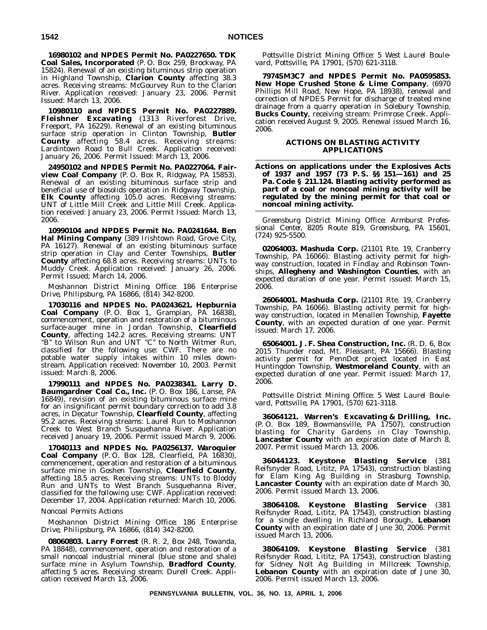**16980102 and NPDES Permit No. PA0227650. TDK Coal Sales, Incorporated** (P. O. Box 259, Brockway, PA 15824). Renewal of an existing bituminous strip operation in Highland Township, **Clarion County** affecting 38.3 acres. Receiving streams: McGourvey Run to the Clarion River. Application received: January 23, 2006. Permit Issued: March 13, 2006.

**10980110 and NPDES Permit No. PA0227889. Fleishner Excavating** (1313 Riverforest Drive, Freeport, PA 16229). Renewal of an existing bituminous surface strip operation in Clinton Township, **Butler County** affecting 58.4 acres. Receiving streams: Lardintown Road to Bull Creek. Application received: January 26, 2006. Permit Issued: March 13, 2006.

**24950102 and NPDES Permit No. PA0227064. Fairview Coal Company** (P. O. Box R, Ridgway, PA 15853). Renewal of an existing bituminous surface strip and beneficial use of biosolids operation in Ridgway Township, **Elk County** affecting 105.0 acres. Receiving streams: UNT of Little Mill Creek and Little Mill Creek. Application received: January 23, 2006. Permit Issued: March 13, 2006.

**10990104 and NPDES Permit No. PA0241644. Ben Hal Mining Company** (389 Irishtown Road, Grove City, PA 16127). Renewal of an existing bituminous surface strip operation in Clay and Center Townships, **Butler County** affecting 68.8 acres. Receiving streams: UNTs to Muddy Creek. Application received: January 26, 2006. Permit Issued; March 14, 2006.

*Moshannon District Mining Office: 186 Enterprise Drive, Philipsburg, PA 16866, (814) 342-8200.*

**17030116 and NPDES No. PA0243621. Hepburnia Coal Company** (P. O. Box 1, Grampian, PA 16838), commencement, operation and restoration of a bituminous surface-auger mine in Jordan Township, **Clearfield County**, affecting 142.2 acres. Receiving streams: UNT "B" to Wilson Run and UNT "C" to North Witmer Run, classified for the following use: CWF. There are no potable water supply intakes within 10 miles downstream. Application received: November 10, 2003. Permit issued: March 8, 2006.

**17990111 and NPDES No. PA0238341. Larry D. Baumgardner Coal Co., Inc.** (P. O. Box 186, Lanse, PA 16849), revision of an existing bituminous surface mine for an insignificant permit boundary correction to add 3.8 acres, in Decatur Township, **Clearfield County**, affecting 95.2 acres. Receiving streams: Laurel Run to Moshannon Creek to West Branch Susquehanna River. Application received January 19, 2006. Permit issued March 9, 2006.

**17040113 and NPDES No. PA0256137. Waroquier Coal Company** (P. O. Box 128, Clearfield, PA 16830), commencement, operation and restoration of a bituminous surface mine in Goshen Township, **Clearfield County**, affecting 18.5 acres. Receiving streams: UNTs to Bloddy Run and UNTs to West Branch Susquehanna River, classified for the following use: CWF. Application received: December 17, 2004. Application returned: March 10, 2006.

### *Noncoal Permits Actions*

*Moshannon District Mining Office: 186 Enterprise Drive, Philipsburg, PA 16866, (814) 342-8200.*

**08060803. Larry Forrest** (R. R. 2, Box 248, Towanda, PA 18848), commencement, operation and restoration of a small noncoal industrial mineral (blue stone and shale) surface mine in Asylum Township, **Bradford County**, affecting 5 acres. Receiving stream: Durell Creek. Application received March 13, 2006.

*Pottsville District Mining Office: 5 West Laurel Boulevard, Pottsville, PA 17901, (570) 621-3118.*

**7974SM3C7 and NPDES Permit No. PA0595853. New Hope Crushed Stone & Lime Company**, (6970 Phillips Mill Road, New Hope, PA 18938), renewal and correction of NPDES Permit for discharge of treated mine drainage from a quarry operation in Solebury Township, **Bucks County**, receiving stream: Primrose Creek. Application received August 9, 2005. Renewal issued March 16, 2006.

#### **ACTIONS ON BLASTING ACTIVITY APPLICATIONS**

**Actions on applications under the Explosives Acts of 1937 and 1957 (73 P. S. §§ 151—161) and 25 Pa. Code § 211.124. Blasting activity performed as part of a coal or noncoal mining activity will be regulated by the mining permit for that coal or noncoal mining activity.**

*Greensburg District Mining Office: Armburst Professional Center, 8205 Route 819, Greensburg, PA 15601, (724) 925-5500.*

**02064003. Mashuda Corp.** (21101 Rte. 19, Cranberry Township, PA 16066). Blasting activity permit for highway construction, located in Findlay and Robinson Townships, **Allegheny and Washington Counties**, with an expected duration of one year. Permit issued: March 15, 2006.

**26064001. Mashuda Corp.** (21101 Rte. 19, Cranberry Township, PA 16066). Blasting activity permit for highway construction, located in Menallen Township, **Fayette County**, with an expected duration of one year. Permit issued: March 17, 2006.

**65064001. J. F. Shea Construction, Inc.** (R. D. 6, Box 2015 Thunder road, Mt. Pleasant, PA 15666). Blasting activity permit for PennDot project located in East Huntingdon Township, **Westmoreland County**, with an expected duration of one year. Permit issued: March 17, 2006.

*Pottsville District Mining Office: 5 West Laurel Boulevard, Pottsville, PA 17901, (570) 621-3118.*

**36064121. Warren's Excavating & Drilling, Inc.** (P. O. Box 189, Bowmansville, PA 17507), construction blasting for Charity Gardens in Clay Township, **Lancaster County** with an expiration date of March 8, 2007. Permit issued March 13, 2006.

**36044123. Keystone Blasting Service** (381 Reifsnyder Road, Lititz, PA 17543), construction blasting for Elam King Ag Building in Strasburg Township, **Lancaster County** with an expiration date of March 30, 2006. Permit issued March 13, 2006.

**38064108. Keystone Blasting Service** (381 Reifsnyder Road, Lititz, PA 17543), construction blasting for a single dwelling in Richland Borough, **Lebanon County** with an expiration date of June 30, 2006. Permit issued March 13, 2006.

**38064109. Keystone Blasting Service** (381 Reifsnyder Road, Lititz, PA 17543), construction blasting for Sidney Nolt Ag Building in Millcreek Township, **Lebanon County** with an expiration date of June 30, 2006. Permit issued March 13, 2006.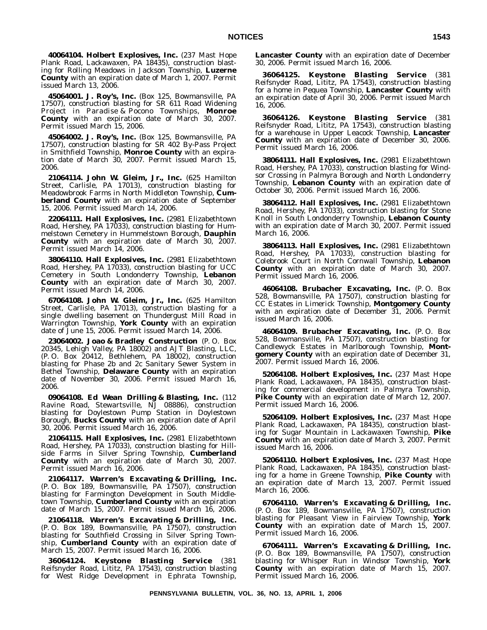**40064104. Holbert Explosives, Inc.** (237 Mast Hope Plank Road, Lackawaxen, PA 18435), construction blasting for Rolling Meadows in Jackson Township, **Luzerne County** with an expiration date of March 1, 2007. Permit issued March 13, 2006.

**45064001. J. Roy's, Inc.** (Box 125, Bowmansville, PA 17507), construction blasting for SR 611 Road Widening Project in Paradise & Pocono Townships, **Monroe County** with an expiration date of March 30, 2007. Permit issued March 15, 2006.

**45064002. J. Roy's, Inc.** (Box 125, Bowmansville, PA 17507), construction blasting for SR 402 By-Pass Project in Smithfield Township, **Monroe County** with an expiration date of March 30, 2007. Permit issued March 15, 2006.

**21064114. John W. Gleim, Jr., Inc.** (625 Hamilton Street, Carlisle, PA 17013), construction blasting for Meadowbrook Farms in North Middleton Township, **Cumberland County** with an expiration date of September 15, 2006. Permit issued March 14, 2006.

**22064111. Hall Explosives, Inc.** (2981 Elizabethtown Road, Hershey, PA 17033), construction blasting for Hummelstown Cemetery in Hummelstown Borough, **Dauphin County** with an expiration date of March 30, 2007. Permit issued March 14, 2006.

**38064110. Hall Explosives, Inc.** (2981 Elizabethtown Road, Hershey, PA 17033), construction blasting for UCC Cemetery in South Londonderry Township, **Lebanon County** with an expiration date of March 30, 2007. Permit issued March 14, 2006.

**67064108. John W. Gleim, Jr., Inc.** (625 Hamilton Street, Carlisle, PA 17013), construction blasting for a single dwelling basement on Thundergust Mill Road in Warrington Township, **York County** with an expiration date of June 15, 2006. Permit issued March 14, 2006.

**23064002. Joao & Bradley Construction** (P. O. Box 20345, Lehigh Valley, PA 18002) and AJT Blasting, LLC, (P. O. Box 20412, Bethlehem, PA 18002), construction blasting for Phase 2b and 2c Sanitary Sewer System in Bethel Township, **Delaware County** with an expiration date of November 30, 2006. Permit issued March 16, 2006.

**09064108. Ed Wean Drilling & Blasting, Inc.** (112 Ravine Road, Stewartsville, NJ 08886), construction blasting for Doylestown Pump Station in Doylestown Borough, **Bucks County** with an expiration date of April 30, 2006. Permit issued March 16, 2006.

**21064115. Hall Explosives, Inc.** (2981 Elizabethtown Road, Hershey, PA 17033), construction blasting for Hillside Farms in Silver Spring Township, **Cumberland County** with an expiration date of March 30, 2007. Permit issued March 16, 2006.

**21064117. Warren's Excavating & Drilling, Inc.** (P. O. Box 189, Bowmansville, PA 17507), construction blasting for Farmington Development in South Middletown Township, **Cumberland County** with an expiration date of March 15, 2007. Permit issued March 16, 2006.

**21064118. Warren's Excavating & Drilling, Inc.** (P. O. Box 189, Bowmansville, PA 17507), construction blasting for Southfield Crossing in Silver Spring Township, **Cumberland County** with an expiration date of March 15, 2007. Permit issued March 16, 2006.

**36064124. Keystone Blasting Service** (381 Reifsnyder Road, Lititz, PA 17543), construction blasting for West Ridge Development in Ephrata Township, **Lancaster County** with an expiration date of December 30, 2006. Permit issued March 16, 2006.

**36064125. Keystone Blasting Service** (381 Reifsnyder Road, Lititz, PA 17543), construction blasting for a home in Pequea Township, **Lancaster County** with an expiration date of April 30, 2006. Permit issued March 16, 2006.

**36064126. Keystone Blasting Service** (381 Reifsnyder Road, Lititz, PA 17543), construction blasting for a warehouse in Upper Leacock Township, **Lancaster County** with an expiration date of December 30, 2006. Permit issued March 16, 2006.

**38064111. Hall Explosives, Inc.** (2981 Elizabethtown Road, Hershey, PA 17033), construction blasting for Windsor Crossing in Palmyra Borough and North Londonderry Township, **Lebanon County** with an expiration date of October 30, 2006. Permit issued March 16, 2006.

**38064112. Hall Explosives, Inc.** (2981 Elizabethtown Road, Hershey, PA 17033), construction blasting for Stone Knoll in South Londonderry Township, **Lebanon County** with an expiration date of March 30, 2007. Permit issued March 16, 2006.

**38064113. Hall Explosives, Inc.** (2981 Elizabethtown Road, Hershey, PA 17033), construction blasting for Colebrook Court in North Cornwall Township, **Lebanon County** with an expiration date of March 30, 2007. Permit issued March 16, 2006.

**46064108. Brubacher Excavating, Inc.** (P. O. Box 528, Bowmansville, PA 17507), construction blasting for CC Estates in Limerick Township, **Montgomery County** with an expiration date of December 31, 2006. Permit issued March 16, 2006.

**46064109. Brubacher Excavating, Inc.** (P. O. Box 528, Bowmansville, PA 17507), construction blasting for Candlewyck Estates in Marlborough Township, **Montgomery County** with an expiration date of December 31, 2007. Permit issued March 16, 2006.

**52064108. Holbert Explosives, Inc.** (237 Mast Hope Plank Road, Lackawaxen, PA 18435), construction blasting for commercial development in Palmyra Township, **Pike County** with an expiration date of March 12, 2007. Permit issued March 16, 2006.

**52064109. Holbert Explosives, Inc.** (237 Mast Hope Plank Road, Lackawaxen, PA 18435), construction blasting for Sugar Mountain in Lackawaxen Township, **Pike County** with an expiration date of March 3, 2007. Permit issued March 16, 2006.

**52064110. Holbert Explosives, Inc.** (237 Mast Hope Plank Road, Lackawaxen, PA 18435), construction blasting for a home in Greene Township, **Pike County** with an expiration date of March 13, 2007. Permit issued March 16, 2006.

**67064110. Warren's Excavating & Drilling, Inc.** (P. O. Box 189, Bowmansville, PA 17507), construction blasting for Pleasant View in Fairview Township, **York County** with an expiration date of March 15, 2007. Permit issued March 16, 2006.

**67064111. Warren's Excavating & Drilling, Inc.** (P. O. Box 189, Bowmansville, PA 17507), construction blasting for Whisper Run in Windsor Township, **York County** with an expiration date of March 15, 2007. Permit issued March 16, 2006.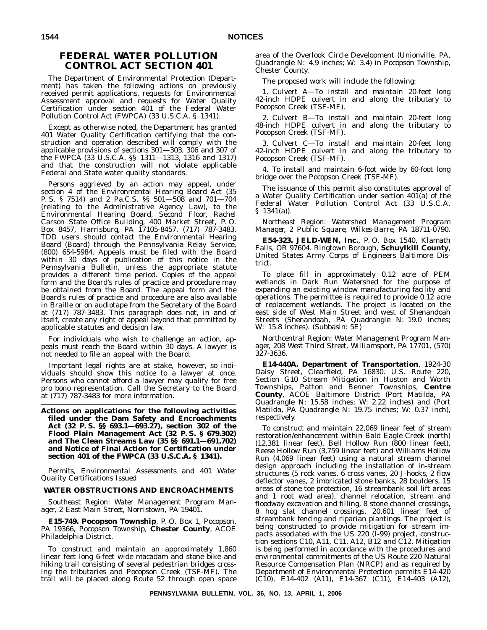# **FEDERAL WATER POLLUTION CONTROL ACT SECTION 401**

The Department of Environmental Protection (Department) has taken the following actions on previously received permit applications, requests for Environmental Assessment approval and requests for Water Quality Certification under section 401 of the Federal Water Pollution Control Act (FWPCA) (33 U.S.C.A. § 1341).

Except as otherwise noted, the Department has granted 401 Water Quality Certification certifying that the construction and operation described will comply with the applicable provisions of sections 301—303, 306 and 307 of the FWPCA (33 U.S.C.A. §§ 1311—1313, 1316 and 1317) and that the construction will not violate applicable Federal and State water quality standards.

Persons aggrieved by an action may appeal, under section 4 of the Environmental Hearing Board Act (35 P. S. § 7514) and 2 Pa.C.S. §§ 501—508 and 701—704 (relating to the Administrative Agency Law), to the Environmental Hearing Board, Second Floor, Rachel Carson State Office Building, 400 Market Street, P. O. Box 8457, Harrisburg, PA 17105-8457, (717) 787-3483. TDD users should contact the Environmental Hearing Board (Board) through the Pennsylvania Relay Service, (800) 654-5984. Appeals must be filed with the Board within 30 days of publication of this notice in the *Pennsylvania Bulletin*, unless the appropriate statute provides a different time period. Copies of the appeal form and the Board's rules of practice and procedure may be obtained from the Board. The appeal form and the Board's rules of practice and procedure are also available in Braille or on audiotape from the Secretary of the Board at (717) 787-3483. This paragraph does not, in and of itself, create any right of appeal beyond that permitted by applicable statutes and decision law.

For individuals who wish to challenge an action, appeals must reach the Board within 30 days. A lawyer is not needed to file an appeal with the Board.

Important legal rights are at stake, however, so individuals should show this notice to a lawyer at once. Persons who cannot afford a lawyer may qualify for free pro bono representation. Call the Secretary to the Board at (717) 787-3483 for more information.

**Actions on applications for the following activities filed under the Dam Safety and Encroachments Act (32 P. S. §§ 693.1—693.27), section 302 of the Flood Plain Management Act (32 P. S. § 679.302) and The Clean Streams Law (35 §§ 691.1—691.702) and Notice of Final Action for Certification under section 401 of the FWPCA (33 U.S.C.A. § 1341).**

*Permits, Environmental Assessments and 401 Water Quality Certifications Issued*

### **WATER OBSTRUCTIONS AND ENCROACHMENTS**

*Southeast Region: Water Management Program Manager, 2 East Main Street, Norristown, PA 19401.*

**E15-749. Pocopson Township**, P. O. Box 1, Pocopson, PA 19366, Pocopson Township, **Chester County**, ACOE Philadelphia District.

To construct and maintain an approximately 1,860 linear feet long 6-feet wide macadam and stone bike and hiking trail consisting of several pedestrian bridges crossing the tributaries and Pocopson Creek (TSF-MF). The trail will be placed along Route 52 through open space area of the Overlook Circle Development (Unionville, PA, Quadrangle N: 4.9 inches; W: 3.4) in Pocopson Township, Chester County.

The proposed work will include the following:

1. Culvert A—To install and maintain 20-feet long 42-inch HDPE culvert in and along the tributary to Pocopson Creek (TSF-MF).

2. Culvert B—To install and maintain 20-feet long 48-inch HDPE culvert in and along the tributary to Pocopson Creek (TSF-MF).

3. Culvert C—To install and maintain 20-feet long 42-inch HDPE culvert in and along the tributary to Pocopson Creek (TSF-MF).

4. To install and maintain 6-foot wide by 60-foot long bridge over the Pocopson Creek (TSF-MF).

The issuance of this permit also constitutes approval of a Water Quality Certification under section 401(a) of the Federal Water Pollution Control Act (33 U.S.C.A. § 1341(a)).

*Northeast Region: Watershed Management Program Manager, 2 Public Square, Wilkes-Barre, PA 18711-0790.*

**E54-323. JELD-WEN, Inc.**, P. O. Box 1540, Klamath Falls, OR 97604. Ringtown Borough, **Schuylkill County**, United States Army Corps of Engineers Baltimore District.

To place fill in approximately 0.12 acre of PEM wetlands in Dark Run Watershed for the purpose of expanding an existing window manufacturing facility and operations. The permittee is required to provide 0.12 acre of replacement wetlands. The project is located on the east side of West Main Street and west of Shenandoah Streets (Shenandoah, PA Quadrangle N: 19.0 inches; W: 15.8 inches). (Subbasin: 5E)

*Northcentral Region: Water Management Program Manager, 208 West Third Street, Williamsport, PA 17701, (570) 327-3636.*

**E14-440A. Department of Transportation**, 1924-30 Daisy Street, Clearfield, PA 16830. U.S. Route 220, Section G10 Stream Mitigation in Huston and Worth Townships, Patton and Benner Townships, **Centre County**, ACOE Baltimore District (Port Matilda, PA Quadrangle N: 15.58 inches; W: 2.22 inches) and (Port Matilda, PA Quadrangle N: 19.75 inches; W: 0.37 inch), respectively.

To construct and maintain 22,069 linear feet of stream restoration/enhancement within Bald Eagle Creek (north) (12,381 linear feet), Bell Hollow Run (800 linear feet), Reese Hollow Run (3,759 linear feet) and Williams Hollow Run (4,069 linear feet) using a natural stream channel design approach including the installation of in-stream structures (5 rock vanes, 6 cross vanes, 20 J-hooks, 2 flow deflector vanes, 2 imbricated stone banks, 28 boulders, 15 areas of stone toe protection, 16 streambank soil lift areas and 1 root wad area), channel relocation, stream and floodway excavation and filling, 8 stone channel crossings, 8 hog slat channel crossings, 20,601 linear feet of streambank fencing and riparian plantings. The project is being constructed to provide mitigation for stream impacts associated with the US 220 (I-99) project, construction sections C10, A11, C11, A12, B12 and C12. Mitigation is being performed in accordance with the procedures and environmental commitments of the US Route 220 Natural Resource Compensation Plan (NRCP) and as required by Department of Environmental Protection permits E14-420 (C10), E14-402 (A11), E14-367 (C11), E14-403 (A12),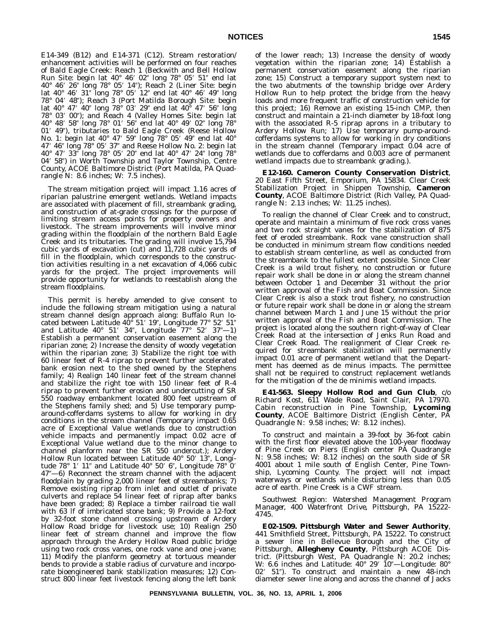E14-349 (B12) and E14-371 (C12). Stream restoration/ enhancement activities will be performed on four reaches of Bald Eagle Creek: Reach 1 (Beckwith and Bell Hollow Run Site: begin lat 40° 46′ 02″ long 78° 05′ 51″ end lat 40° 46′ 26″ long 78° 05′ 14″); Reach 2 (Liner Site: begin lat 40° 46′ 31″ long 78° 05′ 12″ end lat 40° 46′ 49″ long 78° 04' 48"); Reach 3 (Port Matilda Borough Site: begin lat 40° 47′ 40″ long 78° 03′ 29″ end lat 40° 47′ 56″ long 78° 03′ 00"); and Reach 4 (Valley Homes Site: begin lat 40° 48′ 58″ long 78° 01′ 56″ end lat 40° 49′ 02″ long 78° 01' 49"), tributaries to Bald Eagle Creek (Reese Hollow No. 1: begin lat 40° 47′ 59″ long 78° 05′ 49″ end lat 40° 47' 46" long 78° 05' 37" and Reese Hollow No. 2: begin lat 40° 47′ 33″ long 78° 05′ 20″ end lat 40° 47′ 24″ long 78° 04' 58") in Worth Township and Taylor Township, Centre County, ACOE Baltimore District (Port Matilda, PA Quadrangle N: 8.6 inches; W: 7.5 inches).

The stream mitigation project will impact 1.16 acres of riparian palustrine emergent wetlands. Wetland impacts are associated with placement of fill, streambank grading, and construction of at-grade crossings for the purpose of limiting stream access points for property owners and livestock. The stream improvements will involve minor grading within the floodplain of the northern Bald Eagle Creek and its tributaries. The grading will involve 15,794 cubic yards of excavation (cut) and 11,728 cubic yards of fill in the floodplain, which corresponds to the construction activities resulting in a net excavation of 4,066 cubic yards for the project. The project improvements will provide opportunity for wetlands to reestablish along the stream floodplains.

This permit is hereby amended to give consent to include the following stream mitigation using a natural stream channel design approach along: Buffalo Run located between Latitude 40° 51' 19", Longitude 77° 52' 51" and Latitude  $40^{\circ}$  51' 34", Longitude  $77^{\circ}$  52' 37"—1) Establish a permanent conservation easement along the riparian zone; 2) Increase the density of woody vegetation within the riparian zone; 3) Stabilize the right toe with 60 linear feet of R-4 riprap to prevent further accelerated bank erosion next to the shed owned by the Stephens family; 4) Realign 140 linear feet of the stream channel and stabilize the right toe with 150 linear feet of R-4 riprap to prevent further erosion and undercutting of SR 550 roadway embankment located 800 feet upstream of the Stephens family shed; and 5) Use temporary pumparound-cofferdams systems to allow for working in dry conditions in the stream channel (Temporary impact 0.65 acre of Exceptional Value wetlands due to construction vehicle impacts and permanently impact 0.02 acre of Exceptional Value wetland due to the minor change to channel planform near the SR 550 undercut.); Ardery Hollow Run located between Latitude 40° 50' 13", Longitude 78° 1′ 11″ and Latitude 40° 50′ 6″, Longitude 78° 0′ 47—6) Reconnect the stream channel with the adjacent floodplain by grading 2,000 linear feet of streambanks; 7) Remove existing riprap from inlet and outlet of private culverts and replace 54 linear feet of riprap after banks have been graded; 8) Replace a timber railroad tie wall with 63 lf of imbricated stone bank; 9) Provide a 12-foot by 32-foot stone channel crossing upstream of Ardery Hollow Road bridge for livestock use; 10) Realign 250 linear feet of stream channel and improve the flow approach through the Ardery Hollow Road public bridge using two rock cross vanes, one rock vane and one j-vane; 11) Modify the planform geometry at tortuous meander bends to provide a stable radius of curvature and incorporate bioengineered bank stabilization measures; 12) Construct 800 linear feet livestock fencing along the left bank

of the lower reach; 13) Increase the density of woody vegetation within the riparian zone; 14) Establish a permanent conservation easement along the riparian zone; 15) Construct a temporary support system next to the two abutments of the township bridge over Ardery Hollow Run to help protect the bridge from the heavy loads and more frequent traffic of construction vehicle for this project; 16) Remove an existing 15-inch CMP, then construct and maintain a 21-inch diameter by 18-foot long with the associated R-5 riprap aprons in a tributary to Ardery Hollow Run; 17) Use temporary pump-aroundcofferdams systems to allow for working in dry conditions in the stream channel (Temporary impact 0.04 acre of wetlands due to cofferdams and 0.003 acre of permanent wetland impacts due to streambank grading.).

**E12-160. Cameron County Conservation District**, 20 East Fifth Street, Emporium, PA 15834. Clear Creek Stabilization Project in Shippen Township, **Cameron County**, ACOE Baltimore District (Rich Valley, PA Quadrangle N: 2.13 inches; W: 11.25 inches).

To realign the channel of Clear Creek and to construct, operate and maintain a minimum of five rock cross vanes and two rock straight vanes for the stabilization of 875 feet of eroded streambank. Rock vane construction shall be conducted in minimum stream flow conditions needed to establish stream centerline, as well as conducted from the streambank to the fullest extent possible. Since Clear Creek is a wild trout fishery, no construction or future repair work shall be done in or along the stream channel between October 1 and December 31 without the prior written approval of the Fish and Boat Commission. Since Clear Creek is also a stock trout fishery, no construction or future repair work shall be done in or along the stream channel between March 1 and June 15 without the prior written approval of the Fish and Boat Commission. The project is located along the southern right-of-way of Clear Creek Road at the intersection of Jenks Run Road and Clear Creek Road. The realignment of Clear Creek required for streambank stabilization will permanently impact 0.01 acre of permanent wetland that the Department has deemed as de minus impacts. The permittee shall not be required to construct replacement wetlands for the mitigation of the de minimis wetland impacts.

**E41-563. Sleepy Hollow Rod and Gun Club**, c/o Richard Kost, 611 Wade Road, Saint Clair, PA 17970. Cabin reconstruction in Pine Township, **Lycoming County**, ACOE Baltimore District (English Center, PA Quadrangle N: 9.58 inches; W: 8.12 inches).

To construct and maintain a 39-foot by 36-foot cabin with the first floor elevated above the 100-year floodway of Pine Creek on Piers (English center PA Quadrangle N: 9.58 inches; W: 8.12 inches) on the south side of SR 4001 about 1 mile south of English Center, Pine Township, Lycoming County. The project will not impact waterways or wetlands while disturbing less than 0.05 acre of earth. Pine Creek is a CWF stream.

*Southwest Region: Watershed Management Program Manager, 400 Waterfront Drive, Pittsburgh, PA 15222- 4745.*

**E02-1509. Pittsburgh Water and Sewer Authority**, 441 Smithfield Street, Pittsburgh, PA 15222. To construct a sewer line in Bellevue Borough and the City of Pittsburgh, **Allegheny County**, Pittsburgh ACOE District. (Pittsburgh West, PA Quadrangle N: 20.2 inches; W: 6.6 inches and Latitude: 40° 29′ 10″—Longitude: 80° 02' 51"). To construct and maintain a new 48-inch diameter sewer line along and across the channel of Jacks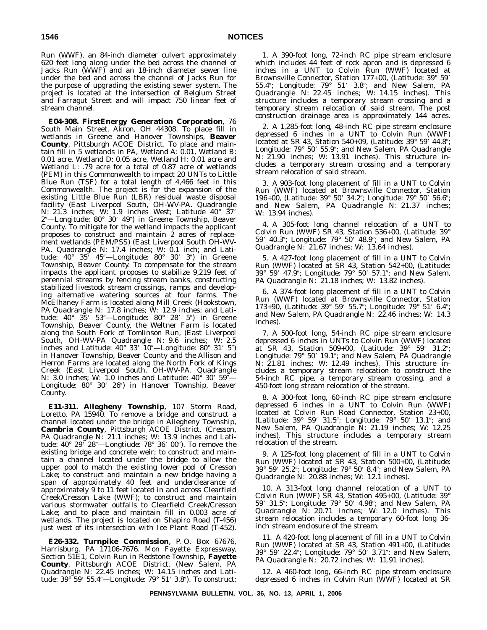Run (WWF), an 84-inch diameter culvert approximately 620 feet long along under the bed across the channel of Jacks Run (WWF) and an 18-inch diameter sewer line under the bed and across the channel of Jacks Run for the purpose of upgrading the existing sewer system. The project is located at the intersection of Belgium Street and Farragut Street and will impact 750 linear feet of stream channel.

**E04-308. FirstEnergy Generation Corporation**, 76 South Main Street, Akron, OH 44308. To place fill in wetlands in Greene and Hanover Townships, **Beaver County**, Pittsburgh ACOE District. To place and maintain fill in 5 wetlands in PA, Wetland A: 0.01, Wetland B: 0.01 acre, Wetland D: 0.05 acre, Wetland H: 0.01 acre and Wetland L: .79 acre for a total of 0.87 acre of wetlands (PEM) in this Commonwealth to impact 20 UNTs to Little Blue Run (TSF) for a total length of 4,466 feet in this Commonwealth. The project is for the expansion of the existing Little Blue Run (LBR) residual waste disposal facility (East Liverpool South, OH-WV-PA. Quadrangle N: 21.3 inches; W: 1.9 inches West; Latitude 40° 37- 2"-Longitude: 80° 30' 49") in Greene Township, Beaver County. To mitigate for the wetland impacts the applicant proposes to construct and maintain 2 acres of replacement wetlands (PEM/PSS) (East Liverpool South OH-WV-PA. Quadrangle N: 17.4 inches; W: 0.1 inch; and Latitude: 40° 35′ 45″—Longitude: 80° 30′ 3″) in Greene Township, Beaver County. To compensate for the stream impacts the applicant proposes to stabilize 9,219 feet of perennial streams by fencing stream banks, constructing stabilized livestock stream crossings, ramps and developing alternative watering sources at four farms. The McElhaney Farm is located along Mill Creek (Hookstown, PA Quadrangle N: 17.8 inches; W: 12.9 inches; and Latitude: 40° 35′ 53″—Longitude: 80° 28′ 5″) in Greene Township, Beaver County, the Weltner Farm is located along the South Fork of Tomlinson Run, (East Liverpool South, OH-WV-PA Quadrangle N: 9.6 inches; W: 2.5 inches and Latitude:  $40^{\circ}$  33' 10"—Longitude: 80° 31' 5") in Hanover Township, Beaver County and the Allison and Herron Farms are located along the North Fork of Kings Creek (East Liverpool South, OH-WV-PA. Quadrangle N: 3.0 inches; W: 1.0 inches and Latitude: 40° 30′ 59″— Longitude: 80° 30′ 26″) in Hanover Township, Beaver County.

**E11-311. Allegheny Township**, 107 Storm Road, Loretto, PA 15940. To remove a bridge and construct a channel located under the bridge in Allegheny Township, **Cambria County**, Pittsburgh ACOE District. (Cresson, PA Quadrangle N: 21.1 inches; W: 13.9 inches and Latitude: 40° 29′ 28″—Longtiude: 78° 36′ 00″). To remove the existing bridge and concrete weir; to construct and maintain a channel located under the bridge to allow the upper pool to match the existing lower pool of Cresson Lake; to construct and maintain a new bridge having a span of approximately 40 feet and underclearance of approximately 9 to 11 feet located in and across Clearfield Creek/Cresson Lake (WWF); to construct and maintain various stormwater outfalls to Clearfield Creek/Cresson Lake; and to place and maintain fill in 0.003 acre of wetlands. The project is located on Shapiro Road (T-456) just west of its intersection with Ice Plant Road (T-452).

**E26-332. Turnpike Commission**, P. O. Box 67676, Harrisburg, PA 17106-7676. Mon Fayette Expressway, Section 51E1, Colvin Run in Redstone Township, **Fayette County**, Pittsburgh ACOE District. (New Salem, PA Quadrangle N: 22.45 inches; W: 14.15 inches and Latitude: 39° 59′ 55.4″—Longitude: 79° 51′ 3.8″). To construct:

1. A 390-foot long, 72-inch RC pipe stream enclosure which includes 44 feet of rock apron and is depressed 6 inches in a UNT to Colvin Run (WWF) located at Brownsville Connector, Station 177+00, (Latitude: 39° 59- 55.4"; Longitude: 79° 51' 3.8"; and New Salem, PA Quadrangle N: 22.45 inches; W: 14.15 inches). This structure includes a temporary stream crossing and a temporary stream relocation of said stream. The post construction drainage area is approximately 144 acres.

2. A 1,285-foot long, 48-inch RC pipe stream enclosure depressed 6 inches in a UNT to Colvin Run (WWF) located at SR 43, Station 540+09, (Latitude: 39° 59′ 44.8″; Longitude: 79° 50′ 55.9″; and New Salem, PA Quadrangle N: 21.90 inches; W: 13.91 inches). This structure includes a temporary stream crossing and a temporary stream relocation of said stream.

3. A 903-foot long placement of fill in a UNT to Colvin Run (WWF) located at Brownsville Connector, Station 196+00, (Latitude: 39° 50' 34.2"; Longitude: 79° 50' 56.6"; and New Salem, PA Quadrangle N: 21.37 inches; W: 13.94 inches).

4. A 305-foot long channel relocation of a UNT to Colvin Run (WWF) SR 43, Station 536+00, (Latitude: 39° 59' 40.3"; Longitude: 79° 50' 48.9"; and New Salem, PA Quadrangle N: 21.67 inches; W: 13.64 inches).

5. A 427-foot long placement of fill in a UNT to Colvin Run (WWF) located at SR 43, Station 542+00, (Latitude: 39° 59′ 47.9″; Longitude: 79° 50′ 57.1″; and New Salem, PA Quadrangle N: 21.18 inches; W: 13.82 inches).

6. A 374-foot long placement of fill in a UNT to Colvin Run (WWF) located at Brownsville Connector, Station 173+90, (Latitude: 39° 59' 55.7"; Longitude: 79° 51' 6.4"; and New Salem, PA Quadrangle N: 22.46 inches; W: 14.3 inches).

7. A 500-foot long, 54-inch RC pipe stream enclosure depressed 6 inches in UNTs to Colvin Run (WWF) located at SR 43, Station 509+00, (Latitude: 39° 59′ 31.2″; Longitude: 79° 50′ 19.1″; and New Salem, PA Quadrangle N: 21.81 inches; W: 12.49 inches). This structure includes a temporary stream relocation to construct the 54-inch RC pipe, a temporary stream crossing, and a 450-foot long stream relocation of the stream.

8. A 300-foot long, 60-inch RC pipe stream enclosure depressed 6 inches in a UNT to Colvin Run (WWF) located at Colvin Run Road Connector, Station 23+00, (Latitude: 39° 59′ 31.5"; Longitude: 79° 50′ 13.1"; and New Salem, PA Quadrangle N: 21.19 inches; W: 12.25 inches). This structure includes a temporary stream relocation of the stream.

9. A 125-foot long placement of fill in a UNT to Colvin Run (WWF) located at SR 43, Station 500+00, (Latitude: 39° 59′ 25.2"; Longitude: 79° 50′ 8.4"; and New Salem, PA Quadrangle N: 20.88 inches; W: 12.1 inches).

10. A 313-foot long channel relocation of a UNT to Colvin Run (WWF) SR 43, Station 495+00, (Latitude: 39° 59' 31.5"; Longitude: 79° 50' 4.98"; and New Salem, PA Quadrangle N: 20.71 inches; W: 12.0 inches). This stream relocation includes a temporary 60-foot long 36 inch stream enclosure of the stream.

11. A 420-foot long placement of fill in a UNT to Colvin Run (WWF) located at SR 43, Station 491+00, (Latitude: 39° 59′ 22.4″; Longitude: 79° 50′ 3.71″; and New Salem, PA Quadrangle N: 20.72 inches; W: 11.91 inches).

12. A 460-foot long, 66-inch RC pipe stream enclosure depressed 6 inches in Colvin Run (WWF) located at SR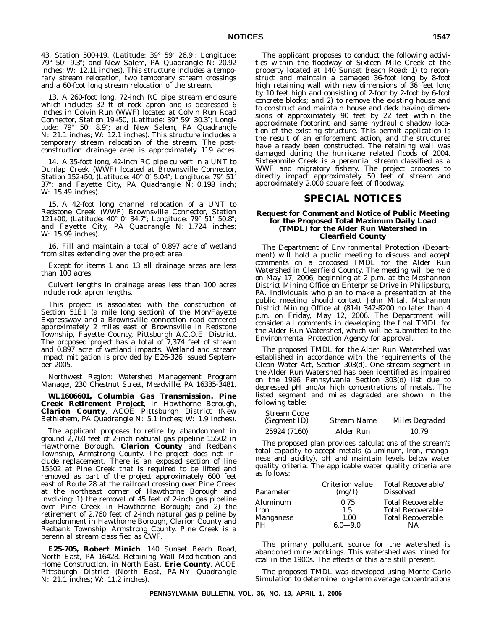43, Station 500+19, (Latitude: 39° 59′ 26.9″; Longitude: 79° 50′ 9.3″; and New Salem, PA Quadrangle N: 20.92 inches; W: 12.11 inches). This structure includes a temporary stream relocation, two temporary stream crossings and a 60-foot long stream relocation of the stream.

13. A 260-foot long, 72-inch RC pipe stream enclosure which includes 32 ft of rock apron and is depressed 6 inches in Colvin Run (WWF) located at Colvin Run Road Connector, Station 19+50, (Latitude: 39° 59′ 30.3"; Longitude: 79° 50′ 8.9″; and New Salem, PA Quadrangle N: 21.1 inches; W: 12.1 inches). This structure includes a temporary stream relocation of the stream. The postconstruction drainage area is approximately 119 acres.

14. A 35-foot long, 42-inch RC pipe culvert in a UNT to Dunlap Creek (WWF) located at Brownsville Connector, Station 152+50, (Latitude: 40° 0′ 5.04″; Longitude: 79° 51′ 37"; and Fayette City, PA Quadrangle N: 0.198 inch; W: 15.49 inches).

15. A 42-foot long channel relocation of a UNT to Redstone Creek (WWF) Brownsville Connector, Station 121+00, (Latitude: 40° 0' 34.7"; Longitude: 79° 51' 50.8"; and Fayette City, PA Quadrangle N: 1.724 inches; W: 15.99 inches).

16. Fill and maintain a total of 0.897 acre of wetland from sites extending over the project area.

Except for items 1 and 13 all drainage areas are less than 100 acres.

Culvert lengths in drainage areas less than 100 acres include rock apron lengths.

This project is associated with the construction of Section 51E1 (a mile long section) of the Mon/Fayette Expressway and a Brownsville connection road centered approximately 2 miles east of Brownsville in Redstone Township, Fayette County, Pittsburgh A.C.O.E. District. The proposed project has a total of 7,374 feet of stream and 0.897 acre of wetland impacts. Wetland and stream impact mitigation is provided by E26-326 issued September 2005.

### *Northwest Region: Watershed Management Program Manager, 230 Chestnut Street, Meadville, PA 16335-3481.*

**WL1606601, Columbia Gas Transmission. Pine Creek Retirement Project**, in Hawthorne Borough, **Clarion County**, ACOE Pittsburgh District (New Bethlehem, PA Quadrangle N: 5.1 inches; W: 1.9 inches).

The applicant proposes to retire by abandonment in ground 2,760 feet of 2-inch natural gas pipeline 15502 in Hawthorne Borough, **Clarion County** and Redbank Township, Armstrong County. The project does not include replacement. There is an exposed section of line 15502 at Pine Creek that is required to be lifted and removed as part of the project approximately 600 feet east of Route 28 at the railroad crossing over Pine Creek at the northeast corner of Hawthorne Borough and involving: 1) the removal of 45 feet of 2-inch gas pipeline over Pine Creek in Hawthorne Borough; and 2) the retirement of 2,760 feet of 2-inch natural gas pipeline by abandonment in Hawthorne Borough, Clarion County and Redbank Township, Armstrong County. Pine Creek is a perennial stream classified as CWF.

**E25-705, Robert Minich**, 140 Sunset Beach Road, North East, PA 16428. Retaining Wall Modification and Home Construction, in North East, **Erie County**, ACOE Pittsburgh District (North East, PA-NY Quadrangle N: 21.1 inches; W: 11.2 inches).

The applicant proposes to conduct the following activities within the floodway of Sixteen Mile Creek at the property located at 140 Sunset Beach Road: 1) to reconstruct and maintain a damaged 36-foot long by 8-foot high retaining wall with new dimensions of 36 feet long by 10 feet high and consisting of 2-foot by 2-foot by 6-foot concrete blocks; and 2) to remove the existing house and to construct and maintain house and deck having dimensions of approximately 90 feet by 22 feet within the approximate footprint and same hydraulic shadow location of the existing structure. This permit application is the result of an enforcement action, and the structures have already been constructed. The retaining wall was damaged during the hurricane related floods of 2004. Sixteenmile Creek is a perennial stream classified as a WWF and migratory fishery. The project proposes to directly impact approximately 50 feet of stream and approximately 2,000 square feet of floodway.

### **SPECIAL NOTICES**

#### **Request for Comment and Notice of Public Meeting for the Proposed Total Maximum Daily Load (TMDL) for the Alder Run Watershed in Clearfield County**

The Department of Environmental Protection (Department) will hold a public meeting to discuss and accept comments on a proposed TMDL for the Alder Run Watershed in Clearfield County. The meeting will be held on May 17, 2006, beginning at 2 p.m. at the Moshannon District Mining Office on Enterprise Drive in Philipsburg, PA. Individuals who plan to make a presentation at the public meeting should contact John Mital, Moshannon District Mining Office at (814) 342-8200 no later than 4 p.m. on Friday, May 12, 2006. The Department will consider all comments in developing the final TMDL for the Alder Run Watershed, which will be submitted to the Environmental Protection Agency for approval.

The proposed TMDL for the Alder Run Watershed was established in accordance with the requirements of the Clean Water Act, Section 303(d). One stream segment in the Alder Run Watershed has been identified as impaired on the 1996 Pennsylvania Section 303(d) list due to depressed pH and/or high concentrations of metals. The listed segment and miles degraded are shown in the following table:

| Stream Code         |             |                |
|---------------------|-------------|----------------|
| <i>(Segment ID)</i> | Stream Name | Miles Degraded |
| 25924 (7160)        | Alder Run   | 10.79          |

The proposed plan provides calculations of the stream's total capacity to accept metals (aluminum, iron, manganese and acidity), pH and maintain levels below water quality criteria. The applicable water quality criteria are as follows:

| Parameter | Criterion value<br>(mg/l) | Total Recoverable/<br><i>Dissolved</i> |
|-----------|---------------------------|----------------------------------------|
| Aluminum  | 0.75                      | <b>Total Recoverable</b>               |
| Iron      | 1.5                       | <b>Total Recoverable</b>               |
| Manganese | 1.00                      | <b>Total Recoverable</b>               |
| PН        | $6.0 - 9.0$               | NΑ                                     |

The primary pollutant source for the watershed is abandoned mine workings. This watershed was mined for coal in the 1900s. The effects of this are still present.

The proposed TMDL was developed using Monte Carlo Simulation to determine long-term average concentrations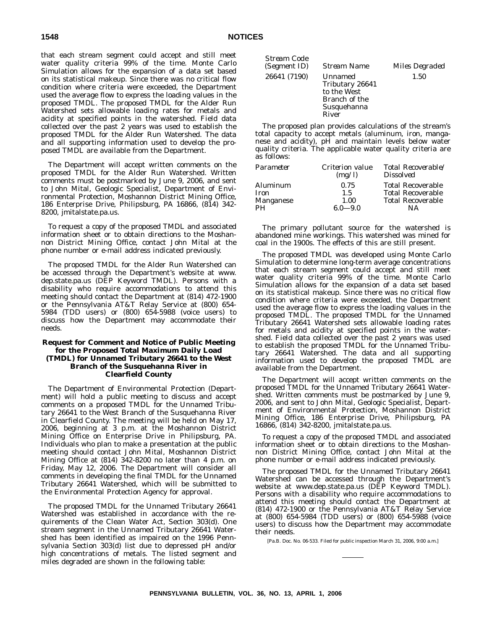that each stream segment could accept and still meet water quality criteria 99% of the time. Monte Carlo Simulation allows for the expansion of a data set based on its statistical makeup. Since there was no critical flow condition where criteria were exceeded, the Department used the average flow to express the loading values in the proposed TMDL. The proposed TMDL for the Alder Run Watershed sets allowable loading rates for metals and acidity at specified points in the watershed. Field data collected over the past 2 years was used to establish the proposed TMDL for the Alder Run Watershed. The data and all supporting information used to develop the proposed TMDL are available from the Department.

The Department will accept written comments on the proposed TMDL for the Alder Run Watershed. Written comments must be postmarked by June 9, 2006, and sent to John Mital, Geologic Specialist, Department of Environmental Protection, Moshannon District Mining Office, 186 Enterprise Drive, Philipsburg, PA 16866, (814) 342- 8200, jmitalstate.pa.us.

To request a copy of the proposed TMDL and associated information sheet or to obtain directions to the Moshannon District Mining Office, contact John Mital at the phone number or e-mail address indicated previously.

The proposed TMDL for the Alder Run Watershed can be accessed through the Department's website at www. dep.state.pa.us (DEP Keyword TMDL). Persons with a disability who require accommodations to attend this meeting should contact the Department at (814) 472-1900 or the Pennsylvania AT&T Relay Service at (800) 654- 5984 (TDD users) or (800) 654-5988 (voice users) to discuss how the Department may accommodate their needs.

### **Request for Comment and Notice of Public Meeting for the Proposed Total Maximum Daily Load (TMDL) for Unnamed Tributary 26641 to the West Branch of the Susquehanna River in Clearfield County**

The Department of Environmental Protection (Department) will hold a public meeting to discuss and accept comments on a proposed TMDL for the Unnamed Tributary 26641 to the West Branch of the Susquehanna River in Clearfield County. The meeting will be held on May 17, 2006, beginning at 3 p.m. at the Moshannon District Mining Office on Enterprise Drive in Philipsburg, PA. Individuals who plan to make a presentation at the public meeting should contact John Mital, Moshannon District Mining Office at (814) 342-8200 no later than 4 p.m. on Friday, May 12, 2006. The Department will consider all comments in developing the final TMDL for the Unnamed Tributary 26641 Watershed, which will be submitted to the Environmental Protection Agency for approval.

The proposed TMDL for the Unnamed Tributary 26641 Watershed was established in accordance with the requirements of the Clean Water Act, Section 303(d). One stream segment in the Unnamed Tributary 26641 Watershed has been identified as impaired on the 1996 Pennsylvania Section 303(d) list due to depressed pH and/or high concentrations of metals. The listed segment and miles degraded are shown in the following table:

| Stream Code<br>(Segment ID) | <b>Stream Name</b>                                                                 | <i>Miles Degraded</i> |
|-----------------------------|------------------------------------------------------------------------------------|-----------------------|
| 26641 (7190)                | Unnamed<br>Tributary 26641<br>to the West<br>Branch of the<br>Susquehanna<br>River | 1.50                  |

The proposed plan provides calculations of the stream's total capacity to accept metals (aluminum, iron, manganese and acidity), pH and maintain levels below water quality criteria. The applicable water quality criteria are as follows:

| Parameter | Criterion value<br>(mg/l) | Total Recoverable/<br><i>Dissolved</i> |
|-----------|---------------------------|----------------------------------------|
| Aluminum  | 0.75                      | <b>Total Recoverable</b>               |
| Iron      | 1.5                       | <b>Total Recoverable</b>               |
| Manganese | 1.00                      | <b>Total Recoverable</b>               |
| <b>PH</b> | 6.0—9.0                   | NΑ                                     |

The primary pollutant source for the watershed is abandoned mine workings. This watershed was mined for coal in the 1900s. The effects of this are still present.

The proposed TMDL was developed using Monte Carlo Simulation to determine long-term average concentrations that each stream segment could accept and still meet water quality criteria 99% of the time. Monte Carlo Simulation allows for the expansion of a data set based on its statistical makeup. Since there was no critical flow condition where criteria were exceeded, the Department used the average flow to express the loading values in the proposed TMDL. The proposed TMDL for the Unnamed Tributary 26641 Watershed sets allowable loading rates for metals and acidity at specified points in the watershed. Field data collected over the past 2 years was used to establish the proposed TMDL for the Unnamed Tributary 26641 Watershed. The data and all supporting information used to develop the proposed TMDL are available from the Department.

The Department will accept written comments on the proposed TMDL for the Unnamed Tributary 26641 Watershed. Written comments must be postmarked by June 9, 2006, and sent to John Mital, Geologic Specialist, Department of Environmental Protection, Moshannon District Mining Office, 186 Enterprise Drive, Philipsburg, PA 16866, (814) 342-8200, jmitalstate.pa.us.

To request a copy of the proposed TMDL and associated information sheet or to obtain directions to the Moshannon District Mining Office, contact John Mital at the phone number or e-mail address indicated previously.

The proposed TMDL for the Unnamed Tributary 26641 Watershed can be accessed through the Department's website at www.dep.state.pa.us (DEP Keyword TMDL). Persons with a disability who require accommodations to attend this meeting should contact the Department at (814) 472-1900 or the Pennsylvania AT&T Relay Service at (800) 654-5984 (TDD users) or (800) 654-5988 (voice users) to discuss how the Department may accommodate their needs.

[Pa.B. Doc. No. 06-533. Filed for public inspection March 31, 2006, 9:00 a.m.]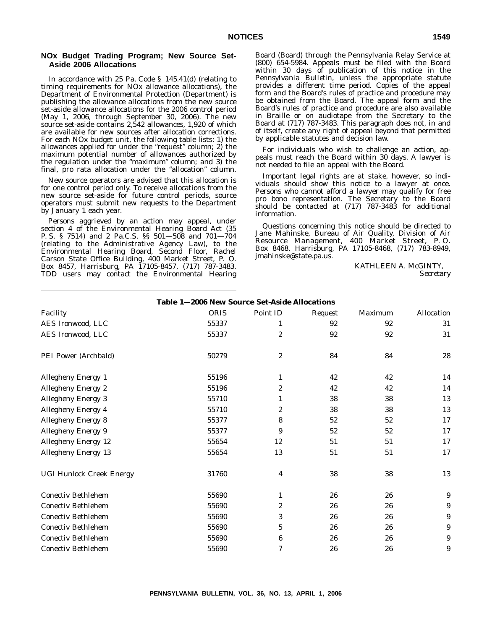### **NOx Budget Trading Program; New Source Set-Aside 2006 Allocations**

In accordance with 25 Pa. Code § 145.41(d) (relating to timing requirements for NOx allowance allocations), the Department of Environmental Protection (Department) is publishing the allowance allocations from the new source set-aside allowance allocations for the 2006 control period (May 1, 2006, through September 30, 2006). The new source set-aside contains 2,542 allowances, 1,920 of which are available for new sources after allocation corrections. For each NOx budget unit, the following table lists: 1) the allowances applied for under the "request" column; 2) the maximum potential number of allowances authorized by the regulation under the "maximum" column; and 3) the final, pro rata allocation under the "allocation" column.

New source operators are advised that this allocation is for one control period only. To receive allocations from the new source set-aside for future control periods, source operators must submit new requests to the Department by January 1 each year.

Persons aggrieved by an action may appeal, under section 4 of the Environmental Hearing Board Act (35 P. S. § 7514) and 2 Pa.C.S. §§ 501—508 and 701—704 (relating to the Administrative Agency Law), to the Environmental Hearing Board, Second Floor, Rachel Carson State Office Building, 400 Market Street, P. O. Box 8457, Harrisburg, PA 17105-8457, (717) 787-3483. TDD users may contact the Environmental Hearing Board (Board) through the Pennsylvania Relay Service at (800) 654-5984. Appeals must be filed with the Board within 30 days of publication of this notice in the *Pennsylvania Bulletin*, unless the appropriate statute provides a different time period. Copies of the appeal form and the Board's rules of practice and procedure may be obtained from the Board. The appeal form and the Board's rules of practice and procedure are also available in Braille or on audiotape from the Secretary to the Board at (717) 787-3483. This paragraph does not, in and of itself, create any right of appeal beyond that permitted by applicable statutes and decision law.

For individuals who wish to challenge an action, appeals must reach the Board within 30 days. A lawyer is not needed to file an appeal with the Board.

Important legal rights are at stake, however, so individuals should show this notice to a lawyer at once. Persons who cannot afford a lawyer may qualify for free pro bono representation. The Secretary to the Board should be contacted at (717) 787-3483 for additional information.

Questions concerning this notice should be directed to Jane Mahinske, Bureau of Air Quality, Division of Air Resource Management, 400 Market Street, P. O. Box 8468, Harrisburg, PA 17105-8468, (717) 783-8949, jmahinske@state.pa.us.

> KATHLEEN A. McGINTY, *Secretary*

| Table 1-2006 New Source Set-Aside Allocations |             |                  |         |         |                   |
|-----------------------------------------------|-------------|------------------|---------|---------|-------------------|
| Facility                                      | <b>ORIS</b> | Point ID         | Request | Maximum | <b>Allocation</b> |
| AES Ironwood, LLC                             | 55337       | 1                | 92      | 92      | 31                |
| AES Ironwood, LLC                             | 55337       | $\overline{2}$   | 92      | 92      | 31                |
| PEI Power (Archbald)                          | 50279       | $\boldsymbol{2}$ | 84      | 84      | $\bf 28$          |
| Allegheny Energy 1                            | 55196       | 1                | 42      | 42      | 14                |
| <b>Allegheny Energy 2</b>                     | 55196       | $\boldsymbol{2}$ | 42      | 42      | 14                |
| <b>Allegheny Energy 3</b>                     | 55710       | 1                | 38      | 38      | 13                |
| <b>Allegheny Energy 4</b>                     | 55710       | $\boldsymbol{2}$ | 38      | 38      | 13                |
| <b>Allegheny Energy 8</b>                     | 55377       | 8                | 52      | 52      | 17                |
| <b>Allegheny Energy 9</b>                     | 55377       | 9                | 52      | 52      | 17                |
| <b>Allegheny Energy 12</b>                    | 55654       | 12               | 51      | 51      | 17                |
| <b>Allegheny Energy 13</b>                    | 55654       | 13               | 51      | 51      | 17                |
| <b>UGI Hunlock Creek Energy</b>               | 31760       | 4                | 38      | 38      | 13                |
| <b>Conectiv Bethlehem</b>                     | 55690       | 1                | 26      | 26      | 9                 |
| <b>Conectiv Bethlehem</b>                     | 55690       | $\boldsymbol{2}$ | 26      | 26      | 9                 |
| <b>Conectiv Bethlehem</b>                     | 55690       | 3                | 26      | 26      | 9                 |
| <b>Conectiv Bethlehem</b>                     | 55690       | 5                | 26      | 26      | 9                 |
| <b>Conectiv Bethlehem</b>                     | 55690       | 6                | 26      | 26      | 9                 |
| <b>Conectiv Bethlehem</b>                     | 55690       | 7                | 26      | 26      | 9                 |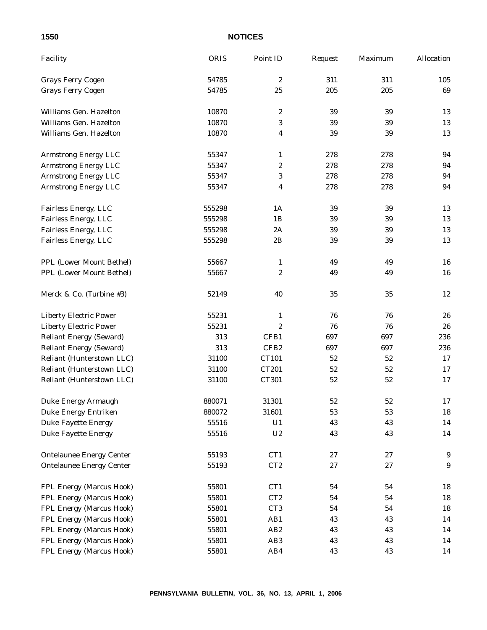| Facility                        | <b>ORIS</b> | Point ID         | Request | Maximum | <b>Allocation</b> |
|---------------------------------|-------------|------------------|---------|---------|-------------------|
| <b>Grays Ferry Cogen</b>        | 54785       | $\boldsymbol{2}$ | 311     | 311     | 105               |
| <b>Grays Ferry Cogen</b>        | 54785       | 25               | 205     | 205     | 69                |
| Williams Gen. Hazelton          | 10870       | $\boldsymbol{2}$ | 39      | 39      | 13                |
| Williams Gen. Hazelton          | 10870       | $\sqrt{3}$       | 39      | 39      | 13                |
| Williams Gen. Hazelton          | 10870       | 4                | 39      | 39      | 13                |
| <b>Armstrong Energy LLC</b>     | 55347       | $\mathbf{1}$     | 278     | 278     | 94                |
| <b>Armstrong Energy LLC</b>     | 55347       | $\boldsymbol{2}$ | 278     | 278     | 94                |
| <b>Armstrong Energy LLC</b>     | 55347       | 3                | 278     | 278     | 94                |
| <b>Armstrong Energy LLC</b>     | 55347       | 4                | 278     | 278     | 94                |
| Fairless Energy, LLC            | 555298      | 1A               | 39      | 39      | 13                |
| Fairless Energy, LLC            | 555298      | 1B               | 39      | 39      | 13                |
| Fairless Energy, LLC            | 555298      | 2A               | 39      | 39      | 13                |
| Fairless Energy, LLC            | 555298      | 2B               | 39      | 39      | 13                |
| PPL (Lower Mount Bethel)        | 55667       | 1                | 49      | 49      | 16                |
| PPL (Lower Mount Bethel)        | 55667       | 2                | 49      | 49      | 16                |
| Merck & Co. (Turbine #3)        | 52149       | 40               | 35      | 35      | 12                |
| <b>Liberty Electric Power</b>   | 55231       | 1                | 76      | 76      | 26                |
| <b>Liberty Electric Power</b>   | 55231       | $\boldsymbol{2}$ | 76      | 76      | 26                |
| <b>Reliant Energy (Seward)</b>  | 313         | CFB1             | 697     | 697     | 236               |
| <b>Reliant Energy (Seward)</b>  | 313         | CFB <sub>2</sub> | 697     | 697     | 236               |
| Reliant (Hunterstown LLC)       | 31100       | CT101            | 52      | 52      | 17                |
| Reliant (Hunterstown LLC)       | 31100       | CT201            | 52      | 52      | 17                |
| Reliant (Hunterstown LLC)       | 31100       | CT301            | 52      | 52      | 17                |
| Duke Energy Armaugh             | 880071      | 31301            | 52      | 52      | 17                |
| <b>Duke Energy Entriken</b>     | 880072      | 31601            | 53      | 53      | 18                |
| <b>Duke Fayette Energy</b>      | 55516       | U1               | 43      | 43      | 14                |
| <b>Duke Fayette Energy</b>      | 55516       | U <sub>2</sub>   | 43      | 43      | 14                |
| <b>Ontelaunee Energy Center</b> | 55193       | CT1              | 27      | 27      | 9                 |
| <b>Ontelaunee Energy Center</b> | 55193       | CT2              | 27      | 27      | $\boldsymbol{9}$  |
| FPL Energy (Marcus Hook)        | 55801       | CT1              | 54      | 54      | 18                |
| FPL Energy (Marcus Hook)        | 55801       | CT <sub>2</sub>  | 54      | 54      | 18                |
| FPL Energy (Marcus Hook)        | 55801       | CT <sub>3</sub>  | 54      | 54      | 18                |
| FPL Energy (Marcus Hook)        | 55801       | AB1              | 43      | 43      | 14                |
| FPL Energy (Marcus Hook)        | 55801       | AB <sub>2</sub>  | 43      | 43      | 14                |
| FPL Energy (Marcus Hook)        | 55801       | AB <sub>3</sub>  | 43      | 43      | 14                |
| FPL Energy (Marcus Hook)        | 55801       | AB4              | 43      | 43      | 14                |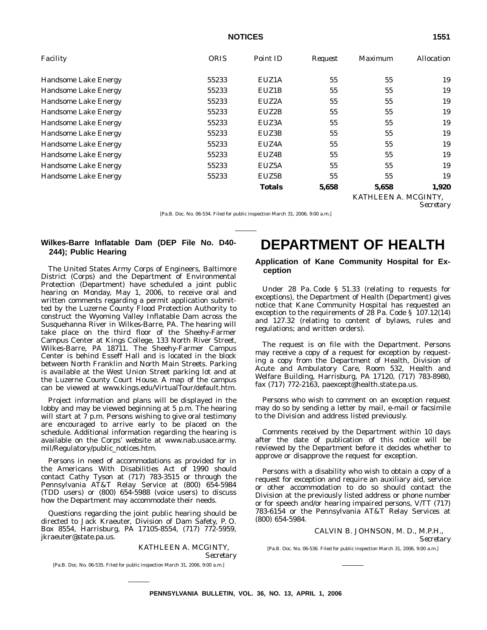| Facility                    | <b>ORIS</b> | Point ID      | Request | Maximum              | <i>Allocation</i> |
|-----------------------------|-------------|---------------|---------|----------------------|-------------------|
| <b>Handsome Lake Energy</b> | 55233       | EUZ1A         | 55      | 55                   | 19                |
| Handsome Lake Energy        | 55233       | EUZ1B         | 55      | 55                   | 19                |
| Handsome Lake Energy        | 55233       | EUZ2A         | 55      | 55                   | 19                |
| <b>Handsome Lake Energy</b> | 55233       | EUZ2B         | 55      | 55                   | 19                |
| <b>Handsome Lake Energy</b> | 55233       | EUZ3A         | 55      | 55                   | 19                |
| Handsome Lake Energy        | 55233       | EUZ3B         | 55      | 55                   | 19                |
| <b>Handsome Lake Energy</b> | 55233       | EUZ4A         | 55      | 55                   | 19                |
| Handsome Lake Energy        | 55233       | EUZ4B         | 55      | 55                   | 19                |
| Handsome Lake Energy        | 55233       | EUZ5A         | 55      | 55                   | 19                |
| Handsome Lake Energy        | 55233       | EUZ5B         | 55      | 55                   | 19                |
|                             |             | <b>Totals</b> | 5,658   | 5,658                | 1,920             |
|                             |             |               |         | KATHLEEN A. MCGINTY, |                   |

*Secretary*

[Pa.B. Doc. No. 06-534. Filed for public inspection March 31, 2006, 9:00 a.m.]

# **Wilkes-Barre Inflatable Dam (DEP File No. D40- 244); Public Hearing**

The United States Army Corps of Engineers, Baltimore District (Corps) and the Department of Environmental Protection (Department) have scheduled a joint public hearing on Monday, May 1, 2006, to receive oral and written comments regarding a permit application submitted by the Luzerne County Flood Protection Authority to construct the Wyoming Valley Inflatable Dam across the Susquehanna River in Wilkes-Barre, PA. The hearing will take place on the third floor of the Sheehy-Farmer Campus Center at Kings College, 133 North River Street, Wilkes-Barre, PA 18711. The Sheehy-Farmer Campus Center is behind Esseff Hall and is located in the block between North Franklin and North Main Streets. Parking is available at the West Union Street parking lot and at the Luzerne County Court House. A map of the campus can be viewed at www.kings.edu/VirtualTour/default.htm.

Project information and plans will be displayed in the lobby and may be viewed beginning at 5 p.m. The hearing will start at 7 p.m. Persons wishing to give oral testimony are encouraged to arrive early to be placed on the schedule. Additional information regarding the hearing is available on the Corps' website at www.nab.usace.army. mil/Regulatory/public\_notices.htm.

Persons in need of accommodations as provided for in the Americans With Disabilities Act of 1990 should contact Cathy Tyson at (717) 783-3515 or through the Pennsylvania AT&T Relay Service at (800) 654-5984 (TDD users) or (800) 654-5988 (voice users) to discuss how the Department may accommodate their needs.

Questions regarding the joint public hearing should be directed to Jack Kraeuter, Division of Dam Safety, P. O. Box 8554, Harrisburg, PA 17105-8554, (717) 772-5959, jkraeuter@state.pa.us.

> KATHLEEN A. MCGINTY, *Secretary*

#### [Pa.B. Doc. No. 06-535. Filed for public inspection March 31, 2006, 9:00 a.m.]

# **DEPARTMENT OF HEALTH**

### **Application of Kane Community Hospital for Exception**

Under 28 Pa. Code § 51.33 (relating to requests for exceptions), the Department of Health (Department) gives notice that Kane Community Hospital has requested an exception to the requirements of 28 Pa. Code § 107.12(14) and 127.32 (relating to content of bylaws, rules and regulations; and written orders).

The request is on file with the Department. Persons may receive a copy of a request for exception by requesting a copy from the Department of Health, Division of Acute and Ambulatory Care, Room 532, Health and Welfare Building, Harrisburg, PA 17120, (717) 783-8980, fax (717) 772-2163, paexcept@health.state.pa.us.

Persons who wish to comment on an exception request may do so by sending a letter by mail, e-mail or facsimile to the Division and address listed previously.

Comments received by the Department within 10 days after the date of publication of this notice will be reviewed by the Department before it decides whether to approve or disapprove the request for exception.

Persons with a disability who wish to obtain a copy of a request for exception and require an auxiliary aid, service or other accommodation to do so should contact the Division at the previously listed address or phone number or for speech and/or hearing impaired persons, V/TT (717) 783-6154 or the Pennsylvania AT&T Relay Services at (800) 654-5984.

### CALVIN B. JOHNSON, M. D., M.P.H.,

*Secretary*

[Pa.B. Doc. No. 06-536. Filed for public inspection March 31, 2006, 9:00 a.m.]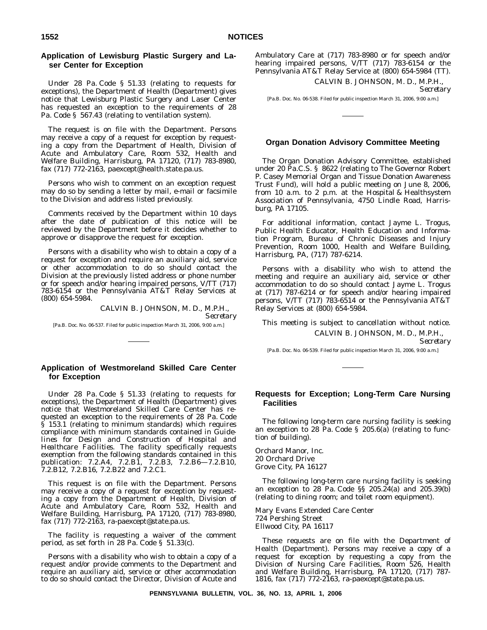### **Application of Lewisburg Plastic Surgery and Laser Center for Exception**

Under 28 Pa. Code § 51.33 (relating to requests for exceptions), the Department of Health (Department) gives notice that Lewisburg Plastic Surgery and Laser Center has requested an exception to the requirements of 28 Pa. Code § 567.43 (relating to ventilation system).

The request is on file with the Department. Persons may receive a copy of a request for exception by requesting a copy from the Department of Health, Division of Acute and Ambulatory Care, Room 532, Health and Welfare Building, Harrisburg, PA 17120, (717) 783-8980, fax (717) 772-2163, paexcept@health.state.pa.us.

Persons who wish to comment on an exception request may do so by sending a letter by mail, e-mail or facsimile to the Division and address listed previously.

Comments received by the Department within 10 days after the date of publication of this notice will be reviewed by the Department before it decides whether to approve or disapprove the request for exception.

Persons with a disability who wish to obtain a copy of a request for exception and require an auxiliary aid, service or other accommodation to do so should contact the Division at the previously listed address or phone number or for speech and/or hearing impaired persons, V/TT (717) 783-6154 or the Pennsylvania AT&T Relay Services at (800) 654-5984.

> CALVIN B. JOHNSON, M. D., M.P.H., *Secretary*

[Pa.B. Doc. No. 06-537. Filed for public inspection March 31, 2006, 9:00 a.m.]

### **Application of Westmoreland Skilled Care Center for Exception**

Under 28 Pa. Code § 51.33 (relating to requests for exceptions), the Department of Health (Department) gives notice that Westmoreland Skilled Care Center has requested an exception to the requirements of 28 Pa. Code  $§$  153.1 (relating to minimum standards) which requires compliance with minimum standards contained in *Guidelines for Design and Construction of Hospital and Healthcare Facilities*. The facility specifically requests exemption from the following standards contained in this publication: 7.2.A4, 7.2.B1, 7.2.B3, 7.2.B6—7.2.B10, 7.2.B12, 7.2.B16, 7.2.B22 and 7.2.C1.

This request is on file with the Department. Persons may receive a copy of a request for exception by requesting a copy from the Department of Health, Division of Acute and Ambulatory Care, Room 532, Health and Welfare Building, Harrisburg, PA 17120, (717) 783-8980, fax (717) 772-2163, ra-paexcept@state.pa.us.

The facility is requesting a waiver of the comment period, as set forth in 28 Pa. Code § 51.33(c).

Persons with a disability who wish to obtain a copy of a request and/or provide comments to the Department and require an auxiliary aid, service or other accommodation to do so should contact the Director, Division of Acute and

Ambulatory Care at (717) 783-8980 or for speech and/or hearing impaired persons, V/TT (717) 783-6154 or the Pennsylvania AT&T Relay Service at (800) 654-5984 (TT).

CALVIN B. JOHNSON, M. D., M.P.H.,

*Secretary*

[Pa.B. Doc. No. 06-538. Filed for public inspection March 31, 2006, 9:00 a.m.]

#### **Organ Donation Advisory Committee Meeting**

The Organ Donation Advisory Committee, established under 20 Pa.C.S. § 8622 (relating to The Governor Robert P. Casey Memorial Organ and Tissue Donation Awareness Trust Fund), will hold a public meeting on June 8, 2006, from 10 a.m. to 2 p.m. at the Hospital & Healthsystem Association of Pennsylvania, 4750 Lindle Road, Harrisburg, PA 17105.

For additional information, contact Jayme L. Trogus, Public Health Educator, Health Education and Information Program, Bureau of Chronic Diseases and Injury Prevention, Room 1000, Health and Welfare Building, Harrisburg, PA, (717) 787-6214.

Persons with a disability who wish to attend the meeting and require an auxiliary aid, service or other accommodation to do so should contact Jayme L. Trogus at (717) 787-6214 or for speech and/or hearing impaired persons, V/TT (717) 783-6514 or the Pennsylvania AT&T Relay Services at (800) 654-5984.

This meeting is subject to cancellation without notice.

CALVIN B. JOHNSON, M. D., M.P.H.,

*Secretary*

[Pa.B. Doc. No. 06-539. Filed for public inspection March 31, 2006, 9:00 a.m.]

### **Requests for Exception; Long-Term Care Nursing Facilities**

The following long-term care nursing facility is seeking an exception to 28 Pa. Code § 205.6(a) (relating to function of building).

Orchard Manor, Inc. 20 Orchard Drive Grove City, PA 16127

The following long-term care nursing facility is seeking an exception to 28 Pa. Code §§ 205.24(a) and 205.39(b) (relating to dining room; and toilet room equipment).

Mary Evans Extended Care Center 724 Pershing Street Ellwood City, PA 16117

These requests are on file with the Department of Health (Department). Persons may receive a copy of a request for exception by requesting a copy from the Division of Nursing Care Facilities, Room 526, Health and Welfare Building, Harrisburg, PA 17120, (717) 787- 1816, fax (717) 772-2163, ra-paexcept@state.pa.us.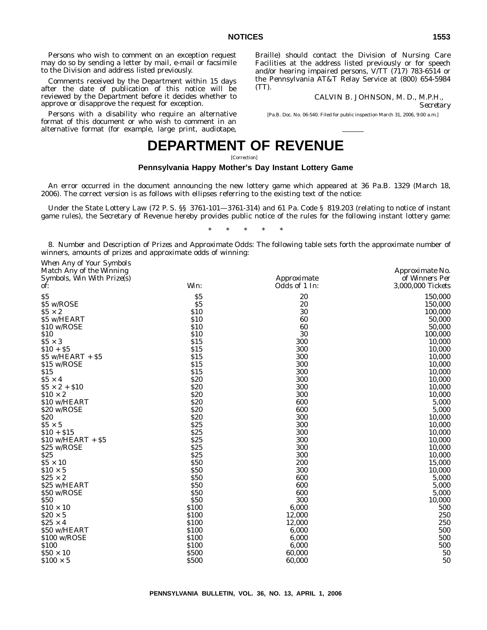Persons who wish to comment on an exception request may do so by sending a letter by mail, e-mail or facsimile to the Division and address listed previously.

Comments received by the Department within 15 days after the date of publication of this notice will be reviewed by the Department before it decides whether to approve or disapprove the request for exception.

Persons with a disability who require an alternative format of this document or who wish to comment in an alternative format (for example, large print, audiotape, Braille) should contact the Division of Nursing Care Facilities at the address listed previously or for speech and/or hearing impaired persons, V/TT (717) 783-6514 or the Pennsylvania AT&T Relay Service at (800) 654-5984 (TT).

# CALVIN B. JOHNSON, M. D., M.P.H.,

*Secretary*

[Pa.B. Doc. No. 06-540. Filed for public inspection March 31, 2006, 9:00 a.m.]

# **DEPARTMENT OF REVENUE**

[Correction]

# **Pennsylvania Happy Mother's Day Instant Lottery Game**

An error occurred in the document announcing the new lottery game which appeared at 36 Pa.B. 1329 (March 18, 2006). The correct version is as follows with ellipses referring to the existing text of the notice:

Under the State Lottery Law (72 P. S. §§ 3761-101—3761-314) and 61 Pa. Code § 819.203 (relating to notice of instant game rules), the Secretary of Revenue hereby provides public notice of the rules for the following instant lottery game:

\*\*\*\*\*

8. *Number and Description of Prizes and Approximate Odds:* The following table sets forth the approximate number of winners, amounts of prizes and approximate odds of winning:

| When Any of Your Symbols   |              |               |                        |
|----------------------------|--------------|---------------|------------------------|
| Match Any of the Winning   |              |               | <i>Approximate No.</i> |
| Symbols, Win With Prize(s) |              | Approximate   | of Winners Per         |
| of:                        | Win:         | Odds of 1 In: | 3,000,000 Tickets      |
| \$5                        | \$5          | 20            | 150,000                |
| \$5 w/ROSE                 | \$5          | 20            | 150,000                |
| $$5 \times 2$              | \$10         | 30            | 100,000                |
| \$5 w/HEART                | \$10         | 60            | 50,000                 |
| \$10 w/ROSE                | \$10         | 60            | 50,000                 |
| \$10                       | \$10         | 30            | 100,000                |
| $$5 \times 3$              | \$15         | 300           | 10,000                 |
| $$10 + $5$                 | \$15         | 300           | 10,000                 |
| $$5$ w/HEART + $$5$        | \$15         | 300           | 10,000                 |
| \$15 w/ROSE                | \$15         | 300           | 10,000                 |
| \$15                       | \$15         | 300           | 10,000                 |
| $$5 \times 4$              | \$20         | 300           | 10,000                 |
| $$5 \times 2 + $10$        | \$20         | 300           | 10,000                 |
| $$10 \times 2$             | \$20         | 300           | 10,000                 |
| \$10 w/HEART               | \$20         | 600           | 5,000                  |
| \$20 w/ROSE                | \$20         | 600           | 5,000                  |
| \$20                       | \$20         | 300           | 10,000                 |
| $$5 \times 5$              | \$25         | 300           | 10,000                 |
| $$10 + $15$                | \$25         | 300           | 10,000                 |
| $$10$ w/HEART + $$5$       | \$25         | 300           | 10,000                 |
| \$25 w/ROSE                | \$25         | 300           | 10,000                 |
| \$25                       | \$25         | 300           | 10,000                 |
| $$5 \times 10$             | \$50         | 200           | 15,000                 |
| $\$10\times5$              | <b>S50</b>   | 300           | 10,000                 |
| $$25 \times 2$             | \$50         | 600           | 5,000                  |
| \$25 w/HEART               | \$50         | 600           | 5,000                  |
| \$50 w/ROSE                | \$50         | 600           | 5,000                  |
| \$50                       | <b>\$50</b>  | 300           | 10,000                 |
| $$10 \times 10$            | \$100        | 6,000         | 500                    |
| $$20 \times 5$             | \$100        | 12,000        | 250                    |
| $$25 \times 4$             | \$100        | 12,000        | 250                    |
| \$50 w/HEART               | \$100        | 6,000         | 500                    |
| \$100 w/ROSE               | \$100        | 6,000         | 500                    |
| \$100                      | \$100        | 6,000         | 500                    |
| $$50 \times 10$            | \$500        | 60,000        | $50\,$                 |
| $$100 \times 5$            | <b>\$500</b> | 60.000        | 50                     |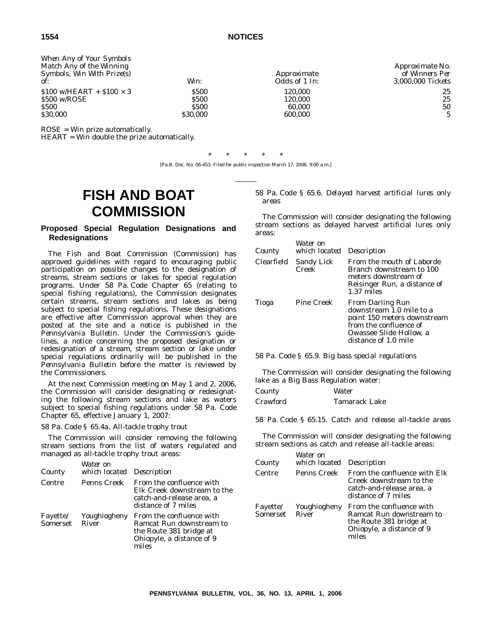| When Any of Your Symbols<br>Match Any of the Winning<br>Symbols, Win With Prize(s) |             | Approximate   | <i>Approximate No.</i><br>of Winners Per |
|------------------------------------------------------------------------------------|-------------|---------------|------------------------------------------|
| of:                                                                                | Win:        | Odds of 1 In: | 3,000,000 Tickets                        |
| $$100 \text{ w/HEART} + $100 \times 3$$                                            | <b>S500</b> | 120.000       | 25                                       |
| \$500 w/ROSE                                                                       | <b>S500</b> | 120.000       | 25                                       |
| <b>S500</b>                                                                        | <b>S500</b> | 60.000        | 50                                       |
| \$30,000                                                                           | \$30,000    | 600.000       |                                          |

ROSE = Win prize automatically.

HEART = Win double the prize automatically.

\*\*\*\*\* [Pa.B. Doc. No. 06-453. Filed for public inspection March 17, 2006, 9:00 a.m.]

# **FISH AND BOAT COMMISSION**

# **Proposed Special Regulation Designations and Redesignations**

The Fish and Boat Commission (Commission) has approved guidelines with regard to encouraging public participation on possible changes to the designation of streams, stream sections or lakes for special regulation programs. Under 58 Pa. Code Chapter 65 (relating to special fishing regulations), the Commission designates certain streams, stream sections and lakes as being subject to special fishing regulations. These designations are effective after Commission approval when they are posted at the site and a notice is published in the *Pennsylvania Bulletin*. Under the Commission's guidelines, a notice concerning the proposed designation or redesignation of a stream, stream section or lake under special regulations ordinarily will be published in the *Pennsylvania Bulletin* before the matter is reviewed by the Commissioners.

At the next Commission meeting on May 1 and 2, 2006, the Commission will consider designating or redesignating the following stream sections and lake as waters subject to special fishing regulations under 58 Pa. Code Chapter 65, effective January 1, 2007:

# *58 Pa. Code § 65.4a. All-tackle trophy trout*

The Commission will consider removing the following stream sections from the list of waters regulated and managed as all-tackle trophy trout areas:

| County         | Water on<br>which located Description |                                                                                                                       |
|----------------|---------------------------------------|-----------------------------------------------------------------------------------------------------------------------|
| Centre         | Penns Creek                           | From the confluence with<br>Elk Creek downstream to the<br>catch-and-release area, a<br>distance of 7 miles           |
| Somerset River | Fayette/ Youghiogheny                 | From the confluence with<br>Ramcat Run downstream to<br>the Route 381 bridge at<br>Ohiopyle, a distance of 9<br>miles |

*58 Pa. Code § 65.6. Delayed harvest artificial lures only areas*

The Commission will consider designating the following stream sections as delayed harvest artificial lures only areas:

| County     | Water on<br>which located Description |                                                                                                                                                                 |
|------------|---------------------------------------|-----------------------------------------------------------------------------------------------------------------------------------------------------------------|
| Clearfield | <b>Sandy Lick</b><br>Creek            | From the mouth of Laborde<br>Branch downstream to 100<br>meters downstream of<br>Reisinger Run, a distance of<br>1.37 miles                                     |
| Tioga      | <b>Pine Creek</b>                     | <b>From Darling Run</b><br>downstream 1.0 mile to a<br>point 150 meters downstream<br>from the confluence of<br>Owassee Slide Hollow, a<br>distance of 1.0 mile |

*58 Pa. Code § 65.9. Big bass special regulations*

The Commission will consider designating the following lake as a Big Bass Regulation water:

| County   | Water         |
|----------|---------------|
| Crawford | Tamarack Lake |

*58 Pa. Code § 65.15. Catch and release all-tackle areas*

The Commission will consider designating the following stream sections as catch and release all-tackle areas:

| County         | Water on<br>which located Description |                                                                                                                       |
|----------------|---------------------------------------|-----------------------------------------------------------------------------------------------------------------------|
| Centre         | Penns Creek                           | From the confluence with Elk<br>Creek downstream to the<br>catch-and-release area, a<br>distance of 7 miles           |
| Somerset River | Fayette/ Youghiogheny                 | From the confluence with<br>Ramcat Run downstream to<br>the Route 381 bridge at<br>Ohiopyle, a distance of 9<br>miles |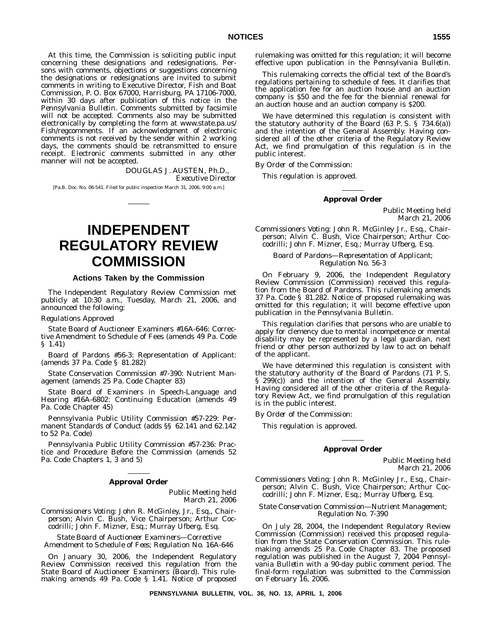At this time, the Commission is soliciting public input concerning these designations and redesignations. Persons with comments, objections or suggestions concerning the designations or redesignations are invited to submit comments in writing to Executive Director, Fish and Boat Commission, P. O. Box 67000, Harrisburg, PA 17106-7000, within 30 days after publication of this notice in the *Pennsylvania Bulletin*. Comments submitted by facsimile will not be accepted. Comments also may be submitted electronically by completing the form at www.state.pa.us/ Fish/regcomments. If an acknowledgment of electronic comments is not received by the sender within 2 working days, the comments should be retransmitted to ensure receipt. Electronic comments submitted in any other manner will not be accepted.

> DOUGLAS J. AUSTEN, Ph.D., *Executive Director*

[Pa.B. Doc. No. 06-541. Filed for public inspection March 31, 2006, 9:00 a.m.]

# **INDEPENDENT REGULATORY REVIEW COMMISSION**

# **Actions Taken by the Commission**

The Independent Regulatory Review Commission met publicly at 10:30 a.m., Tuesday, March 21, 2006, and announced the following:

#### *Regulations Approved*

State Board of Auctioneer Examiners #16A-646: Corrective Amendment to Schedule of Fees (amends 49 Pa. Code § 1.41)

Board of Pardons #56-3: Representation of Applicant: (amends 37 Pa. Code § 81.282)

State Conservation Commission #7-390: Nutrient Management (amends 25 Pa. Code Chapter 83)

State Board of Examiners in Speech-Language and Hearing #16A-6802: Continuing Education (amends 49 Pa. Code Chapter 45)

Pennsylvania Public Utility Commission #57-229: Permanent Standards of Conduct (adds §§ 62.141 and 62.142 to 52 Pa. Code)

Pennsylvania Public Utility Commission #57-236: Practice and Procedure Before the Commission (amends 52 Pa. Code Chapters 1, 3 and 5)

# **Approval Order**

Public Meeting held March 21, 2006

*Commissioners Voting:* John R. McGinley, Jr., Esq., Chairperson; Alvin C. Bush, Vice Chairperson; Arthur Coccodrilli; John F. Mizner, Esq.; Murray Ufberg, Esq.

*State Board of Auctioneer Examiners—Corrective Amendment to Schedule of Fees; Regulation No. 16A-646*

On January 30, 2006, the Independent Regulatory Review Commission received this regulation from the State Board of Auctioneer Examiners (Board). This rulemaking amends 49 Pa. Code § 1.41. Notice of proposed rulemaking was omitted for this regulation; it will become effective upon publication in the *Pennsylvania Bulletin*.

This rulemaking corrects the official text of the Board's regulations pertaining to schedule of fees. It clarifies that the application fee for an auction house and an auction company is \$50 and the fee for the biennial renewal for an auction house and an auction company is \$200.

We have determined this regulation is consistent with the statutory authority of the Board (63 P. S. § 734.6(a)) and the intention of the General Assembly. Having considered all of the other criteria of the Regulatory Review Act, we find promulgation of this regulation is in the public interest.

*By Order of the Commission:*

This regulation is approved.

#### **Approval Order**

Public Meeting held March 21, 2006

*Commissioners Voting:* John R. McGinley Jr., Esq., Chairperson; Alvin C. Bush, Vice Chairperson; Arthur Coccodrilli; John F. Mizner, Esq.; Murray Ufberg, Esq.

# *Board of Pardons—Representation of Applicant; Regulation No. 56-3*

On February 9, 2006, the Independent Regulatory Review Commission (Commission) received this regulation from the Board of Pardons. This rulemaking amends 37 Pa. Code § 81.282. Notice of proposed rulemaking was omitted for this regulation; it will become effective upon publication in the *Pennsylvania Bulletin*.

This regulation clarifies that persons who are unable to apply for clemency due to mental incompetence or mental disability may be represented by a legal guardian, next friend or other person authorized by law to act on behalf of the applicant.

We have determined this regulation is consistent with the statutory authority of the Board of Pardons (71 P. S. § 299(c)) and the intention of the General Assembly. Having considered all of the other criteria of the Regulatory Review Act, we find promulgation of this regulation is in the public interest.

*By Order of the Commission:*

This regulation is approved.

#### **Approval Order**

Public Meeting held March 21, 2006

*Commissioners Voting:* John R. McGinley Jr., Esq., Chairperson; Alvin C. Bush, Vice Chairperson; Arthur Coccodrilli; John F. Mizner, Esq.; Murray Ufberg, Esq.

# *State Conservation Commission—Nutrient Management; Regulation No. 7-390*

On July 28, 2004, the Independent Regulatory Review Commission (Commission) received this proposed regulation from the State Conservation Commission. This rulemaking amends 25 Pa. Code Chapter 83. The proposed regulation was published in the August 7, 2004 *Pennsylvania Bulletin* with a 90-day public comment period. The final-form regulation was submitted to the Commission on February 16, 2006.

**PENNSYLVANIA BULLETIN, VOL. 36, NO. 13, APRIL 1, 2006**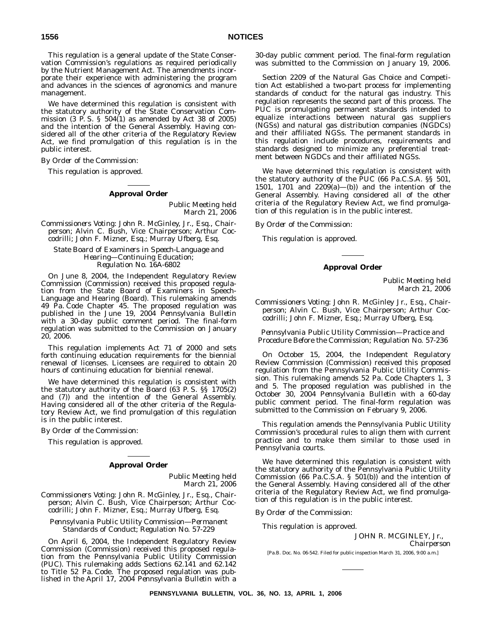# **1556 NOTICES**

This regulation is a general update of the State Conservation Commission's regulations as required periodically by the Nutrient Management Act. The amendments incorporate their experience with administering the program and advances in the sciences of agronomics and manure management.

We have determined this regulation is consistent with the statutory authority of the State Conservation Commission  $(3 \text{ P. S. } \S 504(1)$  as amended by Act 38 of 2005) and the intention of the General Assembly. Having considered all of the other criteria of the Regulatory Review Act, we find promulgation of this regulation is in the public interest.

*By Order of the Commission:*

This regulation is approved.

## **Approval Order**

Public Meeting held March 21, 2006

*Commissioners Voting:* John R. McGinley, Jr., Esq., Chairperson; Alvin C. Bush, Vice Chairperson; Arthur Coccodrilli; John F. Mizner, Esq.; Murray Ufberg, Esq.

*State Board of Examiners in Speech-Language and Hearing—Continuing Education; Regulation No. 16A-6802*

On June 8, 2004, the Independent Regulatory Review Commission (Commission) received this proposed regulation from the State Board of Examiners in Speech-Language and Hearing (Board). This rulemaking amends 49 Pa. Code Chapter 45. The proposed regulation was published in the June 19, 2004 *Pennsylvania Bulletin* with a 30-day public comment period. The final-form regulation was submitted to the Commission on January 20, 2006.

This regulation implements Act 71 of 2000 and sets forth continuing education requirements for the biennial renewal of licenses. Licensees are required to obtain 20 hours of continuing education for biennial renewal.

We have determined this regulation is consistent with the statutory authority of the Board (63 P. S. §§ 1705(2) and (7)) and the intention of the General Assembly. Having considered all of the other criteria of the Regulatory Review Act, we find promulgation of this regulation is in the public interest.

*By Order of the Commission:*

This regulation is approved.

#### **Approval Order**

Public Meeting held March 21, 2006

*Commissioners Voting:* John R. McGinley, Jr., Esq., Chairperson; Alvin C. Bush, Vice Chairperson; Arthur Coccodrilli; John F. Mizner, Esq.; Murray Ufberg, Esq.

*Pennsylvania Public Utility Commission—Permanent Standards of Conduct; Regulation No. 57-229*

On April 6, 2004, the Independent Regulatory Review Commission (Commission) received this proposed regulation from the Pennsylvania Public Utility Commission (PUC). This rulemaking adds Sections 62.141 and 62.142 to Title 52 Pa. Code. The proposed regulation was published in the April 17, 2004 *Pennsylvania Bulletin* with a 30-day public comment period. The final-form regulation was submitted to the Commission on January 19, 2006.

Section 2209 of the Natural Gas Choice and Competition Act established a two-part process for implementing standards of conduct for the natural gas industry. This regulation represents the second part of this process. The PUC is promulgating permanent standards intended to equalize interactions between natural gas suppliers (NGSs) and natural gas distribution companies (NGDCs) and their affiliated NGSs. The permanent standards in this regulation include procedures, requirements and standards designed to minimize any preferential treatment between NGDCs and their affiliated NGSs.

We have determined this regulation is consistent with the statutory authority of the PUC (66 Pa.C.S.A. §§ 501, 1501, 1701 and 2209(a)—(b)) and the intention of the General Assembly. Having considered all of the other criteria of the Regulatory Review Act, we find promulgation of this regulation is in the public interest.

*By Order of the Commission:*

This regulation is approved.

# **Approval Order**

Public Meeting held March 21, 2006

*Commissioners Voting:* John R. McGinley Jr., Esq., Chairperson; Alvin C. Bush, Vice Chairperson; Arthur Coccodrilli; John F. Mizner, Esq.; Murray Ufberg, Esq.

*Pennsylvania Public Utility Commission—Practice and Procedure Before the Commission; Regulation No. 57-236*

On October 15, 2004, the Independent Regulatory Review Commission (Commission) received this proposed regulation from the Pennsylvania Public Utility Commission. This rulemaking amends 52 Pa. Code Chapters 1, 3 and 5. The proposed regulation was published in the October 30, 2004 *Pennsylvania Bulletin* with a 60-day public comment period. The final-form regulation was submitted to the Commission on February 9, 2006.

This regulation amends the Pennsylvania Public Utility Commission's procedural rules to align them with current practice and to make them similar to those used in Pennsylvania courts.

We have determined this regulation is consistent with the statutory authority of the Pennsylvania Public Utility Commission (66 Pa.C.S.A. § 501(b)) and the intention of the General Assembly. Having considered all of the other criteria of the Regulatory Review Act, we find promulgation of this regulation is in the public interest.

*By Order of the Commission:*

This regulation is approved.

JOHN R. MCGINLEY, Jr., *Chairperson*

[Pa.B. Doc. No. 06-542. Filed for public inspection March 31, 2006, 9:00 a.m.]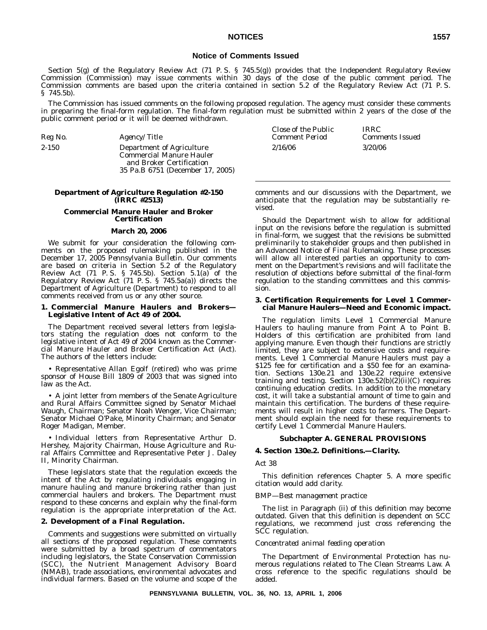# **NOTICES 1557**

# **Notice of Comments Issued**

Section 5(g) of the Regulatory Review Act (71 P.S. § 745.5(g)) provides that the Independent Regulatory Review Commission (Commission) may issue comments within 30 days of the close of the public comment period. The Commission comments are based upon the criteria contained in section 5.2 of the Regulatory Review Act (71 P. S. § 745.5b).

The Commission has issued comments on the following proposed regulation. The agency must consider these comments in preparing the final-form regulation. The final-form regulation must be submitted within 2 years of the close of the public comment period or it will be deemed withdrawn.

vised.

| Reg No.   | <i>Agency/Title</i>                                                                                                          | Close of the Public<br><b>Comment Period</b> | <i>IRRC</i><br><b>Comments Issued</b> |
|-----------|------------------------------------------------------------------------------------------------------------------------------|----------------------------------------------|---------------------------------------|
| $2 - 150$ | Department of Agriculture<br><b>Commercial Manure Hauler</b><br>and Broker Certification<br>35 Pa.B 6751 (December 17, 2005) | 2/16/06                                      | 3/20/06                               |

#### **Department of Agriculture Regulation #2-150 (IRRC #2513)**

# **Commercial Manure Hauler and Broker Certification**

# **March 20, 2006**

We submit for your consideration the following comments on the proposed rulemaking published in the December 17, 2005 *Pennsylvania Bulletin*. Our comments are based on criteria in Section 5.2 of the Regulatory Review Act (71 P. S. § 745.5b). Section 5.1(a) of the Regulatory Review Act (71 P. S. § 745.5a(a)) directs the Department of Agriculture (Department) to respond to all comments received from us or any other source.

# **1. Commercial Manure Haulers and Brokers— Legislative Intent of Act 49 of 2004.**

The Department received several letters from legislators stating the regulation does not conform to the legislative intent of Act 49 of 2004 known as the Commercial Manure Hauler and Broker Certification Act (Act). The authors of the letters include:

• Representative Allan Egolf (retired) who was prime sponsor of House Bill 1809 of 2003 that was signed into law as the Act.

• A joint letter from members of the Senate Agriculture and Rural Affairs Committee signed by Senator Michael Waugh, Chairman; Senator Noah Wenger, Vice Chairman; Senator Michael O'Pake, Minority Chairman; and Senator Roger Madigan, Member.

• Individual letters from Representative Arthur D. Hershey, Majority Chairman, House Agriculture and Rural Affairs Committee and Representative Peter J. Daley II, Minority Chairman.

These legislators state that the regulation exceeds the intent of the Act by regulating individuals engaging in manure hauling and manure brokering rather than just commercial haulers and brokers. The Department must respond to these concerns and explain why the final-form regulation is the appropriate interpretation of the Act.

#### **2. Development of a Final Regulation.**

Comments and suggestions were submitted on virtually all sections of the proposed regulation. These comments were submitted by a broad spectrum of commentators including legislators, the State Conservation Commission (SCC), the Nutrient Management Advisory Board (NMAB), trade associations, environmental advocates and individual farmers. Based on the volume and scope of the

|  |  | comments and our discussions with the Department, we    |  |
|--|--|---------------------------------------------------------|--|
|  |  | anticipate that the regulation may be substantially re- |  |

Should the Department wish to allow for additional input on the revisions before the regulation is submitted in final-form, we suggest that the revisions be submitted preliminarily to stakeholder groups and then published in an Advanced Notice of Final Rulemaking. These processes will allow all interested parties an opportunity to comment on the Department's revisions and will facilitate the resolution of objections before submittal of the final-form regulation to the standing committees and this commission.

#### **3. Certification Requirements for Level 1 Commercial Manure Haulers—Need and Economic impact.**

The regulation limits Level 1 Commercial Manure Haulers to hauling manure from Point A to Point B. Holders of this certification are prohibited from land applying manure. Even though their functions are strictly limited, they are subject to extensive costs and requirements. Level 1 Commercial Manure Haulers must pay a \$125 fee for certification and a \$50 fee for an examination. Sections 130e.21 and 130e.22 require extensive training and testing. Section 130e.52(b)(2)(ii)(C) requires continuing education credits. In addition to the monetary cost, it will take a substantial amount of time to gain and maintain this certification. The burdens of these requirements will result in higher costs to farmers. The Department should explain the need for these requirements to certify Level 1 Commercial Manure Haulers.

#### **Subchapter A. GENERAL PROVISIONS**

#### **4. Section 130e.2. Definitions.—Clarity.**

#### *Act 38*

This definition references Chapter 5. A more specific citation would add clarity.

#### *BMP—Best management practice*

The list in Paragraph (ii) of this definition may become outdated. Given that this definition is dependent on SCC regulations, we recommend just cross referencing the SCC regulation.

#### *Concentrated animal feeding operation*

The Department of Environmental Protection has numerous regulations related to The Clean Streams Law. A cross reference to the specific regulations should be added.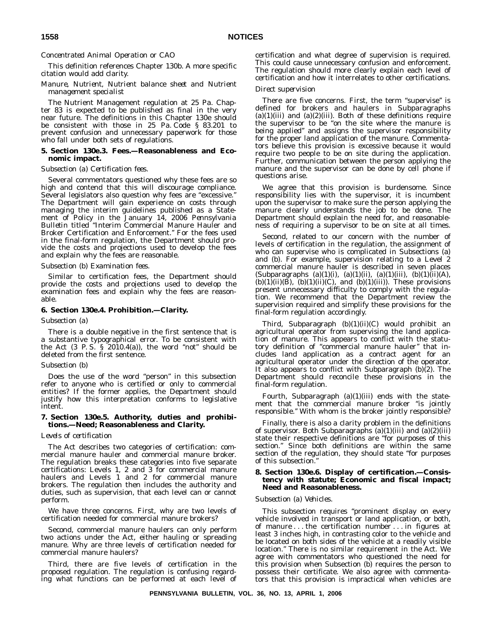# *Concentrated Animal Operation or CAO*

This definition references Chapter 130b. A more specific citation would add clarity.

# *Manure, Nutrient, Nutrient balance sheet and Nutrient management specialist*

The Nutrient Management regulation at 25 Pa. Chapter 83 is expected to be published as final in the very near future. The definitions in this Chapter 130e should be consistent with those in 25 Pa. Code § 83.201 to prevent confusion and unnecessary paperwork for those who fall under both sets of regulations.

# **5. Section 130e.3. Fees.—Reasonableness and Economic impact.**

# *Subsection (a) Certification fees.*

Several commentators questioned why these fees are so high and contend that this will discourage compliance. Several legislators also question why fees are "excessive." The Department will gain experience on costs through managing the interim guidelines published as a Statement of Policy in the January 14, 2006 *Pennsylvania Bulletin* titled ''Interim Commercial Manure Hauler and Broker Certification and Enforcement.'' For the fees used in the final-form regulation, the Department should provide the costs and projections used to develop the fees and explain why the fees are reasonable.

# *Subsection (b) Examination fees.*

Similar to certification fees, the Department should provide the costs and projections used to develop the examination fees and explain why the fees are reasonable.

### **6. Section 130e.4. Prohibition.—Clarity.**

#### *Subsection (a)*

There is a double negative in the first sentence that is a substantive typographical error. To be consistent with the Act  $(3 \text{ P. S. } S \times 2010.4(a))$ , the word "not" should be deleted from the first sentence.

# *Subsection (b)*

Does the use of the word "person" in this subsection refer to anyone who is certified or only to commercial entities? If the former applies, the Department should justify how this interpretation conforms to legislative intent.

# **7. Section 130e.5. Authority, duties and prohibitions.—Need; Reasonableness and Clarity.**

# *Levels of certification*

The Act describes two categories of certification: commercial manure hauler and commercial manure broker. The regulation breaks these categories into five separate certifications: Levels 1, 2 and 3 for commercial manure haulers and Levels 1 and 2 for commercial manure brokers. The regulation then includes the authority and duties, such as supervision, that each level can or cannot perform.

We have three concerns. First, why are two levels of certification needed for commercial manure brokers?

Second, commercial manure haulers can only perform two actions under the Act, either hauling or spreading manure. Why are three levels of certification needed for commercial manure haulers?

Third, there are five levels of certification in the proposed regulation. The regulation is confusing regarding what functions can be performed at each level of certification and what degree of supervision is required. This could cause unnecessary confusion and enforcement. The regulation should more clearly explain each level of certification and how it interrelates to other certifications.

#### *Direct supervision*

There are five concerns. First, the term ''supervise'' is defined for brokers and haulers in Subparagraphs  $(a)(1)(iii)$  and  $(a)(2)(iii)$ . Both of these definitions require the supervisor to be ''on the site where the manure is being applied'' and assigns the supervisor responsibility for the proper land application of the manure. Commentators believe this provision is excessive because it would require two people to be on site during the application. Further, communication between the person applying the manure and the supervisor can be done by cell phone if questions arise.

We agree that this provision is burdensome. Since responsibility lies with the supervisor, it is incumbent upon the supervisor to make sure the person applying the manure clearly understands the job to be done. The Department should explain the need for, and reasonableness of requiring a supervisor to be on site at all times.

Second, related to our concern with the number of levels of certification in the regulation, the assignment of who can supervise who is complicated in Subsections (a) and (b). For example, supervision relating to a Level 2 commercial manure hauler is described in seven places (Subparagraphs (a)(1)(i), (a)(1)(ii), (a)(1)(iii), (b)(1)(ii)(A),  $(b)(1)(ii)(B)$ ,  $(b)(1)(ii)(C)$ , and  $(b)(1)(iii)$ ). These provisions present unnecessary difficulty to comply with the regulation. We recommend that the Department review the supervision required and simplify these provisions for the final-form regulation accordingly.

Third, Subparagraph (b)(1)(ii)(C) would prohibit an agricultural operator from supervising the land application of manure. This appears to conflict with the statutory definition of ''commercial manure hauler'' that includes land application as a contract agent for an agricultural operator under the direction of the operator. It also appears to conflict with Subparagraph  $(b)(2)$ . The Department should reconcile these provisions in the final-form regulation.

Fourth, Subparagraph (a)(1)(iii) ends with the statement that the commercial manure broker "is jointly responsible.'' With whom is the broker jointly responsible?

Finally, there is also a clarity problem in the definitions of supervisor. Both Subparagraphs  $(a)(1)(iii)$  and  $(a)(2)(iii)$ state their respective definitions are ''for purposes of this section.'' Since both definitions are within the same section of the regulation, they should state "for purposes of this subsection.''

# **8. Section 130e.6. Display of certification.—Consistency with statute; Economic and fiscal impact; Need and Reasonableness.**

#### *Subsection (a) Vehicles.*

This subsection requires ''prominent display on every vehicle involved in transport or land application, or both, of manure . . . the certification number . . . in figures at least 3 inches high, in contrasting color to the vehicle and be located on both sides of the vehicle at a readily visible location.'' There is no similar requirement in the Act. We agree with commentators who questioned the need for this provision when Subsection (b) requires the person to possess their certificate. We also agree with commentators that this provision is impractical when vehicles are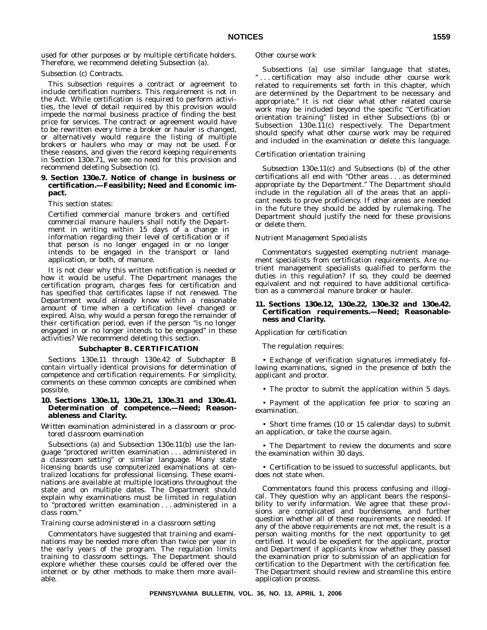used for other purposes or by multiple certificate holders. Therefore, we recommend deleting Subsection (a).

*Subsection (c) Contracts.*

This subsection requires a contract or agreement to include certification numbers. This requirement is not in the Act. While certification is required to perform activities, the level of detail required by this provision would impede the normal business practice of finding the best price for services. The contract or agreement would have to be rewritten every time a broker or hauler is changed, or alternatively would require the listing of multiple brokers or haulers who may or may not be used. For these reasons, and given the record keeping requirements in Section 130e.71, we see no need for this provision and recommend deleting Subsection (c).

# **9. Section 130e.7. Notice of change in business or certification.—Feasibility; Need and Economic impact.**

This section states:

Certified commercial manure brokers and certified commercial manure haulers shall notify the Department in writing within 15 days of a change in information regarding their level of certification or if that person is no longer engaged in or no longer intends to be engaged in the transport or land application, or both, of manure.

It is not clear why this written notification is needed or how it would be useful. The Department manages the certification program, charges fees for certification and has specified that certificates lapse if not renewed. The Department would already know within a reasonable amount of time when a certification level changed or expired. Also, why would a person forego the remainder of their certification period, even if the person ''is no longer engaged in or no longer intends to be engaged'' in these activities? We recommend deleting this section.

# **Subchapter B. CERTIFICATION**

Sections 130e.11 through 130e.42 of Subchapter B contain virtually identical provisions for determination of competence and certification requirements. For simplicity, comments on these common concepts are combined when possible.

# **10. Sections 130e.11, 130e.21, 130e.31 and 130e.41. Determination of competence.—Need; Reasonableness and Clarity.**

# *Written examination administered in a classroom or proctored classroom examination*

Subsections (a) and Subsection 130e.11(b) use the language ''proctored written examination . . . administered in a classroom setting'' or similar language. Many state licensing boards use computerized examinations at centralized locations for professional licensing. These examinations are available at multiple locations throughout the state and on multiple dates. The Department should explain why examinations must be limited in regulation to ''proctored written examination . . . administered in a class room.''

## *Training course administered in a classroom setting*

Commentators have suggested that training and examinations may be needed more often than twice per year in the early years of the program. The regulation limits training to classroom settings. The Department should explore whether these courses could be offered over the internet or by other methods to make them more available.

#### *Other course work*

Subsections (a) use similar language that states, '' . . . certification may also include other course work related to requirements set forth in this chapter, which are determined by the Department to be necessary and appropriate.'' It is not clear what other related course work may be included beyond the specific "Certification orientation training'' listed in either Subsections (b) or Subsection  $130e.\overline{11}(c)$  respectively. The Department should specify what other course work may be required and included in the examination or delete this language.

#### *Certification orientation training*

Subsection 130e.11(c) and Subsections (b) of the other certifications all end with ''Other areas . . . as determined appropriate by the Department.'' The Department should include in the regulation all of the areas that an applicant needs to prove proficiency. If other areas are needed in the future they should be added by rulemaking. The Department should justify the need for these provisions or delete them.

#### *Nutrient Management Specialists*

Commentators suggested exempting nutrient management specialists from certification requirements. Are nutrient management specialists qualified to perform the duties in this regulation? If so, they could be deemed equivalent and not required to have additional certification as a commercial manure broker or hauler.

#### **11. Sections 130e.12, 130e.22, 130e.32 and 130e.42. Certification requirements.—Need; Reasonableness and Clarity.**

#### *Application for certification*

The regulation requires:

• Exchange of verification signatures immediately following examinations, signed in the presence of both the applicant and proctor.

• The proctor to submit the application within 5 days.

• Payment of the application fee prior to scoring an examination.

• Short time frames (10 or 15 calendar days) to submit an application, or take the course again.

• The Department to review the documents and score the examination within 30 days.

• Certification to be issued to successful applicants, but does not state when.

Commentators found this process confusing and illogical. They question why an applicant bears the responsibility to verify information. We agree that these provisions are complicated and burdensome, and further question whether all of these requirements are needed. If any of the above requirements are not met, the result is a person waiting months for the next opportunity to get certified. It would be expedient for the applicant, proctor and Department if applicants know whether they passed the examination prior to submission of an application for certification to the Department with the certification fee. The Department should review and streamline this entire application process.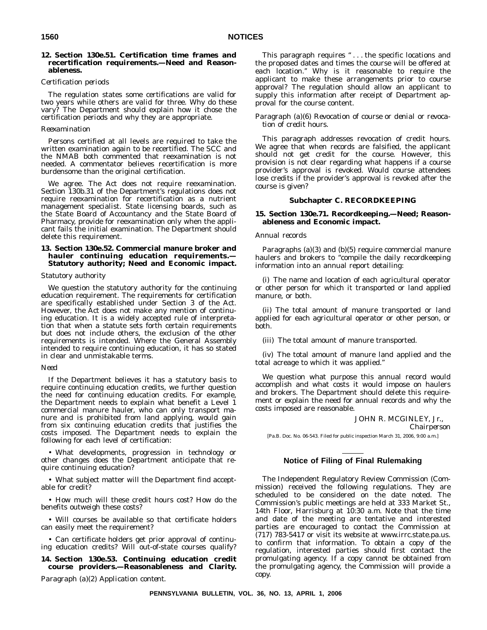# **12. Section 130e.51. Certification time frames and recertification requirements.—Need and Reasonableness.**

# *Certification periods*

The regulation states some certifications are valid for two years while others are valid for three. Why do these vary? The Department should explain how it chose the certification periods and why they are appropriate.

#### *Reexamination*

Persons certified at all levels are required to take the written examination again to be recertified. The SCC and the NMAB both commented that reexamination is not needed. A commentator believes recertification is more burdensome than the original certification.

We agree. The Act does not require reexamination. Section 130b.31 of the Department's regulations does not require reexamination for recertification as a nutrient management specialist. State licensing boards, such as the State Board of Accountancy and the State Board of Pharmacy, provide for reexamination only when the applicant fails the initial examination. The Department should delete this requirement.

# **13. Section 130e.52. Commercial manure broker and hauler continuing education requirements.— Statutory authority; Need and Economic impact.**

#### *Statutory authority*

We question the statutory authority for the continuing education requirement. The requirements for certification are specifically established under Section 3 of the Act. However, the Act does not make any mention of continuing education. It is a widely accepted rule of interpretation that when a statute sets forth certain requirements but does not include others, the exclusion of the other requirements is intended. Where the General Assembly intended to require continuing education, it has so stated in clear and unmistakable terms.

# *Need*

If the Department believes it has a statutory basis to require continuing education credits, we further question the need for continuing education credits. For example, the Department needs to explain what benefit a Level 1 commercial manure hauler, who can only transport manure and is prohibited from land applying, would gain from six continuing education credits that justifies the costs imposed. The Department needs to explain the following for each level of certification:

• What developments, progression in technology or other changes does the Department anticipate that require continuing education?

• What subject matter will the Department find acceptable for credit?

• How much will these credit hours cost? How do the benefits outweigh these costs?

• Will courses be available so that certificate holders can easily meet the requirement?

• Can certificate holders get prior approval of continuing education credits? Will out-of-state courses qualify?

# **14. Section 130e.53. Continuing education credit course providers.—Reasonableness and Clarity.**

*Paragraph (a)(2) Application content.*

This paragraph requires "... the specific locations and the proposed dates and times the course will be offered at each location.'' Why is it reasonable to require the applicant to make these arrangements prior to course approval? The regulation should allow an applicant to supply this information after receipt of Department approval for the course content.

# *Paragraph (a)(6) Revocation of course or denial or revocation of credit hours.*

This paragraph addresses revocation of credit hours. We agree that when records are falsified, the applicant should not get credit for the course. However, this provision is not clear regarding what happens if a course provider's approval is revoked. Would course attendees lose credits if the provider's approval is revoked after the course is given?

# **Subchapter C. RECORDKEEPING**

# **15. Section 130e.71. Recordkeeping.—Need; Reasonableness and Economic impact.**

# *Annual records*

Paragraphs (a)(3) and (b)(5) require commercial manure haulers and brokers to "compile the daily recordkeeping information into an annual report detailing:

(i) The name and location of each agricultural operator or other person for which it transported or land applied manure, or both.

(ii) The total amount of manure transported or land applied for each agricultural operator or other person, or both.

(iii) The total amount of manure transported.

(iv) The total amount of manure land applied and the total acreage to which it was applied.''

We question what purpose this annual record would accomplish and what costs it would impose on haulers and brokers. The Department should delete this requirement or explain the need for annual records and why the costs imposed are reasonable.

#### JOHN R. MCGINLEY, Jr.,

*Chairperson*

[Pa.B. Doc. No. 06-543. Filed for public inspection March 31, 2006, 9:00 a.m.]

# **Notice of Filing of Final Rulemaking**

The Independent Regulatory Review Commission (Commission) received the following regulations. They are scheduled to be considered on the date noted. The Commission's public meetings are held at 333 Market St., 14th Floor, Harrisburg at 10:30 a.m. Note that the time and date of the meeting are tentative and interested parties are encouraged to contact the Commission at (717) 783-5417 or visit its website at www.irrc.state.pa.us. to confirm that information. To obtain a copy of the regulation, interested parties should first contact the promulgating agency. If a copy cannot be obtained from the promulgating agency, the Commission will provide a copy.

**PENNSYLVANIA BULLETIN, VOL. 36, NO. 13, APRIL 1, 2006**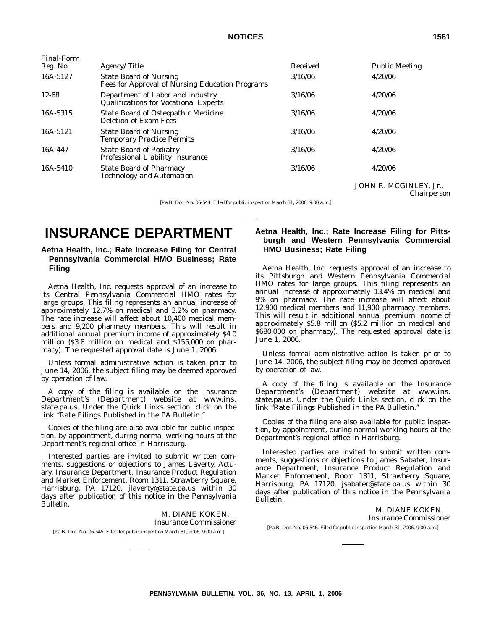| Final-Form |                                                                                  |          |                                       |
|------------|----------------------------------------------------------------------------------|----------|---------------------------------------|
| Reg. No.   | Agency/Title                                                                     | Received | <b>Public Meeting</b>                 |
| 16A-5127   | <b>State Board of Nursing</b><br>Fees for Approval of Nursing Education Programs | 3/16/06  | 4/20/06                               |
| 12-68      | Department of Labor and Industry<br><b>Qualifications for Vocational Experts</b> | 3/16/06  | 4/20/06                               |
| 16A-5315   | <b>State Board of Osteopathic Medicine</b><br>Deletion of Exam Fees              | 3/16/06  | 4/20/06                               |
| 16A-5121   | <b>State Board of Nursing</b><br><b>Temporary Practice Permits</b>               | 3/16/06  | 4/20/06                               |
| 16A-447    | <b>State Board of Podiatry</b><br><b>Professional Liability Insurance</b>        | 3/16/06  | 4/20/06                               |
| 16A-5410   | <b>State Board of Pharmacy</b><br><b>Technology and Automation</b>               | 3/16/06  | 4/20/06                               |
|            |                                                                                  |          | JOHN R. MCGINLEY, Jr.,<br>Chairperson |

[Pa.B. Doc. No. 06-544. Filed for public inspection March 31, 2006, 9:00 a.m.]

# **INSURANCE DEPARTMENT**

# **Aetna Health, Inc.; Rate Increase Filing for Central Pennsylvania Commercial HMO Business; Rate Filing**

Aetna Health, Inc. requests approval of an increase to its Central Pennsylvania Commercial HMO rates for large groups. This filing represents an annual increase of approximately 12.7% on medical and 3.2% on pharmacy. The rate increase will affect about 10,400 medical members and 9,200 pharmacy members. This will result in additional annual premium income of approximately \$4.0 million (\$3.8 million on medical and \$155,000 on pharmacy). The requested approval date is June 1, 2006.

Unless formal administrative action is taken prior to June 14, 2006, the subject filing may be deemed approved by operation of law.

A copy of the filing is available on the Insurance Department's (Department) website at www.ins. state.pa.us. Under the Quick Links section, click on the link ''Rate Filings Published in the PA Bulletin.''

Copies of the filing are also available for public inspection, by appointment, during normal working hours at the Department's regional office in Harrisburg.

Interested parties are invited to submit written comments, suggestions or objections to James Laverty, Actuary, Insurance Department, Insurance Product Regulation and Market Enforcement, Room 1311, Strawberry Square, Harrisburg, PA 17120, jlaverty@state.pa.us within 30 days after publication of this notice in the *Pennsylvania Bulletin*.

M. DIANE KOKEN, *Insurance Commissioner* [Pa.B. Doc. No. 06-545. Filed for public inspection March 31, 2006, 9:00 a.m.]

# **Aetna Health, Inc.; Rate Increase Filing for Pittsburgh and Western Pennsylvania Commercial HMO Business; Rate Filing**

Aetna Health, Inc. requests approval of an increase to its Pittsburgh and Western Pennsylvania Commercial HMO rates for large groups. This filing represents an annual increase of approximately 13.4% on medical and 9% on pharmacy. The rate increase will affect about 12,900 medical members and 11,900 pharmacy members. This will result in additional annual premium income of approximately \$5.8 million (\$5.2 million on medical and \$680,000 on pharmacy). The requested approval date is June 1, 2006.

Unless formal administrative action is taken prior to June 14, 2006, the subject filing may be deemed approved by operation of law.

A copy of the filing is available on the Insurance Department's (Department) website at www.ins. state.pa.us. Under the Quick Links section, click on the link ''Rate Filings Published in the PA Bulletin.''

Copies of the filing are also available for public inspection, by appointment, during normal working hours at the Department's regional office in Harrisburg.

Interested parties are invited to submit written comments, suggestions or objections to James Sabater, Insurance Department, Insurance Product Regulation and Market Enforcement, Room 1311, Strawberry Square, Harrisburg, PA 17120, jsabater@state.pa.us within 30 days after publication of this notice in the *Pennsylvania Bulletin*.

M. DIANE KOKEN, *Insurance Commissioner* [Pa.B. Doc. No. 06-546. Filed for public inspection March 31, 2006, 9:00 a.m.]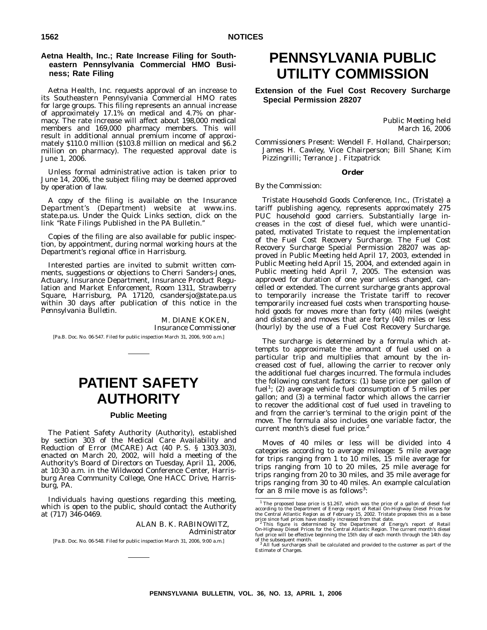# **Aetna Health, Inc.; Rate Increase Filing for Southeastern Pennsylvania Commercial HMO Business; Rate Filing**

Aetna Health, Inc. requests approval of an increase to its Southeastern Pennsylvania Commercial HMO rates for large groups. This filing represents an annual increase of approximately 17.1% on medical and 4.7% on pharmacy. The rate increase will affect about 198,000 medical members and 169,000 pharmacy members. This will result in additional annual premium income of approximately \$110.0 million (\$103.8 million on medical and \$6.2 million on pharmacy). The requested approval date is June 1, 2006.

Unless formal administrative action is taken prior to June 14, 2006, the subject filing may be deemed approved by operation of law.

A copy of the filing is available on the Insurance Department's (Department) website at www.ins. state.pa.us. Under the Quick Links section, click on the link ''Rate Filings Published in the PA Bulletin.''

Copies of the filing are also available for public inspection, by appointment, during normal working hours at the Department's regional office in Harrisburg.

Interested parties are invited to submit written comments, suggestions or objections to Cherri Sanders-Jones, Actuary, Insurance Department, Insurance Product Regulation and Market Enforcement, Room 1311, Strawberry Square, Harrisburg, PA 17120, csandersjo@state.pa.us within 30 days after publication of this notice in the *Pennsylvania Bulletin*.

M. DIANE KOKEN, *Insurance Commissioner* [Pa.B. Doc. No. 06-547. Filed for public inspection March 31, 2006, 9:00 a.m.]

# **PATIENT SAFETY AUTHORITY**

# **Public Meeting**

The Patient Safety Authority (Authority), established by section 303 of the Medical Care Availability and Reduction of Error (MCARE) Act (40 P. S. § 1303.303), enacted on March 20, 2002, will hold a meeting of the Authority's Board of Directors on Tuesday, April 11, 2006, at 10:30 a.m. in the Wildwood Conference Center, Harrisburg Area Community College, One HACC Drive, Harrisburg, PA.

Individuals having questions regarding this meeting, which is open to the public, should contact the Authority at (717) 346-0469.

> ALAN B. K. RABINOWITZ, *Administrator*

[Pa.B. Doc. No. 06-548. Filed for public inspection March 31, 2006, 9:00 a.m.]

# **PENNSYLVANIA PUBLIC UTILITY COMMISSION**

**Extension of the Fuel Cost Recovery Surcharge Special Permission 28207**

> Public Meeting held March 16, 2006

*Commissioners Present:* Wendell F. Holland, Chairperson; James H. Cawley, Vice Chairperson; Bill Shane; Kim Pizzingrilli; Terrance J. Fitzpatrick

#### **Order**

# *By the Commission:*

Tristate Household Goods Conference, Inc., (Tristate) a tariff publishing agency, represents approximately 275 PUC household good carriers. Substantially large increases in the cost of diesel fuel, which were unanticipated, motivated Tristate to request the implementation of the Fuel Cost Recovery Surcharge. The Fuel Cost Recovery Surcharge Special Permission 28207 was approved in Public Meeting held April 17, 2003, extended in Public Meeting held April 15, 2004, and extended again in Public meeting held April 7, 2005. The extension was approved for duration of one year unless changed, cancelled or extended. The current surcharge grants approval to temporarily increase the Tristate tariff to recover temporarily increased fuel costs when transporting household goods for moves more than forty (40) miles (weight and distance) and moves that are forty (40) miles or less (hourly) by the use of a Fuel Cost Recovery Surcharge.

The surcharge is determined by a formula which attempts to approximate the amount of fuel used on a particular trip and multiplies that amount by the increased cost of fuel, allowing the carrier to recover only the additional fuel charges incurred. The formula includes the following constant factors: (1) base price per gallon of fuel<sup>1</sup>; (2) average vehicle fuel consumption of 5 miles per gallon; and (3) a terminal factor which allows the carrier to recover the additional cost of fuel used in traveling to and from the carrier's terminal to the origin point of the move. The formula also includes one variable factor, the current month's diesel fuel price.<sup>2</sup>

Moves of 40 miles or less will be divided into 4 categories according to average mileage: 5 mile average for trips ranging from 1 to 10 miles, 15 mile average for trips ranging from 10 to 20 miles, 25 mile average for trips ranging from 20 to 30 miles, and 35 mile average for trips ranging from 30 to 40 miles. An example calculation for an 8 mile move is as follows<sup>3</sup>:

<sup>&</sup>lt;sup>1</sup> The proposed base price is \$1.267, which was the price of a gallon of diesel fuel according to the Department of Energy report of Retail On-Highway Diesel Prices for the Central Atlantic Region as of February 15, 2002

Estimate of Charges.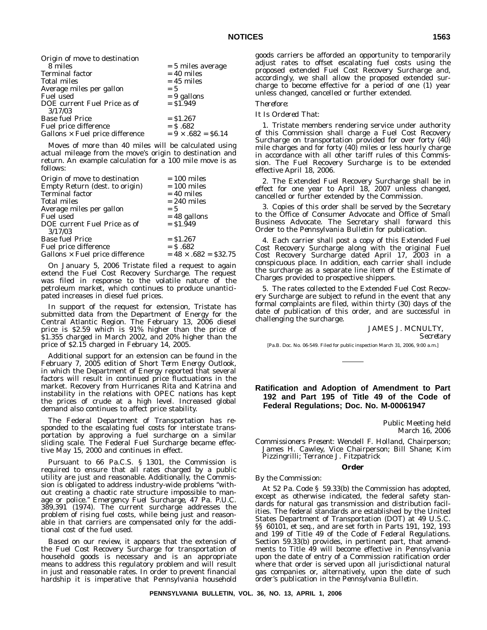| Origin of move to destination          |                           |
|----------------------------------------|---------------------------|
| 8 miles                                | $= 5$ miles average       |
| <b>Terminal factor</b>                 | $= 40$ miles              |
| <b>Total miles</b>                     | $= 45$ miles              |
| Average miles per gallon               | $= 5$                     |
| Fuel used                              | $= 9$ gallons             |
| DOE current Fuel Price as of           | $=$ \$1.949               |
| 3/17/03                                |                           |
| <b>Base fuel Price</b>                 | $=$ \$1.267               |
| Fuel price difference                  | $=$ \$ .682               |
| Gallons $\times$ Fuel price difference | $= 9 \times .682 = $6.14$ |

Moves of more than 40 miles will be calculated using actual mileage from the move's origin to destination and return. An example calculation for a 100 mile move is as follows:

| Origin of move to destination          | $= 100$ miles               |
|----------------------------------------|-----------------------------|
| Empty Return (dest. to origin)         | $= 100$ miles               |
| Terminal factor                        | $= 40$ miles                |
| Total miles                            | $= 240$ miles               |
| Average miles per gallon               | $= 5$                       |
| <b>Fuel used</b>                       | $= 48$ gallons              |
| DOE current Fuel Price as of           | $=$ \$1.949                 |
| 3/17/03                                |                             |
| <b>Base fuel Price</b>                 | $=$ \$1.267                 |
| Fuel price difference                  | $=$ \$ .682                 |
| Gallons $\times$ Fuel price difference | $= 48 \times .682 = $32.75$ |
|                                        |                             |

On January 5, 2006 Tristate filed a request to again extend the Fuel Cost Recovery Surcharge. The request was filed in response to the volatile nature of the petroleum market, which continues to produce unanticipated increases in diesel fuel prices.

In support of the request for extension, Tristate has submitted data from the Department of Energy for the Central Atlantic Region. The February 13, 2006 diesel price is \$2.59 which is 91% higher than the price of \$1.355 charged in March 2002, and 20% higher than the price of \$2.15 charged in February 14, 2005.

Additional support for an extension can be found in the February 7, 2005 edition of *Short Term Energy Outlook*, in which the Department of Energy reported that several factors will result in continued price fluctuations in the market. Recovery from Hurricanes Rita and Katrina and instability in the relations with OPEC nations has kept the prices of crude at a high level. Increased global demand also continues to affect price stability.

The Federal Department of Transportation has responded to the escalating fuel costs for interstate transportation by approving a fuel surcharge on a similar sliding scale. The Federal Fuel Surcharge became effective May 15, 2000 and continues in effect.

Pursuant to 66 Pa.C.S. § 1301, the Commission is required to ensure that all rates charged by a public utility are just and reasonable. Additionally, the Commission is obligated to address industry-wide problems ''without creating a chaotic rate structure impossible to manage or police.'' *Emergency Fuel Surcharge*, 47 Pa. P.U.C. 389,391 (1974). The current surcharge addresses the problem of rising fuel costs, while being just and reasonable in that carriers are compensated only for the additional cost of the fuel used.

Based on our review, it appears that the extension of the Fuel Cost Recovery Surcharge for transportation of household goods is necessary and is an appropriate means to address this regulatory problem and will result in just and reasonable rates. In order to prevent financial hardship it is imperative that Pennsylvania household

goods carriers be afforded an opportunity to temporarily adjust rates to offset escalating fuel costs using the proposed extended Fuel Cost Recovery Surcharge and, accordingly, we shall allow the proposed extended surcharge to become effective for a period of one (1) year unless changed, cancelled or further extended.

# *Therefore*:

#### *It Is Ordered That*:

1. Tristate members rendering service under authority of this Commission shall charge a Fuel Cost Recovery Surcharge on transportation provided for over forty (40) mile charges and for forty (40) miles or less hourly charge in accordance with all other tariff rules of this Commission. The Fuel Recovery Surcharge is to be extended effective April 18, 2006.

2. The Extended Fuel Recovery Surcharge shall be in effect for one year to April 18, 2007 unless changed, cancelled or further extended by the Commission.

3. Copies of this order shall be served by the Secretary to the Office of Consumer Advocate and Office of Small Business Advocate. The Secretary shall forward this Order to the *Pennsylvania Bulletin* for publication.

4. Each carrier shall post a copy of this Extended Fuel Cost Recovery Surcharge along with the original Fuel Cost Recovery Surcharge dated April 17, 2003 in a conspicuous place. In addition, each carrier shall include the surcharge as a separate line item of the Estimate of Charges provided to prospective shippers.

5. The rates collected to the Extended Fuel Cost Recovery Surcharge are subject to refund in the event that any formal complaints are filed, within thirty (30) days of the date of publication of this order, and are successful in challenging the surcharge.

# JAMES J. MCNULTY, *Secretary*

[Pa.B. Doc. No. 06-549. Filed for public inspection March 31, 2006, 9:00 a.m.]

# **Ratification and Adoption of Amendment to Part 192 and Part 195 of Title 49 of the Code of Federal Regulations; Doc. No. M-00061947**

Public Meeting held March 16, 2006

*Commissioners Present:* Wendell F. Holland, Chairperson; James H. Cawley, Vice Chairperson; Bill Shane; Kim Pizzingrilli; Terrance J. Fitzpatrick

# **Order**

#### *By the Commission:*

At 52 Pa. Code § 59.33(b) the Commission has adopted, except as otherwise indicated, the federal safety standards for natural gas transmission and distribution facilities. The federal standards are established by the United States Department of Transportation (DOT) at 49 U.S.C. §§ 60101, et seq., and are set forth in Parts 191, 192, 193 and 199 of Title 49 of the *Code of Federal Regulations*. Section 59.33(b) provides, in pertinent part, that amendments to Title 49 will become effective in Pennsylvania upon the date of entry of a Commission ratification order where that order is served upon all jurisdictional natural gas companies or, alternatively, upon the date of such order's publication in the *Pennsylvania Bulletin*.

**PENNSYLVANIA BULLETIN, VOL. 36, NO. 13, APRIL 1, 2006**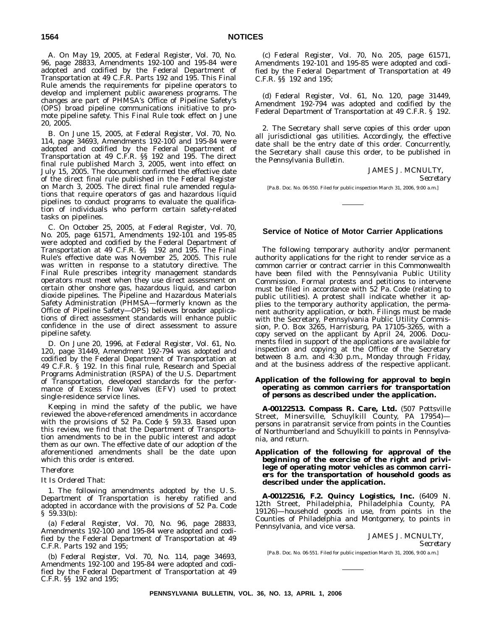A. On May 19, 2005, at *Federal Register*, Vol. 70, No. 96, page 28833, Amendments 192-100 and 195-84 were adopted and codified by the Federal Department of Transportation at 49 C.F.R. Parts 192 and 195. This Final Rule amends the requirements for pipeline operators to develop and implement public awareness programs. The changes are part of PHMSA's Office of Pipeline Safety's (OPS) broad pipeline communications initiative to promote pipeline safety. This Final Rule took effect on June 20, 2005.

B. On June 15, 2005, at *Federal Register*, Vol. 70, No. 114, page 34693, Amendments 192-100 and 195-84 were adopted and codified by the Federal Department of Transportation at 49 C.F.R. §§ 192 and 195. The direct final rule published March 3, 2005, went into effect on July 15, 2005. The document confirmed the effective date of the direct final rule published in the *Federal Register* on March 3, 2005. The direct final rule amended regulations that require operators of gas and hazardous liquid pipelines to conduct programs to evaluate the qualification of individuals who perform certain safety-related tasks on pipelines.

C. On October 25, 2005, at *Federal Register*, Vol. 70, No. 205, page 61571, Amendments 192-101 and 195-85 were adopted and codified by the Federal Department of Transportation at 49 C.F.R. §§ 192 and 195. The Final Rule's effective date was November 25, 2005. This rule was written in response to a statutory directive. The Final Rule prescribes integrity management standards operators must meet when they use direct assessment on certain other onshore gas, hazardous liquid, and carbon dioxide pipelines. The Pipeline and Hazardous Materials Safety Administration (PHMSA—formerly known as the Office of Pipeline Safety—OPS) believes broader applications of direct assessment standards will enhance public confidence in the use of direct assessment to assure pipeline safety.

D. On June 20, 1996, at *Federal Register*, Vol. 61, No. 120, page 31449, Amendment 192-794 was adopted and codified by the Federal Department of Transportation at 49 C.F.R. § 192. In this final rule, Research and Special Programs Administration (RSPA) of the U.S. Department of Transportation, developed standards for the performance of Excess Flow Valves (EFV) used to protect single-residence service lines.

Keeping in mind the safety of the public, we have reviewed the above-referenced amendments in accordance with the provisions of 52 Pa. Code § 59.33. Based upon this review, we find that the Department of Transportation amendments to be in the public interest and adopt them as our own. The effective date of our adoption of the aforementioned amendments shall be the date upon which this order is entered.

# *Therefore*:

# *It Is Ordered That*:

1. The following amendments adopted by the U. S. Department of Transportation is hereby ratified and adopted in accordance with the provisions of 52 Pa. Code § 59.33(b):

(a) *Federal Register*, Vol. 70, No. 96, page 28833, Amendments 192-100 and 195-84 were adopted and codified by the Federal Department of Transportation at 49 C.F.R. Parts 192 and 195;

(b) *Federal Register*, Vol. 70, No. 114, page 34693, Amendments 192-100 and 195-84 were adopted and codified by the Federal Department of Transportation at 49 C.F.R. §§ 192 and 195;

(c) *Federal Register*, Vol. 70, No. 205, page 61571, Amendments 192-101 and 195-85 were adopted and codified by the Federal Department of Transportation at 49 C.F.R. §§ 192 and 195;

(d) *Federal Register*, Vol. 61, No. 120, page 31449, Amendment 192-794 was adopted and codified by the Federal Department of Transportation at 49 C.F.R. § 192.

2. The Secretary shall serve copies of this order upon all jurisdictional gas utilities. Accordingly, the effective date shall be the entry date of this order. Concurrently, the Secretary shall cause this order, to be published in the *Pennsylvania Bulletin*.

> JAMES J. MCNULTY, *Secretary*

[Pa.B. Doc. No. 06-550. Filed for public inspection March 31, 2006, 9:00 a.m.]

# **Service of Notice of Motor Carrier Applications**

The following temporary authority and/or permanent authority applications for the right to render service as a common carrier or contract carrier in this Commonwealth have been filed with the Pennsylvania Public Utility Commission. Formal protests and petitions to intervene must be filed in accordance with 52 Pa. Code (relating to public utilities). A protest shall indicate whether it applies to the temporary authority application, the permanent authority application, or both. Filings must be made with the Secretary, Pennsylvania Public Utility Commission, P. O. Box 3265, Harrisburg, PA 17105-3265, with a copy served on the applicant by April 24, 2006. Documents filed in support of the applications are available for inspection and copying at the Office of the Secretary between 8 a.m. and 4:30 p.m., Monday through Friday, and at the business address of the respective applicant.

# **Application of the following for approval to** *begin* **operating as** *common carriers* **for transportation of** *persons* **as described under the application.**

**A-00122513. Compass R. Care, Ltd.** (507 Pottsville Street, Minersville, Schuylkill County, PA 17954) persons in paratransit service from points in the Counties of Northumberland and Schuylkill to points in Pennsylvania, and return.

# **Application of the following for approval of the** *beginning* **of the exercise of the right and privilege of operating motor vehicles as** *common carriers* **for the transportation of** *household goods* **as described under the application.**

**A-00122516, F.2. Quincy Logistics, Inc.** (6409 N. 12th Street, Philadelphia, Philadelphia County, PA 19126)—household goods in use, from points in the Counties of Philadelphia and Montgomery, to points in Pennsylvania, and vice versa.

> JAMES J. MCNULTY, *Secretary*

[Pa.B. Doc. No. 06-551. Filed for public inspection March 31, 2006, 9:00 a.m.]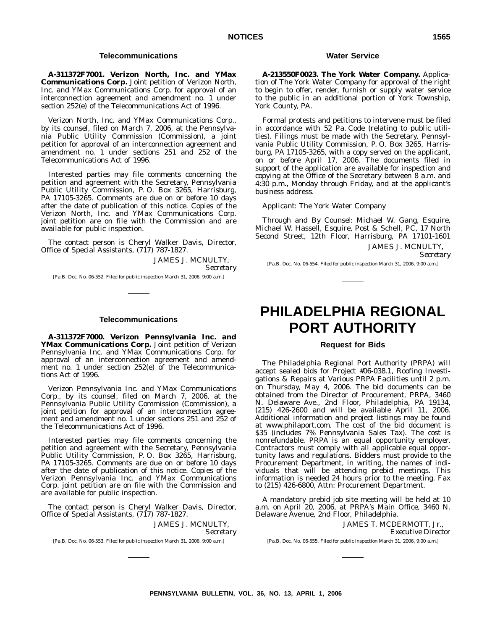# **Telecommunications**

**A-311372F7001. Verizon North, Inc. and YMax Communications Corp.** Joint petition of Verizon North, Inc. and YMax Communications Corp. for approval of an interconnection agreement and amendment no. 1 under section 252(e) of the Telecommunications Act of 1996.

Verizon North, Inc. and YMax Communications Corp., by its counsel, filed on March 7, 2006, at the Pennsylvania Public Utility Commission (Commission), a joint petition for approval of an interconnection agreement and amendment no. 1 under sections 251 and 252 of the Telecommunications Act of 1996.

Interested parties may file comments concerning the petition and agreement with the Secretary, Pennsylvania Public Utility Commission, P. O. Box 3265, Harrisburg, PA 17105-3265. Comments are due on or before 10 days after the date of publication of this notice. Copies of the Verizon North, Inc. and YMax Communications Corp. joint petition are on file with the Commission and are available for public inspection.

The contact person is Cheryl Walker Davis, Director, Office of Special Assistants, (717) 787-1827.

JAMES J. MCNULTY,

*Secretary*

[Pa.B. Doc. No. 06-552. Filed for public inspection March 31, 2006, 9:00 a.m.]

# **Telecommunications**

**A-311372F7000. Verizon Pennsylvania Inc. and YMax Communications Corp.** Joint petition of Verizon Pennsylvania Inc. and YMax Communications Corp. for approval of an interconnection agreement and amendment no. 1 under section 252(e) of the Telecommunications Act of 1996.

Verizon Pennsylvania Inc. and YMax Communications Corp., by its counsel, filed on March 7, 2006, at the Pennsylvania Public Utility Commission (Commission), a joint petition for approval of an interconnection agreement and amendment no. 1 under sections 251 and 252 of the Telecommunications Act of 1996.

Interested parties may file comments concerning the petition and agreement with the Secretary, Pennsylvania Public Utility Commission, P. O. Box 3265, Harrisburg, PA 17105-3265. Comments are due on or before 10 days after the date of publication of this notice. Copies of the Verizon Pennsylvania Inc. and YMax Communications Corp. joint petition are on file with the Commission and are available for public inspection.

The contact person is Cheryl Walker Davis, Director, Office of Special Assistants, (717) 787-1827.

JAMES J. MCNULTY,

*Secretary*

[Pa.B. Doc. No. 06-553. Filed for public inspection March 31, 2006, 9:00 a.m.]

# **Water Service**

**A-213550F0023. The York Water Company.** Application of The York Water Company for approval of the right to begin to offer, render, furnish or supply water service to the public in an additional portion of York Township, York County, PA.

Formal protests and petitions to intervene must be filed in accordance with 52 Pa. Code (relating to public utilities). Filings must be made with the Secretary, Pennsylvania Public Utility Commission, P. O. Box 3265, Harrisburg, PA 17105-3265, with a copy served on the applicant, on or before April 17, 2006. The documents filed in support of the application are available for inspection and copying at the Office of the Secretary between 8 a.m. and 4:30 p.m., Monday through Friday, and at the applicant's business address.

*Applicant:* The York Water Company

*Through and By Counsel:* Michael W. Gang, Esquire, Michael W. Hassell, Esquire, Post & Schell, PC, 17 North Second Street, 12th Floor, Harrisburg, PA 17101-1601

> JAMES J. MCNULTY, *Secretary*

[Pa.B. Doc. No. 06-554. Filed for public inspection March 31, 2006, 9:00 a.m.]

# **PHILADELPHIA REGIONAL PORT AUTHORITY**

# **Request for Bids**

The Philadelphia Regional Port Authority (PRPA) will accept sealed bids for Project #06-038.1, Roofing Investigations & Repairs at Various PRPA Facilities until 2 p.m. on Thursday, May 4, 2006. The bid documents can be obtained from the Director of Procurement, PRPA, 3460 N. Delaware Ave., 2nd Floor, Philadelphia, PA 19134, (215) 426-2600 and will be available April 11, 2006. Additional information and project listings may be found at www.philaport.com. The cost of the bid document is \$35 (includes 7% Pennsylvania Sales Tax). The cost is nonrefundable. PRPA is an equal opportunity employer. Contractors must comply with all applicable equal opportunity laws and regulations. Bidders must provide to the Procurement Department, in writing, the names of individuals that will be attending prebid meetings. This information is needed 24 hours prior to the meeting. Fax to (215) 426-6800, Attn: Procurement Department.

A mandatory prebid job site meeting will be held at 10 a.m. on April 20, 2006, at PRPA's Main Office, 3460 N. Delaware Avenue, 2nd Floor, Philadelphia.

JAMES T. MCDERMOTT, Jr.,

*Executive Director*

[Pa.B. Doc. No. 06-555. Filed for public inspection March 31, 2006, 9:00 a.m.]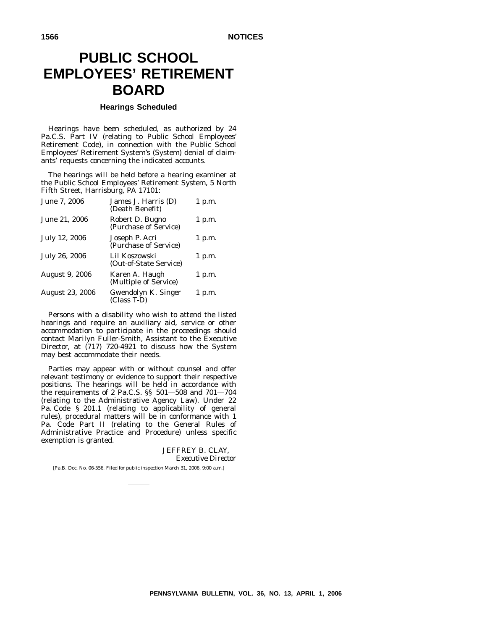# **PUBLIC SCHOOL EMPLOYEES' RETIREMENT BOARD**

# **Hearings Scheduled**

Hearings have been scheduled, as authorized by 24 Pa.C.S. Part IV (relating to Public School Employees' Retirement Code), in connection with the Public School Employees' Retirement System's (System) denial of claimants' requests concerning the indicated accounts.

The hearings will be held before a hearing examiner at the Public School Employees' Retirement System, 5 North Fifth Street, Harrisburg, PA 17101:

| June 7, 2006           | James J. Harris (D)<br>(Death Benefit)   | 1 p.m.   |
|------------------------|------------------------------------------|----------|
| June 21, 2006          | Robert D. Bugno<br>(Purchase of Service) | 1 p.m.   |
| July 12, 2006          | Joseph P. Acri<br>(Purchase of Service)  | 1 p.m.   |
| July 26, 2006          | Lil Koszowski<br>(Out-of-State Service)  | $1$ p.m. |
| <b>August 9, 2006</b>  | Karen A. Haugh<br>(Multiple of Service)  | 1 p.m.   |
| <b>August 23, 2006</b> | Gwendolyn K. Singer<br>(Class T-D)       | 1 p.m.   |

Persons with a disability who wish to attend the listed hearings and require an auxiliary aid, service or other accommodation to participate in the proceedings should contact Marilyn Fuller-Smith, Assistant to the Executive Director, at (717) 720-4921 to discuss how the System may best accommodate their needs.

Parties may appear with or without counsel and offer relevant testimony or evidence to support their respective positions. The hearings will be held in accordance with the requirements of 2 Pa.C.S. §§ 501—508 and 701—704 (relating to the Administrative Agency Law). Under 22 Pa. Code § 201.1 (relating to applicability of general rules), procedural matters will be in conformance with 1 Pa. Code Part II (relating to the General Rules of Administrative Practice and Procedure) unless specific exemption is granted.

# JEFFREY B. CLAY, *Executive Director*

[Pa.B. Doc. No. 06-556. Filed for public inspection March 31, 2006, 9:00 a.m.]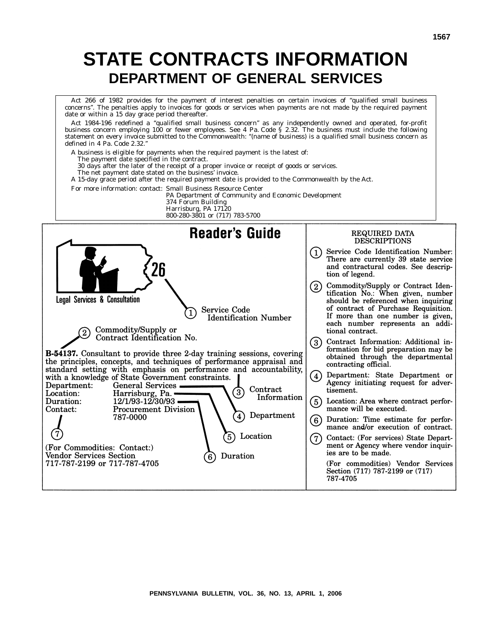# **STATE CONTRACTS INFORMATION DEPARTMENT OF GENERAL SERVICES**

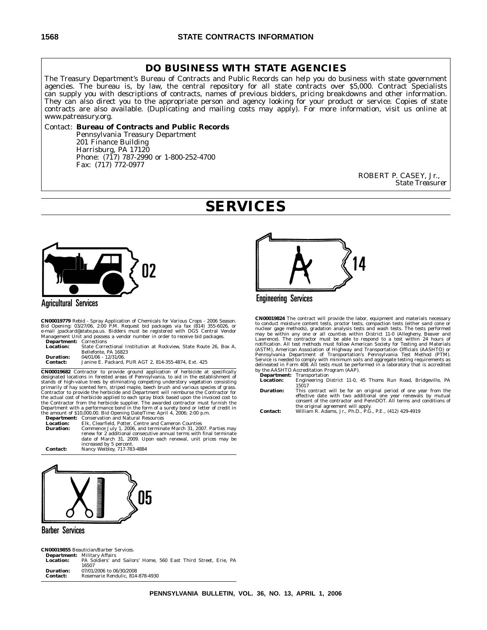# **DO BUSINESS WITH STATE AGENCIES**

The Treasury Department's Bureau of Contracts and Public Records can help you do business with state government agencies. The bureau is, by law, the central repository for all state contracts over \$5,000. Contract Specialists can supply you with descriptions of contracts, names of previous bidders, pricing breakdowns and other information. They can also direct you to the appropriate person and agency looking for your product or service. Copies of state contracts are also available. (Duplicating and mailing costs may apply). For more information, visit us online at www.patreasury.org.

# Contact: **Bureau of Contracts and Public Records**

Pennsylvania Treasury Department 201 Finance Building Harrisburg, PA 17120 Phone: (717) 787-2990 or 1-800-252-4700 Fax: (717) 772-0977

> ROBERT P. CASEY, Jr., *State Treasurer*

# **SERVICES**



# **Agricultural Services**

CN00019779 Rebid - Spray Application of Chemicals for Various Crops - 2006 Season.<br>Bid Opening: 03/27/06, 2:00 P.M. Request bid packages via fax (814) 355-6026, or<br>e-mail jpackard@state.pa.us. Bidders must be registered wi

| <b>Department:</b> Corrections |                                                                    |
|--------------------------------|--------------------------------------------------------------------|
| Location:                      | State Correctional Institution at Rockview, State Route 26, Box A. |
|                                | Bellefonte, PA 16823                                               |
| Duration:                      | $04/01/06 - 12/31/06$ .                                            |
| <b>Contact:</b>                | Janine E. Packard. PUR AGT 2, 814-355-4874. Ext. 425               |
|                                |                                                                    |

**CN00019682** Contractor to provide ground application of herbicide at specifically designated locations in forested areas of Pennsylvania, to aid in the establishment of stands of high-value trees by eliminating competing understory vegetation consisting primarily of hay scented fern, striped maple, beech brush and various species of grass.<br>Contractor to provide the herbicide and Department will reimburse the Contractor for<br>the actual cost of herbicide applied to each spra Department with a performance bond in the form of a surety bond or letter of credit in<br>the amount of \$10,000.00. Bid Opening Date/Time: April 4, 2006; 2:00 p.m.<br>**Department:** Conservation and Natural Resources





# **Barber Services**

**CN00019855** Beautician/Barber Services. **Department:** Military Affairs **Location:** PA Soldiers' and Sailors' Home, 560 East Third Street, Erie, PA 16507 **Duration:** 07/01/2006 to 06/30/2008<br>**Contact:** Rosemarie Rendulic. 814 **Contact:** Rosemarie Rendulic, 814-878-4930





**CN00019824** The contract will provide the labor, equipment and materials necessary<br>to conduct moisture content tests, proctor tests, compaction tests (either sand one or<br>nuclear gage methods), gradation analysis tests and (ASTM), American Association of Highway and Transportation Officials (AASHTO) or Pennsylvania Department of Transportation's Pennsylvania Test Method (PTM). Service is needed to comply with minimum soils and aggregate testing requirements as delineated in Form 408. All tests must be performed in a laboratory that is accredited by the AASHTO Accreditation Program (AAP).

**Department:** Transportation **Location:** Engineering District 11-0, 45 Thoms Run Road, Bridgeville, PA 15017

**Duration:** This contract will be for an original period of one year from the effective date with two additional one year renewals by mutual consent of the contractor and PennDOT. All terms and conditions of the original agreement will apply. **Contact:** William R. Adams, Jr., Ph.D., P.G., P.E., (412) 429-4919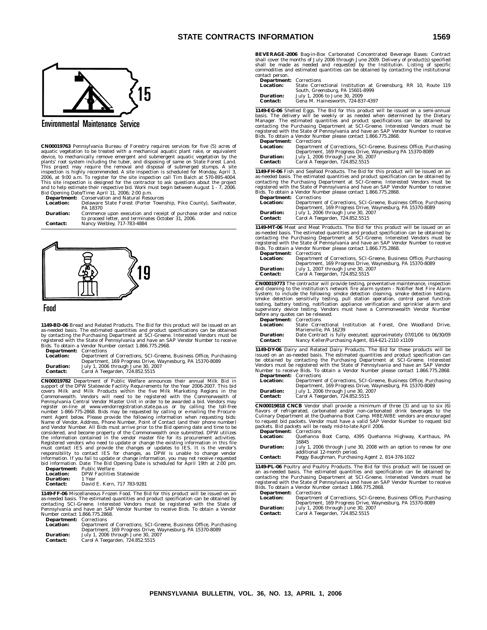

**Environmental Maintenance Service** 

**CN00019763** Pennsylvania Bureau of Forestry requires services for five (5) acres of age<br>autaic vegetation to be treated with a mechanical aquatic plant rake, or equivalent<br>device, to mechanically remove emergent and subm Bid Opening Date/Time: April 11, 2006; 2:00 p.m.<br>**Department:** Conservation and Natural Resources<br>**Location:** Delaware State Forest (Porter Township, Pike County), Swiftwater,

PA 18370

| Duration:       | Commence upon execution and receipt of purchase order and notice |
|-----------------|------------------------------------------------------------------|
|                 | to proceed letter, and terminates October 31, 2006.              |
| <b>Contact:</b> | Nancy Weibley, 717-783-4884                                      |



#### Food

**1149-BD-06** Bread and Related Products. The Bid for this product will be issued on an as-needed basis. The estimated quantities and product specifications can be obtained by contacting the Purchasing Department at SCI-Gre

| <b>Department:</b> Corrections |                         |
|--------------------------------|-------------------------|
| <b>Location:</b>               | Department of Correctio |

| ---------------  |                                                                    |
|------------------|--------------------------------------------------------------------|
| <b>Location:</b> | Department of Corrections, SCI-Greene, Business Office, Purchasing |
|                  | Department, 169 Progress Drive, Waynesburg, PA 15370-8089          |
| <b>Duration:</b> | July 1, 2006 through June 30, 2007                                 |
| <b>Contact:</b>  | Carol A Teegarden, 724.852.5515                                    |

**CN00019782** Department of Public Welfare announces their annual Milk Bid in<br>support of the DPW Statewide Facility Requirements for the Yar 2006-2007. This bid<br>covers Milk and Milk Products within the five Milk Marketing R

|                  | nd information. Date. The Did Opening Date is ser |
|------------------|---------------------------------------------------|
|                  | <b>Department:</b> Public Welfare                 |
| <b>Location:</b> | <b>DPW Facilities Statewide</b>                   |
| Duration:        | 1 Year                                            |
| <b>Contact:</b>  | David E. Kern, 717 783-9281                       |
|                  |                                                   |

**1149-FF-06** Miscellaneous Frozen Food. The Bid for this product will be issued on an as-needed basis. The estimated quantities and product specification can be obtained by<br>contacting SCI-Greene. Interested Vendors must be registered with the State of<br>Pennsylvania and have an SAP Vendor Number to receive Bi Number contact 1.866.775.2868.

**Department:** Corrections<br> **Location:** Department **Location:** Department of Corrections, SCI-Greene, Business Office, Purchasing<br>Department, 169 Progress Drive, Waynesburg, PA 15370-8089<br>**Duration:** July 1, 2006 through June 30, 2007<br>**Contact:** Carol A Teegarden, 724.852.

**BEVERAGE-2006** Bag-in-Box Carbonated Concentrated Beverage Bases: Contract shall cover the months of July 2006 through June 2009. Delivery of product(s) specified<br>shall be made as needed and requested by the Institution. Listing of specific<br>commodities and estimated quantities can contact person.

**Department:** Corrections<br>**Location:** State Corre

**Location:** State Correctional Institution at Greensburg, RR 10, Route 119<br>South, Greensburg, PA 15601-8999<br>**Duration:** July 1, 2006 to June 30, 2009<br>**Contact:** Gena M. Hainesworth, 724-837-4397

| ------------ |                                   |
|--------------|-----------------------------------|
| ontact:      | Gena M. Hainesworth. 724-837-4397 |
|              |                                   |

**1149-EG-06** Shelled Eggs. The Bid for this product will be issued on a semi-annual basis. The delivery will be weekly or as needed when determined by the Dietary Manager. The estimated quantities and product specification

| <b>Department:</b> Corrections      |                                                                                                                                   |
|-------------------------------------|-----------------------------------------------------------------------------------------------------------------------------------|
| <b>Location:</b>                    | Department of Corrections, SCI-Greene, Business Office, Purchasing                                                                |
| <b>Duration:</b><br><b>Contact:</b> | Department, 169 Progress Drive, Waynesburg PA 15370-8089<br>July 1, 2006 through June 30, 2007<br>Carol A Teegarden, 724.852.5515 |

**1149-FH-06** Fish and Seafood Products. The Bid for this product will be issued on an as-needed basis. The estimated quantities and product specification can be obtained by contacting Department at SCI-Greene. Interesting Bids. To obtain a Vendor Number please contact 1.866.775.2868.

| <b>Department:</b> Corrections |                                                                    |
|--------------------------------|--------------------------------------------------------------------|
| <b>Location:</b>               | Department of Corrections, SCI-Greene, Business Office, Purchasing |
|                                | Department, 169 Progress Drive, Waynesburg, PA 15370-8089          |
| <b>Duration:</b>               | July 1, 2006 through June 30, 2007                                 |
| <b>Contact:</b>                | Carol A Teegarden, 724.852.5515                                    |

**1149-MT-06** Meat and Meat Products. The Bid for this product will be issued on an as-needed basis. The estimated quantities and product specification can be obtained by<br>contacting the Purchasing Department at SCI-Greene. Interested Vendors must be<br>registered with the State of Pennsylvania and have an SA

| <b>Department:</b> Corrections |                                                                    |
|--------------------------------|--------------------------------------------------------------------|
| <b>Location:</b>               | Department of Corrections, SCI-Greene, Business Office, Purchasing |
|                                | Department, 169 Progress Drive, Waynesburg, PA 15370-8089          |
| <b>Duration:</b>               | July 1, 2007 through June 30, 2007                                 |
| <b>Contact:</b>                | Carol A Teegarden, 724.852.5515                                    |

**CN00019773** The contractor will provide testing, preventative maintenance, inspection and cleaning to the institution's network fire alarm system - Notifier Net Fire Alarm<br>System; to include the following: smoke detection cleaning, smoke detection testing,<br>smoke detection sensitivity testing, pull station o before any quotes can be released.

| <b>Department:</b> Corrections |                                                                     |
|--------------------------------|---------------------------------------------------------------------|
| Location:                      | State Correctional Institution at Forest. One Woodland Drive.       |
|                                | Marienville, PA 16239                                               |
| <b>Duration:</b>               | Date Contract is fully executed; approximately 07/01/06 to 06/30/09 |
| Contact:                       | Nancy Keller/Purchasing Agent, 814-621-2110 x1109                   |

**1149-DY-06** Dairy and Related Dairy Products. The Bid for these products will be<br>issued on an as-needed basis. The estimated quantities and product specification can<br>be obtained by contacting the Purchasing Department at Number to receive Bids. To obtain a Vendor Number please contact 1.866.775.2868. **Department:** Corrections

| <b>Department:</b> Corrections |                                                                    |
|--------------------------------|--------------------------------------------------------------------|
| <b>Location:</b>               | Department of Corrections, SCI-Greene, Business Office, Purchasing |
|                                | Department, 169 Progress Drive, Waynesburg, PA 15370-8089          |
| <b>Duration:</b>               | July 1, 2006 through June 30, 2007                                 |
| <b>Contact:</b>                | Carol A Teegarden, 724.852.5515                                    |

**CN00019818 CNCB** Vendor shall provide a minimum of three (3) and up to six (6) flavors of refrigerated, carbonated and/or non-carbonated drink beverages to the Culinary Department at the Quehanna Boot Camp. MBE/WBE vendors are encouraged<br>to request bid packets. Vendor must have a valid SAP Vendor Num

| <b>Department:</b> Corrections |                                                                    |
|--------------------------------|--------------------------------------------------------------------|
| <b>Location:</b>               | Quehanna Boot Camp, 4395 Quehanna Highway, Karthaus, PA            |
|                                | 16845                                                              |
| <b>Duration:</b>               | July 1, 2006 through June 30, 2008 with an option to renew for one |
|                                | additional 12-month period.                                        |
| <b>Contact:</b>                | Peggy Baughman, Purchasing Agent 2, 814-378-1022                   |

**1149-PL-06** Poultry and Poultry Products. The Bid for this product will be issued on an as-needed basis. The estimated quantities and specification can be obtained by<br>contacting the Purchasing Department at SCI-Greene. Interested Vendors must be<br>registered with the State of Pennsylvania and have an SAP Ven

| <b>Department:</b> Corrections |                                                                    |
|--------------------------------|--------------------------------------------------------------------|
| <b>Location:</b>               | Department of Corrections, SCI-Greene, Business Office, Purchasing |
|                                | Department, 169 Progress Drive, Waynesburg, PA 15370-8089          |
| <b>Duration:</b>               | July 1, 2006 through June 30, 2007                                 |
| <b>Contact:</b>                | Carol A Teegarden, 724.852.5515                                    |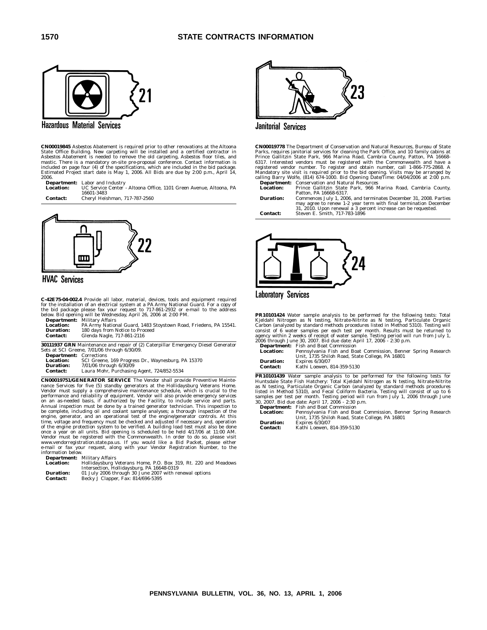

**Hazardous Material Services** 

**CN00019845** Asbestos Abatement is required prior to other renovations at the Altoona<br>State Office Building. New carpeting will be installed and a certified contractor in<br>Asbestos Abatement is needed to remove the old carp 2006.

**Department:** Labor and Industry<br>**Location:** UC Service Center **Location:** UC Service Center - Altoona Office, 1101 Green Avenue, Altoona, PA 16601-3483 **Contact:** Cheryl Heishman, 717-787-2560



**HVAC Services** 

 $\mathbf{C}\text{-}42\mathbf{E}75\text{-}04\text{-}002.4$  Provide all labor, material, devices, tools and equipment required<br>for the installation of an electrical system at a PA Army National Guard. For a copy of<br>the bid package please fax yo

|                  | <b>Department:</b> Military Affairs                              |
|------------------|------------------------------------------------------------------|
| <b>Location:</b> | PA Army National Guard, 1483 Stoystown Road, Friedens, PA 15541. |
| <b>Duration:</b> | 180 days from Notice to Proceed                                  |
| <b>Contact:</b>  | Glenda Nagle, 717-861-2116                                       |

**30111937 GRN** Maintenance and repair of (2) Caterpillar Emergency Diesel Generator Sets at SCI Greene, 7/01/06 through 6/30/09.

| <b>Department:</b> Corrections |                                                    |
|--------------------------------|----------------------------------------------------|
| <b>Location:</b>               | SCI Greene, 169 Progress Dr., Waynesburg, PA 15370 |
| Duration:                      | 7/01/06 through 6/30/09                            |
| <b>Contact:</b>                | Laura Mohr, Purchasing Agent, 724/852-5534         |

**CN00019751/GENERATOR SERVICE** The Vendor shall provide Preventive Mainte-<br>nance Services for five (5) standby generators at the Hollidgspsburg Veterans Home.<br>Vendor must supply a comprehensive maintenance schedule, which

**Department:** Military Affairs

| <b>Location:</b> | Hollidaysburg Veterans Home, P.O. Box 319, Rt. 220 and Meadows |
|------------------|----------------------------------------------------------------|
|                  | Intersection, Hollidaysburg, PA 16648-0319                     |
| <b>Duration:</b> | 01 July 2006 through 30 June 2007 with renewal options         |

| -------------   |                                    |
|-----------------|------------------------------------|
| <b>Contact:</b> | Becky J Clapper, Fax: 814/696-5395 |
|                 |                                    |



**Janitorial Services** 

**CN00019778** The Department of Conservation and Natural Resources, Bureau of State<br>Parks, requires janitorial services for cleaning the Park Office, and 10 family cabins at<br>Prince Gallitzin State Park, 966 Marina Road, Cam

**Location:** Prince Gallitzin State Park, 966 Marina Road, Cambria County, Patton, PA 16668-6317.

**Duration:** Commences July 1, 2006, and terminates December 31, 2008. Parties may agree to renew 1-2 year term with final termination December 31, 2010. Upon renewal a 3 percent increase can be requested. **Contact:** Steven E. Smith, 717-783-1896



**Laboratory Services** 

**PR10101424** Water sample analysis to be performed for the following tests: Total Kjeldahl Nitrogen as N testing, Nitrate-Nitrite as N testing, Particulate Organic Carbon (analyzed by standard methods procedures listed in Method 5310). Testing will

consist of 6 water samples per each test per month. Results must be returned to<br>agency within 2 weeks of receipt of water sample. Testing period will run from July 1,<br>2006 through June 30, 2007. Bid due date: April 17, 200

**PR10101439** Water sample analysis to be performed for the following tests for Huntsdale State Fish Hatchery: Total Kjeldahl Nitrogen as N testing, Nitrate-Nitrite Organic Carbon (analyzed by standard methods procedures li

|                  | <b>Department:</b> Fish and Boat Commission                   |
|------------------|---------------------------------------------------------------|
| <b>Location:</b> | Pennsylvania Fish and Boat Commission, Benner Spring Research |
|                  | Unit. 1735 Shiloh Road. State College. PA 16801               |
| <b>Duration:</b> | Expires $6/30/07$                                             |
| <b>Contact:</b>  | Kathi Loewen, 814-359-5130                                    |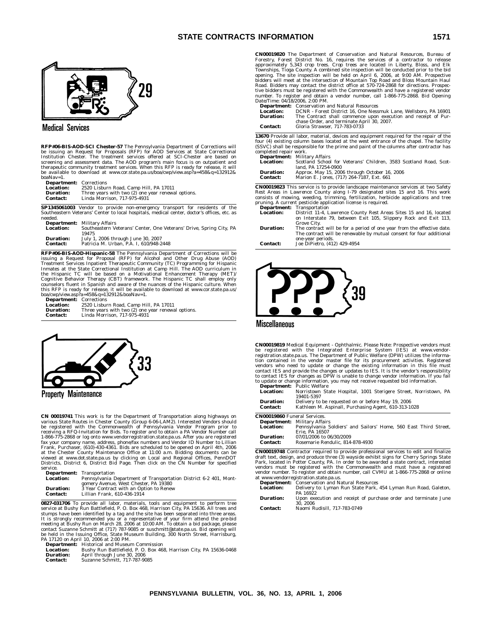

# **Medical Services**

**RFP#06-BIS-AOD-SCI Chester-57** The Pennsylvania Department of Corrections will be issuing an Request for Proposals (RFP) for AOD Services at State Correctional Institution Chester. The treatment services offered at SCI-Chester are based on<br>screening and assessment data. The AOD program's main focus is on outpatient and<br>therapeutic community treatment services. When this RFP is re boaNav=1.

**Department:** Corrections<br>**Location:** 2520 Lisbur **Location:** 2520 Lisburn Road, Camp Hill, PA 17011<br>**Duration:** Three years with two (2) one year renewal options.<br>**Contact: L**inda Morrison, 717-975-4931

**SP1345061003** Vendor to provide non-emergency transport for residents of the Southeastern Veterans' Center to local hospitals, medical center, doctor's offices, etc. as needed.

| neeueu.          |                                                                     |
|------------------|---------------------------------------------------------------------|
|                  | <b>Department:</b> Military Affairs                                 |
| <b>Location:</b> | Southeastern Veterans' Center, One Veterans' Drive, Spring City, PA |
|                  | 19475                                                               |
| <b>Duration:</b> | July 1, 2006 through June 30, 2007                                  |
| <b>Contact:</b>  | Patricia M. Urban. P.A. I. 610/948-2448                             |
|                  |                                                                     |

**RFP#06-BIS-AOD-Hispanic-58** The Pennsylvania Department of Corrections will be issuing a Request for Proposal (RFP) for Alcohol and Other Drug Abuse (AOD) Treatment Services Inpatient Therapeutic Community (TC) Programming for Hispanic<br>Inmates at the State Correctional Institution at Camp Hill. The AOD curriculum in<br>the Hispanic TC will be based on a Motivational Enhancement

| <b>Department: Corrections</b> |                                                    |
|--------------------------------|----------------------------------------------------|
| <b>Location:</b>               | 2520 Lisburn Road, Camp Hill, PA 17011             |
| <b>Duration:</b>               | Three years with two (2) one year renewal options. |
| Contact:                       | Linda Morrison, 717-975-4931                       |



Property Maintenance

**CN 00019741** This work is for the Department of Transportation along highways on<br>various State Routes in Chester County (Group 6-06-LAM2). Interested Vendors should<br>be registered with the Commonwealth of Pennsylvania Vend receiving a RFQ-Invitation for Bids. To register and to obtain a PA Vendor Number call<br>1-866-775-2868 or log onto www.vendorregistration.state.pa.us. After you are registered<br>fax your company name, address, phone/fax numbe at the Chester County Maintenance Office at 11:00 a.m. Bidding documents can be<br>viewed at www.dot.state.pa.us by clicking on Local and Regional Offices, PennDOT<br>Districts, District 6, District Bid Page. Then click on the C service.

|                  | <b>Department:</b> Transportation                                 |
|------------------|-------------------------------------------------------------------|
| <b>Location:</b> | Pennsylvania Department of Transportation District 6-2 401, Mont- |
|                  | gomery Avenue, West Chester, PA 19380                             |
| <b>Duration:</b> | 3 Year Contract with an Option to Renew                           |
| Contact:         | Lillian Frank. 610-436-1914                                       |
|                  |                                                                   |

**0827-031706** To provide all labor, materials, tools and equipment to perform tree<br>service at Bushy Run Battlefield, P. O. Box 468, Harrison City, PA 15636. All trees and stumps have been identified by a tag and the site has been separated into three areas.<br>It is strongly recommended you or a representative of your firm attend the pre-bid<br>meeting at Bushy Run on March 28, 2006 at 10:00 AM. be held in the Issuing Office, State Museum Building, 300 North Street, Harrisburg, PA 17120 on April 10, 2006 at 2:00 PM.

**Department:** Historical and Museum Commission

| <b>Location:</b> | Bushy Run Battlefield, P. O. Box 468, Harrison City, PA 15636-0468 |
|------------------|--------------------------------------------------------------------|
| <b>Duration:</b> | April through June 30, 2006                                        |
| <b>Contact:</b>  | Suzanne Schmitt, 717-787-9085                                      |

**CN00019820** The Department of Conservation and Natural Resources, Bureau of Forestry, Forest District No. 16, requires the services of a contractor to release<br>approximately 5,343 crop trees. Crop trees are located in Liberty, Bloss, and Elk<br>Townships, Tioga County. A combined site inspection will

|                 | <b>Department:</b> Conservation and Natural Resources            |
|-----------------|------------------------------------------------------------------|
| Location:       | DCNR - Forest District 16. One Nessmuk Lane. Wellsboro. PA 16901 |
| Duration:       | The Contract shall commence upon execution and receipt of Pur-   |
|                 | chase Order, and terminate April 30, 2007.                       |
| <b>Contact:</b> | Gloria Strawser, 717-783-0733                                    |

**13670** Provide all labor, material, devices and equipment required for the repair of the four (4) existing column bases located at the west entrance of the chapel. The facility (SSVC) shall be responsible for the prime and paint of the columns after contractor has completed repair work.

|                  | <b>Department:</b> Military Affairs                               |
|------------------|-------------------------------------------------------------------|
| <b>Location:</b> | Scotland School for Veterans' Children, 3583 Scotland Road, Scot- |
|                  | land, PA 17254-0900                                               |
| <b>Duration:</b> | Approx. May 15, 2006 through October 16, 2006                     |
| <b>Contact:</b>  | Marion E. Jones. (717) 264-7187. Ext. 661                         |
|                  |                                                                   |

**CN00019823** This service is to provide landscape maintenance services at two Safety Rest Areas in Lawrence County along I-79 designated sites 15 and 16. This work<br>consists of mowing, weeding, trimming, fertilization, herbicide applications and tree<br>pruning. A current pesticide application license is requi

| <b>Department:</b> Transportation                                      |
|------------------------------------------------------------------------|
| District 11-4, Lawrence County Rest Areas Sites 15 and 16, located     |
| on Interstate 79, between Exit 105, Slippery Rock and Exit 113,        |
| Grove City.                                                            |
| The contract will be for a period of one year from the effective date. |
| The contract will be renewable by mutual consent for four additional   |
| one-year periods.                                                      |
| Joe DiPietro, (412) 429-4954                                           |
|                                                                        |



**Miscellaneous** 

**CN00019819** Medical Equipment - Ophthalmic. Please Note: Prospective vendors must be registered with the Integrated Enterprise System (IES) at www.vendor-<br>registration.state.pa.us. The Department of Public Welfare (DPW) utilizes the informa-<br>tion contained in the vendor master file for its procurement a to update or change information, you may not receive requested bid information. **Department:** Public Welfare

|                  | Department. Fublic wellare                                       |
|------------------|------------------------------------------------------------------|
| <b>Location:</b> | Norristown State Hospital, 1001 Sterigere Street, Norristown, PA |
|                  | 19401-5397                                                       |
| <b>Duration:</b> | Delivery to be requested on or before May 19, 2006               |
| <b>Contact:</b>  | Kathleen M. Aspinall, Purchasing Agent, 610-313-1028             |

| <b>CN00019860</b> Funeral Services. |                                                                  |
|-------------------------------------|------------------------------------------------------------------|
|                                     | <b>Department:</b> Military Affairs                              |
| <b>Location:</b>                    | Pennsylvania Soldiers' and Sailors' Home, 560 East Third Street, |
|                                     | Erie. PA 16507                                                   |
| Duration:                           | 07/01/2006 to 06/30/2009                                         |
| <b>Contact:</b>                     | Rosemarie Rendulic, 814-878-4930                                 |
|                                     |                                                                  |

**CN00019748** Contractor required to provide professional services to edit and finalize draft text, design, and produce three (3) wayside exhibit signs for Cherry Springs State Park, located in Potter County, PA. In order to be awarded a state contract, interested vendors must be registered with the Commonwealth and must have a registered vendor number. To register and obtain number, call CVMU at 1-866-775-2868 or online at www.vendorregistration.state.pa.us.

|                  | <b>Department:</b> Conservation and Natural Resources                       |
|------------------|-----------------------------------------------------------------------------|
| <b>Location:</b> | Delivery to: Lyman Run State Park, 454 Lyman Run Road, Galeton,             |
|                  | PA 16922                                                                    |
| <b>Duration:</b> | Upon execution and receipt of purchase order and terminate June<br>30. 2006 |
| <b>Contact:</b>  | Naomi Rudisill. 717-783-0749                                                |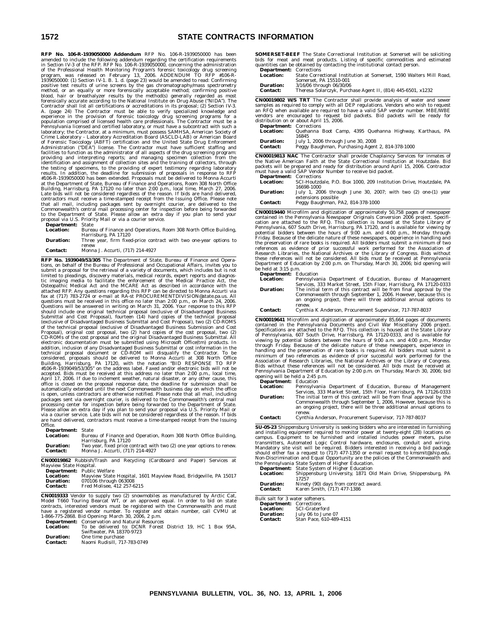# **1572 STATE CONTRACTS INFORMATION**

**RFP No. 106-R-1939050000 Addendum** RFP No. 106-R-1939050000 has been amended to include the following addendum regarding the certification requirements<br>in Section IV:3 of the RFP. RFP No. 106-R-1939050000, concerning the administration<br>of the Professional Health Monitoring Program's forensi Contractor shall list all certifications or accreditations in its proposal; (2) Section IV-3.<br>A. (page 24) The Contractor must be able to verify specialized knowledge and<br>experience in the provision of forensic toxicology laboratory; the Contractor, at a minimum, must possess SAMHSA, American Society of<br>Crime Laboratory - Laboratory Accreditation Board (ASCLD-LAB) or American Board<br>of Forensic Toxicology (ABFT) certification and the United facilities to function as the administrator of all aspects of the drug screening program:<br>providing and interpreting reports; and managing specimen collection from the<br>identification and assignment of collection sites and Building, Harrisburg, PA 17120 no later than 2:00 p.m., local time, March 27, 2006. Late bids will not be considered regardless of the reason. If bids are hand delivered, contractors must receive a time-stamped receipt from the Issuing Office. Please note that all mail, including packages sent by overnigh proposal via U.S. Priority Mail or via a courier service.

| <b>Department:</b> State |                                                                    |
|--------------------------|--------------------------------------------------------------------|
| <b>Location:</b>         | Bureau of Finance and Operations, Room 308 North Office Building,  |
|                          | Harrisburg, PA 17120                                               |
| <b>Duration:</b>         | Three year, firm fixed-price contract with two one-year options to |
|                          | renew                                                              |
| <b>Contact:</b>          | Monna J. Accurti, (717) 214-4927                                   |

**RFP No. 1939049/53/305** The Department of State, Bureau of Finance and Operations, on behalf of the Bureau of Professional and Occupational Affairs, invites you to submit a proposal for the retrieval of a variety of documents, which includes but is not limited to pleadings, discovery materials, medical records, expert reports and diagnos-<br>tic imaging media to facilitate the enforcement of the Medical Practice Act, the<br>Osteopathic Medical Act and the MCARE Act as describe attached RFP. Any questions regarding this RFP can be directed to Monna Accurti via<br>fax at (717) 783-2724 or e-mail at RA-st PROCUREMENTDIVISION® state.pa.us. All<br>questions must be received in this office no later than 2:0 April 17, 2006. If due to inclement weather, natural disaster, or any other cause, this<br>office is closed on the proposal response date, the deadline for submission shall be<br>automatically extended until the next Commonwealt is open, unless contractors are otherwise notified. Please note that all mail, including packages sent via overnight courier, is delivered to the Commonwealth's central mail processing center for inspection before being forwarded to the Department of State.<br>Please allow an extra day if you plan to send your proposal via U.S. Priority Mail or<br>via a courier service. Late bids will not be conside are hand delivered, contractors must receive a time-stamped receipt from the Issuing Office.

| <b>Department:</b> State |                                                                        |
|--------------------------|------------------------------------------------------------------------|
| <b>Location:</b>         | Bureau of Finance and Operation, Room 308 North Office Building,       |
|                          | Harrisburg, PA 17120                                                   |
| <b>Duration:</b>         | Two year, fixed price contract with two (2) one year options to renew. |
| <b>Contact:</b>          | Monna J. Accurti, (717) 214-4927                                       |
|                          |                                                                        |

**CN00019862** Rubbish/Trash and Recycling (Cardboard and Paper) Services at Mayview State Hospital. **Department:** Public Welfare

| <b>Location:</b> | Mayview State Hospital, 1601 Mayview Road, Bridgeville, PA 15017 |
|------------------|------------------------------------------------------------------|
| <b>Duration:</b> | 070106 through 063008                                            |
| <b>Contact:</b>  | Fred Molisee, 412 257-6215                                       |

**CN0019333** Vendor to supply two (2) snowmobiles as manufactured by Arctic Cat, Model T660 Touring Bearcat WT, or an approved equal. In order to bid on state contracts, interested vendors must be registered with the Commonwealth and must have a registered vendor number. To register and obtain number, call CVMU at 1-866-775-2868. Bid Opening: March 30, 2006, 2 p.m.<br>Department: Conservation and Natural Resources<br>Department: Conservation and Natural Resources

To be delivered to: DCNR Forest District 19, HC 1 Box 95A,<br>Swiftwater, PA 18370-9723 **Duration:** One time purchase **Contact:** Naomi Rudisill, 717-783-0749

**SOMERSET-BEEF** The State Correctional Institution at Somerset will be soliciting bids for meat and meat products. Listing of specific commodities and estimated quantities can be obtained by contacting the institutional contact person. **Department:** Corrections

| <b>Location:</b> | State Correctional Institution at Somerset, 1590 Walters Mill Road. |
|------------------|---------------------------------------------------------------------|
|                  | Somerset. PA 15510-001                                              |
| $D = 42 - 42$    | $9/10/00$ the sense of 00/00/00                                     |

| <b>Duration:</b> | 3/16/06 through 06/30/06                                    |
|------------------|-------------------------------------------------------------|
| <b>Contact:</b>  | Theresa Solarczyk, Purchase Agent II, (814) 445-6501, x1232 |

**CN00019802 W/S TRT** The Contractor shall provide analysis of water and sewer samples as required to comply with all DEP regulations. Vendors who wish to request an RFQ when available are required to have a valid SAP vendor number. MBE/WBE<br>vendors are encouraged to request bid packets. Bid packets will be ready for<br>distribution on crabout April 15, 2006.<br>**Department:** Corrections

| вершилисти.<br><b>Location:</b> | <b>COLLECTION</b><br>Quehanna Boot Camp, 4395 Quehanna Highway, Karthaus, PA<br>16845 |
|---------------------------------|---------------------------------------------------------------------------------------|
| <b>Duration:</b>                | July 1, 2006 through June 30, 2008                                                    |
| <b>Contact:</b>                 | Peggy Baughman, Purchasing Agent 2, 814-378-1000                                      |

**CN00019813 NAC** The Contractor shall provide Chaplaincy Services for inmates of the Native American Faith at the State Correctional Institution at Houtzdale. Bid packets will be prepared and ready for distribution around

| <b>Location:</b> | SCI-Houtzdale, P.O. Box 1000, 209 Institution Drive, Houtzdale, PA |
|------------------|--------------------------------------------------------------------|
|                  | 16698-1000                                                         |
| <b>Duration:</b> | July 1, 2006 through June 30, 2007; with two (2) one-(1) year      |
|                  | extensions possible                                                |
| <b>Contact:</b>  | Peggy Baughman, PA2, 814-378-1000                                  |

**CN00019440** Microfilm and digitization of approximately 50,758 pages of newspaper<br>contained in the Pennsylvania Newspaper Originals Conversion 2006 project. Specifi-<br>cation are attached to the RFQ. This collection is hous Department of Education by 2:00 p.m. on Thursday, March 30, 2006; bid opening will be held at 3:15 p.m.

| <b>Department:</b> Education |                                                                                                                                                 |
|------------------------------|-------------------------------------------------------------------------------------------------------------------------------------------------|
| <b>Location:</b>             | Pennsylvania Department of Education, Bureau of Management                                                                                      |
|                              | Services, 333 Market Street, 15th Floor, Harrisburg, PA 17120-0333                                                                              |
| <b>Duration:</b>             | The initial term of this contract will be from final approval by the                                                                            |
|                              | Commonwealth through September 1, 2006. However, because this is<br>an ongoing project, there will three additional annual options to<br>renew. |
| <b>Contact:</b>              | Cynthia K Anderson, Procurement Supervisor, 717-787-8037                                                                                        |

**CN00019641** Microfilm and digitization of approximately 85,664 pages of documents<br>contained in the Pennsylvania Documents and Civil War Miscellany 2006 project.<br>Specifications are attached to the RFQ. This collection is h of Pennsylvania, 607 South Drive, Harrisburg, PA 17120-0333, and is available for<br>viewing by potential bidders between the hours of 9:00 a.m. and 4:00 p.m., Monday<br>through Friday. Because of the delicate nature of these ne Pennsylvania Department of Education by 2:00 p.m. on Thursday, March 30, 2006; bid opening will be held a 2:45 p.m. **Department:** Education

| <b>Department:</b> Equication                                                                                                            |
|------------------------------------------------------------------------------------------------------------------------------------------|
| Pennsylvania Department of Education, Bureau of Management                                                                               |
| Services, 333 Market Street, 15th Floor, Harrisburg, PA 17126-0333                                                                       |
| The initial term of this contract will be from final approval by the                                                                     |
| Commonwealth through September 1, 2006, However, because this is<br>an ongoing project, there will be three additional annual options to |
| renew.                                                                                                                                   |
| Cynthia Anderson, Procurement Supervisor, 717-787-8037                                                                                   |
|                                                                                                                                          |

**SU-05-23** Shippensburg University is seeking bidders who are interested in furnishing and installing equipment required to monitor power at twenty-eight (28) locations on campus. Equipment to be furnished and installed includes power meters, pulse<br>transmitters, Automated Logic Control hardware, enclosures,

|                  | <b>Department:</b> State System of Higher Education            |  |  |
|------------------|----------------------------------------------------------------|--|--|
| <b>Location:</b> | Shippensburg University, 1871 Old Main Drive, Shippensburg, PA |  |  |
|                  | 17257                                                          |  |  |
| <b>Duration:</b> | Ninety (90) days from contract award.                          |  |  |

| Karen Smith, (717) 477-1386<br><b>Contact:</b> |
|------------------------------------------------|
|                                                |

Bulk salt for 3 water softeners. **Department:** Corrections

| <b>Department:</b> Corrections |                               |
|--------------------------------|-------------------------------|
| $I$ coation.                   | $CCT$ C <sub>noton</sub> fond |

| <b>Location:</b> | <b>SCI-Graterford</b>   |
|------------------|-------------------------|
| Duration:        | July 06 to June 07      |
| Contact:         | Stan Pace, 610-489-4151 |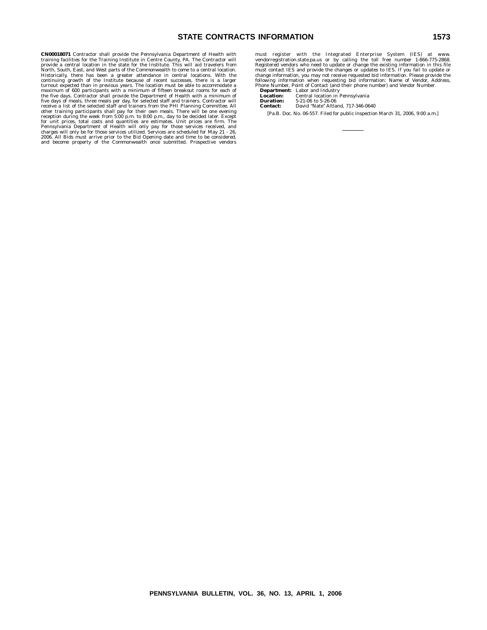# **STATE CONTRACTS INFORMATION 1573**

**CN00018071** Contractor shall provide the Pennsylvania Department of Health with<br>training facilities for the Training Institute in Centre County, PA. The Contractor will<br>provide a central location in the state for the Ins

must register with the Integrated Enterprise System (IES) at www.<br>vendorregistration.state.pa.us or by calling the toll free number 1-866-775-2868.<br>Registered vendors who need to update or change the existing information i

following information when requesting bid information: Name of Vendor, Address,<br>Phone Number, Point of Contact (and their phone number) and Vendor Number.<br>**Department:** Labor and Industry<br>**Location:** Central location in Pe **Duration:** 5-21-06 to 5-26-06<br> **Contact:** David "Nate" Altla **Contact:** David ''Nate'' Altland, 717-346-0640 [Pa.B. Doc. No. 06-557. Filed for public inspection March 31, 2006, 9:00 a.m.]

**PENNSYLVANIA BULLETIN, VOL. 36, NO. 13, APRIL 1, 2006**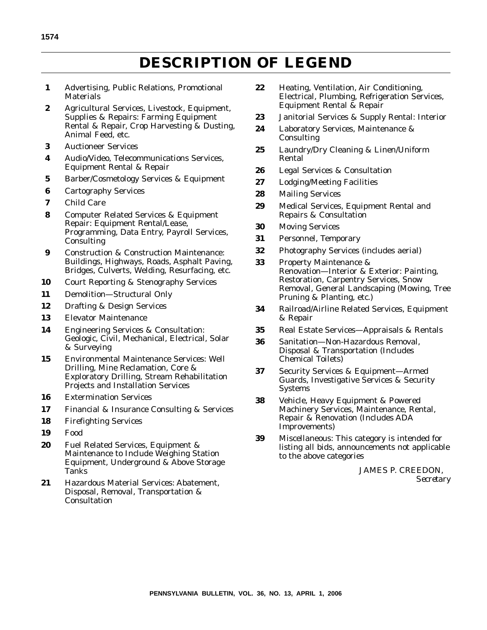# **DESCRIPTION OF LEGEND**

- **1** Advertising, Public Relations, Promotional **Materials**
- **2** Agricultural Services, Livestock, Equipment, Supplies & Repairs: Farming Equipment Rental & Repair, Crop Harvesting & Dusting, Animal Feed, etc.
- **3** Auctioneer Services
- **4** Audio/Video, Telecommunications Services, Equipment Rental & Repair
- **5** Barber/Cosmetology Services & Equipment
- **6** Cartography Services
- **7** Child Care
- **8** Computer Related Services & Equipment Repair: Equipment Rental/Lease, Programming, Data Entry, Payroll Services, **Consulting**
- **9** Construction & Construction Maintenance: Buildings, Highways, Roads, Asphalt Paving, Bridges, Culverts, Welding, Resurfacing, etc.
- **10** Court Reporting & Stenography Services
- **11** Demolition—Structural Only
- **12** Drafting & Design Services
- **13** Elevator Maintenance
- **14** Engineering Services & Consultation: Geologic, Civil, Mechanical, Electrical, Solar & Surveying
- **15** Environmental Maintenance Services: Well Drilling, Mine Reclamation, Core & Exploratory Drilling, Stream Rehabilitation Projects and Installation Services
- **16** Extermination Services
- **17** Financial & Insurance Consulting & Services
- **18** Firefighting Services
- **19** Food
- **20** Fuel Related Services, Equipment & Maintenance to Include Weighing Station Equipment, Underground & Above Storage Tanks
- **21** Hazardous Material Services: Abatement, Disposal, Removal, Transportation & **Consultation**
- **22** Heating, Ventilation, Air Conditioning, Electrical, Plumbing, Refrigeration Services, Equipment Rental & Repair
- **23** Janitorial Services & Supply Rental: Interior
- **24** Laboratory Services, Maintenance & Consulting
- **25** Laundry/Dry Cleaning & Linen/Uniform Rental
- **26** Legal Services & Consultation
- **27** Lodging/Meeting Facilities
- **28** Mailing Services
- **29** Medical Services, Equipment Rental and Repairs & Consultation
- **30** Moving Services
- **31** Personnel, Temporary
- **32** Photography Services (includes aerial)
- **33** Property Maintenance & Renovation—Interior & Exterior: Painting, Restoration, Carpentry Services, Snow Removal, General Landscaping (Mowing, Tree Pruning & Planting, etc.)
- **34** Railroad/Airline Related Services, Equipment & Repair
- **35** Real Estate Services—Appraisals & Rentals
- **36** Sanitation—Non-Hazardous Removal, Disposal & Transportation (Includes Chemical Toilets)
- **37** Security Services & Equipment—Armed Guards, Investigative Services & Security Systems
- **38** Vehicle, Heavy Equipment & Powered Machinery Services, Maintenance, Rental, Repair & Renovation (Includes ADA Improvements)
- **39** Miscellaneous: This category is intended for listing all bids, announcements not applicable to the above categories

JAMES P. CREEDON, *Secretary*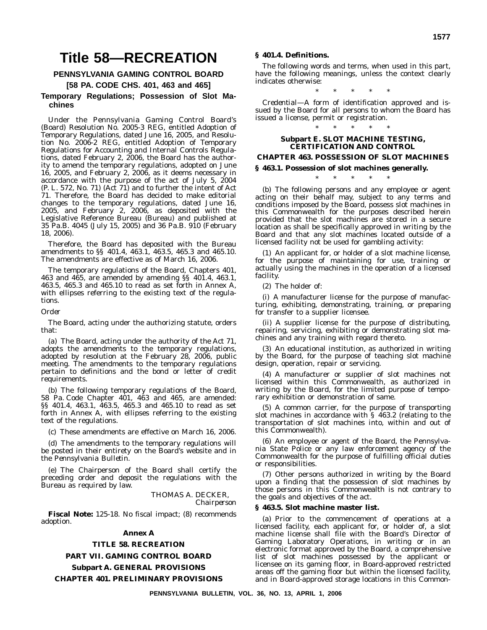# **Title 58—RECREATION**

# **PENNSYLVANIA GAMING CONTROL BOARD**

# **[58 PA. CODE CHS. 401, 463 and 465] Temporary Regulations; Possession of Slot Machines**

Under the Pennsylvania Gaming Control Board's (Board) Resolution No. 2005-3 REG, entitled Adoption of Temporary Regulations, dated June 16, 2005, and Resolution No. 2006-2 REG, entitled Adoption of Temporary Regulations for Accounting and Internal Controls Regulations, dated February 2, 2006, the Board has the authority to amend the temporary regulations, adopted on June 16, 2005, and February 2, 2006, as it deems necessary in accordance with the purpose of the act of July 5, 2004 (P. L. 572, No. 71) (Act 71) and to further the intent of Act 71. Therefore, the Board has decided to make editorial changes to the temporary regulations, dated June 16, 2005, and February 2, 2006, as deposited with the Legislative Reference Bureau (Bureau) and published at 35 Pa.B. 4045 (July 15, 2005) and 36 Pa.B. 910 (February 18, 2006).

Therefore, the Board has deposited with the Bureau amendments to §§ 401.4, 463.1, 463.5, 465.3 and 465.10. The amendments are effective as of March 16, 2006.

The temporary regulations of the Board, Chapters 401, 463 and 465, are amended by amending §§ 401.4, 463.1, 463.5, 465.3 and 465.10 to read as set forth in Annex A, with ellipses referring to the existing text of the regulations.

# *Order*

The Board, acting under the authorizing statute, orders that:

(a) The Board, acting under the authority of the Act 71, adopts the amendments to the temporary regulations, adopted by resolution at the February 28, 2006, public meeting. The amendments to the temporary regulations pertain to definitions and the bond or letter of credit requirements.

(b) The following temporary regulations of the Board, 58 Pa. Code Chapter 401, 463 and 465, are amended: §§ 401.4, 463.1, 463.5, 465.3 and 465.10 to read as set forth in Annex A, with ellipses referring to the existing text of the regulations.

(c) These amendments are effective on March 16, 2006.

(d) The amendments to the temporary regulations will be posted in their entirety on the Board's website and in the *Pennsylvania Bulletin*.

(e) The Chairperson of the Board shall certify the preceding order and deposit the regulations with the Bureau as required by law.

# THOMAS A. DECKER, *Chairperson*

**Fiscal Note:** 125-18. No fiscal impact; (8) recommends adoption.

# **Annex A**

# **TITLE 58. RECREATION PART VII. GAMING CONTROL BOARD**

# **Subpart A. GENERAL PROVISIONS CHAPTER 401. PRELIMINARY PROVISIONS**

# **§ 401.4. Definitions.**

The following words and terms, when used in this part, have the following meanings, unless the context clearly indicates otherwise:

*Credential—*A form of identification approved and issued by the Board for all persons to whom the Board has issued a license, permit or registration.

\*\*\*\*\*

# \*\*\*\*\* **Subpart E. SLOT MACHINE TESTING, CERTIFICATION AND CONTROL**

# **CHAPTER 463. POSSESSION OF SLOT MACHINES**

# **§ 463.1. Possession of slot machines generally.**

\*\*\*\*\*

(b) The following persons and any employee or agent acting on their behalf may, subject to any terms and conditions imposed by the Board, possess slot machines in this Commonwealth for the purposes described herein provided that the slot machines are stored in a secure location as shall be specifically approved in writing by the Board and that any slot machines located outside of a licensed facility not be used for gambling activity:

(1) An applicant for, or holder of a slot machine license, for the purpose of maintaining for use, training or actually using the machines in the operation of a licensed facility.

(2) The holder of:

(i) A manufacturer license for the purpose of manufacturing, exhibiting, demonstrating, training, or preparing for transfer to a supplier licensee.

(ii) A supplier license for the purpose of distributing, repairing, servicing, exhibiting or demonstrating slot machines and any training with regard thereto.

(3) An educational institution, as authorized in writing by the Board, for the purpose of teaching slot machine design, operation, repair or servicing.

(4) A manufacturer or supplier of slot machines not licensed within this Commonwealth, as authorized in writing by the Board, for the limited purpose of temporary exhibition or demonstration of same.

(5) A common carrier, for the purpose of transporting slot machines in accordance with § 463.2 (relating to the transportation of slot machines into, within and out of this Commonwealth).

(6) An employee or agent of the Board, the Pennsylvania State Police or any law enforcement agency of the Commonwealth for the purpose of fulfilling official duties or responsibilities.

(7) Other persons authorized in writing by the Board upon a finding that the possession of slot machines by those persons in this Commonwealth is not contrary to the goals and objectives of the act.

# **§ 463.5. Slot machine master list.**

(a) Prior to the commencement of operations at a licensed facility, each applicant for, or holder of, a slot machine license shall file with the Board's Director of Gaming Laboratory Operations, in writing or in an electronic format approved by the Board, a comprehensive list of slot machines possessed by the applicant or licensee on its gaming floor, in Board-approved restricted areas off the gaming floor but within the licensed facility, and in Board-approved storage locations in this Common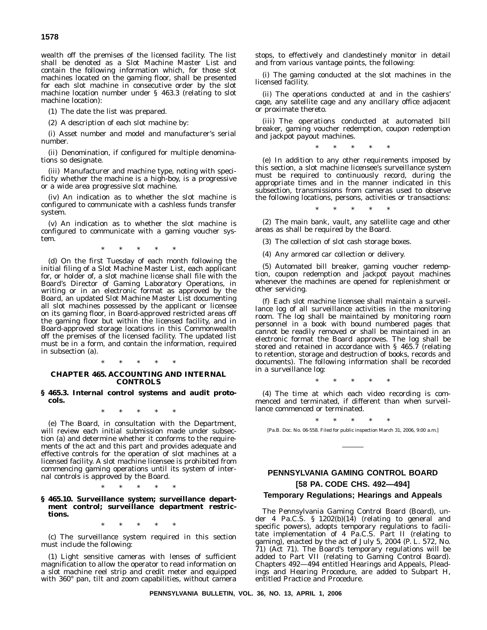**1578**

wealth off the premises of the licensed facility. The list shall be denoted as a Slot Machine Master List and contain the following information which, for those slot machines located on the gaming floor, shall be presented for each slot machine in consecutive order by the slot machine location number under § 463.3 (relating to slot machine location):

(1) The date the list was prepared.

(2) A description of each slot machine by:

(i) Asset number and model and manufacturer's serial number.

(ii) Denomination, if configured for multiple denominations so designate.

(iii) Manufacturer and machine type, noting with specificity whether the machine is a high-boy, is a progressive or a wide area progressive slot machine.

(iv) An indication as to whether the slot machine is configured to communicate with a cashless funds transfer system.

(v) An indication as to whether the slot machine is configured to communicate with a gaming voucher system.

 $*$  \*

(d) On the first Tuesday of each month following the initial filing of a Slot Machine Master List, each applicant for, or holder of, a slot machine license shall file with the Board's Director of Gaming Laboratory Operations, in writing or in an electronic format as approved by the Board, an updated Slot Machine Master List documenting all slot machines possessed by the applicant or licensee on its gaming floor, in Board-approved restricted areas off the gaming floor but within the licensed facility, and in Board-approved storage locations in this Commonwealth off the premises of the licensed facility. The updated list must be in a form, and contain the information, required in subsection (a).

\*\*\*\*\*

# **CHAPTER 465. ACCOUNTING AND INTERNAL CONTROLS**

# **§ 465.3. Internal control systems and audit protocols.**

\*\*\*\*\*

(e) The Board, in consultation with the Department, will review each initial submission made under subsection (a) and determine whether it conforms to the requirements of the act and this part and provides adequate and effective controls for the operation of slot machines at a licensed facility. A slot machine licensee is prohibited from commencing gaming operations until its system of internal controls is approved by the Board.

\*\*\*\*\*

# **§ 465.10. Surveillance system; surveillance department control; surveillance department restrictions.**

\*\*\*\*\*

(c) The surveillance system required in this section must include the following:

(1) Light sensitive cameras with lenses of sufficient magnification to allow the operator to read information on a slot machine reel strip and credit meter and equipped with 360° pan, tilt and zoom capabilities, without camera stops, to effectively and clandestinely monitor in detail and from various vantage points, the following:

(i) The gaming conducted at the slot machines in the licensed facility.

(ii) The operations conducted at and in the cashiers' cage, any satellite cage and any ancillary office adjacent or proximate thereto.

(iii) The operations conducted at automated bill breaker, gaming voucher redemption, coupon redemption and jackpot payout machines.

\*\*\*\*\*

(e) In addition to any other requirements imposed by this section, a slot machine licensee's surveillance system must be required to continuously record, during the appropriate times and in the manner indicated in this subsection, transmissions from cameras used to observe the following locations, persons, activities or transactions:

\*\*\*\*\* (2) The main bank, vault, any satellite cage and other areas as shall be required by the Board.

(3) The collection of slot cash storage boxes.

(4) Any armored car collection or delivery.

(5) Automated bill breaker, gaming voucher redemption, coupon redemption and jackpot payout machines whenever the machines are opened for replenishment or other servicing.

(f) Each slot machine licensee shall maintain a surveillance log of all surveillance activities in the monitoring room. The log shall be maintained by monitoring room personnel in a book with bound numbered pages that cannot be readily removed or shall be maintained in an electronic format the Board approves. The log shall be stored and retained in accordance with § 465.7 (relating to retention, storage and destruction of books, records and documents). The following information shall be recorded in a surveillance log:

\*\*\*\*\*

(4) The time at which each video recording is commenced and terminated, if different than when surveillance commenced or terminated.

\*\*\*\*\* [Pa.B. Doc. No. 06-558. Filed for public inspection March 31, 2006, 9:00 a.m.]

# **PENNSYLVANIA GAMING CONTROL BOARD [58 PA. CODE CHS. 492—494]**

# **Temporary Regulations; Hearings and Appeals**

The Pennsylvania Gaming Control Board (Board), under 4 Pa.C.S. §  $1202(b)(14)$  (relating to general and specific powers), adopts temporary regulations to facilitate implementation of 4 Pa.C.S. Part II (relating to gaming), enacted by the act of July 5, 2004 (P. L. 572, No. 71) (Act 71). The Board's temporary regulations will be added to Part VII (relating to Gaming Control Board). Chapters 492—494 entitled Hearings and Appeals, Pleadings and Hearing Procedure, are added to Subpart H, entitled Practice and Procedure.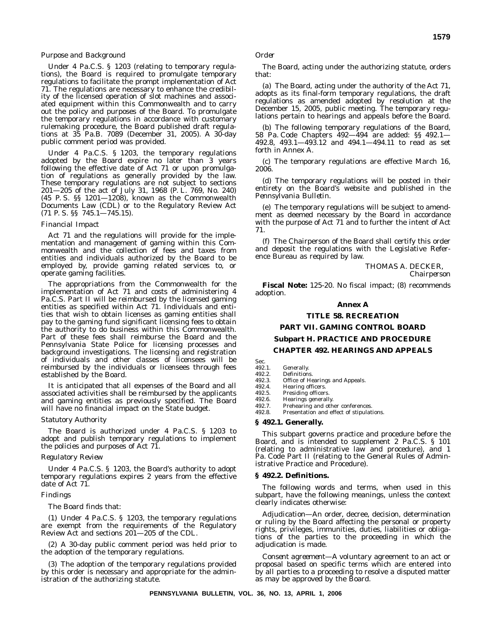# *Purpose and Background*

Under 4 Pa.C.S. § 1203 (relating to temporary regulations), the Board is required to promulgate temporary regulations to facilitate the prompt implementation of Act 71. The regulations are necessary to enhance the credibility of the licensed operation of slot machines and associated equipment within this Commonwealth and to carry out the policy and purposes of the Board. To promulgate the temporary regulations in accordance with customary rulemaking procedure, the Board published draft regulations at 35 Pa.B. 7089 (December 31, 2005). A 30-day public comment period was provided.

Under 4 Pa.C.S. § 1203, the temporary regulations adopted by the Board expire no later than 3 years following the effective date of Act 71 or upon promulgation of regulations as generally provided by the law. These temporary regulations are not subject to sections 201—205 of the act of July 31, 1968 (P. L. 769, No. 240) (45 P. S. §§ 1201—1208), known as the Commonwealth Documents Law (CDL) or to the Regulatory Review Act (71 P. S. §§ 745.1—745.15).

#### *Financial Impact*

Act 71 and the regulations will provide for the implementation and management of gaming within this Commonwealth and the collection of fees and taxes from entities and individuals authorized by the Board to be employed by, provide gaming related services to, or operate gaming facilities.

The appropriations from the Commonwealth for the implementation of Act 71 and costs of administering 4 Pa.C.S. Part II will be reimbursed by the licensed gaming entities as specified within Act 71. Individuals and entities that wish to obtain licenses as gaming entities shall pay to the gaming fund significant licensing fees to obtain the authority to do business within this Commonwealth. Part of these fees shall reimburse the Board and the Pennsylvania State Police for licensing processes and background investigations. The licensing and registration of individuals and other classes of licensees will be reimbursed by the individuals or licensees through fees established by the Board.

It is anticipated that all expenses of the Board and all associated activities shall be reimbursed by the applicants and gaming entities as previously specified. The Board will have no financial impact on the State budget.

#### *Statutory Authority*

The Board is authorized under 4 Pa.C.S. § 1203 to adopt and publish temporary regulations to implement the policies and purposes of Act 71.

# *Regulatory Review*

Under 4 Pa.C.S. § 1203, the Board's authority to adopt temporary regulations expires 2 years from the effective date of Act 71.

#### *Findings*

The Board finds that:

(1) Under 4 Pa.C.S. § 1203, the temporary regulations are exempt from the requirements of the Regulatory Review Act and sections 201—205 of the CDL.

(2) A 30-day public comment period was held prior to the adoption of the temporary regulations.

(3) The adoption of the temporary regulations provided by this order is necessary and appropriate for the administration of the authorizing statute.

The Board, acting under the authorizing statute, orders that:

(a) The Board, acting under the authority of the Act 71, adopts as its final-form temporary regulations, the draft regulations as amended adopted by resolution at the December 15, 2005, public meeting. The temporary regulations pertain to hearings and appeals before the Board.

(b) The following temporary regulations of the Board, 58 Pa. Code Chapters 492—494 are added: §§ 492.1— 492.8, 493.1—493.12 and 494.1—494.11 to read as set forth in Annex A.

(c) The temporary regulations are effective March 16, 2006.

(d) The temporary regulations will be posted in their entirety on the Board's website and published in the *Pennsylvania Bulletin*.

(e) The temporary regulations will be subject to amendment as deemed necessary by the Board in accordance with the purpose of Act 71 and to further the intent of Act 71.

(f) The Chairperson of the Board shall certify this order and deposit the regulations with the Legislative Reference Bureau as required by law.

THOMAS A. DECKER,

*Chairperson*

**Fiscal Note:** 125-20. No fiscal impact; (8) recommends adoption.

# **Annex A**

### **TITLE 58. RECREATION**

**PART VII. GAMING CONTROL BOARD**

#### **Subpart H. PRACTICE AND PROCEDURE**

# **CHAPTER 492. HEARINGS AND APPEALS**

Sec.<br>492.1.

# 492.1. Generally.<br>492.2. Definition

492.2. Definitions.<br>492.3. Office of Ho 492.3. Office of Hearings and Appeals.<br>492.4. Hearing officers.

492.4. Hearing officers.<br>492.5 Presiding officers

492.5. Presiding officers.<br>492.6. Hearings general

492.6. Hearings generally.<br>492.7. Prehearing and oth

492.7. Prehearing and other conferences.<br>492.8. Presentation and effect of stipulat

Presentation and effect of stipulations.

#### **§ 492.1. Generally.**

This subpart governs practice and procedure before the Board, and is intended to supplement 2 Pa.C.S. § 101 (relating to administrative law and procedure), and 1 Pa. Code Part II (relating to the General Rules of Administrative Practice and Procedure).

#### **§ 492.2. Definitions.**

The following words and terms, when used in this subpart, have the following meanings, unless the context clearly indicates otherwise:

*Adjudication—*An order, decree, decision, determination or ruling by the Board affecting the personal or property rights, privileges, immunities, duties, liabilities or obligations of the parties to the proceeding in which the adjudication is made.

*Consent agreement—*A voluntary agreement to an act or proposal based on specific terms which are entered into by all parties to a proceeding to resolve a disputed matter as may be approved by the Board.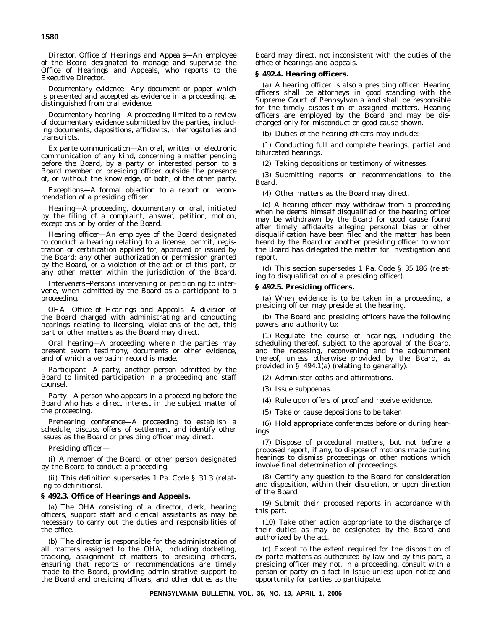*Director, Office of Hearings and Appeals—*An employee of the Board designated to manage and supervise the Office of Hearings and Appeals, who reports to the Executive Director.

*Documentary evidence—*Any document or paper which is presented and accepted as evidence in a proceeding, as distinguished from oral evidence.

*Documentary hearing—*A proceeding limited to a review of documentary evidence submitted by the parties, including documents, depositions, affidavits, interrogatories and transcripts.

*Ex parte communication—*An oral, written or electronic communication of any kind, concerning a matter pending before the Board, by a party or interested person to a Board member or presiding officer outside the presence of, or without the knowledge, or both, of the other party.

*Exceptions—*A formal objection to a report or recommendation of a presiding officer.

*Hearing—*A proceeding, documentary or oral, initiated by the filing of a complaint, answer, petition, motion, exceptions or by order of the Board.

*Hearing officer—*An employee of the Board designated to conduct a hearing relating to a license, permit, registration or certification applied for, approved or issued by the Board; any other authorization or permission granted by the Board, or a violation of the act or of this part, or any other matter within the jurisdiction of the Board.

*Interveners*−Persons intervening or petitioning to intervene, when admitted by the Board as a participant to a proceeding.

*OHA—Office of Hearings and Appeals—*A division of the Board charged with administrating and conducting hearings relating to licensing, violations of the act, this part or other matters as the Board may direct.

*Oral hearing—*A proceeding wherein the parties may present sworn testimony, documents or other evidence, and of which a verbatim record is made.

*Participant—*A party, another person admitted by the Board to limited participation in a proceeding and staff counsel.

*Party—*A person who appears in a proceeding before the Board who has a direct interest in the subject matter of the proceeding.

*Prehearing conference—*A proceeding to establish a schedule, discuss offers of settlement and identify other issues as the Board or presiding officer may direct.

*Presiding officer—*

(i) A member of the Board, or other person designated by the Board to conduct a proceeding.

(ii) This definition supersedes 1 Pa. Code § 31.3 (relating to definitions).

# **§ 492.3. Office of Hearings and Appeals.**

(a) The OHA consisting of a director, clerk, hearing officers, support staff and clerical assistants as may be necessary to carry out the duties and responsibilities of the office.

(b) The director is responsible for the administration of all matters assigned to the OHA, including docketing, tracking, assignment of matters to presiding officers, ensuring that reports or recommendations are timely made to the Board, providing administrative support to the Board and presiding officers, and other duties as the

Board may direct, not inconsistent with the duties of the office of hearings and appeals.

# **§ 492.4. Hearing officers.**

(a) A hearing officer is also a presiding officer. Hearing officers shall be attorneys in good standing with the Supreme Court of Pennsylvania and shall be responsible for the timely disposition of assigned matters. Hearing officers are employed by the Board and may be discharged only for misconduct or good cause shown.

(b) Duties of the hearing officers may include:

(1) Conducting full and complete hearings, partial and bifurcated hearings.

(2) Taking depositions or testimony of witnesses.

(3) Submitting reports or recommendations to the Board.

(4) Other matters as the Board may direct.

(c) A hearing officer may withdraw from a proceeding when he deems himself disqualified or the hearing officer may be withdrawn by the Board for good cause found after timely affidavits alleging personal bias or other disqualification have been filed and the matter has been heard by the Board or another presiding officer to whom the Board has delegated the matter for investigation and report.

(d) This section supersedes 1 Pa. Code § 35.186 (relating to disqualification of a presiding officer).

# **§ 492.5. Presiding officers.**

(a) When evidence is to be taken in a proceeding, a presiding officer may preside at the hearing.

(b) The Board and presiding officers have the following powers and authority to:

(1) Regulate the course of hearings, including the scheduling thereof, subject to the approval of the Board, and the recessing, reconvening and the adjournment thereof, unless otherwise provided by the Board, as provided in § 494.1(a) (relating to generally).

(2) Administer oaths and affirmations.

(3) Issue subpoenas.

(4) Rule upon offers of proof and receive evidence.

(5) Take or cause depositions to be taken.

(6) Hold appropriate conferences before or during hearings.

(7) Dispose of procedural matters, but not before a proposed report, if any, to dispose of motions made during hearings to dismiss proceedings or other motions which involve final determination of proceedings.

(8) Certify any question to the Board for consideration and disposition, within their discretion, or upon direction of the Board.

(9) Submit their proposed reports in accordance with this part.

(10) Take other action appropriate to the discharge of their duties as may be designated by the Board and authorized by the act.

(c) Except to the extent required for the disposition of ex parte matters as authorized by law and by this part, a presiding officer may not, in a proceeding, consult with a person or party on a fact in issue unless upon notice and opportunity for parties to participate.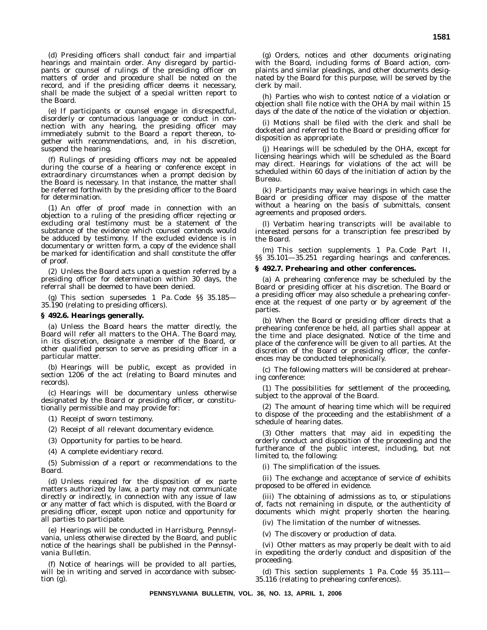(d) Presiding officers shall conduct fair and impartial hearings and maintain order. Any disregard by participants or counsel of rulings of the presiding officer on matters of order and procedure shall be noted on the record, and if the presiding officer deems it necessary, shall be made the subject of a special written report to the Board.

(e) If participants or counsel engage in disrespectful, disorderly or contumacious language or conduct in connection with any hearing, the presiding officer may immediately submit to the Board a report thereon, together with recommendations, and, in his discretion, suspend the hearing.

(f) Rulings of presiding officers may not be appealed during the course of a hearing or conference except in extraordinary circumstances when a prompt decision by the Board is necessary. In that instance, the matter shall be referred forthwith by the presiding officer to the Board for determination.

(1) An offer of proof made in connection with an objection to a ruling of the presiding officer rejecting or excluding oral testimony must be a statement of the substance of the evidence which counsel contends would be adduced by testimony. If the excluded evidence is in documentary or written form, a copy of the evidence shall be marked for identification and shall constitute the offer of proof.

(2) Unless the Board acts upon a question referred by a presiding officer for determination within 30 days, the referral shall be deemed to have been denied.

This section supersedes 1 Pa. Code §§ 35.185— 35.190 (relating to presiding officers).

### **§ 492.6. Hearings generally.**

(a) Unless the Board hears the matter directly, the Board will refer all matters to the OHA. The Board may, in its discretion, designate a member of the Board, or other qualified person to serve as presiding officer in a particular matter.

(b) Hearings will be public, except as provided in section 1206 of the act (relating to Board minutes and records).

(c) Hearings will be documentary unless otherwise designated by the Board or presiding officer, or constitutionally permissible and may provide for:

(1) Receipt of sworn testimony.

(2) Receipt of all relevant documentary evidence.

(3) Opportunity for parties to be heard.

(4) A complete evidentiary record.

(5) Submission of a report or recommendations to the Board.

(d) Unless required for the disposition of ex parte matters authorized by law, a party may not communicate directly or indirectly, in connection with any issue of law or any matter of fact which is disputed, with the Board or presiding officer, except upon notice and opportunity for all parties to participate.

(e) Hearings will be conducted in Harrisburg, Pennsylvania, unless otherwise directed by the Board, and public notice of the hearings shall be published in the *Pennsylvania Bulletin*.

(f) Notice of hearings will be provided to all parties, will be in writing and served in accordance with subsection (g).

(g) Orders, notices and other documents originating with the Board, including forms of Board action, complaints and similar pleadings, and other documents designated by the Board for this purpose, will be served by the clerk by mail.

(h) Parties who wish to contest notice of a violation or objection shall file notice with the OHA by mail within 15 days of the date of the notice of the violation or objection.

(i) Motions shall be filed with the clerk and shall be docketed and referred to the Board or presiding officer for disposition as appropriate.

(j) Hearings will be scheduled by the OHA, except for licensing hearings which will be scheduled as the Board may direct. Hearings for violations of the act will be scheduled within 60 days of the initiation of action by the Bureau.

(k) Participants may waive hearings in which case the Board or presiding officer may dispose of the matter without a hearing on the basis of submittals, consent agreements and proposed orders.

(l) Verbatim hearing transcripts will be available to interested persons for a transcription fee prescribed by the Board.

(m) This section supplements 1 Pa. Code Part II, §§ 35.101—35.251 regarding hearings and conferences.

# **§ 492.7. Prehearing and other conferences.**

(a) A prehearing conference may be scheduled by the Board or presiding officer at his discretion. The Board or a presiding officer may also schedule a prehearing conference at the request of one party or by agreement of the parties.

(b) When the Board or presiding officer directs that a prehearing conference be held, all parties shall appear at the time and place designated. Notice of the time and place of the conference will be given to all parties. At the discretion of the Board or presiding officer, the conferences may be conducted telephonically.

(c) The following matters will be considered at prehearing conference:

(1) The possibilities for settlement of the proceeding, subject to the approval of the Board.

(2) The amount of hearing time which will be required to dispose of the proceeding and the establishment of a schedule of hearing dates.

(3) Other matters that may aid in expediting the orderly conduct and disposition of the proceeding and the furtherance of the public interest, including, but not limited to, the following:

(i) The simplification of the issues.

(ii) The exchange and acceptance of service of exhibits proposed to be offered in evidence.

(iii) The obtaining of admissions as to, or stipulations of, facts not remaining in dispute, or the authenticity of documents which might properly shorten the hearing.

(iv) The limitation of the number of witnesses.

(v) The discovery or production of data.

(vi) Other matters as may properly be dealt with to aid in expediting the orderly conduct and disposition of the proceeding.

(d) This section supplements 1 Pa. Code §§ 35.111— 35.116 (relating to prehearing conferences).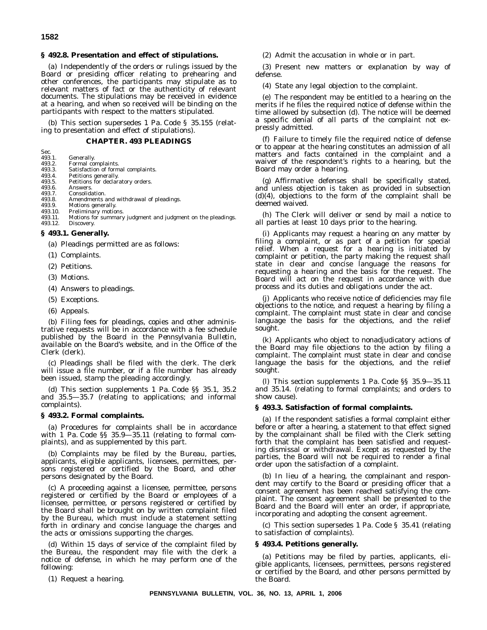# **1582**

Sec.

#### **§ 492.8. Presentation and effect of stipulations.**

(a) Independently of the orders or rulings issued by the Board or presiding officer relating to prehearing and other conferences, the participants may stipulate as to relevant matters of fact or the authenticity of relevant documents. The stipulations may be received in evidence at a hearing, and when so received will be binding on the participants with respect to the matters stipulated.

(b) This section supersedes 1 Pa. Code § 35.155 (relating to presentation and effect of stipulations).

# **CHAPTER. 493 PLEADINGS**

| ----   |            |
|--------|------------|
| 493.1. | Generally. |

- 493.2. Formal complaints.<br>493.3. Satisfaction of form
- 493.3. Satisfaction of formal complaints.<br>493.4. Petitions generally.
- 493.4. Petitions generally.<br>493.5. Petitions for declar Petitions for declaratory orders.
- 493.6. Answers.
- 493.7. Consolidation.
- 493.8. Amendments and withdrawal of pleadings.<br>493.9. Motions generally.
- 493.9. Motions generally.<br>493.10. Preliminary motio
- 493.10. Preliminary motions.<br>493.11. Motions for summary Motions for summary judgment and judgment on the pleadings.
- 493.12. Discovery.

# **§ 493.1. Generally.**

(a) Pleadings permitted are as follows:

- (1) Complaints.
- (2) Petitions.
- (3) Motions.
- (4) Answers to pleadings.
- (5) Exceptions.
- (6) Appeals.

(b) Filing fees for pleadings, copies and other administrative requests will be in accordance with a fee schedule published by the Board in the *Pennsylvania Bulletin*, available on the Board's website, and in the Office of the Clerk (clerk).

(c) Pleadings shall be filed with the clerk. The clerk will issue a file number, or if a file number has already been issued, stamp the pleading accordingly.

(d) This section supplements 1 Pa. Code §§ 35.1, 35.2 and 35.5—35.7 (relating to applications; and informal complaints).

#### **§ 493.2. Formal complaints.**

(a) Procedures for complaints shall be in accordance with 1 Pa. Code §§ 35.9—35.11 (relating to formal complaints), and as supplemented by this part.

(b) Complaints may be filed by the Bureau, parties, applicants, eligible applicants, licensees, permittees, persons registered or certified by the Board, and other persons designated by the Board.

(c) A proceeding against a licensee, permittee, persons registered or certified by the Board or employees of a licensee, permittee, or persons registered or certified by the Board shall be brought on by written complaint filed by the Bureau, which must include a statement setting forth in ordinary and concise language the charges and the acts or omissions supporting the charges.

(d) Within 15 days of service of the complaint filed by the Bureau, the respondent may file with the clerk a notice of defense, in which he may perform one of the following:

(1) Request a hearing.

(2) Admit the accusation in whole or in part.

(3) Present new matters or explanation by way of defense.

(4) State any legal objection to the complaint.

(e) The respondent may be entitled to a hearing on the merits if he files the required notice of defense within the time allowed by subsection (d). The notice will be deemed a specific denial of all parts of the complaint not expressly admitted.

(f) Failure to timely file the required notice of defense or to appear at the hearing constitutes an admission of all matters and facts contained in the complaint and a waiver of the respondent's rights to a hearing, but the Board may order a hearing.

(g) Affirmative defenses shall be specifically stated, and unless objection is taken as provided in subsection (d)(4), objections to the form of the complaint shall be deemed waived.

(h) The Clerk will deliver or send by mail a notice to all parties at least 10 days prior to the hearing.

(i) Applicants may request a hearing on any matter by filing a complaint, or as part of a petition for special relief. When a request for a hearing is initiated by complaint or petition, the party making the request shall state in clear and concise language the reasons for requesting a hearing and the basis for the request. The Board will act on the request in accordance with due process and its duties and obligations under the act.

(j) Applicants who receive notice of deficiencies may file objections to the notice, and request a hearing by filing a complaint. The complaint must state in clear and concise language the basis for the objections, and the relief sought.

(k) Applicants who object to nonadjudicatory actions of the Board may file objections to the action by filing a complaint. The complaint must state in clear and concise language the basis for the objections, and the relief sought.

(l) This section supplements 1 Pa. Code §§ 35.9—35.11 and 35.14. (relating to formal complaints; and orders to show cause).

#### **§ 493.3. Satisfaction of formal complaints.**

(a) If the respondent satisfies a formal complaint either before or after a hearing, a statement to that effect signed by the complainant shall be filed with the Clerk setting forth that the complaint has been satisfied and requesting dismissal or withdrawal. Except as requested by the parties, the Board will not be required to render a final order upon the satisfaction of a complaint.

(b) In lieu of a hearing, the complainant and respondent may certify to the Board or presiding officer that a consent agreement has been reached satisfying the complaint. The consent agreement shall be presented to the Board and the Board will enter an order, if appropriate, incorporating and adopting the consent agreement.

(c) This section supersedes 1 Pa. Code § 35.41 (relating to satisfaction of complaints).

#### **§ 493.4. Petitions generally.**

(a) Petitions may be filed by parties, applicants, eligible applicants, licensees, permittees, persons registered or certified by the Board, and other persons permitted by the Board.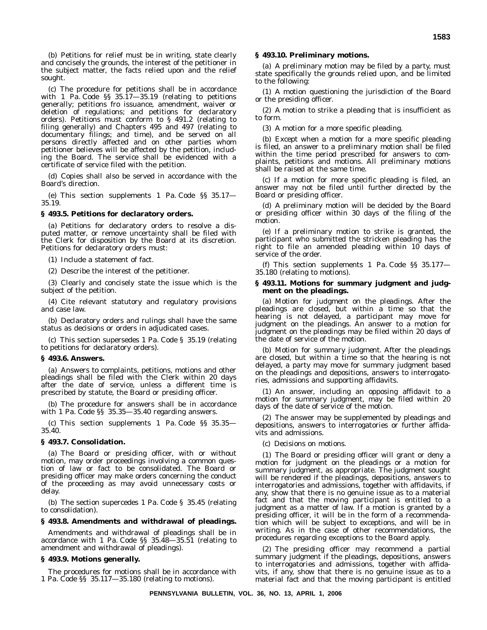(b) Petitions for relief must be in writing, state clearly and concisely the grounds, the interest of the petitioner in the subject matter, the facts relied upon and the relief sought.

(c) The procedure for petitions shall be in accordance with 1 Pa. Code §§ 35.17—35.19 (relating to petitions generally; petitions fro issuance, amendment, waiver or deletion of regulations; and petitions for declaratory orders). Petitions must conform to § 491.2 (relating to filing generally) and Chapters 495 and 497 (relating to documentary filings; and time), and be served on all persons directly affected and on other parties whom petitioner believes will be affected by the petition, including the Board. The service shall be evidenced with a certificate of service filed with the petition.

(d) Copies shall also be served in accordance with the Board's direction.

(e) This section supplements 1 Pa. Code §§ 35.17— 35.19.

#### **§ 493.5. Petitions for declaratory orders.**

(a) Petitions for declaratory orders to resolve a disputed matter, or remove uncertainty shall be filed with the Clerk for disposition by the Board at its discretion. Petitions for declaratory orders must:

(1) Include a statement of fact.

(2) Describe the interest of the petitioner.

(3) Clearly and concisely state the issue which is the subject of the petition.

(4) Cite relevant statutory and regulatory provisions and case law.

(b) Declaratory orders and rulings shall have the same status as decisions or orders in adjudicated cases.

(c) This section supersedes 1 Pa. Code § 35.19 (relating to petitions for declaratory orders).

#### **§ 493.6. Answers.**

(a) Answers to complaints, petitions, motions and other pleadings shall be filed with the Clerk within 20 days after the date of service, unless a different time is prescribed by statute, the Board or presiding officer.

(b) The procedure for answers shall be in accordance with 1 Pa. Code §§ 35.35—35.40 regarding answers.

(c) This section supplements 1 Pa. Code §§ 35.35— 35.40.

# **§ 493.7. Consolidation.**

(a) The Board or presiding officer, with or without motion, may order proceedings involving a common question of law or fact to be consolidated. The Board or presiding officer may make orders concerning the conduct of the proceeding as may avoid unnecessary costs or delay.

(b) The section supercedes 1 Pa. Code § 35.45 (relating to consolidation).

### **§ 493.8. Amendments and withdrawal of pleadings.**

Amendments and withdrawal of pleadings shall be in accordance with 1 Pa. Code §§ 35.48—35.51 (relating to amendment and withdrawal of pleadings).

#### **§ 493.9. Motions generally.**

The procedures for motions shall be in accordance with 1 Pa. Code §§ 35.117—35.180 (relating to motions).

#### **§ 493.10. Preliminary motions.**

(a) A preliminary motion may be filed by a party, must state specifically the grounds relied upon, and be limited to the following:

(1) A motion questioning the jurisdiction of the Board or the presiding officer.

(2) A motion to strike a pleading that is insufficient as to form.

(3) A motion for a more specific pleading.

(b) Except when a motion for a more specific pleading is filed, an answer to a preliminary motion shall be filed within the time period prescribed for answers to complaints, petitions and motions. All preliminary motions shall be raised at the same time.

(c) If a motion for more specific pleading is filed, an answer may not be filed until further directed by the Board or presiding officer.

(d) A preliminary motion will be decided by the Board or presiding officer within 30 days of the filing of the motion.

(e) If a preliminary motion to strike is granted, the participant who submitted the stricken pleading has the right to file an amended pleading within 10 days of service of the order.

(f) This section supplements 1 Pa. Code §§ 35.177— 35.180 (relating to motions).

# **§ 493.11. Motions for summary judgment and judgment on the pleadings.**

(a) *Motion for judgment on the pleadings*. After the pleadings are closed, but within a time so that the hearing is not delayed, a participant may move for judgment on the pleadings. An answer to a motion for judgment on the pleadings may be filed within 20 days of the date of service of the motion.

(b) *Motion for summary judgment*. After the pleadings are closed, but within a time so that the hearing is not delayed, a party may move for summary judgment based on the pleadings and depositions, answers to interrogatories, admissions and supporting affidavits.

(1) An answer, including an opposing affidavit to a motion for summary judgment, may be filed within 20 days of the date of service of the motion.

(2) The answer may be supplemented by pleadings and depositions, answers to interrogatories or further affidavits and admissions.

(c) *Decisions on motions*.

(1) The Board or presiding officer will grant or deny a motion for judgment on the pleadings or a motion for summary judgment, as appropriate. The judgment sought will be rendered if the pleadings, depositions, answers to interrogatories and admissions, together with affidavits, if any, show that there is no genuine issue as to a material fact and that the moving participant is entitled to a judgment as a matter of law. If a motion is granted by a presiding officer, it will be in the form of a recommendation which will be subject to exceptions, and will be in writing. As in the case of other recommendations, the procedures regarding exceptions to the Board apply.

(2) The presiding officer may recommend a partial summary judgment if the pleadings, depositions, answers to interrogatories and admissions, together with affidavits, if any, show that there is no genuine issue as to a material fact and that the moving participant is entitled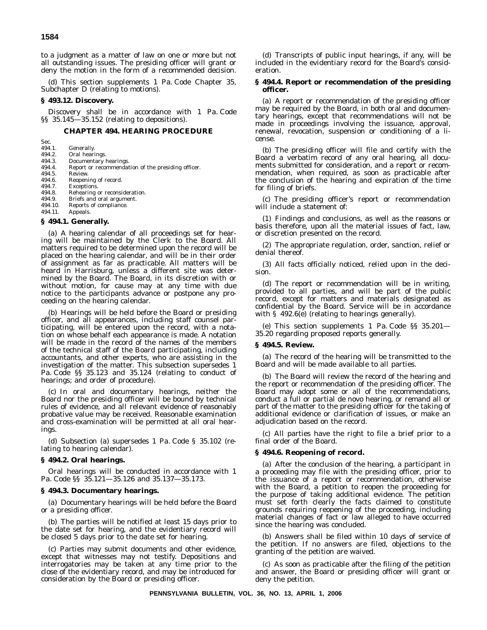to a judgment as a matter of law on one or more but not all outstanding issues. The presiding officer will grant or deny the motion in the form of a recommended decision.

(d) This section supplements 1 Pa. Code Chapter 35, Subchapter D (relating to motions).

# **§ 493.12. Discovery.**

Discovery shall be in accordance with 1 Pa. Code §§ 35.145—35.152 (relating to depositions).

# **CHAPTER 494. HEARING PROCEDURE**

- Sec.<br>494.1. Generally.
- 494.2. Oral hearings<br>494.3. Documentary
- 494.3. Documentary hearings.<br>494.4. Report or recommenda Report or recommendation of the presiding officer.
- 
- 494.5. Review.
- 494.6. Reopening of record.<br>494.7. Exceptions.
- 494.7. Exceptions.<br>494.8. Rehearing 494.8. Rehearing or reconsideration.<br>494.9. Briefs and oral argument.
- 494.9. Briefs and oral argument.<br>494.10. Reports of compliance.
- 494.10. Reports of compliance.<br>494.11. Appeals.
- Appeals.

# **§ 494.1. Generally.**

(a) A hearing calendar of all proceedings set for hearing will be maintained by the Clerk to the Board. All matters required to be determined upon the record will be placed on the hearing calendar, and will be in their order of assignment as far as practicable. All matters will be heard in Harrisburg, unless a different site was determined by the Board. The Board, in its discretion with or without motion, for cause may at any time with due notice to the participants advance or postpone any proceeding on the hearing calendar.

(b) Hearings will be held before the Board or presiding officer, and all appearances, including staff counsel participating, will be entered upon the record, with a notation on whose behalf each appearance is made. A notation will be made in the record of the names of the members of the technical staff of the Board participating, including accountants, and other experts, who are assisting in the investigation of the matter. This subsection supersedes 1 Pa. Code §§ 35.123 and 35.124 (relating to conduct of hearings; and order of procedure).

(c) In oral and documentary hearings, neither the Board nor the presiding officer will be bound by technical rules of evidence, and all relevant evidence of reasonably probative value may be received. Reasonable examination and cross-examination will be permitted at all oral hearings.

(d) Subsection (a) supersedes 1 Pa. Code § 35.102 (relating to hearing calendar).

# **§ 494.2. Oral hearings.**

Oral hearings will be conducted in accordance with 1 Pa. Code §§ 35.121—35.126 and 35.137—35.173.

#### **§ 494.3. Documentary hearings.**

(a) Documentary hearings will be held before the Board or a presiding officer.

(b) The parties will be notified at least 15 days prior to the date set for hearing, and the evidentiary record will be closed 5 days prior to the date set for hearing.

(c) Parties may submit documents and other evidence, except that witnesses may not testify. Depositions and interrogatories may be taken at any time prior to the close of the evidentiary record, and may be introduced for consideration by the Board or presiding officer.

(d) Transcripts of public input hearings, if any, will be included in the evidentiary record for the Board's consideration.

# **§ 494.4. Report or recommendation of the presiding officer.**

(a) A report or recommendation of the presiding officer may be required by the Board, in both oral and documentary hearings, except that recommendations will not be made in proceedings involving the issuance, approval, renewal, revocation, suspension or conditioning of a license.

(b) The presiding officer will file and certify with the Board a verbatim record of any oral hearing, all documents submitted for consideration, and a report or recommendation, when required, as soon as practicable after the conclusion of the hearing and expiration of the time for filing of briefs.

(c) The presiding officer's report or recommendation will include a statement of:

(1) Findings and conclusions, as well as the reasons or basis therefore, upon all the material issues of fact, law, or discretion presented on the record.

(2) The appropriate regulation, order, sanction, relief or denial thereof.

(3) All facts officially noticed, relied upon in the decision.

(d) The report or recommendation will be in writing, provided to all parties, and will be part of the public record, except for matters and materials designated as confidential by the Board. Service will be in accordance with § 492.6(e) (relating to hearings generally).

(e) This section supplements 1 Pa. Code §§ 35.201— 35.20 regarding proposed reports generally.

#### **§ 494.5. Review.**

(a) The record of the hearing will be transmitted to the Board and will be made available to all parties.

(b) The Board will review the record of the hearing and the report or recommendation of the presiding officer. The Board may adopt some or all of the recommendations, conduct a full or partial de novo hearing, or remand all or part of the matter to the presiding officer for the taking of additional evidence or clarification of issues, or make an adjudication based on the record.

(c) All parties have the right to file a brief prior to a final order of the Board.

#### **§ 494.6. Reopening of record.**

(a) After the conclusion of the hearing, a participant in a proceeding may file with the presiding officer, prior to the issuance of a report or recommendation, otherwise with the Board, a petition to reopen the proceeding for the purpose of taking additional evidence. The petition must set forth clearly the facts claimed to constitute grounds requiring reopening of the proceeding, including material changes of fact or law alleged to have occurred since the hearing was concluded.

(b) Answers shall be filed within 10 days of service of the petition. If no answers are filed, objections to the granting of the petition are waived.

(c) As soon as practicable after the filing of the petition and answer, the Board or presiding officer will grant or deny the petition.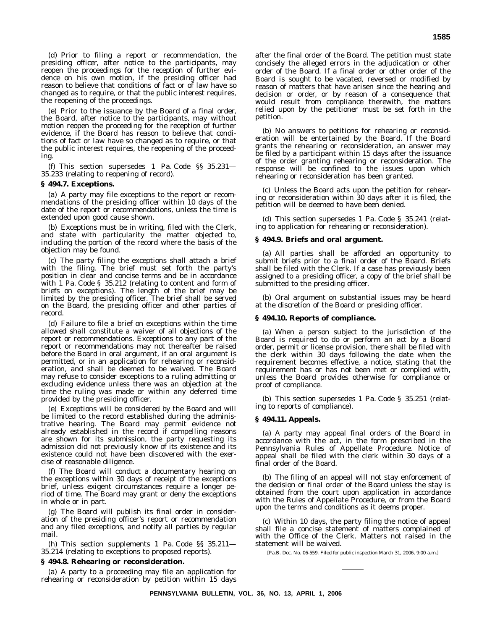(d) Prior to filing a report or recommendation, the presiding officer, after notice to the participants, may reopen the proceedings for the reception of further evidence on his own motion, if the presiding officer had reason to believe that conditions of fact or of law have so changed as to require, or that the public interest requires, the reopening of the proceedings.

(e) Prior to the issuance by the Board of a final order, the Board, after notice to the participants, may without motion reopen the proceeding for the reception of further evidence, if the Board has reason to believe that conditions of fact or law have so changed as to require, or that the public interest requires, the reopening of the proceeding.

(f) This section supersedes 1 Pa. Code §§ 35.231— 35.233 (relating to reopening of record).

#### **§ 494.7. Exceptions.**

(a) A party may file exceptions to the report or recommendations of the presiding officer within 10 days of the date of the report or recommendations, unless the time is extended upon good cause shown.

(b) Exceptions must be in writing, filed with the Clerk, and state with particularity the matter objected to, including the portion of the record where the basis of the objection may be found.

(c) The party filing the exceptions shall attach a brief with the filing. The brief must set forth the party's position in clear and concise terms and be in accordance with 1 Pa. Code § 35.212 (relating to content and form of briefs on exceptions). The length of the brief may be limited by the presiding officer. The brief shall be served on the Board, the presiding officer and other parties of record.

(d) Failure to file a brief on exceptions within the time allowed shall constitute a waiver of all objections of the report or recommendations. Exceptions to any part of the report or recommendations may not thereafter be raised before the Board in oral argument, if an oral argument is permitted, or in an application for rehearing or reconsideration, and shall be deemed to be waived. The Board may refuse to consider exceptions to a ruling admitting or excluding evidence unless there was an objection at the time the ruling was made or within any deferred time provided by the presiding officer.

(e) Exceptions will be considered by the Board and will be limited to the record established during the administrative hearing. The Board may permit evidence not already established in the record if compelling reasons are shown for its submission, the party requesting its admission did not previously know of its existence and its existence could not have been discovered with the exercise of reasonable diligence.

(f) The Board will conduct a documentary hearing on the exceptions within 30 days of receipt of the exceptions brief, unless exigent circumstances require a longer period of time. The Board may grant or deny the exceptions in whole or in part.

(g) The Board will publish its final order in consideration of the presiding officer's report or recommendation and any filed exceptions, and notify all parties by regular mail.

(h) This section supplements 1 Pa. Code §§ 35.211— 35.214 (relating to exceptions to proposed reports).

#### **§ 494.8. Rehearing or reconsideration.**

(a) A party to a proceeding may file an application for rehearing or reconsideration by petition within 15 days after the final order of the Board. The petition must state concisely the alleged errors in the adjudication or other order of the Board. If a final order or other order of the Board is sought to be vacated, reversed or modified by reason of matters that have arisen since the hearing and decision or order, or by reason of a consequence that would result from compliance therewith, the matters relied upon by the petitioner must be set forth in the petition.

(b) No answers to petitions for rehearing or reconsideration will be entertained by the Board. If the Board grants the rehearing or reconsideration, an answer may be filed by a participant within 15 days after the issuance of the order granting rehearing or reconsideration. The response will be confined to the issues upon which rehearing or reconsideration has been granted.

(c) Unless the Board acts upon the petition for rehearing or reconsideration within 30 days after it is filed, the petition will be deemed to have been denied.

(d) This section supersedes 1 Pa. Code § 35.241 (relating to application for rehearing or reconsideration).

#### **§ 494.9. Briefs and oral argument.**

(a) All parties shall be afforded an opportunity to submit briefs prior to a final order of the Board. Briefs shall be filed with the Clerk. If a case has previously been assigned to a presiding officer, a copy of the brief shall be submitted to the presiding officer.

(b) Oral argument on substantial issues may be heard at the discretion of the Board or presiding officer.

# **§ 494.10. Reports of compliance.**

(a) When a person subject to the jurisdiction of the Board is required to do or perform an act by a Board order, permit or license provision, there shall be filed with the clerk within 30 days following the date when the requirement becomes effective, a notice, stating that the requirement has or has not been met or complied with, unless the Board provides otherwise for compliance or proof of compliance.

(b) This section supersedes 1 Pa. Code § 35.251 (relating to reports of compliance).

# **§ 494.11. Appeals.**

(a) A party may appeal final orders of the Board in accordance with the act, in the form prescribed in the Pennsylvania Rules of Appellate Procedure. Notice of appeal shall be filed with the clerk within 30 days of a final order of the Board.

(b) The filing of an appeal will not stay enforcement of the decision or final order of the Board unless the stay is obtained from the court upon application in accordance with the Rules of Appellate Procedure, or from the Board upon the terms and conditions as it deems proper.

(c) Within 10 days, the party filing the notice of appeal shall file a concise statement of matters complained of with the Office of the Clerk. Matters not raised in the statement will be waived.

[Pa.B. Doc. No. 06-559. Filed for public inspection March 31, 2006, 9:00 a.m.]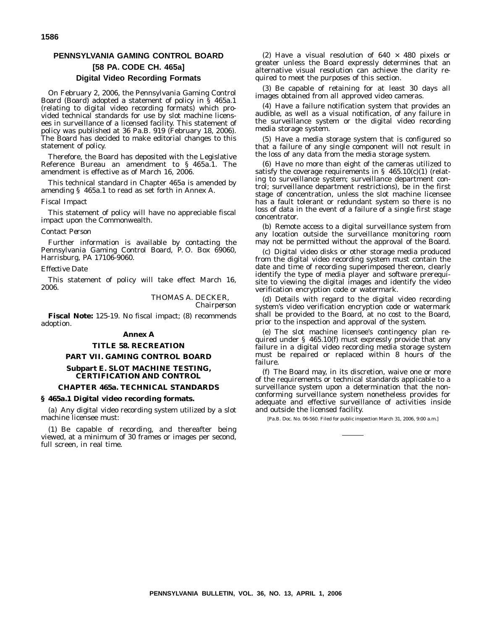# **PENNSYLVANIA GAMING CONTROL BOARD [58 PA. CODE CH. 465a] Digital Video Recording Formats**

On February 2, 2006, the Pennsylvania Gaming Control Board (Board) adopted a statement of policy in § 465a.1 (relating to digital video recording formats) which provided technical standards for use by slot machine licensees in surveillance of a licensed facility. This statement of policy was published at 36 Pa.B. 919 (February 18, 2006). The Board has decided to make editorial changes to this statement of policy.

Therefore, the Board has deposited with the Legislative Reference Bureau an amendment to § 465a.1. The amendment is effective as of March 16, 2006.

This technical standard in Chapter 465a is amended by amending § 465a.1 to read as set forth in Annex A.

#### *Fiscal Impact*

This statement of policy will have no appreciable fiscal impact upon the Commonwealth.

#### *Contact Person*

Further information is available by contacting the Pennsylvania Gaming Control Board, P.O. Box 69060, Harrisburg, PA 17106-9060.

#### *Effective Date*

This statement of policy will take effect March 16, 2006.

> THOMAS A. DECKER, *Chairperson*

**Fiscal Note:** 125-19. No fiscal impact; (8) recommends adoption.

# **Annex A**

# **TITLE 58. RECREATION**

# **PART VII. GAMING CONTROL BOARD**

# **Subpart E. SLOT MACHINE TESTING, CERTIFICATION AND CONTROL**

# **CHAPTER 465a. TECHNICAL STANDARDS**

# **§ 465a.1 Digital video recording formats.**

(a) Any digital video recording system utilized by a slot machine licensee must:

(1) Be capable of recording, and thereafter being viewed, at a minimum of 30 frames or images per second, full screen, in real time.

(2) Have a visual resolution of  $640 \times 480$  pixels or greater unless the Board expressly determines that an alternative visual resolution can achieve the clarity required to meet the purposes of this section.

(3) Be capable of retaining for at least 30 days all images obtained from all approved video cameras.

(4) Have a failure notification system that provides an audible, as well as a visual notification, of any failure in the surveillance system or the digital video recording media storage system.

(5) Have a media storage system that is configured so that a failure of any single component will not result in the loss of any data from the media storage system.

(6) Have no more than eight of the cameras utilized to satisfy the coverage requirements in  $\S$  465.10(c)(1) (relating to surveillance system; surveillance department control; surveillance department restrictions), be in the first stage of concentration, unless the slot machine licensee has a fault tolerant or redundant system so there is no loss of data in the event of a failure of a single first stage concentrator.

(b) Remote access to a digital surveillance system from any location outside the surveillance monitoring room may not be permitted without the approval of the Board.

(c) Digital video disks or other storage media produced from the digital video recording system must contain the date and time of recording superimposed thereon, clearly identify the type of media player and software prerequisite to viewing the digital images and identify the video verification encryption code or watermark.

(d) Details with regard to the digital video recording system's video verification encryption code or watermark shall be provided to the Board, at no cost to the Board, prior to the inspection and approval of the system.

(e) The slot machine licensee's contingency plan required under § 465.10(f) must expressly provide that any failure in a digital video recording media storage system must be repaired or replaced within 8 hours of the failure.

(f) The Board may, in its discretion, waive one or more of the requirements or technical standards applicable to a surveillance system upon a determination that the nonconforming surveillance system nonetheless provides for adequate and effective surveillance of activities inside and outside the licensed facility.

[Pa.B. Doc. No. 06-560. Filed for public inspection March 31, 2006, 9:00 a.m.]